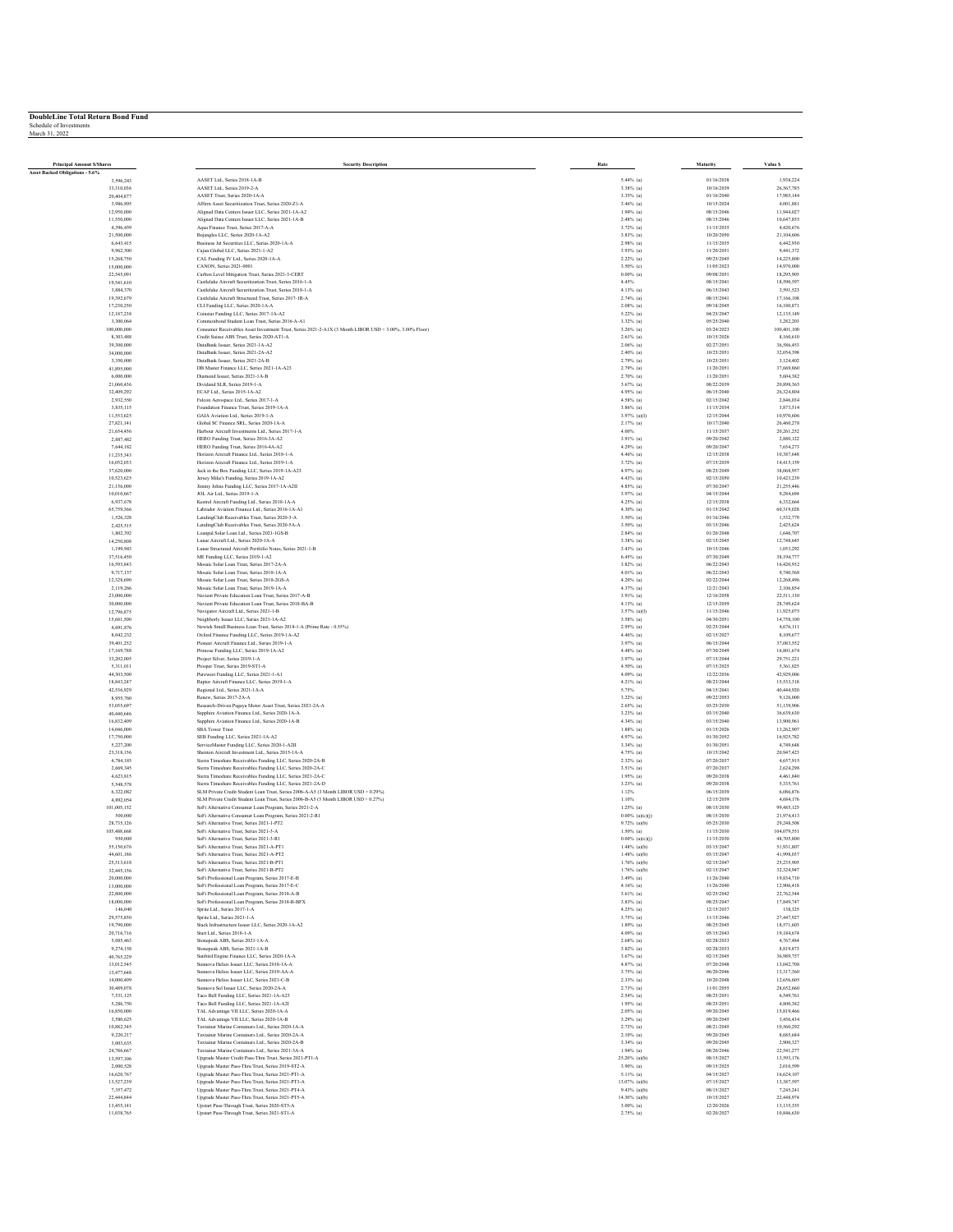| <b>Principal Amount S/Shares</b> | <b>Security Description</b>                                                                                                                                                | $\mathbf{Rate}$               | Maturity                 | Value \$                 |
|----------------------------------|----------------------------------------------------------------------------------------------------------------------------------------------------------------------------|-------------------------------|--------------------------|--------------------------|
| Asset Backed Obligations - 5.6%  |                                                                                                                                                                            |                               |                          |                          |
| 3,596,243                        | AASET Ltd., Series 2018-1A-B                                                                                                                                               | $5.44%$ (a)                   | 01/16/2038               | 1,938,224                |
| 33,310,036                       | AASET Ltd., Series 2019-2-A<br>AASET Trust. Series 2020-1A-A                                                                                                               | $3.38\%$ (a)<br>$3.35\%$ (a)  | 10/16/2039<br>01/16/2040 | 26,567,785<br>17,985,144 |
| 20,404,877<br>3,986,895          | Affirm Asset Securitization Trust, Series 2020-Z1-A                                                                                                                        | $3.46%$ (a)                   | 10/15/2024               | 4,001,881                |
| 12,950,000                       | Aligned Data Centers Issuer LLC, Series 2021-1A-A2                                                                                                                         | $1.94%$ (a)                   | 08/15/2046               | 11,944,027               |
| 11,550,000                       | Aligned Data Centers Issuer LLC, Series 2021-1A-B                                                                                                                          | $2.48%$ (a)                   | 08/15/2046               | 10,647,855               |
| 4,396,459                        | Aqua Finance Trust, Series 2017-A-A                                                                                                                                        | $3.72%$ (a)                   | 11/15/2035               | 4,420,676                |
| 21,500,000                       | Bojangles LLC, Series 2020-1A-A2                                                                                                                                           | $3.83%$ (a)                   | 10/20/2050               | 21,104,606               |
| 6,643,415                        | Business Jet Securities LLC. Series 2020-1A-A                                                                                                                              | $2.98%$ (a)                   | 11/15/2035               | 6,442,930                |
| 9,962,500                        | Cajun Global LLC, Series 2021-1-A2                                                                                                                                         | 3.93% (a)                     | 11/20/2051               | 9,441,372                |
| 15,268,750                       | CAL Funding IV Ltd., Series 2020-LA-A                                                                                                                                      | $2.22\%$ (a)                  | 09/25/2045               | 14.225.800               |
| 15,000,000                       | CANON, Series 2021-0001                                                                                                                                                    | 3.50% (c)                     | 11/05/2023               | 14,970,000               |
| 22,545,091                       | Carbon Level Mitigation Trust, Series 2021-3-CERT                                                                                                                          | $0.00\%$ (a)                  | 09/08/2051               | 18,295,905               |
| 19,541,610                       | Castlelake Aircraft Securitization Trust. Series 2016-1-A                                                                                                                  | 4.45%                         | 08/15/2041               | 18,590,597               |
| 3,884,370<br>19,392,679          | Castlelake Aircraft Securitization Trust, Series 2018-1-A<br>Castlelake Aircraft Structured Trust, Series 2017-1R-A                                                        | 4.13% (a)<br>$2.74%$ (a)      | 06/15/2043<br>08/15/2041 | 3,591,523<br>17,166,108  |
| 17.230.250                       | CLI Funding LLC, Series 2020-1A-A                                                                                                                                          | $2.08%$ (a)                   | 09/18/2045               | 16,180,871               |
| 12,187,238                       | Coinstar Funding LLC, Series 2017-1A-A2                                                                                                                                    | $5.22\%$ (a)                  | 04/25/2047               | 12,135,149               |
| 3,300,064                        | Commonbond Student Loan Trust, Series 2016-A-A1                                                                                                                            | $3.32\%$ (a)                  | 05/25/2040               | 3,282,203                |
| 100,000,000                      | Consumer Receivables Asset Investment Trust, Series 2021-2-A1X (3 Month LIBOR USD + 3.00%, 3.00% Floor)                                                                    | 3.26% (a)                     | 03/24/2023               | 100,401,100              |
| 8,303,488                        | Credit Suisse ABS Trust. Series 2020-AT1-A                                                                                                                                 | $2.61%$ (a)                   | 10/15/2026               | 8,160,610                |
| 39,300,000                       | DataBank Issuer, Series 2021-1A-A2                                                                                                                                         | $2.06\%$ (a)                  | 02/27/2051               | 36,586,453               |
| 34,000,000                       | DataBank Issuer, Series 2021-2A-A2                                                                                                                                         | $2.40\%$ (a)                  | 10/25/2051               | 32,054,398               |
| 3,350,000                        | DataBank Issuer, Series 2021-2A-B                                                                                                                                          | $2.79%$ (a)                   | 10/25/2051               | 3,124,402                |
| 41,895,000                       | DB Master Finance LLC, Series 2021-1A-A23                                                                                                                                  | $2.79%$ (a)                   | 11/20/2051               | 37,669,860               |
| 6,000,000                        | Diamond Issuer, Series 2021-1A-B                                                                                                                                           | 2.70% (a)                     | 11/20/2051               | 5,604,382                |
| 21,060,436                       | Dividend SLR, Series 2019-1-A<br>ECAF Ltd., Series 2015-1A-A2                                                                                                              | $3.67%$ (a)<br>$4.95%$ (a)    | 08/22/2039<br>06/15/2040 | 20,898,365<br>26,324,804 |
| 32,409,292<br>2,932,550          | Falcon Aerospace Ltd., Series 2017-1-A                                                                                                                                     | $4.58%$ (a)                   | 02/15/2042               | 2,846,034                |
| 3,835,115                        | Foundation Finance Trust, Series 2019-1A-A                                                                                                                                 | $3.86%$ (a)                   | 11/15/2034               | 3,873,514                |
| 11,553,625                       | GAIA Aviation Ltd., Series 2019-1-A                                                                                                                                        | $3.97%$ (a)(I)                | 12/15/2044               | 10,970,606               |
| 27,821,141                       | Global SC Finance SRL, Series 2020-1A-A                                                                                                                                    | $2.17%$ (a)                   | 10/17/2040               | 26,460,278               |
| 21.654.456                       | Harbour Aircraft Investments Ltd., Series 2017-1-A                                                                                                                         | 4.00%                         | 11/15/2037               | 20,261,252               |
| 2,887,482                        | HERO Funding Trust, Series 2016-3A-A2                                                                                                                                      | 3.91% (a)                     | 09/20/2042               | 2,880,122                |
| 7,644,182                        | HERO Funding Trust, Series 2016-4A-A2                                                                                                                                      | $4.29%$ (a)                   | 09/20/2047               | 7,654,273                |
| 11.235.343                       | Horizon Aircraft Finance Ltd., Series 2018-1-A                                                                                                                             | $4.46%$ (a)                   | 12/15/2038               | 10,387,648               |
| 16,052,033                       | Horizon Aircraft Finance Ltd., Series 2019-1-A                                                                                                                             | 3.72% (a)                     | 07/15/2039               | 14,415,159               |
| 37,620,000                       | Jack in the Box Funding LLC, Series 2019-1A-A23                                                                                                                            | 4.97% (a)                     | 08/25/2049               | 38,068,957               |
| 10.523.625                       | Jersey Mike's Funding, Series 2019-1A-A2                                                                                                                                   | $4.43%$ (a)                   | 02/15/2050               | 10,423,239               |
| 21,156,000                       | Jimmy Johns Funding LLC, Series 2017-1A-A2II                                                                                                                               | $4.85%$ (a)                   | 07/30/2047               | 21,255,446               |
| 10,010,667                       | JOL Air Ltd., Series 2019-1-A<br>Kestrel Aircraft Funding Ltd., Series 2018-1A-A                                                                                           | 3.97% (a)<br>$4.25%$ (a)      | 04/15/2044<br>12/15/2038 | 9,284,694<br>6,332,664   |
| 6,937,678<br>65,759,366          | Labrador Aviation Finance Ltd., Series 2016-1A-Al                                                                                                                          | 4.30% (a)                     | 01/15/2042               | 60,319,028               |
| 1.526,328                        | LendingClub Receivables Trust, Series 2020-3-A                                                                                                                             | 3.50% (a)                     | 01/16/2046               | 1,532,779                |
| 2,425,515                        | LendingClub Receivables Trust, Series 2020-5A-A                                                                                                                            | 3.50% (a)                     | 03/15/2046               | 2,425,624                |
| 1,802,392                        | Loanpal Solar Loan Ltd., Series 2021-1GS-B                                                                                                                                 | $2.84%$ (a)                   | 01/20/2048               | 1,646,707                |
| 14,250,808                       | Lunar Aircraft Ltd., Series 2020-1A-A                                                                                                                                      | $3.38\%$ (a)                  | 02/15/2045               | 12,748,645               |
| 1,199,943                        | Lunar Structured Aircraft Portfolio Notes, Series 2021-1-B                                                                                                                 | 3.43% (a)                     | 10/15/2046               | 1,053,292                |
| 37,516,450                       | ME Funding LLC, Series 2019-1-A2                                                                                                                                           | $6.45%$ (a)                   | 07/30/2049               | 38,194,777               |
| 16,593,843                       | Mosaic Solar Loan Trust, Series 2017-2A-A                                                                                                                                  | $3.82\%$ (a)                  | 06/22/2043               | 16,420,932               |
| 9,717,137                        | Mosaic Solar Loan Trust, Series 2018-1A-A                                                                                                                                  | $4.01%$ (a)                   | 06/22/2043               | 9,740,568                |
| 12,328,690                       | Mosaic Solar Loan Trust, Series 2018-2GS-A                                                                                                                                 | 4.20% (a)                     | 02/22/2044               | 12,268,496               |
| 2,119,266                        | Mosaic Solar Loan Trust. Series 2019-1A-A<br>Navient Private Education Loan Trust, Series 2017-A-B                                                                         | $4.37%$ (a)                   | 12/21/2043               | 2,106,854                |
| 23,000,000<br>30,000,000         | Navient Private Education Loan Trust, Series 2018-BA-B                                                                                                                     | 3.91% (a)<br>$4.13%$ (a)      | 12/16/2058<br>12/15/2059 | 22,511,130<br>28,749,624 |
| 12,796,875                       | Navigator Aircraft Ltd., Series 2021-1-B                                                                                                                                   | $3.57%$ (a)(I)                | 11/15/2046               | 11,925,075               |
| 15,681,500                       | Neighborly Issuer LLC, Series 2021-1A-A2                                                                                                                                   | $3.58%$ (a)                   | 04/30/2051               | 14,758,100               |
| 4,691,876                        | Newtek Small Business Loan Trust, Series 2018-1-A (Prime Rate - 0.55%)                                                                                                     | $2.95%$ (a)                   | 02/25/2044               | 4,676,111                |
| 8.042.232                        | Oxford Finance Funding LLC, Series 2019-1A-A2                                                                                                                              | $4.46%$ (a)                   | 02/15/2027               | 8,109,677                |
| 39,401,252                       | Pioneer Aircraft Finance Ltd., Series 2019-1-A                                                                                                                             | 3.97% (a)                     | 06/15/2044               | 37,083,552               |
| 17,169,788                       | Primose Funding LLC, Series 2019-1A-A2                                                                                                                                     | $4.48%$ (a)                   | 07/30/2049               | 16,801.674               |
| 33,202,005                       | Project Silver, Series 2019-1-A                                                                                                                                            | 3.97% (a)                     | 07/15/2044               | 29,751,221               |
| 5,311,011                        | Prosper Trust, Series 2019-ST1-A                                                                                                                                           | 4.50% (a)                     | 07/15/2025               | 5,361,025                |
| 44,303,500                       | Purewest Funding LLC, Series 2021-1-A1                                                                                                                                     | $4.09%$ (a)                   | 12/22/2036               | 42.929.006               |
| 18,843,247                       | Raptor Aircraft Finance LLC, Series 2019-1-A                                                                                                                               | 4.21% (a)                     | 08/23/2044               | 15,533,318               |
| 42,536,929                       | Regional Ltd., Series 2021-1A-A<br>Renew, Series 2017-2A-A                                                                                                                 | 5.75%<br>$3.22\%$ (a)         | 04/15/2041<br>09/22/2053 | 40,444,920<br>9,126,000  |
| 8,955,760<br>53,055,697          | Research-Driven Pagaya Motor Asset Trust, Series 2021-2A-A                                                                                                                 | $2.65%$ (a)                   | 03/25/2030               | 51,139,906               |
| 40,440,646                       | Sapphire Aviation Finance Ltd., Series 2020-1A-A                                                                                                                           | $3.23%$ (a)                   | 03/15/2040               | 36,639,630               |
| 16,832,409                       | Sapphire Aviation Finance Ltd., Series 2020-1A-B                                                                                                                           | 4.34% (a)                     | 03/15/2040               | 13,900,961               |
| 14,046,000                       | <b>SBA</b> Tower Trust                                                                                                                                                     | $1.88%$ (a)                   | 01/15/2026               | 13,262,907               |
| 17,750,000                       | SEB Funding LLC, Series 2021-1A-A2                                                                                                                                         | $4.97%$ (a)                   | 01/30/2052               | 16,925,782               |
| 5,227,200                        | ServiceMaster Funding LLC, Series 2020-1-A2II                                                                                                                              | 3.34% (a)                     | 01/30/2051               | 4,749,648                |
| 23,318,156                       | Shenton Aircraft Investment Ltd., Series 2015-1A-A                                                                                                                         | 4.75% (a)                     | 10/15/2042               | 20,947,423               |
| 4,784,185                        | Sierra Timeshare Receivables Funding LLC, Series 2020-2A-B                                                                                                                 | $2.32\%$ (a)                  | 07/20/2037               | 4,657,915                |
| 2,669,345                        | Sierra Timeshare Receivables Funding LLC, Series 2020-2A-C                                                                                                                 | 3.51% (a)                     | 07/20/2037               | 2,624,298                |
| 4,623,815                        | Sierra Timeshare Receivables Funding LLC, Series 2021-2A-C                                                                                                                 | $1.95%$ (a)                   | 09/20/2038               | 4,461,840                |
| 5,548,578                        | Sierra Timeshare Receivables Funding LLC, Series 2021-2A-D                                                                                                                 | $3.23\%$ (a)                  | 09/20/2038               | 5,335,761                |
| 6,322,082                        | SLM Private Credit Student Loan Trust, Series 2006-A-A5 (3 Month LIBOR USD + 0.29%)<br>SLM Private Credit Student Loan Trust. Series 2006-B-A5 (3 Month LIBOR USD + 0.27%) | 1.12%                         | 06/15/2039               | 6,086,876                |
| 4,892,054<br>101,005,152         |                                                                                                                                                                            | 1.10%<br>$1.25%$ (a)          | 12/15/2039<br>08/15/2030 | 4,684,176<br>99,485,125  |
| 500,000                          | SoFi Alternative Consumer Loan Program, Series 2021-2-A<br>SoFi Alternative Consumer Loan Program, Series 2021-2-R1                                                        | $0.00\%$ (a)(c)(j)            | 08/15/2030               | 21,974,413               |
| 28.735.126                       | SoFi Alternative Trust, Series 2021-1-PT2                                                                                                                                  | $9.72%$ (a)(b)                | 05/25/2030               | 29,248,508               |
| 105,488,668                      | SoFi Alternative Trust, Series 2021-3-A                                                                                                                                    | $1.50\%$ (a)                  | 11/15/2030               | 104,079,551              |
| 950,000                          | SoFi Alternative Trust. Series 2021-3-R1                                                                                                                                   | $0.00\%$ (a)(c)(j)            | 11/15/2030               | 48,705,800               |
| 55,150,676                       | SoFi Alternative Trust. Series 2021-A-PT1                                                                                                                                  | $1.48\%$ (a)(b)               | 03/15/2047               | 51,931,807               |
| 44,601,186                       | SoFi Alternative Trust, Series 2021-A-PT2                                                                                                                                  | $1.48%$ (a)(b)                | 03/15/2047               | 41,998,037               |
| 25,313,618                       | SoFi Alternative Trust, Series 2021-B-PT1                                                                                                                                  | $1.76%$ (a)(b)                | 02/15/2047               | 25,235,905               |
| 32.445.156                       | SoFi Alternative Trust. Series 2021-B-PT2                                                                                                                                  | $1.76%$ (a)(b)                | 02/15/2047               | 32.324.947               |
| 20,000,000<br>13,000,000         | SoFi Professional Loan Program, Series 2017-E-B<br>SoFi Professional Loan Program, Series 2017-E-C                                                                         | 3.49% (a)<br>$4.16%$ (a)      | 11/26/2040<br>11/26/2040 | 19,834,710<br>12,906,418 |
| 22,800,000                       | SoFi Professional Loan Program, Series 2018-A-B                                                                                                                            | $3.61%$ (a)                   | 02/25/2042               | 22,762.544               |
| 18,000,000                       | SoFi Professional Loan Program, Series 2018-B-BFX                                                                                                                          | 3.83% (a)                     | 08/25/2047               | 17,849,747               |
| 146,040                          | Sprite Ltd., Series 2017-1-A                                                                                                                                               | $4.25%$ (a)                   | 12/15/2037               | 138,325                  |
| 29,575,850                       | Sprite Ltd., Series 2021-1-A                                                                                                                                               | 3.75% (a)                     | 11/15/2046               | 27,447,927               |
| 19,790,000                       | Stack Infrastructure Issuer LLC, Series 2020-1A-A2                                                                                                                         | $1.89%$ (a)                   | 08/25/2045               | 18,571,603               |
| 20.716.716                       | Start Ltd. Series 2018-1-A                                                                                                                                                 | $4.09%$ (a)                   | 05/15/2043               | 19,184,674               |
| 5,085,463                        | Stonepeak ABS, Series 2021-1A-A                                                                                                                                            | $2.68\%$ (a)                  | 02/28/2033               | 4,767,484                |
| 9,274,158                        | Stonepeak ABS, Series 2021-1A-B                                                                                                                                            | $3.82\%$ (a)                  | 02/28/2033               | 8,819,873                |
| 40,765,229                       | Sunbird Engine Finance LLC, Series 2020-1A-A                                                                                                                               | $3.67%$ (a)                   | 02/15/2045               | 36,989,757               |
| 13,012,545                       | Sunnova Helios Issuer LLC, Series 2018-1A-A                                                                                                                                | 4.87% (a)                     | 07/20/2048               | 13,042,708               |
| 13,477,648                       | Sunnova Helios Issuer LLC, Series 2019-AA-A                                                                                                                                | 3.75% (a)                     | 06/20/2046               | 13,317,360               |
| 14,000,409                       | Sunnova Helios Issuer LLC. Series 2021-C-B                                                                                                                                 | $2.33%$ (a)                   | 10/20/2048               | 12,656,605               |
| 30,489,078<br>7,531,125          | Sunnova Sol Issuer LLC, Series 2020-2A-A<br>Taco Bell Funding LLC, Series 2021-1A-A23                                                                                      | $2.73%$ (a)<br>$2.54%$ (a)    | 11/01/2055<br>08/25/2051 | 28,652,660<br>6,549,761  |
| 5,286,750                        |                                                                                                                                                                            | $1.95%$ (a)                   | 08/25/2051               | 4,800,382                |
| 16,850,000                       | Taco Bell Funding LLC, Series 2021-1A-A2I<br>TAL Advantage VII LLC, Series 2020-1A-A                                                                                       | $2.05%$ (a)                   | 09/20/2045               | 15,819,466               |
| 3.580.625                        | TAL Advantage VII LLC, Series 2020-1A-B                                                                                                                                    | $3.29%$ (a)                   | 09/20/2045               | 3,456,434                |
| 10,882,345                       | Textainer Marine Containers Ltd., Series 2020-1A-A                                                                                                                         | $2.73%$ (a)                   | 08/21/2045               | 10,560,292               |
| 9,220,217                        | Textainer Marine Containers Ltd., Series 2020-2A-A                                                                                                                         | $2.10%$ (a)                   | 09/20/2045               | 8,685,684                |
| 3,003,635                        | Textainer Marine Containers Ltd., Series 2020-2A-B                                                                                                                         | $3.34%$ (a)                   | 09/20/2045               | 2,900.327                |
| 24,786,667                       | Textainer Marine Containers Ltd., Series 2021-3A-A                                                                                                                         | $1.94%$ (a)                   | 08/20/2046               | 22,541,277               |
| 13,597,106                       | Upgrade Master Credit Pass-Thru Trust, Series 2021-PT1-A                                                                                                                   | 25.20% (a)(b)                 | 08/15/2027               | 13,593,176               |
| 2,000.528                        | Upgrade Master Pass-Thru Trust, Series 2019-ST2-A                                                                                                                          | $3.90\%$ (a)                  | 09/15/2025               | 2.010.599                |
| 16,620,767                       | Upgrade Master Pass-Thru Trust, Series 2021-PT1-A                                                                                                                          | $5.11%$ (a)                   | 04/15/2027               | 16,624,107               |
| 13,527,239                       | Upgrade Master Pass-Thru Trust, Series 2021-PT3-A                                                                                                                          | 13.07% (a)(b)                 | 07/15/2027               | 13,387,597               |
| 7,357,472                        | Upgrade Master Pass-Thru Trust, Series 2021-PT4-A                                                                                                                          | $9.43%$ (a)(b)                | 08/15/2027               | 7.245.241                |
| 22,444,844                       | Upgrade Master Pass-Thru Trust, Series 2021-PT5-A<br>Upstart Pass-Through Trust, Series 2020-ST5-A                                                                         | 14.30% (a)(b)<br>$3.00\%$ (a) | 10/15/2027<br>12/20/2026 | 22,448,974<br>13,135,355 |
| 13,455.141<br>11,038,765         | Upstart Pass-Through Trust, Series 2021-ST1-A                                                                                                                              | 2.75% (a)                     | 02/20/2027               | 10,846,630               |
|                                  |                                                                                                                                                                            |                               |                          |                          |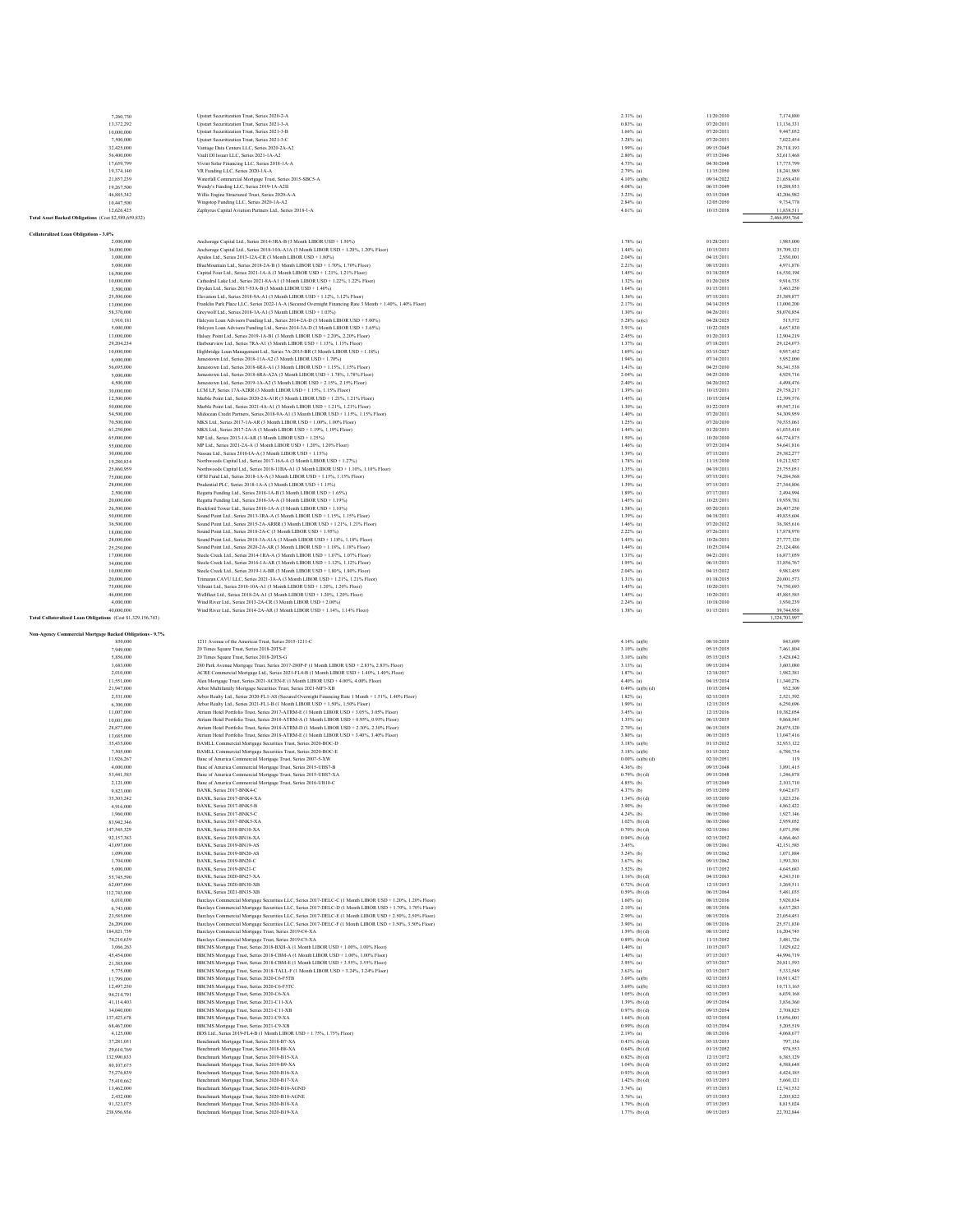|                                                              | 7,260,730                 | Upstart Securitization Trust, Series 2020-2-A                                                                                                                                                                        | 2.31% (a)                          | 11/20/2030               | 7,174,880                |
|--------------------------------------------------------------|---------------------------|----------------------------------------------------------------------------------------------------------------------------------------------------------------------------------------------------------------------|------------------------------------|--------------------------|--------------------------|
|                                                              | 13,372,292                | Upstart Securitization Trust, Series 2021-3-A                                                                                                                                                                        | $0.83%$ (a)                        | 07/20/2031               | 13,136,331               |
|                                                              | 10,000,000                | Upstart Securitization Trust. Series 2021-3-B                                                                                                                                                                        | $1.66\%$ (a)                       | 07/20/2031<br>07/20/2031 | 9,447,052                |
|                                                              | 7,500,000<br>32,425,000   | Upstart Securitization Trust, Series 2021-3-C<br>Vantage Data Centers LLC, Series 2020-2A-A2                                                                                                                         | 3.28% (a)<br>$1.99%$ (a)           | 09/15/2045               | 7,022,454<br>29,718,193  |
|                                                              | 56,400,000                | Vault DI Issuer LLC, Series 2021-1A-A2                                                                                                                                                                               | $2.80\%$ (a)                       | 07/15/2046               | 52.613.468               |
|                                                              | 17,659,799                | Vivint Solar Financing LLC, Series 2018-1A-A                                                                                                                                                                         | 4.73% (a)                          | 04/30/2048               | 17,775,799               |
|                                                              | 19,374,140                | VR Funding LLC, Series 2020-1A-A                                                                                                                                                                                     | $2.79%$ (a)                        | 11/15/2050               | 18,241,989               |
|                                                              | 21,857,239                | Waterfall Commercial Mortgage Trust, Series 2015-SBC5-A                                                                                                                                                              | $4.10\%$ (a)(b)                    | 09/14/2022               | 21,658,430               |
|                                                              | 19,267,500                | Wendy's Funding LLC, Series 2019-1A-A2II                                                                                                                                                                             | $4.08%$ (a)                        | 06/15/2049               | 19,288,933               |
|                                                              | 46,885,342                | Willis Engine Structured Trust, Series 2020-A-A                                                                                                                                                                      | $3.23%$ (a)                        | 03/15/2045               | 42,206,982               |
|                                                              | 10,447,500                | Wingstop Funding LLC, Series 2020-1A-A2                                                                                                                                                                              | $2.84%$ (a)                        | 12/05/2050               | 9.734.778                |
|                                                              | 12,626,425                | Zephyrus Capital Aviation Partners Ltd., Series 2018-1-A                                                                                                                                                             | 4.61% (a)                          | 10/15/2038               | 11,838,511               |
| Fotal Asset Backed Obligations (Cost \$2,589,659,832)        |                           |                                                                                                                                                                                                                      |                                    |                          | 2,466,895,764            |
|                                                              |                           |                                                                                                                                                                                                                      |                                    |                          |                          |
| Collateralized Loan Obligations - 3.0%                       |                           |                                                                                                                                                                                                                      |                                    | 01/28/2031               |                          |
|                                                              | 2,000,000                 | Anchorage Capital Ltd., Series 2014-3RA-B (3 Month LIBOR USD + 1.50%)                                                                                                                                                | 1.78% (a)                          |                          | 1,985,000                |
|                                                              | 36,000,000<br>3,000,000   | Anchorage Capital Ltd., Series 2018-10A-A1A (3 Month LIBOR USD + 1.20%, 1.20% Floor)<br>Apidos Ltd., Series 2013-12A-CR (3 Month LIBOR USD + 1.80%)                                                                  | $1.44%$ (a)<br>$2.04%$ (a)         | 10/15/2031<br>04/15/2031 | 35,709,121<br>2,930,001  |
|                                                              | 5,000,000                 | BlueMountain Ltd., Series 2018-2A-B (3 Month LIBOR USD + 1.70%, 1.70% Floor)                                                                                                                                         | $2.21%$ (a)                        | 08/15/2031               | 4.971.876                |
|                                                              | 16,500,000                | Capital Four Ltd., Series 2021-1A-A (3 Month LIBOR USD + 1.21%, 1.21% Floor)                                                                                                                                         | $1.45%$ (a)                        | 01/18/2035               | 16,530,194               |
|                                                              | 10,000,000                | Cathedral Lake Ltd., Series 2021-8A-A1 (3 Month LIBOR USD + 1.22%, 1.22% Floor)                                                                                                                                      | $1.32\%$ (a)                       | 01/20/2035               | 9,916,735                |
|                                                              | 3,500,000                 | Dryden Ltd., Series 2017-53A-B (3 Month LIBOR USD + 1.40%)                                                                                                                                                           | $1.64%$ (a)                        | 01/15/2031               | 3,463,250                |
|                                                              | 25,500,000                | Elevation Ltd., Series 2018-9A-A1 (3 Month LIBOR USD + 1.12%, 1.12% Floor)                                                                                                                                           | $1.36\%$ (a)                       | 07/15/2031               | 25,389,877               |
|                                                              | 13,000,000                | Franklin Park Place LLC, Series 2022-1A-A (Secured Overnight Financing Rate 3 Month + 1.40%, 1.40% Floor)                                                                                                            | $2.17%$ (a)                        | 04/14/2035               | 13,000,200               |
|                                                              | 58,370,000                | Greywolf Ltd., Series 2018-1A-A1 (3 Month LIBOR USD + 1.03%)                                                                                                                                                         | $1.30\%$ (a)                       | 04/26/2031               | 58,070,854               |
|                                                              | 1,910,181                 | Halcyon Loan Advisors Funding Ltd., Series 2014-2A-D (3 Month LIBOR USD + 5.00%)                                                                                                                                     | $5.28%$ (a)(c)                     | 04/28/2025               | 515,572                  |
|                                                              | 5,000,000                 | Halcyon Loan Advisors Funding Ltd., Series 2014-3A-D (3 Month LIBOR USD + 3.65%)                                                                                                                                     | $3.91%$ (a)                        | 10/22/2025               | 4,657,830                |
|                                                              | 13,000,000                | Halsey Point Ltd., Series 2019-1A-B1 (3 Month LIBOR USD + 2.20%, 2.20% Floor)                                                                                                                                        | $2.45%$ (a)                        | 01/20/2033               | 12,904,219               |
|                                                              | 29,204,234<br>10,000,000  | Harbourview Ltd., Series 7RA-A1 (3 Month LIBOR USD + 1.13%, 1.13% Floor)                                                                                                                                             | $1.37%$ (a)<br>$1.69%$ (a)         | 07/18/2031<br>03/15/2027 | 29,124,073<br>9.957.452  |
|                                                              | 6,000,000                 | Highbridge Loan Management Ltd., Series 7A-2015-BR (3 Month LIBOR USD + 1.18%)<br>Jamestown Ltd., Series 2018-11A-A2 (3 Month LIBOR USD + 1.70%)                                                                     | $1.94%$ (a)                        | 07/14/2031               | 5,952,000                |
|                                                              | 56,695,000                | Jamestown Ltd., Series 2018-6RA-A1 (3 Month LIBOR USD + 1.15%, 1.15% Floor)                                                                                                                                          | $1.41%$ (a)                        | 04/25/2030               | 56,341,538               |
|                                                              | 5,000,000                 | Jamestown Ltd., Series 2018-6RA-A2A (3 Month LIBOR USD + 1.78%, 1.78% Floor)                                                                                                                                         | $2.04%$ (a)                        | 04/25/2030               | 4.929.716                |
|                                                              | 4,500,000                 | Jamestown Ltd., Series 2019-1A-A2 (3 Month LIBOR USD + 2.15%, 2.15% Floor)                                                                                                                                           | $2.40%$ (a)                        | 04/20/2032               | 4,498,476                |
|                                                              | 30,000,000                | LCM LP, Series 17A-A2RR (3 Month LIBOR USD + 1.15%, 1.15% Floor)                                                                                                                                                     | $1.39%$ (a)                        | 10/15/2031               | 29,758,217               |
|                                                              | 12,500,000                | Marble Point Ltd., Series 2020-2A-A1R (3 Month LIBOR USD + 1.21%, 1.21% Floor)                                                                                                                                       | $1.45%$ (a)                        | 10/15/2034               | 12,399.576               |
|                                                              | 50,000,000                | Marble Point Ltd., Series 2021-4A-A1 (3 Month LIBOR USD + 1.21%, 1.21% Floor)                                                                                                                                        | $1.30\%$ (a)                       | 01/22/2035               | 49,547,316               |
|                                                              | 54,500,000                | Midocean Credit Partners, Series 2018-9A-A1 (3 Month LIBOR USD + 1.15%, 1.15% Floor)                                                                                                                                 | $1.40\%$ (a)                       | 07/20/2031               | 54,309,959               |
|                                                              | 70,500,000                | MKS Ltd., Series 2017-1A-AR (3 Month LIBOR USD + 1.00%, 1.00% Floor)                                                                                                                                                 | $1.25%$ (a)                        | 07/20/2030               | 70,535,061               |
|                                                              | 61,250,000                | MKS Ltd., Series 2017-2A-A (3 Month LIBOR USD + 1.19%, 1.19% Floor)                                                                                                                                                  | $1.44%$ (a)                        | 01/20/2031               | 61,035,410               |
|                                                              | 65,000,000                | MP Ltd., Series 2013-14-AR (3 Month LIROR USD + 1.25%).                                                                                                                                                              | $1.50\%$ (a)                       | 10/20/2030               | 64,774,875               |
|                                                              | 55,000,000<br>30,000,000  | MP Ltd., Series 2021-2A-A (3 Month LIBOR USD + 1.20%, 1.20% Floor)<br>Nassau Ltd., Series 2018-IA-A (3 Month LIBOR USD + 1.15%)                                                                                      | $1.46%$ (a)<br>$1.39%$ (a)         | 07/25/2034<br>07/15/2031 | 54,641,816<br>29,382,277 |
|                                                              | 19,280,834                | Northwoods Capital Ltd., Series 2017-16A-A (3 Month LIROR USD + 1.27%).                                                                                                                                              | $1.78%$ (a)                        | 11/15/2030               | 19.212.927               |
|                                                              | 25,860,959                | Northwoods Capital Ltd., Series 2018-11BA-A1 (3 Month LIBOR USD + 1.10%, 1.10% Floor)                                                                                                                                | $1.35%$ (a)                        | 04/19/2031               | 25,755,051               |
|                                                              | 75,000,000                | OFSI Fund Ltd., Series 2018-1A-A (3 Month LIBOR USD + 1.15%, 1.15% Floor)                                                                                                                                            | $1.39%$ (a)                        | 07/15/2031               | 74,284,568               |
|                                                              | 28,000,000                | Prodential PLC. Series 2018-1A-A (3 Month LIROR USD + 1 15%).                                                                                                                                                        | $1.39%$ (a)                        | 07/15/2031               | 27,344,806               |
|                                                              | 2,500,000                 | Regatta Funding Ltd., Series 2018-1A-B (3 Month LIBOR USD + 1.65%)                                                                                                                                                   | $1.89%$ (a)                        | 07/17/2031               | 2,494,994                |
|                                                              | 20,000,000                | Regatta Funding Ltd., Series 2018-3A-A (3 Month LIBOR USD + 1.19%)                                                                                                                                                   | $1.45%$ (a)                        | 10/25/2031               | 19,939,781               |
|                                                              | 26,500,000                | Rockford Tower Ltd., Series 2018-1A-A (3 Month LIBOR USD + 1.10%)                                                                                                                                                    | $1.58%$ (a)                        | 05/20/2031               | 26,407,250               |
|                                                              | 50,000,000                | Sound Point Ltd., Series 2013-3RA-A (3 Month LIBOR USD + 1.15%, 1.15% Floor)                                                                                                                                         | $1.39%$ (a)                        | 04/18/2031               | 49,835,604               |
|                                                              | 36,500,000                | Sound Point Ltd., Series 2015-2A-ARRR (3 Month LIBOR USD + 1.21%, 1.21% Floor)                                                                                                                                       | $1.46%$ (a)                        | 07/20/2032               | 36,385,616               |
|                                                              | 18,000,000                | Sound Point Ltd., Series 2018-2A-C (3 Month LIBOR USD + 1.95%)                                                                                                                                                       | $2.22%$ (a)                        | 07/26/2031               | 17,878,970               |
|                                                              | 28,000,000                | Sound Point Ltd., Series 2018-3A-A1A (3 Month LIBOR USD + 1.18%, 1.18% Floor)                                                                                                                                        | $1.45%$ (a)                        | 10/26/2031               | 27,777,120               |
|                                                              | 25.250,000<br>17,000,000  | Sound Point Ltd., Series 2020-2A-AR (3 Month LIBOR USD + 1.18%, 1.18% Floor)<br>Steele Creek Ltd., Series 2014-1RA-A (3 Month LIBOR USD + 1.07%, 1.07% Floor)                                                        | $1.44%$ (a)<br>$1.33%$ (a)         | 10/25/2034<br>04/21/2031 | 25.124.486<br>16,877,059 |
|                                                              | 34,000,000                | Steele Creek Ltd., Series 2016-1A-AR (3 Month LIBOR USD + 1.12%, 1.12% Floor)                                                                                                                                        | $1.95%$ (a)                        | 06/15/2031               | 33,856,767               |
|                                                              | 10,000,000                | Steele Creek Ltd., Series 2019-1A-BR (3 Month LIBOR USD + 1.80%, 1.80% Floor)                                                                                                                                        | $2.04%$ (a)                        | 04/15/2032               | 9.983.459                |
|                                                              | 20,000,000                | Trimaran CAVU LLC, Series 2021-3A-A (3 Month LIBOR USD + 1.21%, 1.21% Floor)                                                                                                                                         | $1.31%$ (a)                        | 01/18/2035               | 20,001,573               |
|                                                              | 75,000,000                | Vibrant Ltd., Series 2018-10A-A1 (3 Month LIBOR USD + 1.20%, 1.20% Floor)                                                                                                                                            | $1.45%$ (a)                        | 10/20/2031               | 74,750,693               |
|                                                              | 46,000,000                | Wellfleet Ltd., Series 2018-2A-A1 (3 Month LIBOR USD + 1.20%, 1.20% Floor)                                                                                                                                           | $1.45%$ (a)                        | 10/20/2031               | 45.885.585               |
|                                                              | 4,000,000                 | Wind River Ltd., Series 2013-2A-CR (3 Month LIBOR USD + 2.00%)                                                                                                                                                       | $2.24%$ (a)                        | 10/18/2030               | 3,930,239                |
|                                                              |                           |                                                                                                                                                                                                                      |                                    |                          |                          |
|                                                              | 40,000,000                | Wind River Ltd., Series 2014-2A-AR (3 Month LIBOR USD + 1.14%, 1.14% Floor)                                                                                                                                          | $1.38%$ (a)                        | 01/15/2031               | 39,744,958               |
| Fotal Collateralized Loan Obligations (Cost \$1,329,156,743) |                           |                                                                                                                                                                                                                      |                                    |                          | 1,324,703,997            |
|                                                              |                           |                                                                                                                                                                                                                      |                                    |                          |                          |
|                                                              |                           |                                                                                                                                                                                                                      |                                    |                          |                          |
|                                                              | 850,000                   | 1211 Avenue of the Americas Trust, Series 2015-1211-C                                                                                                                                                                | $4.14%$ (a)(b)                     | 08/10/2035               | 843,699                  |
|                                                              | 7,949,000                 | 20 Times Square Trust, Series 2018-20TS-F                                                                                                                                                                            | $3.10\%$ (a)(b)                    | 05/15/2035               | 7,461,804                |
|                                                              | 5,856,000                 | 20 Times Square Trust. Series 2018-20TS-G                                                                                                                                                                            | $3.10\%$ (a)(b)                    | 05/15/2035               | 5.428.042                |
|                                                              | 3,683,000<br>2.010.000    | 280 Park Avenue Mortgage Trust, Series 2017-280P-F (1 Month LIBOR USD + 2.83%, 2.83% Floor)                                                                                                                          | 3.13% (a)                          | 09/15/2034               | 3,603,080                |
|                                                              | 11,551,000                | ACRE Commercial Mortgage Ltd., Series 2021-FL4-B (1 Month LIBOR USD + 1.40%, 1.40% Floor)<br>Alen Mortgage Trust, Series 2021-ACEN-E (1 Month LIBOR USD + 4.00%, 4.00% Floor)                                        | $1.87%$ (a)<br>$4.40\%$ (a)        | 12/18/2037<br>04/15/2034 | 1,982,381<br>11.340.276  |
|                                                              | 21,947,000                | Arbor Multifamily Mortgage Securities Trust, Series 2021-MF3-XB                                                                                                                                                      | $0.49%$ (a)(b) (d)                 | 10/15/2054               | 932,309                  |
|                                                              | 2,531,000                 | Arbor Realty Ltd., Series 2020-FL1-AS (Secured Overnight Financing Rate 1 Month + 1.51%, 1.40% Floor)                                                                                                                | $1.82%$ (a)                        | 02/15/2035               | 2,521,392                |
|                                                              | 6,300,000                 | Arbor Realty Ltd., Series 2021-FL1-B (1 Month LIBOR USD + 1.50%, 1.50% Floor)                                                                                                                                        | $1.90\%$ (a)                       | 12/15/2035               | 6,250,696                |
|                                                              | 11,007,000                | Atrium Hotel Portfolio Trust, Series 2017-ATRM-E (1 Month LIBOR USD + 3.05%, 3.05% Floor)                                                                                                                            | $3.45%$ (a)                        | 12/15/2036               | 10,382,054               |
|                                                              | 10,001,000                | Atrium Hotel Portfolio Trust, Series 2018-ATRM-A (1 Month LIBOR USD + 0.95%, 0.95% Floor)                                                                                                                            | $1.35%$ (a)                        | 06/15/2035               | 9,868,545                |
|                                                              | 28,877,000                | Atrium Hotel Portfolio Trust. Series 2018-ATRM-D (1 Month LIBOR USD + 2.30%, 2.30% Floor)                                                                                                                            | $2.70%$ (a)                        | 06/15/2035               | 28,075,120               |
|                                                              | 13,685,000<br>35,435,000  | Atrium Hotel Portfolio Trust, Series 2018-ATRM-E (1 Month LIBOR USD + 3.40%, 3.40% Floor)                                                                                                                            | $3.80\%$ (a)<br>3.18% (a)(b)       | 06/15/2035<br>01/15/2032 | 13,047,416<br>32.933.122 |
|                                                              | 7,505,000                 | BAMLL Commercial Mortgage Securities Trust, Series 2020-BOC-D                                                                                                                                                        | $3.18%$ (a)(b)                     | 01/15/2032               |                          |
|                                                              | 11,926,267                | BAMLL Commercial Mortgage Securities Trust, Series 2020-BOC-E<br>Banc of America Commercial Mortgage Trust, Series 2007-5-XW                                                                                         | $0.00\%$ (a)(b) (d)                | 02/10/2051               | 6,780,734<br>119         |
|                                                              | 4,000,000                 | Banc of America Commercial Mortgage Trust, Series 2015-UBS7-B                                                                                                                                                        | 4.36% (b)                          | 09/15/2048               | 3,891,415                |
|                                                              | 53,441,585                | Banc of America Commercial Mortgage Trust, Series 2015-UBS7-XA                                                                                                                                                       | $0.79%$ (b) (d)                    | 09/15/2048               | 1,246,878                |
|                                                              | 2,121,000                 | Banc of America Commercial Mortgage Trust, Series 2016-UB10-C                                                                                                                                                        | 4.85% (b)                          | 07/15/2049               | 2,103,710                |
|                                                              | 9,823,000                 | BANK, Series 2017-BNK4-C                                                                                                                                                                                             | 4.37% (b)                          | 05/15/2050               | 9.642.673                |
|                                                              | 35,303,242<br>4.916.000   | BANK, Series 2017-BNK4-XA<br><b>BANK Series 2017-BNK S-B</b>                                                                                                                                                         | $1.34%$ (b) (d)<br>3.90% (b)       | 05/15/2050<br>06/15/2060 | 1,823,236<br>4.862.422   |
|                                                              | 1,960,000                 | BANK, Series 2017-BNK5-C                                                                                                                                                                                             | 4.24% (b)                          | 06/15/2060               | 1,927,146                |
|                                                              | 83,942,346                | BANK, Series 2017-BNK5-XA                                                                                                                                                                                            | $1.02\%$ (b) (d)                   | 06/15/2060               | 2,959,052                |
|                                                              | 147.545.329               | BANK Series 2018-BN10-XA                                                                                                                                                                                             | $0.70\%$ (b) (d)                   | 02/15/2061               | 5.071.590                |
|                                                              | 92,157,383                | BANK, Series 2019-BN16-XA                                                                                                                                                                                            | $0.94%$ (b) (d)                    | 02/15/2052               | 4,866,463                |
|                                                              | 43,097,000                | BANK, Series 2019-BN19-AS                                                                                                                                                                                            | 3.45%                              | 08/15/2061               | 42,151,585               |
|                                                              | 1,099,000                 | <b>BANK Series 2019-BN20-AS</b>                                                                                                                                                                                      | $3.24\%$ (b)                       | 09/15/2062               | 1.071.884                |
|                                                              | 1,704,000                 | BANK, Series 2019-BN20-C                                                                                                                                                                                             | $3.67%$ (b)                        | 09/15/2062               | 1,593,301                |
|                                                              | 5,000,000                 | BANK, Series 2019-BN21-C                                                                                                                                                                                             | $3.52\%$ (b)                       | 10/17/2052               | 4,645,683                |
|                                                              | 55,745,590                | BANK Series 2020-BN27-XA                                                                                                                                                                                             | $1.16%$ (b) (d)                    | 04/15/2063               | 4.243.510                |
|                                                              | 62,007,000                | BANK, Series 2020-BN30-XB                                                                                                                                                                                            | $0.72%$ (b) (d)                    | 12/15/2053               | 3,269,511                |
|                                                              | 112,743,000<br>6,010,000  | BANK, Series 2021-BN35-XB                                                                                                                                                                                            | $0.59%$ (b) (d)<br>$1.60\%$ (a)    | 06/15/2064<br>08/15/2036 | 5,481,035<br>5,920,834   |
|                                                              | 6,743,000                 | Barclays Commercial Mortgage Securities LLC, Series 2017-DELC-C (1 Month LIBOR USD + 1.20%, 1.20% Floor)<br>Barclays Commercial Mortgage Securities LLC, Series 2017-DELC-D (1 Month LIBOR USD + 1.70%, 1.70% Floor) | $2.10%$ (a)                        | 08/15/2036               | 6,637,283                |
|                                                              | 23,585,000                | Barclays Commercial Mortgage Securities LLC, Series 2017-DELC-E (1 Month LIBOR USD + 2.50%, 2.50% Floor)                                                                                                             | $2.90\%$ (a)                       | 08/15/2036               | 23,054,451               |
|                                                              | 26,209,000                | Barclays Commercial Mortgage Securities LLC, Series 2017-DELC-F (1 Month LIBOR USD + 3.50%, 3.50% Floor)                                                                                                             | $3.90\%$ (a)                       | 08/15/2036               | 25,571,830               |
|                                                              | 184,821,739               | Barclays Commercial Mortgage Trust, Series 2019-C4-XA                                                                                                                                                                | $1.59%$ (b) (d)                    | 08/15/2052               | 16,204,745               |
|                                                              | 74.210.639                | Barclays Commercial Mortgage Trust, Series 2019-C5-XA                                                                                                                                                                | $0.89%$ (b) (d)                    | 11/15/2052               | 3.481.726                |
|                                                              | 3,066,263                 | BBCMS Mortgage Trust, Series 2018-BXH-A (1 Month LIBOR USD + 1.00%, 1.00% Floor)                                                                                                                                     | $1.40%$ (a)                        | 10/15/2037               | 3,029,622                |
|                                                              | 45,454,000                | BBCMS Mortgage Trust, Series 2018-CBM-A (1 Month LIBOR USD + 1.00%, 1.00% Floor)                                                                                                                                     | $1.40\%$ (a)                       | 07/15/2037               | 44,996,719               |
|                                                              | 21,385,000                | BBCMS Mortgage Trust, Series 2018-CBM-E (1 Month LIBOR USD + 3.55%, 3.55% Floor)                                                                                                                                     | $3.95%$ (a)                        | 07/15/2037               | 20.811.593               |
|                                                              | 5,775,000                 | BBCMS Mortgage Trust, Series 2018-TALL-F (1 Month LIBOR USD + 3.24%, 3.24% Floor)<br>BBCMS Mortgage Trust, Series 2020-C6-F5TB                                                                                       | $3.63%$ (a)<br>$3.69%$ (a)(b)      | 03/15/2037<br>02/15/2053 | 5,333,549                |
|                                                              | 11,799,000<br>12,497,250  | BBCMS Mortgage Trust, Series 2020-C6-F5TC                                                                                                                                                                            | $3.69%$ (a)(b)                     | 02/15/2053               | 10,911,427<br>10,713,165 |
|                                                              | 94,214,791                | BBCMS Mortgage Trust, Series 2020-C6-XA                                                                                                                                                                              | $1.05%$ (b) (d)                    | 02/15/2053               | 6,039,168                |
|                                                              | 41.114.403                | BBCMS Mortgage Trust. Series 2021-C11-XA                                                                                                                                                                             | $1.39%$ (b) (d)                    | 09/15/2054               | 3,836,360                |
|                                                              | 34,040,000                | BBCMS Mortgage Trust, Series 2021-C11-XB                                                                                                                                                                             | $0.97%$ (b) (d)                    | 09/15/2054               | 2.708.825                |
|                                                              | 137,423,678               | BBCMS Mortgage Trust, Series 2021-C9-XA                                                                                                                                                                              | $1.64%$ (b) (d)                    | 02/15/2054               | 15,056,001               |
|                                                              | 68,467,000                | BBCMS Mortgage Trust, Series 2021-C9-XB                                                                                                                                                                              | $0.99%$ (b) (d)                    | 02/15/2054               | 5.205.519                |
|                                                              | 4,125,000                 | BDS Ltd., Series 2019-FL4-B (1 Month LIBOR USD + 1.75%, 1.75% Floor)                                                                                                                                                 | $2.19%$ (a)                        | 08/15/2036               | 4,068,677                |
|                                                              | 37,281,051                | Benchmark Mortgage Trust, Series 2018-B7-XA                                                                                                                                                                          | $0.43%$ (b) (d)                    | 05/15/2053               | 797,136                  |
| Non-Agency Commercial Mortgage Backed Obligations - 9.7%     | 29,610,769                | Benchmark Mortgage Trust, Series 2018-B8-XA                                                                                                                                                                          | $0.64%$ (b) (d)                    | 01/15/2052               | 978,553                  |
|                                                              | 132,990,833<br>80,107,675 | Benchmark Mortgage Trust, Series 2019-B15-XA<br>Benchmark Mortgage Trust, Series 2019-B9-XA                                                                                                                          | $0.82%$ (b) (d)<br>$1.04%$ (b) (d) | 12/15/2072               | 6,385,129<br>4,588,648   |
|                                                              | 75.276.839                | Benchmark Mortgage Trust, Series 2020-B16-XA                                                                                                                                                                         | $0.93%$ (b) (d)                    | 03/15/2052<br>02/15/2053 | 4.424.185                |
|                                                              | 75,410,662                | Benchmark Mortgage Trust, Series 2020-B17-XA                                                                                                                                                                         | $1.42%$ (b) (d)                    | 03/15/2053               | 5,660,121                |
|                                                              | 13,462,000                | Benchmark Mortgage Trust, Series 2020-B18-AGND                                                                                                                                                                       | $3.74%$ (a)                        | 07/15/2053               | 12,743,532               |
|                                                              | 2,432,000                 | Benchmark Mortgage Trust, Series 2020-B18-AGNE                                                                                                                                                                       | $3.76%$ (a)                        | 07/15/2053               | 2,205,822                |
|                                                              | 91,323,075<br>238,956,936 | Benchmark Mortgage Trust, Series 2020-B18-XA<br>Benchmark Mortgage Trust, Series 2020-B19-XA                                                                                                                         | $1.79%$ (b) (d)<br>$1.77%$ (b) (d) | 07/15/2053<br>09/15/2053 | 8,815,024<br>22,702,844  |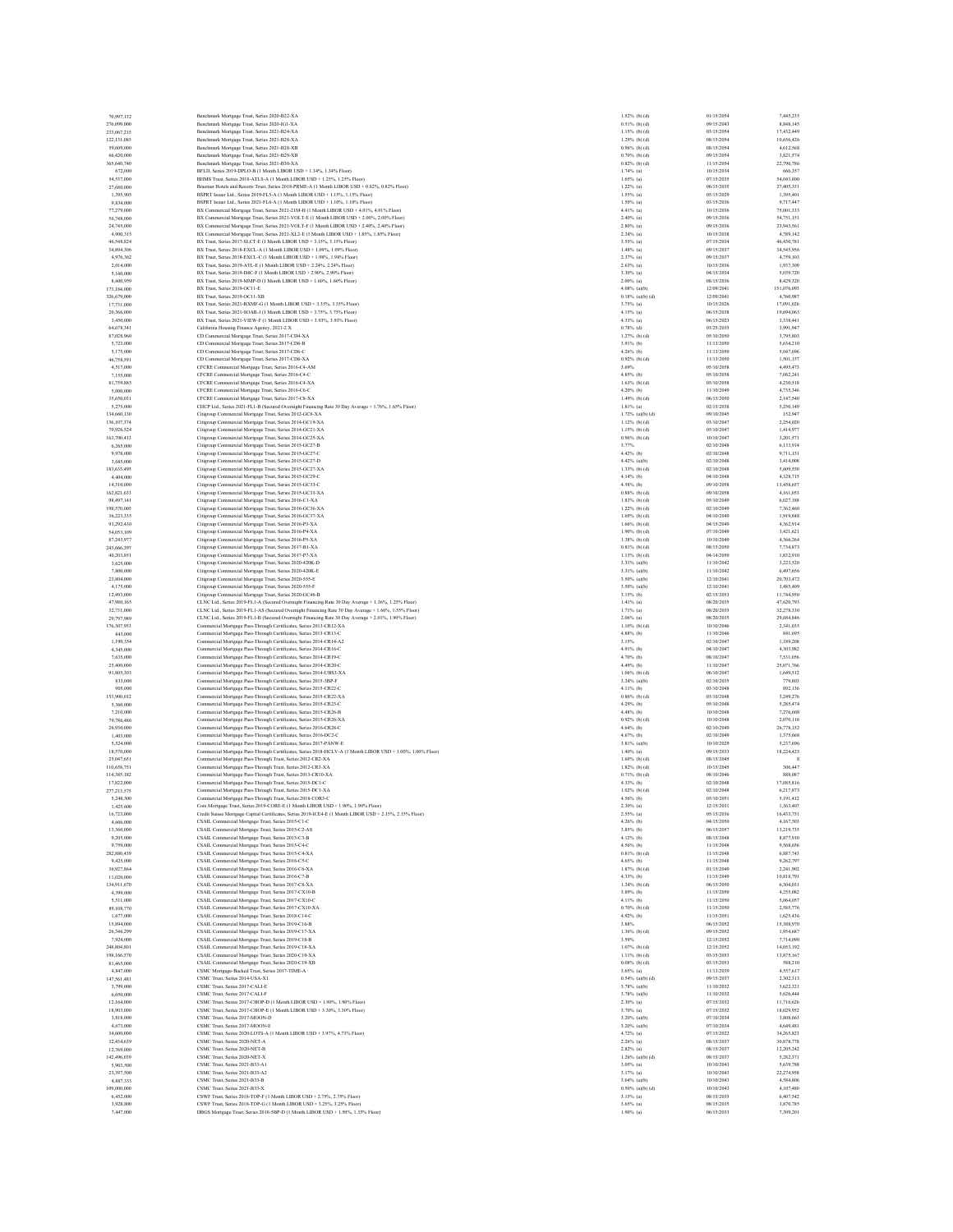| 70,997,132                | Benchmark Mortgage Trust, Series 2020-B22-XA                                                                                                                                   | $1.52%$ (b) (d)                    | 01/15/2054               | 7,445,235               |
|---------------------------|--------------------------------------------------------------------------------------------------------------------------------------------------------------------------------|------------------------------------|--------------------------|-------------------------|
| 276,099,000               | Benchmark Mortgage Trust, Series 2020-IG1-XA                                                                                                                                   | $0.51%$ (b) (d)                    | 09/15/2043               | 8,848,145               |
| 233,067,215               | Benchmark Mortgage Trust, Series 2021-B24-XA                                                                                                                                   | $1.15%$ (b) (d)                    | 03/15/2054               | 17.432.449              |
| 122,131,085<br>59,609,000 | Benchmark Mortgage Trust, Series 2021-B28-XA<br>Benchmark Mortgage Trust, Series 2021-B28-XB                                                                                   | $1.29%$ (b) (d)<br>$0.96%$ (b) (d) | 08/15/2054<br>08/15/2054 | 10,656,426<br>4,612,568 |
| 66,420,000                | Benchmark Mortgage Trust, Series 2021-B29-XB                                                                                                                                   | $0.70%$ (b) (d)                    | 09/15/2054               | 3,821,574               |
| 365,640,740               | Benchmark Mortgage Trust, Series 2021-B30-XA                                                                                                                                   | $0.82%$ (b) (d)                    | 11/15/2054               | 22,796,786              |
| 672,000                   | BFLD, Series 2019-DPLO-B (1 Month LIBOR USD + 1.34%, 1.34% Floor)                                                                                                              | $1.74%$ (a)                        | 10/15/2034               | 666,357                 |
| 54,537,000                | BHMS Trust, Series 2018-ATLS-A (1 Month LIBOR USD + 1.25%, 1.25% Floor)                                                                                                        | $1.65%$ (a)                        | 07/15/2035               | 54,043,800              |
| 27,680,000<br>1,395,905   | Braemar Hotels and Resorts Trust, Series 2018-PRME-A (1 Month LIBOR USD + 0.82%, 0.82% Floor)<br>BSPRT Issuer Ltd., Series 2019-FL5-A (1 Month LIBOR USD + 1.15%, 1.15% Floor) | $1.22\%$ (a)<br>$1.55%$ (a)        | 06/15/2035<br>05/15/2029 | 27,405,351<br>1.395.401 |
| 9,834,000                 | BSPRT Issuer Ltd., Series 2021-FL6-A (1 Month LIBOR USD + 1.10%, 1.10% Floor)                                                                                                  | $1.50\%$ (a)                       | 03/15/2036               | 9,717,447               |
| 77,279,000                | BX Commercial Mortgage Trust, Series 2021-21M-H (1 Month LIBOR USD + 4.01%, 4.01% Floor)                                                                                       | 4.41% (a)                          | 10/15/2036               | 75,001,333              |
| 56,748,000                | BX Commercial Mortgage Trust, Series 2021-VOLT-E (1 Month LIBOR USD + 2.00%, 2.00% Floor)                                                                                      | $2.40%$ (a)                        | 09/15/2036               | 54,751,151              |
| 24,745,000                | BX Commercial Mortgage Trust, Series 2021-VOLT-F (1 Month LIBOR USD + 2.40%, 2.40% Floor)                                                                                      | $2.80\%$ (a)                       | 09/15/2036               | 23,943,561              |
| 4,900,315                 | BX Commercial Mortgage Trust, Series 2021-XL2-E (1 Month LIBOR USD + 1.85%, 1.85% Floor)                                                                                       | $2.24%$ (a)                        | 10/15/2038               | 4,789,142               |
| 46,548,824                | BX Trust, Series 2017-SLCT-E (1 Month LIBOR USD + 3.15%, 3.15% Floor)                                                                                                          | $3.55\%$ (a)                       | 07/15/2034               | 46,430,781              |
| 34,894,306<br>4.976.362   | BX Trust, Series 2018-EXCL-A (1 Month LIBOR USD + 1.09%, 1.09% Floor)<br>BX Trust, Series 2018-EXCL-C (1 Month LIBOR USD + 1.98%, 1.98% Floor)                                 | $1.48%$ (a)<br>$2.37%$ (a)         | 09/15/2037<br>09/15/2037 | 34,545,956<br>4,759,103 |
| 2,014,000                 | BX Trust, Series 2019-ATL-E (1 Month LIBOR USD + 2.24%, 2.24% Floor)                                                                                                           | $2.63%$ (a)                        | 10/15/2036               | 1,937,309               |
| 5,160,000                 | BX Trust. Series 2019-IMC-F (1 Month LIBOR USD + 2.90%, 2.90% Floor)                                                                                                           | $3.30\%$ (a)                       | 04/15/2034               | 5,039,720               |
| 8,600,959                 | BX Trust, Series 2019-MMP-D (1 Month LIBOR USD + 1.60%, 1.60% Floor)                                                                                                           | $2.00\%$ (a)                       | 08/15/2036               | 8,429,320               |
| 173,184,000               | BX Trust, Series 2019-OC11-E                                                                                                                                                   | $4.08\%$ (a)(b)                    | 12/09/2041               | 151,076,093             |
| 326,679,000               | BX Trust, Series 2019-OC11-XB                                                                                                                                                  | $0.18%$ (a)(b) (d)                 | 12/09/2041               | 4,760,987               |
| 17,731,000                | BX Trust. Series 2021-BXMF-G (1 Month LIBOR USD + 3.35%, 3.35% Floor)                                                                                                          | $3.75%$ (a)                        | 10/15/2026               | 17.091.026              |
| 20,366,000<br>3,450,000   | BX Trust, Series 2021-SOAR-J (1 Month LIBOR USD + 3.75%, 3.75% Floor)<br>BX Trust, Series 2021-VIEW-F (1 Month LIBOR USD + 3.93%, 3.93% Floor)                                 | $4.15%$ (a)<br>$4.33\%$ (a)        | 06/15/2038<br>06/15/2023 | 19,694,063<br>3,338,441 |
| 64,678,341                | California Housing Finance Agency, 2021-2 X                                                                                                                                    | $0.78%$ (d)                        | 03/25/2035               | 3.991.947               |
| 87,028,960                | CD Commercial Mortgage Trust, Series 2017-CD4-XA                                                                                                                               | $1.27%$ (b) (d)                    | 05/10/2050               | 3,795,803               |
| 5,723,000                 | CD Commercial Mortgage Trust, Series 2017-CD6-B                                                                                                                                | $3.91%$ (b)                        | 11/13/2050               | 5,634,210               |
| 5,175,000                 | CD Commercial Mortgage Trust, Series 2017-CD6-C                                                                                                                                | $4.26\%$ (b)                       | 11/13/2050               | 5,047,696               |
| 46,758,591                | CD Commercial Mortgage Trust, Series 2017-CD6-XA                                                                                                                               | $0.92%$ (b) (d)                    | 11/13/2050               | 1,501,157               |
| 4.517.000<br>7,155,000    | CFCRE Commercial Mortgage Trust, Series 2016-C4-AM                                                                                                                             | 3.69%<br>$4.85%$ (b)               | 05/10/2058<br>05/10/2058 | 4,495,473<br>7,082,241  |
| 81,759,885                | CFCRE Commercial Mortgage Trust, Series 2016-C4-C<br>CFCRE Commercial Mortgage Trust, Series 2016-C4-XA                                                                        | $1.63%$ (b) (d)                    | 05/10/2058               | 4,230,518               |
| 5,000,000                 | CFCRE Commercial Mortgage Trust, Series 2016-C6-C                                                                                                                              | 4.20% (b)                          | 11/10/2049               | 4,735,346               |
| 35,650,031                | CFCRE Commercial Mortgage Trust, Series 2017-C8-XA                                                                                                                             | $1.49%$ (b) (d)                    | 06/15/2050               | 2,147,540               |
| 5,275,000                 | CHCP Ltd., Series 2021-FL1-B (Secured Overnight Financing Rate 30 Day Average + 1.76%, 1.65% Floor)                                                                            | $1.81%$ (a)                        | 02/15/2038               | 5,250,149               |
| 134,660,130               | Citigroup Commercial Mortgage Trust, Series 2012-GC8-XA                                                                                                                        | $1.72%$ (a)(b) (d)                 | 09/10/2045               | 152,947                 |
| 136,107,374               | Citigroup Commercial Mortgage Trust, Series 2014-GC19-XA                                                                                                                       | $1.12%$ (b) (d)                    | 03/10/2047               | 2,254,020               |
| 70,926,524                | Citigroup Commercial Mortgage Trust, Series 2014-GC21-XA                                                                                                                       | $1.15%$ (b) (d)                    | 05/10/2047               | 1,414,977               |
| 163,700,413               | Citigroup Commercial Mortgage Trust, Series 2014-GC25-XA                                                                                                                       | $0.96%$ (b) (d)                    | 10/10/2047               | 3,201,571               |
| 6,265,000<br>9.978,000    | Citigroup Commercial Mortgage Trust, Series 2015-GC27-B<br>Citigroup Commercial Mortgage Trust, Series 2015-GC27-C                                                             | 3.77%<br>4.42% (b)                 | 02/10/2048<br>02/10/2048 | 6,133,914<br>9,711,151  |
| 3,685,000                 | Citigroup Commercial Mortgage Trust, Series 2015-GC27-D                                                                                                                        | $4.42%$ (a)(b)                     | 02/10/2048               | 3,414,008               |
| 183,635,495               | Citigroup Commercial Mortgage Trust, Series 2015-GC27-XA                                                                                                                       | $1.33%$ (b) (d)                    | 02/10/2048               | 5,609,550               |
| 4,404,000                 | Citigroup Commercial Mortgage Trust, Series 2015-GC29-C                                                                                                                        | 4.14% (b)                          | 04/10/2048               | 4.328.715               |
| 14,310,000                | Citigroup Commercial Mortgage Trust, Series 2015-GC33-C                                                                                                                        | 4.58% (b)                          | 09/10/2058               | 13,458,657              |
| 162.821.633               | Citigroup Commercial Mortgage Trust, Series 2015-GC33-XA                                                                                                                       | $0.88%$ (b) (d)                    | 09/10/2058               | 4,161,053               |
| 98.497.141                | Citigroup Commercial Mortgage Trust, Series 2016-C1-XA                                                                                                                         | $1.83%$ (b) (d)                    | 05/10/2049               | 6.027.188               |
| 198,570,005<br>36,223,335 | Citigroup Commercial Mortgage Trust, Series 2016-GC36-XA<br>Citigroup Commercial Mortgage Trust, Series 2016-GC37-XA                                                           | $1.22%$ (b) (d)<br>$1.69%$ (b) (d) | 02/10/2049<br>04/10/2049 | 7,362,460<br>1,919,848  |
| 93.292.430                | Citigroup Commercial Mortgage Trust, Series 2016-P3-XA                                                                                                                         | $1.66%$ (b) (d)                    | 04/15/2049               | 4.362.914               |
| 54,053,109                | Citigroup Commercial Mortgage Trust, Series 2016-P4-XA                                                                                                                         | $1.90%$ (b) (d)                    | 07/10/2049               | 3,421,621               |
| 87.243.977                | Citigroup Commercial Mortgage Trust, Series 2016-P5-XA                                                                                                                         | $1.38%$ (b) (d)                    | 10/10/2049               | 4,366,264               |
| 243,666,397               | Citigroup Commercial Mortgage Trust, Series 2017-B1-XA                                                                                                                         | $0.81%$ (b) (d)                    | 08/15/2050               | 7,734,873               |
| 40,203,851                | Citigroup Commercial Mortgage Trust, Series 2017-P7-XA                                                                                                                         | $1.13%$ (b) (d)                    | 04/14/2050               | 1,832,910               |
| 3,625,000                 | Citigroup Commercial Mortgage Trust, Series 2020-420K-D                                                                                                                        | 3.31% (a)(b)                       | 11/10/2042               | 3.223.520               |
| 7,800,000<br>23,804,000   | Citigroup Commercial Mortgage Trust, Series 2020-420K-E<br>Citigroup Commercial Mortgage Trust, Series 2020-555-E                                                              | $3.31%$ (a)(b)<br>$3.50\%$ (a)(b)  | 11/10/2042<br>12/10/2041 | 6,497,656<br>20,703,472 |
| 4,175,000                 | Citigroup Commercial Mortgage Trust, Series 2020-555-F                                                                                                                         | 3.50% (a)(b)                       | 12/10/2041               | 3,485,409               |
| 12,493,000                | Citigroup Commercial Mortgage Trust, Series 2020-GC46-B                                                                                                                        | $3.15%$ (b)                        | 02/15/2053               | 11,744,950              |
| 47,980,165                | CLNC Ltd., Series 2019-FL1-A (Secured Overnight Financing Rate 30 Day Average + 1.36%, 1.25% Floor)                                                                            | $1.41%$ (a)                        | 08/20/2035               | 47,620,793              |
| 32,731,000                | CLNC Ltd., Series 2019-FL1-AS (Secured Overnight Financing Rate 30 Day Average + 1.66%, 1.55% Floor)                                                                           | $1.71%$ (a)                        | 08/20/2035               | 32.278.330              |
| 29,797,989                | CLNC Ltd., Series 2019-FL1-B (Secured Overnight Financing Rate 30 Day Average + 2.01%, 1.90% Floor)                                                                            | $2.06%$ (a)                        | 08/20/2035               | 29,684,846              |
| 176,307,953               | Commercial Mortgage Pass-Through Certificates, Series 2013-CR12-XA                                                                                                             | $1.10%$ (b) (d)                    | 10/10/2046               | 2,341,035               |
| 843,000<br>1,199,354      | Commercial Mortgage Pass-Through Certificates, Series 2013-CR13-C                                                                                                              | $4.88%$ (b)<br>3.15%               | 11/10/2046<br>02/10/2047 | 841,695<br>1,189,208    |
| 4,345,000                 | Commercial Mortgage Pass-Through Certificates, Series 2014-CR14-A2<br>Commercial Mortgage Pass-Through Certificates, Series 2014-CR16-C                                        | 4.91% (b)                          | 04/10/2047               | 4,303,982               |
| 7,635,000                 | Commercial Mortgage Pass-Through Certificates, Series 2014-CR19-C                                                                                                              | 4.70% (b)                          | 08/10/2047               | 7,531,056               |
| 25,400,000                | Commercial Mortgage Pass-Through Certificates, Series 2014-CR20-C                                                                                                              | 4.49% (b)                          | 11/10/2047               | 25,071,766              |
| 91,805,303                | Commercial Mortgage Pass-Through Certificates, Series 2014-UBS3-XA                                                                                                             | $1.06%$ (b) (d)                    | 06/10/2047               | 1,649.512               |
| 833,000                   | Commercial Mortgage Pass-Through Certificates, Series 2015-3BP-F                                                                                                               | $3.24%$ (a)(b)                     | 02/10/2035               | 779,803                 |
| 905,000                   | Commercial Mortgage Pass-Through Certificates, Series 2015-CR22-C                                                                                                              | 4.11% (b)                          | 03/10/2048               | 892,136                 |
| 153,900,012<br>5,360,000  | Commercial Mortgage Pass-Through Certificates, Series 2015-CR22-XA                                                                                                             | $0.86%$ (b) (d)<br>4.29% (b)       | 03/10/2048<br>05/10/2048 | 3.249.276<br>5,285,474  |
| 7,210,000                 | Commercial Mortgage Pass-Through Certificates, Series 2015-CR23-C<br>Commercial Mortgage Pass-Through Certificates, Series 2015-CR26-B                                         | $4.48%$ (b)                        | 10/10/2048               | 7,276,608               |
| 79,786,486                | Commercial Mortgage Pass-Through Certificates, Series 2015-CR26-XA                                                                                                             | $0.92%$ (b) (d)                    | 10/10/2048               | 2.070.116               |
| 26,930,000                | Commercial Mortgage Pass-Through Certificates, Series 2016-CR28-C                                                                                                              | $4.64%$ (b)                        | 02/10/2049               | 26,778,152              |
| 1,403,000                 | Commercial Mortgage Pass-Through Certificates, Series 2016-DC2-C                                                                                                               | $4.67%$ (b)                        | 02/10/2049               | 1,375,668               |
| 5,524,000                 | Commercial Mortgage Pass-Through Certificates, Series 2017-PANW-E                                                                                                              | $3.81%$ (a)(b)                     | 10/10/2029               | 5,237,696               |
| 18,570,000                | Commercial Mortgage Pass-Through Certificates, Series 2018-HCLV-A (1 Month LIBOR USD + 1.00%, 1.00% Floor)                                                                     | $1.40%$ (a)                        | 09/15/2033               | 18,224,425              |
| 25,047,651<br>110,658,751 | Commercial Mortgage Pass-Through Trust, Series 2012-CR2-XA                                                                                                                     | $1.60%$ (b) (d)<br>$1.82%$ (b) (d) | 08/15/2045<br>10/15/2045 | -8<br>306,447           |
| 114,385,182               | Commercial Mortgage Pass-Through Trust, Series 2012-CR3-XA<br>Commercial Mortgage Pass-Through Trust, Series 2013-CR10-XA                                                      | $0.71%$ (b) (d)                    | 08/10/2046               | 888,087                 |
| 17,822,000                | Commercial Mortgage Pass-Through Trust, Series 2015-DC1-C                                                                                                                      | 4.33% (b)                          | 02/10/2048               | 17.085.816              |
| 277,213,575               | Commercial Mortgage Pass-Through Trust, Series 2015-DC1-XA                                                                                                                     | $1.02%$ (b) (d)                    | 02/10/2048               | 6,217,873               |
| 5,248,500                 | Commercial Mortgage Pass-Through Trust, Series 2018-COR3-C                                                                                                                     | 4.56% (b)                          | 05/10/2051               | 5,191,412               |
| 1,425,600                 | Core Mortgage Trust, Series 2019-CORE-E (1 Month LIBOR USD + 1.90%, 1.90% Floor)                                                                                               | $2.30\%$ (a)                       | 12/15/2031               | 1.363,407               |
| 16,723,000                | Credit Suisse Mortgage Capital Certificates, Series 2019-ICE4-E (1 Month LIBOR USD + 2.15%, 2.15% Floor)                                                                       | $2.55%$ (a)                        | 05/15/2036               | 16,433,751              |
| 4,606,000<br>13,360,000   | CSAIL Commercial Mortgage Trust, Series 2015-C1-C                                                                                                                              | 4.26% (b)<br>$3.85%$ (b)           | 04/15/2050<br>06/15/2057 | 4,167,503<br>13,219,735 |
| 9,205,000                 | CSAIL Commercial Mortgage Trust, Series 2015-C2-AS<br>CSAIL Commercial Mortgage Trust, Series 2015-C3-B                                                                        | $4.12%$ (b)                        | 08/15/2048               | 8,877,910               |
| 9,759,000                 | CSAIL Commercial Mortgage Trust, Series 2015-C4-C                                                                                                                              | 4.56% (b)                          | 11/15/2048               | 9,568,656               |
| 282,880,439               | CSAIL Commercial Mortgage Trust, Series 2015-C4-XA                                                                                                                             | $0.81%$ (b) (d)                    | 11/15/2048               | 6,887,743               |
| 9,425,000                 | CSAIL Commercial Mortgage Trust, Series 2016-C5-C                                                                                                                              | $4.65%$ (b)                        | 11/15/2048               | 9,262,797               |
| 36,927,864                | CSAIL Commercial Mortgage Trust, Series 2016-C6-XA                                                                                                                             | $1.87%$ (b) (d)                    | 01/15/2049               | 2.241.902               |
| 11,020,000                | CSAIL Commercial Mortgage Trust, Series 2016-C7-B                                                                                                                              | 4.33% (b)                          | 11/15/2049               | 10,818,791              |
| 134,911,670<br>4,399,000  | CSAIL Commercial Mortgage Trust, Series 2017-C8-XA                                                                                                                             | $1.24%$ (b) (d)<br>3.89% (b)       | 06/15/2050<br>11/15/2050 | 6,304,031<br>4.255.082  |
| 5,511,000                 | CSAIL Commercial Mortgage Trust, Series 2017-CX10-B<br>CSAIL Commercial Mortgage Trust, Series 2017-CX10-C                                                                     | $4.11%$ (b)                        | 11/15/2050               | 5,064,057               |
| 89,108,770                | CSAIL Commercial Mortgage Trust, Series 2017-CX10-XA                                                                                                                           | $0.70%$ (b) (d)                    | 11/15/2050               | 2,585,776               |
| 1,677,000                 | CSAIL Commercial Mortgage Trust, Series 2018-C14-C                                                                                                                             | 4.92% (b)                          | 11/15/2051               | 1.625,436               |
| 15,894,000                | CSAIL Commercial Mortgage Trust, Series 2019-C16-B                                                                                                                             | 3.88%                              | 06/15/2052               | 15,388,970              |
| 26.346.299                | CSAIL Commercial Mortgage Trust, Series 2019-C17-XA                                                                                                                            | $1.36%$ (b) (d)                    | 09/15/2052               | 1,954,687               |
| 7,924,000                 | CSAIL Commercial Mortgage Trust, Series 2019-C18-B                                                                                                                             | 3.59%                              | 12/15/2052               | 7,714,090               |
| 248,804,801               | CSAIL Commercial Mortgage Trust, Series 2019-C18-XA                                                                                                                            | $1.07%$ (b) (d)                    | 12/15/2052               | 14,053,192              |
| 198,166,570<br>81,465,000 | CSAIL Commercial Mortgage Trust, Series 2020-C19-XA<br>CSAIL Commercial Mortgage Trust, Series 2020-C19-XB                                                                     | $1.11%$ (b) (d)<br>$0.08%$ (b) (d) | 03/15/2053<br>03/15/2053 | 13,875,167<br>588,210   |
| 4,847,000                 | CSMC Mortgage-Backed Trust, Series 2017-TIME-A                                                                                                                                 | $3.65\%$ (a)                       | 11/13/2039               | 4,557,617               |
| 147,561,481               | CSMC Trust Series 2014-USA-X1                                                                                                                                                  | $0.54%$ (a)(b) (d)                 | 09/15/2037               | 2.302.313               |
| 3,799,000                 | CSMC Trust. Series 2017-CALI-E                                                                                                                                                 | $3.78%$ (a)(b)                     | 11/10/2032               | 3,622,321               |
| 6,050,000                 | CSMC Trust, Series 2017-CALI-F                                                                                                                                                 | $3.78%$ (a)(b)                     | 11/10/2032               | 5,626,444               |
| 12,164,000                | CSMC Trust. Series 2017-CHOP-D (1 Month LIBOR USD + 1.90%, 1.90% Floor)                                                                                                        | $2.30\%$ (a)                       | 07/15/2032               | 11,716,626              |
| 18,903,000                | CSMC Trust, Series 2017-CHOP-E (1 Month LIBOR USD + 3.30%, 3.30% Floor)                                                                                                        | $3.70%$ (a)                        | 07/15/2032               | 18,029,952              |
| 3,818,000                 | CSMC Trust, Series 2017-MOON-D                                                                                                                                                 | $3.20\%$ (a)(b)                    | 07/10/2034<br>07/10/2034 | 3,808,663               |
| 4,673,000<br>34,600,000   | CSMC Trust, Series 2017-MOON-E<br>CSMC Trust, Series 2020-LOTS-A (1 Month LIBOR USD + 3.97%, 4.73% Floor)                                                                      | $3.20\%$ (a)(b)<br>$4.72%$ (a)     | 07/15/2022               | 4,649,481<br>34,265,823 |
| 32.434.639                | CSMC Trust, Series 2020-NET-A                                                                                                                                                  | $2.26%$ (a)                        | 08/15/2037               | 30,878,778              |
| 12,769,000                | CSMC Trust, Series 2020-NET-B                                                                                                                                                  | $2.82\%$ (a)                       | 08/15/2037               | 12,205,242              |
| 142,496,039               | CSMC Trust, Series 2020-NET-X                                                                                                                                                  | $1.26\%$ (a)(b) (d)                | 08/15/2037               | 5,282,371               |
| 5,903,500                 | CSMC Trust, Series 2021-B33-A1                                                                                                                                                 | $3.05%$ (a)                        | 10/10/2043               | 5,639,788               |
| 23,397,500                | CSMC Trust, Series 2021-B33-A2                                                                                                                                                 | $3.17%$ (a)                        | 10/10/2043               | 22,274,958              |
| 4,887,333                 | CSMC Trust, Series 2021-B33-B                                                                                                                                                  | $3.64%$ (a)(b)                     | 10/10/2043               | 4,584,806               |
| 109,000,000               |                                                                                                                                                                                |                                    |                          |                         |
|                           | CSMC Trust. Series 2021-B33-X                                                                                                                                                  | $0.50\%$ (a)(b) (d)                | 10/10/2043               | 4,107,480               |
| 6,452,000                 | CSWF Trust, Series 2018-TOP-F (1 Month LIBOR USD + 2.75%, 2.75% Floor)                                                                                                         | $3.15%$ (a)                        | 08/15/2035               | 6,407,542               |
| 3,928,800<br>7,447,000    | CSWF Trust, Series 2018-TOP-G (1 Month LIBOR USD + 3.25%, 3.25% Floor)<br>DBGS Mortgage Trust, Series 2018-5BP-D (1 Month LIBOR USD + 1.50%, 1.35% Floor)                      | $3.65%$ (a)<br>$1.90\%$ (a)        | 08/15/2035<br>06/15/2033 | 3,870,785<br>7,309,201  |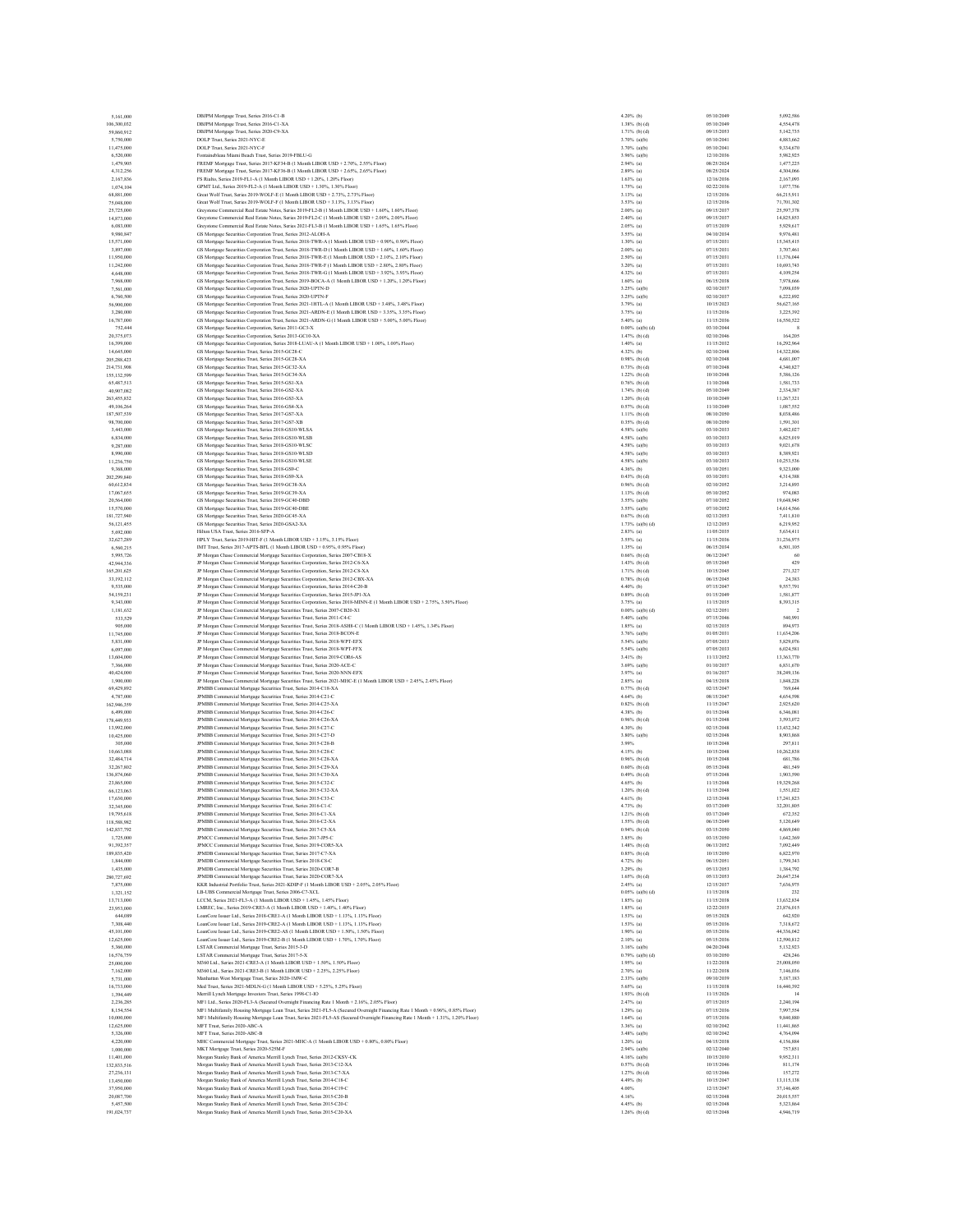| 5,161,000                 | DBJPM Mortgage Trust, Series 2016-C1-B                                                                                                                                                                       | 4.20% (b)                           | 05/10/2049               | 5.092.586                |
|---------------------------|--------------------------------------------------------------------------------------------------------------------------------------------------------------------------------------------------------------|-------------------------------------|--------------------------|--------------------------|
| 106,300,032               | DBJPM Mortgage Trust, Series 2016-C1-XA                                                                                                                                                                      | $1.38%$ (b) (d)                     | 05/10/2049               | 4,554,478                |
| 59,860,912                | DBJPM Mortgage Trust, Series 2020-C9-XA                                                                                                                                                                      | $1.71%$ (b) (d)                     | 09/15/2053               | 5,142,735                |
| 5,750,000                 | DOLP Trust. Series 2021-NYC-E<br>DOLP Trust. Series 2021-NYC-F                                                                                                                                               | 3.70% (a)(b)<br>$3.70\%$ (a)(b)     | 05/10/2041<br>05/10/2041 | 4.883.662                |
| 11,475,000<br>6,520,000   | Fontainebleau Miami Beach Trust, Series 2019-FBLU-G                                                                                                                                                          | $3.96%$ (a)(b)                      | 12/10/2036               | 9,334,670<br>5,982,925   |
| 1,479,905                 | FREMF Mortgage Trust, Series 2017-KF34-B (1 Month LIBOR USD + 2.70%, 2.55% Floor)                                                                                                                            | $2.94%$ (a)                         | 08/25/2024               | 1,477,225                |
| 4,312,256                 | FREMF Mortgage Trust, Series 2017-KF36-B (1 Month LIBOR USD + 2.65%, 2.65% Floor)                                                                                                                            | $2.89%$ (a)                         | 08/25/2024               | 4,304,066                |
| 2,167,836                 | FS Rialto, Series 2019-FL1-A (1 Month LIBOR USD + 1.20%, 1.20% Floor)                                                                                                                                        | $1.63%$ (a)                         | 12/16/2036               | 2,167,093                |
| 1.074.104                 | GPMT Ltd., Series 2019-FL2-A (1 Month LIBOR USD + 1.30%, 1.30% Floor)                                                                                                                                        | $1.75%$ (a)                         | 02/22/2036               | 1,077,756                |
| 68,881,000                | Great Wolf Trust, Series 2019-WOLF-E (1 Month LIBOR USD + 2.73%, 2.73% Floor)<br>Great Wolf Trust, Series 2019-WOLF-F (1 Month LIBOR USD + 3.13%, 3.13% Floor)                                               | 3.13% (a)                           | 12/15/2036               | 66,215,911               |
| 75,048,000<br>25,725,000  | Greystone Commercial Real Estate Notes, Series 2019-FL2-B (1 Month LIBOR USD + 1.60%, 1.60% Floor)                                                                                                           | $3.53%$ (a)<br>$2.00\%$ (a)         | 12/15/2036<br>09/15/2037 | 71,701,302<br>25,597,378 |
| 14,873,000                | Greystone Commercial Real Estate Notes, Series 2019-FL2-C (1 Month LIBOR USD + 2.00%, 2.00% Floor)                                                                                                           | $2.40%$ (a)                         | 09/15/2037               | 14,825,853               |
| 6,083,000                 | Greystone Commercial Real Estate Notes, Series 2021-FL3-B (1 Month LIBOR USD + 1.65%, 1.65% Floor)                                                                                                           | $2.05%$ (a)                         | 07/15/2039               | 5.929.617                |
| 9,980,847                 | GS Mortgage Securities Corporation Trust, Series 2012-ALOH-A                                                                                                                                                 | $3.55\%$ (a)                        | 04/10/2034               | 9,976,481                |
| 15,571,000                | GS Mortgage Securities Corporation Trust, Series 2018-TWR-A (1 Month LIBOR USD + 0.90%, 0.90% Floor)                                                                                                         | $1.30\%$ (a)                        | 07/15/2031               | 15,345,415               |
| 3,897,000                 | GS Mortgage Securities Corporation Trust, Series 2018-TWR-D (1 Month LIBOR USD + 1.60% 1.60% Floor)                                                                                                          | $2.00\%$ (a)                        | 07/15/2031               | 3,707.461                |
| 11,950,000                | GS Mortgage Securities Corporation Trust, Series 2018-TWR-E (1 Month LIBOR USD + 2.10%, 2.10% Floor)                                                                                                         | $2.50\%$ (a)                        | 07/15/2031               | 11,376,044               |
| 11,242,000<br>4,648,000   | GS Mortgage Securities Corporation Trust, Series 2018-TWR-F (1 Month LIBOR USD + 2.80%, 2.80% Floor)<br>GS Mortgage Securities Corporation Trust, Series 2018-TWR-G (1 Month LIBOR USD + 3.92%, 3.93% Floor) | 3.20% (a)<br>$4.32\%$ (a)           | 07/15/2031<br>07/15/2031 | 10,693,743<br>4,109,254  |
| 7,968,000                 | GS Mortgage Securities Corporation Trust, Series 2019-BOCA-A (1 Month LIBOR USD + 1.20%, 1.20% Floor)                                                                                                        | $1.60\%$ (a)                        | 06/15/2038               | 7,978,666                |
| 7,561,000                 | GS Mortgage Securities Corporation Trust, Series 2020-UPTN-D                                                                                                                                                 | $3.25%$ (a)(b)                      | 02/10/2037               | 7.098.039                |
| 6,760,500                 | GS Mortgage Securities Corporation Trust, Series 2020-UPTN-F                                                                                                                                                 | $3.25\%$ (a)(b)                     | 02/10/2037               | 6,222,892                |
| 56,900,000                | GS Mortgage Securities Corporation Trust, Series 2021-1HTL-A (1 Month LIBOR USD + 3.48%, 3.48% Floor)                                                                                                        | 3.79% (a)                           | 10/15/2023               | 56,627,165               |
| 3,280,000                 | GS Mortgage Securities Corporation Trust. Series 2021-ARDN-E (1 Month LIBOR USD + 3.35%, 3.35% Floor)                                                                                                        | 3.75% (a)                           | 11/15/2036               | 3.225.392                |
| 16,787,000                | GS Mortgage Securities Corporation Trust, Series 2021-ARDN-G (1 Month LIBOR USD + 5.00%, 5.00% Floor)                                                                                                        | $5.40\%$ (a)<br>$0.00\%$ (a)(b) (d) | 11/15/2036<br>03/10/2044 | 16,550,522               |
| 752,444<br>20.375.073     | GS Mortgage Securities Corporation, Series 2011-GC3-X<br>GS Mortgage Securities Corporation, Series 2013-GC10-XA                                                                                             | $1.47%$ (b) (d)                     | 02/10/2046               | 164,205                  |
| 16,399,000                | GS Mortgage Securities Corporation, Series 2018-LUAU-A (1 Month LIBOR USD + 1.00%, 1.00% Floor)                                                                                                              | $1.40%$ (a)                         | 11/15/2032               | 16,292,964               |
| 14,645,000                | GS Mortgage Securities Trust, Series 2015-GC28-C                                                                                                                                                             | 4.32% (b)                           | 02/10/2048               | 14,322,806               |
| 205.288.423               | GS Mortgage Securities Trust, Series 2015-GC28-XA                                                                                                                                                            | $0.98%$ (b) (d)                     | 02/10/2048               | 4.681.007                |
| 214,731,908               | GS Mortgage Securities Trust, Series 2015-GC32-XA                                                                                                                                                            | $0.73%$ (b) (d)                     | 07/10/2048               | 4,340,827                |
| 155,132,599               | GS Mortgage Securities Trust, Series 2015-GC34-XA                                                                                                                                                            | $1.22\%$ (b) (d)                    | 10/10/2048               | 5,386,126                |
| 65,487,513                | GS Mortgage Securities Trust, Series 2015-GS1-XA                                                                                                                                                             | $0.76%$ (b) (d)                     | 11/10/2048               | 1,581,733                |
| 40,907,082<br>263,455,832 | GS Mortgage Securities Trust, Series 2016-GS2-XA<br>GS Mortgage Securities Trust, Series 2016-GS3-XA                                                                                                         | $1.74%$ (b) (d)<br>$1.20%$ (b) (d)  | 05/10/2049<br>10/10/2049 | 2,334,387<br>11,267,321  |
| 49,106,264                | GS Mortgage Securities Trust, Series 2016-GS4-XA                                                                                                                                                             | $0.57%$ (b) (d)                     | 11/10/2049               | 1,087,552                |
| 187,507,539               | GS Mortgage Securities Trust, Series 2017-GS7-XA                                                                                                                                                             | $1.11%$ (b) (d)                     | 08/10/2050               | 8,038,486                |
| 98,700,000                | GS Mortgage Securities Trust, Series 2017-GS7-XB                                                                                                                                                             | $0.35%$ (b) (d)                     | 08/10/2050               | 1.591.301                |
| 3,443,000                 | GS Mortgage Securities Trust, Series 2018-GS10-WLSA                                                                                                                                                          | $4.58%$ (a)(b)                      | 03/10/2033               | 3,482,027                |
| 6,834,000                 | GS Mortgage Securities Trust, Series 2018-GS10-WLSB                                                                                                                                                          | 4.58% (a)(b)                        | 03/10/2033               | 6,825,019                |
| 9,287,000                 | GS Mortgage Securities Trust, Series 2018-GS10-WLSC                                                                                                                                                          | 4.58% (a)(b)                        | 03/10/2033               | 9.021.678                |
| 8,990,000                 | GS Mortgage Securities Trust, Series 2018-GS10-WLSD                                                                                                                                                          | 4.58% (a)(b)                        | 03/10/2033               | 8,389,921                |
| 11,236,750<br>9,368,000   | GS Mortgage Securities Trust, Series 2018-GS10-WLSE<br>GS Mortgage Securities Trust, Series 2018-GS9-C                                                                                                       | 4.58% (a)(b)<br>$4.36\%$ (b)        | 03/10/2033<br>03/10/2051 | 10.253.536<br>9,323,000  |
| 202,299,840               | GS Mortgage Securities Trust, Series 2018-GS9-XA                                                                                                                                                             | $0.43%$ (b) (d)                     | 03/10/2051               | 4,314,388                |
| 60.612.834                | GS Mortgage Securities Trust, Series 2019-GC38-XA                                                                                                                                                            | $0.96%$ (b) (d)                     | 02/10/2052               | 3,214,893                |
| 17,067,655                | GS Mortgage Securities Trust, Series 2019-GC39-XA                                                                                                                                                            | $1.13%$ (b) (d)                     | 05/10/2052               | 974,083                  |
| 20,564,000                | GS Mortgage Securities Trust, Series 2019-GC40-DBD                                                                                                                                                           | $3.55\%$ (a)(b)                     | 07/10/2052               | 19,648,945               |
| 15,570,000                | GS Mortgage Securities Trust, Series 2019-GC40-DBE                                                                                                                                                           | 3.55% (a)(b)                        | 07/10/2052               | 14,614,566               |
| 181,727,940               | GS Mortgage Securities Trust, Series 2020-GC45-XA                                                                                                                                                            | $0.67%$ (b) (d)                     | 02/13/2053               | 7,411,810                |
| 56,121,455<br>5,692,000   | GS Mortgage Securities Trust, Series 2020-GSA2-XA<br>Hilton USA Trust Series 2016-SFP-A                                                                                                                      | $1.73%$ (a)(b) (d)<br>$2.83%$ (a)   | 12/12/2053<br>11/05/2035 | 6,219,952<br>5.634.411   |
| 32,627,289                | HPLY Trust. Series 2019-HIT-F (1 Month LIBOR USD + 3.15%, 3.15% Floor)                                                                                                                                       | $3.55%$ (a)                         | 11/15/2036               | 31,236,975               |
| 6,560,215                 | IMT Trust, Series 2017-APTS-BFL (1 Month LIBOR USD + 0.95%, 0.95% Floor)                                                                                                                                     | $1.35%$ (a)                         | 06/15/2034               | 6,501,105                |
| 5,995,726                 | JP Morgan Chase Commercial Mortgage Securities Corporation, Series 2007-CB18-X                                                                                                                               | $0.66%$ (b) (d)                     | 06/12/2047               | 60                       |
| 42,944,336                | JP Morgan Chase Commercial Mortgage Securities Corporation, Series 2012-C6-XA                                                                                                                                | $1.43%$ (b) (d)                     | 05/15/2045               | 429                      |
| 165,201,625               | JP Morgan Chase Commercial Mortgage Securities Corporation, Series 2012-C8-XA                                                                                                                                | $1.71%$ (b) (d)                     | 10/15/2045               | 271,327                  |
| 33,192,112                | JP Morgan Chase Commercial Mortgage Securities Corporation, Series 2012-CBX-XA                                                                                                                               | $0.78%$ (b) (d)                     | 06/15/2045               | 24,383                   |
| 9,535,000                 | JP Morgan Chase Commercial Mortgage Securities Corporation, Series 2014-C20-B<br>JP Morgan Chase Commercial Mortgage Securities Corporation, Series 2015-JP1-XA                                              | 4.40% (b)<br>$0.89%$ (b) (d)        | 07/15/2047<br>01/15/2049 | 9,557,791<br>1,581,877   |
| 54.159.231<br>9,343,000   | JP Morgan Chase Commercial Mortgage Securities Corporation, Series 2018-MINN-E (1 Month LIBOR USD + 2.75%, 3.50% Floor)                                                                                      | $3.75%$ (a)                         | 11/15/2035               | 8,393,315                |
| 1,181,632                 | JP Morgan Chase Commercial Mortgage Securities Trust, Series 2007-CB20-X1                                                                                                                                    | $0.00\%$ (a)(b) (d)                 | 02/12/2051               |                          |
| 533,529                   | JP Morgan Chase Commercial Mortgage Securities Trust, Series 2011-C4-C                                                                                                                                       | 5.40% (a)(b)                        | 07/15/2046               | 540,991                  |
| 905,000                   | JP Morgan Chase Commercial Mortgage Securities Trust, Series 2018-ASH8-C (1 Month LIBOR USD + 1.45%, 1.34% Floor)                                                                                            | $1.85%$ (a)                         | 02/15/2035               | 894,973                  |
| 11,745,000                | JP Morgan Chase Commercial Mortgage Securities Trust, Series 2018-BCON-E                                                                                                                                     | $3.76%$ (a)(b)                      | 01/05/2031               | 11,634,206               |
| 5,831,000                 | JP Morgan Chase Commercial Mortgage Securities Trust, Series 2018-WPT-EFX                                                                                                                                    | 5.54% (a)(b)                        | 07/05/2033               | 5,829,076                |
| 6,097,000                 | JP Morgan Chase Commercial Mortgage Securities Trust, Series 2018-WPT-FFX                                                                                                                                    | 5.54% (a)(b)                        | 07/05/2033               | 6,024,581                |
| 13,604,000                | JP Morgan Chase Commercial Mortgage Securities Trust, Series 2019-COR6-AS<br>JP Morgan Chase Commercial Mortgage Securities Trust, Series 2020-ACE-C                                                         | $3.41%$ (b)<br>3.69% (a)(b)         | 11/13/2052<br>01/10/2037 | 13,363,770<br>6,831,670  |
| 7,366,000<br>40,424,000   | JP Morgan Chase Commercial Mortgage Securities Trust, Series 2020-NNN-EFX                                                                                                                                    | 3.97% (a)                           | 01/16/2037               | 38,249,136               |
| 1,900,000                 | JP Morgan Chase Commercial Mortgage Securities Trust, Series 2021-MHC-E (1 Month LIBOR USD + 2.45%, 2.45% Floor)                                                                                             | $2.85%$ (a)                         | 04/15/2038               | 1,848,228                |
| 69,429,892                | JPMBB Commercial Mortgage Securities Trust, Series 2014-C18-XA                                                                                                                                               | $0.77%$ (b) (d)                     | 02/15/2047               | 769,644                  |
| 4,787,000                 | JPMBB Commercial Mortgage Securities Trust, Series 2014-C21-C                                                                                                                                                | $4.64%$ (b)                         | 08/15/2047               | 4,654,598                |
| 162,946,359               | JPMBB Commercial Mortgage Securities Trust, Series 2014-C25-XA                                                                                                                                               | $0.82%$ (b) (d)                     | 11/15/2047               | 2.925.620                |
| 6,499,000                 | JPMBB Commercial Mortgage Securities Trust, Series 2014-C26-C                                                                                                                                                | $4.38%$ (b)                         | 01/15/2048               | 6,346,081                |
| 178,449,933               | JPMBB Commercial Mortgage Securities Trust, Series 2014-C26-XA                                                                                                                                               | $0.96%$ (b) (d)                     | 01/15/2048<br>02/15/2048 | 3,593,072<br>13.432.342  |
| 13,992,000<br>10,425,000  | JPMBB Commercial Mortgage Securities Trust, Series 2015-C27-C<br>JPMBB Commercial Mortgage Securities Trust, Series 2015-C27-D                                                                               | 4.30% (b)<br>$3.80\%$ (a)(b)        | 02/15/2048               | 8,903,868                |
| 305,000                   | JPMBB Commercial Mortgage Securities Trust, Series 2015-C28-B                                                                                                                                                | 3.99%                               | 10/15/2048               | 297,811                  |
| 10,663,088                | JPMBB Commercial Mortgage Securities Trust, Series 2015-C28-C                                                                                                                                                | 4.15% (b)                           | 10/15/2048               | 10.262.838               |
| 32,484,714                | JPMBB Commercial Mortgage Securities Trust, Series 2015-C28-XA                                                                                                                                               | $0.96%$ (b) (d)                     | 10/15/2048               | 681,786                  |
| 32,267,802                | JPMBB Commercial Mortgage Securities Trust, Series 2015-C29-XA                                                                                                                                               | $0.60%$ (b) (d)                     | 05/15/2048               | 481,549                  |
| 136,874,060               | JPMBB Commercial Mortgage Securities Trust, Series 2015-C30-XA                                                                                                                                               | $0.49%$ (b) (d)                     | 07/15/2048               | 1,903,590                |
| 23,865,000                | JPMBB Commercial Mortgage Securities Trust, Series 2015-C32-C                                                                                                                                                | $4.65%$ (b)                         | 11/15/2048               | 19,329,268               |
| 66,123,063<br>17,630,000  | JPMBB Commercial Mortgage Securities Trust, Series 2015-C32-XA<br>JPMBB Commercial Mortgage Securities Trust, Series 2015-C33-C                                                                              | $1.20%$ (b) (d)<br>$4.61%$ (b)      | 11/15/2048<br>12/15/2048 | 1,551,022<br>17,241,823  |
| 32,345,000                | JPMBB Commercial Mortgage Securities Trust, Series 2016-C1-C                                                                                                                                                 | 4.73% (b)                           | 03/17/2049               | 32,201,805               |
| 19,795,618                | JPMBB Commercial Mortgage Securities Trust, Series 2016-C1-XA                                                                                                                                                | $1.21%$ (b) (d)                     | 03/17/2049               | 672.352                  |
| 118,588,982               | JPMBB Commercial Mortgage Securities Trust, Series 2016-C2-XA                                                                                                                                                | $1.55%$ (b) (d)                     | 06/15/2049               | 5,120,649                |
| 142,837,792               | JPMBB Commercial Mortgage Securities Trust, Series 2017-C5-XA                                                                                                                                                | $0.94%$ (b) (d)                     | 03/15/2050               | 4,869,040                |
| 1,725,000                 | JPMCC Commercial Mortgage Securities Trust. Series 2017-JP5-C                                                                                                                                                | 3.85% (b)                           | 03/15/2050               | 1.642.369                |
| 91,392,357                | JPMCC Commercial Mortgage Securities Trust, Series 2019-COR5-XA                                                                                                                                              | $1.48%$ (b) (d)                     | 06/13/2052               | 7,092,449                |
| 189,835,420<br>1,844,000  | JPMDB Commercial Mortgage Securities Trust, Series 2017-C7-XA<br>JPMDB Commercial Mortgage Securities Trust, Series 2018-C8-C                                                                                | $0.85%$ (b) (d)<br>$4.72\%$ (b)     | 10/15/2050<br>06/15/2051 | 6,822,970<br>1,799.343   |
| 1,435,000                 | JPMDB Commercial Mortgage Securities Trust, Series 2020-COR7-B                                                                                                                                               | 3.29% (b)                           | 05/13/2053               | 1,384,792                |
| 280,727,692               | JPMDB Commercial Mortgage Securities Trust. Series 2020-COR7-XA                                                                                                                                              | $1.65%$ (b) (d)                     | 05/13/2053               | 26,647,234               |
| 7,875,000                 | KKR Industrial Portfolio Trust, Series 2021-KDIP-F (1 Month LIBOR USD + 2.05%, 2.05% Floor)                                                                                                                  | $2.45%$ (a)                         | 12/15/2037               | 7,636,975                |
| 1,321,152                 | LB-UBS Commercial Mortgage Trust, Series 2006-C7-XCL                                                                                                                                                         | $0.05\%$ (a)(b) (d)                 | 11/15/2038               | 232                      |
| 13,713,000                | LCCM, Series 2021; FL3; A (1 Month LIBOR USD + 1 45% 1 45% Floor).                                                                                                                                           | $1.85%$ (a)                         | 11/15/2038               | 13,632,834               |
| 23,953,000                | LMREC, Inc., Series 2019-CRE3-A (1 Month LIBOR USD + 1.40%, 1.40% Floor)                                                                                                                                     | $1.85%$ (a)                         | 12/22/2035               | 23,876,015               |
| 644,089                   | LoanCore Issuer Ltd., Series 2018-CRE1-A (1 Month LIBOR USD + 1.13%, 1.13% Floor)                                                                                                                            | $1.53%$ (a)                         | 05/15/2028               | 642,920                  |
| 7,308,440<br>45,101,000   | LoanCore Issuer Ltd., Series 2019-CRE2-A (1 Month LIBOR USD + 1.13%, 1.13% Floor)<br>LoanCore Issuer Ltd., Series 2019-CRE2-AS (1 Month LIBOR USD + 1.50%, 1.50% Floor)                                      | $1.53%$ (a)<br>$1.90\%$ (a)         | 05/15/2036<br>05/15/2036 | 7.318.672<br>44,336,042  |
| 12,625,000                | LoanCore Issuer Ltd., Series 2019-CRE2-B (1 Month LIBOR USD + 1.70%, 1.70% Floor)                                                                                                                            | $2.10\%$ (a)                        | 05/15/2036               | 12,590,812               |
| 5,360,000                 | LSTAR Commercial Mortgage Trust, Series 2015-3-D                                                                                                                                                             | 3.16% (a)(b)                        | 04/20/2048               | 5.132.923                |
| 16,576,759                | LSTAR Commercial Mortgage Trust, Series 2017-5-X                                                                                                                                                             | $0.79%$ (a)(b) (d)                  | 03/10/2050               | 428,246                  |
| 25,000,000                | M360 Ltd., Series 2021-CRE3-A (1 Month LIBOR USD + 1.50%, 1.50% Floor)                                                                                                                                       | $1.95%$ (a)                         | 11/22/2038               | 25,008,050               |
| 7,162,000                 | M360 Ltd., Series 2021-CRE3-B (1 Month LIBOR USD + 2.25%, 2.25% Floor)                                                                                                                                       | $2.70%$ (a)                         | 11/22/2038               | 7,146,036                |
| 5,731,000                 | Manhattan West Mortgage Trust, Series 2020-1MW-C<br>Med Trust, Series 2021-MDLN-G (1 Month LIBOR USD + 5.25%, 5.25% Floor)                                                                                   | $2.33%$ (a)(b)<br>$5.65%$ (a)       | 09/10/2039<br>11/15/2038 | 5,187,183<br>16,440,392  |
| 16,733,000<br>1,394,449   | Merrill Lynch Mortgage Investors Trust, Series 1998-C1-IO                                                                                                                                                    | $1.93%$ (b) (d)                     | 11/15/2026               | 14                       |
| 2,236,285                 | MF1 Ltd., Series 2020-FL3-A (Secured Overnight Financing Rate 1 Month + 2.16%, 2.05% Floor)                                                                                                                  | $2.47%$ (a)                         | 07/15/2035               | 2,240,194                |
| 8,154,554                 | MF1 Multifamily Housing Mortgage Loan Trust, Series 2021-FL5-A (Secured Overnight Financing Rate 1 Month + 0.96%, 0.85% Floor)                                                                               | $1.29%$ (a)                         | 07/15/2036               | 7,997,554                |
| 10,000,000                | MF1 Multifamily Housing Mortgage Loan Trust, Series 2021-FL5-AS (Secured Overnight Financing Rate 1 Month + 1.31%, 1.20% Floor)                                                                              | $1.64\%$ (a)                        | 07/15/2036               | 9,840,880                |
| 12,625,000                | MFT Trust. Series 2020-ABC-A                                                                                                                                                                                 | $3.36\%$ (a)                        | 02/10/2042               | 11,441,865               |
| 5,326,000                 | MFT Trust. Series 2020-ABC-B                                                                                                                                                                                 | 3.48% (a)(b)                        | 02/10/2042               | 4,764,094                |
| 4,220,000                 | MHC Commercial Mortgage Trust, Series 2021-MHC-A (1 Month LIBOR USD + 0.80%, 0.80% Floor)                                                                                                                    | $1.20\%$ (a)                        | 04/15/2038               | 4,156,884                |
| 1,000,000                 |                                                                                                                                                                                                              | $2.94%$ (a)(b)                      | 02/12/2040               | 757,851                  |
| 11,401,000                | MKT Mortgage Trust, Series 2020-525M-F                                                                                                                                                                       |                                     | 10/15/2030               | 9.952.311                |
|                           | Morgan Stanley Bank of America Merrill Lynch Trust, Series 2012-CKSV-CK                                                                                                                                      | 4.16% (a)(b)                        |                          |                          |
| 132,833,516               | Morgan Stanley Bank of America Merrill Lynch Trust, Series 2013-C12-XA                                                                                                                                       | $0.57%$ (b) (d)                     | 10/15/2046               | 811,174                  |
| 27.236.131<br>13,450,000  | Morgan Stanley Bank of America Merrill Lynch Trust, Series 2013-C7-XA                                                                                                                                        | $1.27%$ (b) (d)<br>$4.49%$ (b)      | 02/15/2046<br>10/15/2047 | 157,272<br>13,115,138    |
| 37,950,000                | Morgan Stanley Bank of America Merrill Lynch Trust, Series 2014-C18-C<br>Morgan Stanley Bank of America Merrill Lynch Trust, Series 2014-C19-C                                                               | 4.00%                               | 12/15/2047               | 37,146,405               |
| 20,087,700                | Morgan Stanley Bank of America Merrill Lynch Trust, Series 2015-C20-B                                                                                                                                        | 4.16%                               | 02/15/2048               | 20.015.557               |
| 5,457,500                 | Morgan Stanley Bank of America Merrill Lynch Trust, Series 2015-C20-C                                                                                                                                        | $4.45%$ (b)                         | 02/15/2048               | 5,323,864                |
| 191,024,737               | Morgan Stanley Bank of America Merrill Lynch Trust, Series 2015-C20-XA                                                                                                                                       | $1.26%$ (b) (d)                     | 02/15/2048               | 4,946,719                |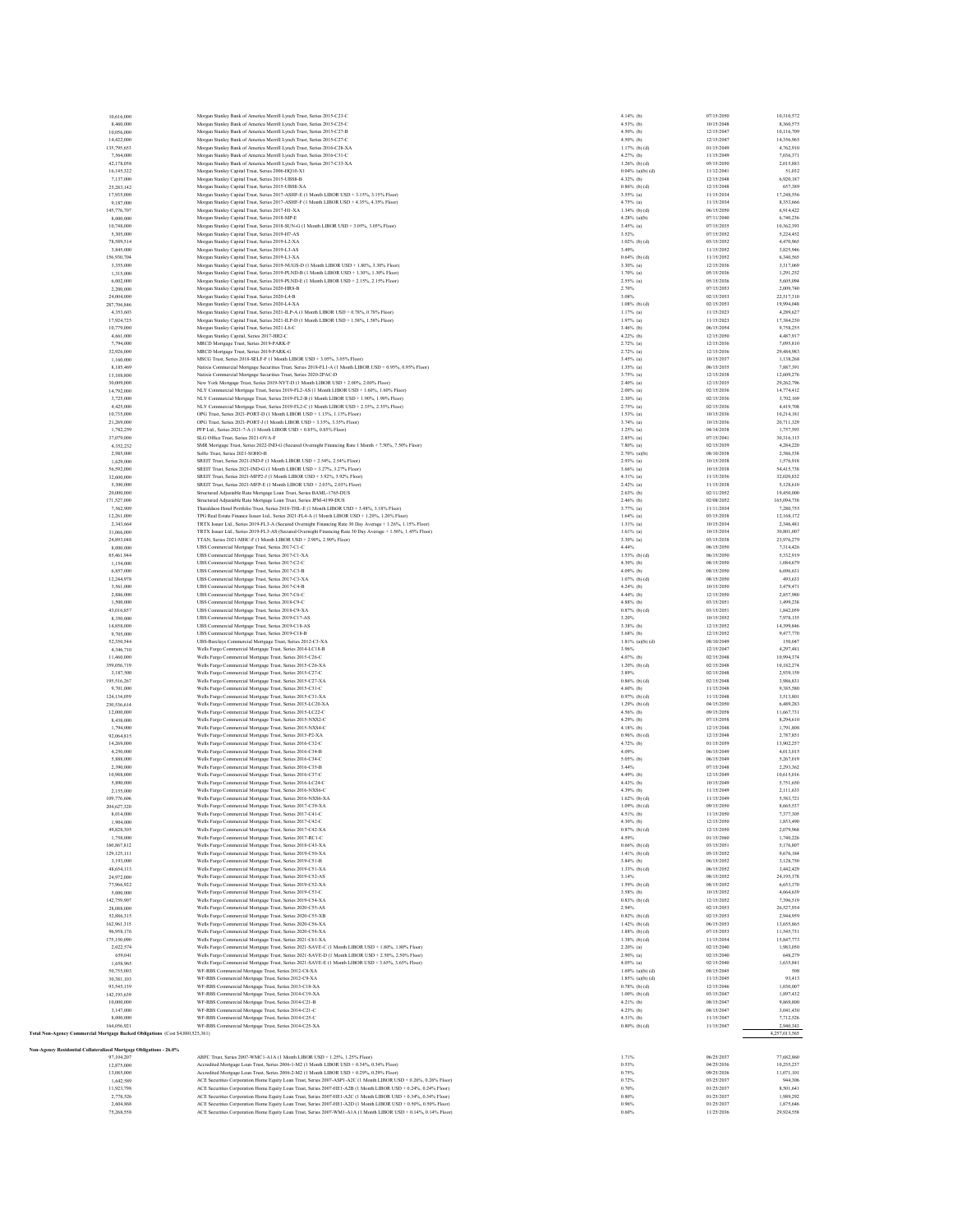| 10,616,000                                                                     | Morgan Stanley Bank of America Merrill Lynch Trust, Series 2015-C23-C                                                                                                                                                             | $4.14%$ (b)                       | 07/15/2050               | 10,310,572               |
|--------------------------------------------------------------------------------|-----------------------------------------------------------------------------------------------------------------------------------------------------------------------------------------------------------------------------------|-----------------------------------|--------------------------|--------------------------|
| 8,460,000                                                                      | Morgan Stanley Bank of America Merrill Lynch Trust, Series 2015-C25-C                                                                                                                                                             | 4.53% (b)                         | 10/15/2048               | 8,360,575                |
| 10,056,000                                                                     | Morgan Stanley Bank of America Merrill Lynch Trust, Series 2015-C27-B                                                                                                                                                             | 4.50% (b)                         | 12/15/2047               | 10,116,709               |
| 14,422,000                                                                     | Morgan Stanley Bank of America Merrill Lynch Trust, Series 2015-C27-C                                                                                                                                                             | 4.50% (b)                         | 12/15/2047               | 14,356,965               |
| 135,795,653                                                                    | Morgan Stanley Bank of America Merrill Lynch Trust, Series 2016-C28-XA<br>Morgan Stanley Bank of America Merrill Lynch Trust. Series 2016-C31-C                                                                                   | $1.17%$ (b) (d)                   | 01/15/2049               | 4,762,910                |
| 7,564,000<br>42,178,058                                                        | Morgan Stanley Bank of America Merrill Lynch Trust, Series 2017-C33-XA                                                                                                                                                            | 4.27% (b)<br>$1.26%$ (b) (d)      | 11/15/2049<br>05/15/2050 | 7.036.371<br>2,015,883   |
| 16,145,322                                                                     | Morgan Stanley Capital Trust, Series 2006-HQ10-X1                                                                                                                                                                                 | $0.04\%$ (a)(b) (d)               | 11/12/2041               | 51,032                   |
| 7,137,000                                                                      | Morgan Stanley Capital Trust, Series 2015-UBS8-B                                                                                                                                                                                  | 4.32% (b)                         | 12/15/2048               | 6,920,187                |
| 25,283,142                                                                     | Morgan Stanley Capital Trust, Series 2015-UBS8-XA                                                                                                                                                                                 | $0.86%$ (b) (d)                   | 12/15/2048               | 657,389                  |
| 17,935,000                                                                     | Morgan Stanley Capital Trust, Series 2017-ASHF-E (1 Month LIBOR USD + 3.15%, 3.15% Floor)                                                                                                                                         | $3.55\%$ (a)                      | 11/15/2034               | 17,248,556               |
| 9,187,000<br>145,776,707                                                       | Morgan Stanley Capital Trust, Series 2017-ASHF-F (1 Month LIBOR USD + 4.35%, 4.35% Floor)<br>Morgan Stanley Capital Trust, Series 2017-H1-XA                                                                                      | $4.75%$ (a)<br>$1.34%$ (b) (d)    | 11/15/2034<br>06/15/2050 | 8,353,666<br>6,914,422   |
| 8,000,000                                                                      | Morgan Stanley Capital Trust, Series 2018-MP-E                                                                                                                                                                                    | $4.28%$ (a)(b)                    | 07/11/2040               | 6,740,236                |
| 10,748,000                                                                     | Morgan Stanley Capital Trust, Series 2018-SUN-G (1 Month LIBOR USD + 3.05%, 3.05% Floor)                                                                                                                                          | 3.45% (a)                         | 07/15/2035               | 10,362,393               |
| 5,305,000                                                                      | Morgan Stanley Capital Trust, Series 2019-H7-AS                                                                                                                                                                                   | 3.52%                             | 07/15/2052               | 5,224,452                |
| 78,589.514                                                                     | Morgan Stanley Capital Trust, Series 2019-L2-XA                                                                                                                                                                                   | $1.02%$ (b) (d)                   | 03/15/2052               | 4,470,965                |
| 3,845,000                                                                      | Morgan Stanley Capital Trust, Series 2019-L3-AS                                                                                                                                                                                   | 3.49%                             | 11/15/2052               | 3,825,946                |
| 156,930,704<br>3,355,000                                                       | Morgan Stanley Capital Trust, Series 2019-L3-XA<br>Morgan Stanley Capital Trust. Series 2019-NUGS-D (1 Month LIBOR USD + 1.80%, 3.30% Floor)                                                                                      | $0.64%$ (b) (d)<br>$3.30\%$ (a)   | 11/15/2052<br>12/15/2036 | 6,340,565<br>3,317,069   |
| 1,315,000                                                                      | Morgan Stanley Capital Trust, Series 2019-PLND-B (1 Month LIBOR USD + 1.30%, 1.30% Floor)                                                                                                                                         | 1.70% (a)                         | 05/15/2036               | 1,291,252                |
| 6,002,000                                                                      | Morgan Stanley Capital Trust, Series 2019-PLND-E (1 Month LIBOR USD + 2.15%, 2.15% Floor)                                                                                                                                         | $2.55%$ (a)                       | 05/15/2036               | 5,605,094                |
| 2,200,000                                                                      | Morgan Stanley Capital Trust, Series 2020-HR8-B                                                                                                                                                                                   | 2.70%                             | 07/15/2053               | 2.009.740                |
| 24,004,000                                                                     | Morgan Stanley Capital Trust, Series 2020-L4-B                                                                                                                                                                                    | 3.08%                             | 02/15/2053               | 22,517,310               |
| 287,704,846                                                                    | Morgan Stanley Capital Trust, Series 2020-L4-XA                                                                                                                                                                                   | $1.08%$ (b) (d)                   | 02/15/2053               | 19,994,048               |
| 4,353,603<br>17,924,725                                                        | Morgan Stanley Capital Trust, Series 2021-ILP-A (1 Month LIBOR USD + 0.78%, 0.78% Floor)<br>Morgan Stanley Capital Trust, Series 2021-ILP-D (1 Month LIBOR USD + 1.58%, 1.58% Floor)                                              | $1.17%$ (a)<br>$1.97%$ (a)        | 11/15/2023<br>11/15/2023 | 4,289,627<br>17,384,230  |
| 10,779,000                                                                     | Morgan Stanley Capital Trust, Series 2021-L6-C                                                                                                                                                                                    | $3.46%$ (b)                       | 06/15/2054               | 9,758,255                |
| 4,661,000                                                                      | Morgan Stanley Capital, Series 2017-HR2-C                                                                                                                                                                                         | $4.22\%$ (b)                      | 12/15/2050               | 4,487,917                |
| 7,794,000                                                                      | MRCD Mortgage Trust, Series 2019-PARK-F                                                                                                                                                                                           | $2.72%$ (a)                       | 12/15/2036               | 7,095,810                |
| 32.926,000                                                                     | MRCD Mortgage Trust, Series 2019-PARK-G                                                                                                                                                                                           | $2.72%$ (a)                       | 12/15/2036               | 29.484.983               |
| 1,160,000                                                                      | MSCG Trust, Series 2018-SELF-F (1 Month LIBOR USD + 3.05%, 3.05% Floor)                                                                                                                                                           | $3.45%$ (a)                       | 10/15/2037               | 1,138,268                |
| 8,185,469<br>13,188,800                                                        | Natixis Commercial Mortgage Securities Trust, Series 2018-FL1-A (1 Month LIBOR USD + 0.95%, 0.95% Floor)                                                                                                                          | $1.35%$ (a)                       | 06/15/2035<br>12/15/2038 | 7,887,391<br>12.609.276  |
| 30,009,000                                                                     | Natixis Commercial Mortgage Securities Trust, Series 2020-2PAC-D<br>New York Mortgage Trust, Series 2019-NYT-D (1 Month LIBOR USD + 2.00%, 2.00% Floor)                                                                           | $3.75%$ (a)<br>$2.40\%$ (a)       | 12/15/2035               | 29,262,796               |
| 14,792,000                                                                     | NLY Commercial Mortgage Trust, Series 2019-FL2-AS (1 Month LIBOR USD + 1.60%, 1.60% Floor)                                                                                                                                        | $2.00\%$ (a)                      | 02/15/2036               | 14,774,412               |
| 3,725,000                                                                      | NLY Commercial Mortgage Trust, Series 2019-FL2-B (1 Month LIBOR USD + 1.90%, 1.90% Floor)                                                                                                                                         | $2.30\%$ (a)                      | 02/15/2036               | 3,702,169                |
| 4,425,000                                                                      | NLY Commercial Mortgage Trust, Series 2019-FL2-C (1 Month LIBOR USD + 2.35%, 2.35% Floor)                                                                                                                                         | $2.75%$ (a)                       | 02/15/2036               | 4,419,708                |
| 10,735,000                                                                     | OPG Trust. Series 2021-PORT-D (1 Month LIBOR USD + 1.13%, 1.13% Floor)                                                                                                                                                            | $1.53%$ (a)                       | 10/15/2036               | 10,214,181               |
| 21,269,000                                                                     | OPG Trust, Series 2021-PORT-J (1 Month LIBOR USD + 3.35%, 3.35% Floor)                                                                                                                                                            | 3.74% (a)                         | 10/15/2036               | 20,711,329               |
| 1,782,259<br>37,079,000                                                        | PFP Ltd., Series 2021-7-A (1 Month LIBOR USD + 0.85%, 0.85% Floor)<br>SLG Office Trust. Series 2021-OVA-F                                                                                                                         | $1.25%$ (a)<br>$2.85%$ (a)        | 04/14/2038<br>07/15/2041 | 1,757,593<br>30,316,113  |
| 4,352,232                                                                      | SMR Mortgage Trust, Series 2022-IND-G (Secured Overnight Financing Rate 1 Month + 7.50%, 7.50% Floor)                                                                                                                             | $7.80\%$ (a)                      | 02/15/2039               | 4,284,220                |
| 2,985,000                                                                      | SoHo Trust, Series 2021-SOHO-B                                                                                                                                                                                                    | $2.70%$ (a)(b)                    | 08/10/2038               | 2,586,538                |
| 1,629,000                                                                      | SREIT Trust. Series 2021-IND-F (1 Month LIBOR USD + 2.54%, 2.54% Floor)                                                                                                                                                           | $2.93\%$ (a)                      | 10/15/2038               | 1,576,918                |
| 56,592,000                                                                     | SREIT Trust, Series 2021-IND-G (1 Month LIBOR USD + 3.27%, 3.27% Floor)                                                                                                                                                           | $3.66%$ (a)                       | 10/15/2038               | 54,415,738               |
| 32,600,000                                                                     | SREIT Trust, Series 2021-MFP2-J (1 Month LIBOR USD + 3.92%, 3.92% Floor)                                                                                                                                                          | $4.31%$ (a)                       | 11/15/2036               | 32,020,832               |
| 5,300,000                                                                      | SREIT Trust. Series 2021-MFP-E (1 Month LIBOR USD + 2.03%, 2.03% Floor)                                                                                                                                                           | $2.42%$ (a)                       | 11/15/2038               | 5,128,610                |
| 20,000,000                                                                     | Structured Adjustable Rate Mortgage Loan Trust, Series BAML-1765-DUS                                                                                                                                                              | $2.63%$ (b)                       | 02/11/2052               | 19,450,000               |
| 171,527,000<br>7.562,909                                                       | Structured Adjustable Rate Mortgage Loan Trust, Series JPM-4199-DUS<br>Tharaldson Hotel Portfolio Trust. Series 2018-THL-E (1 Month LIBOR USD + 3.48%, 3.18% Floor)                                                               | $2.46%$ (b)<br>$3.77%$ (a)        | 02/08/2052<br>11/11/2034 | 165,094,738<br>7,280,755 |
| 12,261,000                                                                     | TPG Real Estate Finance Issuer Ltd., Series 2021-FL4-A (1 Month LIBOR USD + 1.20%, 1.20% Floor)                                                                                                                                   | $1.64%$ (a)                       | 03/15/2038               | 12,168,172               |
| 2.343,664                                                                      | TRTX Issuer Ltd., Series 2019-FL3-A (Secured Overnight Financing Rate 30 Day Average + 1.26%, 1.15% Floor)                                                                                                                        | $1.31%$ (a)                       | 10/15/2034               | 2,346,481                |
| 31,066,000                                                                     | TRTX Issuer Ltd., Series 2019-FL3-AS (Secured Overnight Financing Rate 30 Day Average + 1.56%, 1.45% Floor)                                                                                                                       | $1.61%$ (a)                       | 10/15/2034               | 30,801,007               |
| 24,893,048                                                                     | TTAN, Series 2021-MHC-F (1 Month LIBOR USD + 2.90%, 2.90% Floor)                                                                                                                                                                  | 3.30% (a)                         | 03/15/2038               | 23,976,279               |
| 8,000,000                                                                      | UBS Commercial Mortgage Trust. Series 2017-C1-C                                                                                                                                                                                   | 4.44%                             | 06/15/2050               | 7.314.426                |
| 85,461,944                                                                     | UBS Commercial Mortgage Trust, Series 2017-C1-XA                                                                                                                                                                                  | $1.53%$ (b) (d)                   | 06/15/2050               | 5,332,919                |
| 1,154,000                                                                      | UBS Commercial Mortgage Trust, Series 2017-C2-C                                                                                                                                                                                   | 4.30% (b)                         | 08/15/2050               | 1,084,679                |
| 6,857,000<br>12,244,978                                                        | UBS Commercial Mortgage Trust, Series 2017-C3-B<br>UBS Commercial Mortgage Trust, Series 2017-C3-XA                                                                                                                               | $4.09%$ (b)<br>$1.07%$ (b) (d)    | 08/15/2050<br>08/15/2050 | 6,696,631<br>493,633     |
| 3,561,000                                                                      | UBS Commercial Mortgage Trust, Series 2017-C4-B                                                                                                                                                                                   | 4.24% (b)                         | 10/15/2050               | 3,479,471                |
| 2,886,000                                                                      | UBS Commercial Mortgage Trust, Series 2017-C6-C                                                                                                                                                                                   | $4.44%$ (b)                       | 12/15/2050               | 2,857,980                |
| 1,500,000                                                                      | UBS Commercial Mortgage Trust, Series 2018-C9-C                                                                                                                                                                                   | $4.88%$ (b)                       | 03/15/2051               | 1,499,238                |
| 43,016,857                                                                     | UBS Commercial Mortgage Trust, Series 2018-C9-XA                                                                                                                                                                                  | $0.87%$ (b) (d)                   | 03/15/2051               | 1,842,059                |
| 8,350,000                                                                      | UBS Commercial Mortgage Trust, Series 2019-C17-AS                                                                                                                                                                                 | 3.20%                             | 10/15/2052               | 7,978,135                |
| 14,858,000                                                                     | UBS Commercial Mortgage Trust, Series 2019-C18-AS                                                                                                                                                                                 | $3.38%$ (b)                       | 12/15/2052               | 14,399,846               |
| 9,705,000                                                                      | UBS Commercial Mortgage Trust, Series 2019-C18-B                                                                                                                                                                                  | $3.68\%$ (b)                      | 12/15/2052               | 9,477,770                |
| 52,350,544<br>4,346,710                                                        | UBS-Barclays Commercial Mortgage Trust, Series 2012-C3-XA<br>Wells Fargo Commercial Mortgage Trust, Series 2014-LC18-B                                                                                                            | $1.81%$ (a)(b) (d)<br>3.96%       | 08/10/2049<br>12/15/2047 | 150,047<br>4,297,481     |
| 11,460,000                                                                     | Wells Fargo Commercial Mortgage Trust, Series 2015-C26-C                                                                                                                                                                          | 4.07% (b)                         | 02/15/2048               | 10,994.374               |
| 359,056,719                                                                    | Wells Fargo Commercial Mortgage Trust, Series 2015-C26-XA                                                                                                                                                                         | $1.20%$ (b) (d)                   | 02/15/2048               | 10,182,274               |
| 3,187,500                                                                      | Wells Fargo Commercial Mortgage Trust, Series 2015-C27-C                                                                                                                                                                          | 3.89%                             | 02/15/2048               | 2,939,159                |
| 195,516,267                                                                    | Wells Fargo Commercial Mortgage Trust, Series 2015-C27-XA                                                                                                                                                                         | $0.86%$ (b) (d)                   | 02/15/2048               | 3,986,831                |
| 9,701,000                                                                      | Wells Fargo Commercial Mortgage Trust, Series 2015-C31-C                                                                                                                                                                          | $4.60\%$ (b)                      | 11/15/2048               | 9,385,580                |
| 124,134,059                                                                    | Wells Fargo Commercial Mortgage Trust, Series 2015-C31-XA                                                                                                                                                                         | $0.97%$ (b) (d)                   | 11/15/2048               | 3,513,801                |
| 230,536,614                                                                    | Wells Fargo Commercial Mortgage Trust, Series 2015-LC20-XA                                                                                                                                                                        | $1.29%$ (b) (d)                   | 04/15/2050               | 6,489,283                |
| 12,000,000<br>8,438,000                                                        | Wells Fargo Commercial Mortgage Trust, Series 2015-LC22-C<br>Wells Fargo Commercial Mortgage Trust, Series 2015-NXS2-C                                                                                                            | 4.56% (b)<br>4.29% (b)            | 09/15/2058<br>07/15/2058 | 11,667,731<br>8,294,610  |
| 1,794,000                                                                      | Wells Fargo Commercial Mortgage Trust, Series 2015-NXS4-C                                                                                                                                                                         | $4.18%$ (b)                       | 12/15/2048               | 1,791,808                |
| 92,064,815                                                                     | Wells Fargo Commercial Mortgage Trust, Series 2015-P2-XA                                                                                                                                                                          | $0.96%$ (b) (d)                   | 12/15/2048               | 2,787,851                |
| 14,269,000                                                                     | Wells Fargo Commercial Mortgage Trust, Series 2016-C32-C                                                                                                                                                                          | 4.72% (b)                         | 01/15/2059               | 13,902.257               |
| 4,250,000                                                                      | Wells Fargo Commercial Mortgage Trust, Series 2016-C34-B                                                                                                                                                                          | 4.09%                             | 06/15/2049               | 4,013,015                |
| 5,888,000                                                                      | Wells Fargo Commercial Mortgage Trust, Series 2016-C34-C                                                                                                                                                                          | 5.05% (b)                         | 06/15/2049               | 5,267,019                |
| 2,390,000                                                                      | Wells Fargo Commercial Mortgage Trust, Series 2016-C35-B                                                                                                                                                                          | 3.44%                             | 07/15/2048               | 2.293.362                |
| 10,988,000                                                                     | Wells Fargo Commercial Mortgage Trust, Series 2016-C37-C                                                                                                                                                                          | 4.49% (b)                         | 12/15/2049               | 10,615,016               |
| 5,890,000<br>2.155,000                                                         | Wells Fargo Commercial Mortgage Trust, Series 2016-LC24-C<br>Wells Fargo Commercial Mortgage Trust, Series 2016-NXS6-C                                                                                                            | 4.43% (b)<br>4.39% (b)            | 10/15/2049<br>11/15/2049 | 5,751,650<br>2.111.633   |
| 109,776,606                                                                    | Wells Fargo Commercial Mortgage Trust, Series 2016-NXS6-XA                                                                                                                                                                        | $1.62%$ (b) (d)                   | 11/15/2049               | 5,583,721                |
| 04 627 320                                                                     | Wells Fargo Commercial Mortgage Trust, Series 2017-C39-XA                                                                                                                                                                         | $1.09%$ (b) (d)                   | 09/15/2050               | 8,665,537                |
| 8,014,000                                                                      | Wells Fargo Commercial Mortgage Trust, Series 2017-C41-C                                                                                                                                                                          | 4.51% (b)                         | 11/15/2050               | 7,377,305                |
| 1,904,000<br>49.828.305                                                        | Wells Fargo Commercial Mortgage Trust, Series 2017-C42-C                                                                                                                                                                          | 4.30% (b)<br>$0.87%$ (b) (d)      | 12/15/2050<br>12/15/2050 | 1,853,490<br>2.079,968   |
| 1,758,000                                                                      | Wells Fargo Commercial Mortgage Trust, Series 2017-C42-XA<br>Wells Fargo Commercial Mortgage Trust, Series 2017-RC1-C                                                                                                             | 4.59%                             | 01/15/2060               | 1,740,226                |
| 160,867,812                                                                    | Wells Fargo Commercial Mortgage Trust, Series 2018-C43-XA                                                                                                                                                                         | $0.66%$ (b) (d)                   | 03/15/2051               | 5,176,807                |
| 129.125.111                                                                    | Wells Fargo Commercial Mortgage Trust, Series 2019-C50-XA                                                                                                                                                                         | $1.41%$ (b) (d)                   | 05/15/2052               | 9,676,184                |
| 3,193,000                                                                      | Wells Fargo Commercial Mortgage Trust, Series 2019-C51-B                                                                                                                                                                          | 3.84% (b)                         | 06/15/2052               | 3,128,750                |
| 48,654,113                                                                     | Wells Fargo Commercial Mortgage Trust, Series 2019-C51-XA                                                                                                                                                                         | $1.33%$ (b) (d)                   | 06/15/2052               | 3,442,429                |
| 24,972,000                                                                     | Wells Fargo Commercial Mortgage Trust, Series 2019-C52-AS                                                                                                                                                                         | 3.14%                             | 08/15/2052               | 24.195.378               |
| 77,966,922                                                                     | Wells Fargo Commercial Mortgage Trust, Series 2019-C52-XA                                                                                                                                                                         | $1.59%$ (b) (d)                   | 08/15/2052               | 6,653,370                |
| 5,000,000<br>142,759,907                                                       | Wells Fargo Commercial Mortgage Trust, Series 2019-C53-C                                                                                                                                                                          | $3.58%$ (b)<br>$0.83%$ (b) (d)    | 10/15/2052<br>12/15/2052 | 4,664,639<br>7,396,519   |
| 28,088,000                                                                     | Wells Fargo Commercial Mortgage Trust, Series 2019-C54-XA<br>Wells Fargo Commercial Mortgage Trust, Series 2020-C55-AS                                                                                                            | 2.94%                             | 02/15/2053               | 26,527,934               |
| 52,886,315                                                                     | Wells Fargo Commercial Mortgage Trust, Series 2020-C55-XB                                                                                                                                                                         | $0.82%$ (b) (d)                   | 02/15/2053               | 2,944,959                |
| 162,961,315                                                                    | Wells Fargo Commercial Mortgage Trust, Series 2020-C56-XA                                                                                                                                                                         | $1.42%$ (b) (d)                   | 06/15/2053               | 13,655,865               |
| 96,958,176                                                                     | Wells Fargo Commercial Mortgage Trust, Series 2020-C58-XA                                                                                                                                                                         | $1.88%$ (b) (d)                   | 07/15/2053               | 11,545,731               |
| 175,150,090                                                                    | Wells Fargo Commercial Mortgage Trust, Series 2021-C61-XA                                                                                                                                                                         | $1.38\%$ (b) (d)                  | 11/15/2054               | 15.847.773               |
| 2,022,574                                                                      | Wells Fargo Commercial Mortgage Trust, Series 2021-SAVE-C (1 Month LIBOR USD + 1.80%, 1.80% Floor)                                                                                                                                | $2.20\%$ (a)                      | 02/15/2040               | 1,983,050                |
| 659,041                                                                        | Wells Fargo Commercial Mortgage Trust, Series 2021-SAVE-D (1 Month LIBOR USD + 2.50%, 2.50% Floor)                                                                                                                                | $2.90\%$ (a)                      | 02/15/2040               | 648,279                  |
| 1,658,965<br>50,755,003                                                        | Wells Fargo Commercial Mortgage Trust, Series 2021-SAVE-E (1 Month LIBOR USD + 3.65%, 3.65% Floor)<br>WF-RBS Commercial Mortgage Trust, Series 2012-C8-XA                                                                         | $4.05%$ (a)<br>$1.69%$ (a)(b) (d) | 02/15/2040<br>08/15/2045 | 1.635.841<br>508         |
| 30,381,103                                                                     | WF-RBS Commercial Mortgage Trust, Series 2012-C9-XA                                                                                                                                                                               | $1.85%$ (a)(b) (d)                | 11/15/2045               | 93,413                   |
| 93,545,139                                                                     | WF-RBS Commercial Mortgage Trust, Series 2013-C18-XA                                                                                                                                                                              | $0.78\%$ (b) (d)                  | 12/15/2046               | 1,030,007                |
| 142,193,639                                                                    | WF-RBS Commercial Mortgage Trust, Series 2014-C19-XA                                                                                                                                                                              | $1.00\%$ (b) (d)                  | 03/15/2047               | 1,897,432                |
| 10,000,000                                                                     | WF-RBS Commercial Mortgage Trust, Series 2014-C21-B                                                                                                                                                                               | $4.21%$ (b)                       | 08/15/2047               | 9,869,800                |
| 3,147,000                                                                      | WF-RBS Commercial Mortgage Trust, Series 2014-C21-C                                                                                                                                                                               | 4.23% (b)                         | 08/15/2047               | 3,041,430                |
| 8,000,000                                                                      | WF-RBS Commercial Mortgage Trust, Series 2014-C25-C                                                                                                                                                                               | 4.31% (b)                         | 11/15/2047               | 7,712,526                |
| 164,056,921                                                                    | WF-RBS Commercial Mortgage Trust, Series 2014-C25-XA                                                                                                                                                                              | $0.80%$ (b) (d)                   | 11/15/2047               | 2,940.343                |
| Total Non-Agency Commercial Mortgage Backed Obligations (Cost \$4,880,525,361) |                                                                                                                                                                                                                                   |                                   |                          | 4,257,013,565            |
| Non-Agency Residential Collateralized Mortgage Obligations - 26.0%             |                                                                                                                                                                                                                                   |                                   |                          |                          |
| 97,104,207                                                                     | ABFC Trust, Series 2007-WMC1-A1A (1 Month LIBOR USD + 1.25%, 1.25% Floor)                                                                                                                                                         | 1.71%                             | 06/25/2037               | 77,682,860               |
| 12.875,000                                                                     | Accredited Mortgage Loan Trust, Series 2006-1-M2 (1 Month LIBOR USD + 0.34%, 0.34% Floor)                                                                                                                                         | 0.53%                             | 04/25/2036               | 10.255.237               |
| 13,085,000                                                                     | Accredited Mortgage Loan Trust, Series 2006-2-M2 (1 Month LIBOR USD + 0.29%, 0.29% Floor)                                                                                                                                         | 0.75%                             | 09/25/2036               | 11.071.101               |
| 1,642,589                                                                      | ACE Securities Corporation Home Equity Loan Trust, Series 2007-ASP1-A2C (1 Month LIBOR USD + 0.26%, 0.26% Floor)                                                                                                                  | 0.72%                             | 03/25/2037               | 944,306                  |
| 11,923,798<br>2.778.526                                                        | ACE Securities Corporation Home Equity Loan Trust, Series 2007-HE1-A2B (1 Month LIBOR USD + 0.24%, 0.24% Floor)                                                                                                                   | 0.70%<br>0.80%                    | 01/25/2037<br>01/25/2037 | 8,501,641<br>1,989,292   |
| 2,604,868                                                                      | ACE Securities Corporation Home Equity Loan Trust, Series 2007-HE1-A2C (1 Month LIBOR USD + 0.34% O.34% Floor)<br>ACE Securities Corporation Home Equity Loan Trust, Series 2007-HE1-A2D (1 Month LIBOR USD + 0.50%, 0.50% Floor) | 0.96%                             | 01/25/2037               | 1,875,646                |
| 75.268.558                                                                     | ACE Securities Corporation Home Equity Loan Trust, Series 2007-WM1-A1A (1 Month LIBOR USD + 0.14%, 0.14% Floor)                                                                                                                   | 0.60%                             | 11/25/2036               | 29,924,558               |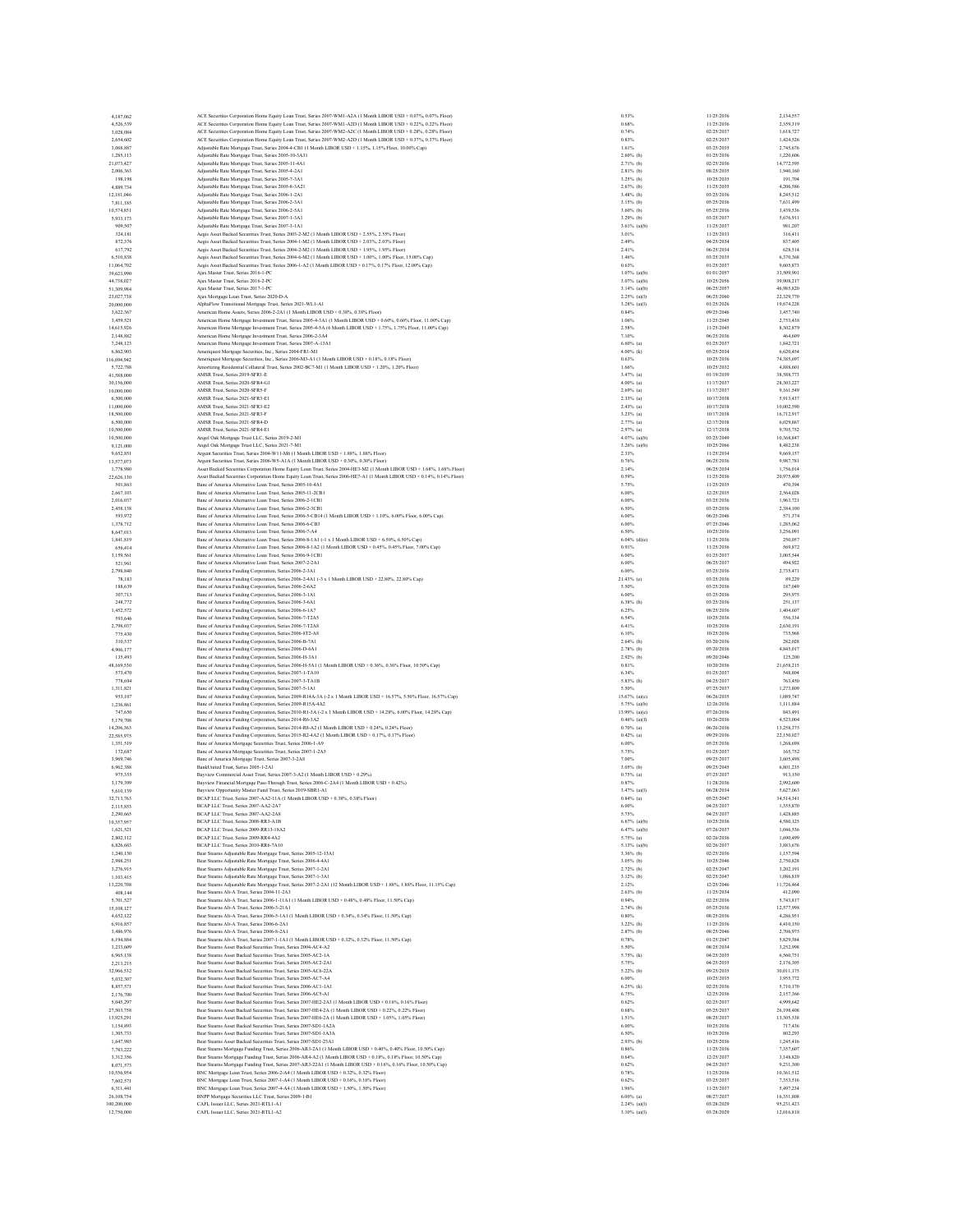| 4.187.062                | ACE Securities Corporation Home Equity Loan Trust, Series 2007-WM1-A2A (1 Month LIBOR USD + 0.07%, 0.07% Floor)                                                                                                     | 0.53%                           | 11/25/2036               | 2,134,557                |
|--------------------------|---------------------------------------------------------------------------------------------------------------------------------------------------------------------------------------------------------------------|---------------------------------|--------------------------|--------------------------|
| 4.526.539                | ACE Securities Corporation Home Equity Loan Trust. Series 2007-WMI-A2D (1 Month LIBOR USD + 0.22% 0.22% Floor)                                                                                                      | 0.68%                           | 11/25/2036               | 2.359.319                |
| 3,028,084                | ACE Securities Corporation Home Equity Loan Trust, Series 2007-WM2-A2C (1 Month LIBOR USD + 0.28%, 0.28% Floor)                                                                                                     | 0.74%                           | 02/25/2037               | 1,618,727                |
| 2,654,602                | ACE Securities Corporation Home Equity Loan Trust, Series 2007-WM2-A2D (1 Month LIBOR USD + 0.37%, 0.37% Floor)                                                                                                     | 0.83%                           | 02/25/2037               | 1,424,526                |
| 3,068,887                | Adjustable Rate Mortgage Trust, Series 2004-4-CB1 (1 Month LIBOR USD + 1.15%, 1.15% Floor, 10.00% Cap)                                                                                                              | 1.61%                           | 03/25/2035               | 2.745.676                |
| 1,285,113                | Adjustable Rate Mortgage Trust, Series 2005-10-3A31<br>Adjustable Rate Mortgage Trust, Series 2005-11-4A1                                                                                                           | $2.60\%$ (b)<br>$2.71%$ (b)     | 01/25/2036<br>02/25/2036 | 1,220,606<br>14,772,595  |
| 21.073.427<br>2,006,363  |                                                                                                                                                                                                                     | $2.81%$ (b)                     | 08/25/2035               | 1,940,160                |
| 198,198                  | Adjustable Rate Mortgage Trust, Series 2005-4-2A1<br>Adjustable Rate Mortgage Trust, Series 2005-7-3A1                                                                                                              | $3.25%$ (b)                     | 10/25/2035               | 191,704                  |
| 4,889,734                | Adjustable Rate Mortgage Trust, Series 2005-8-3A21                                                                                                                                                                  | $2.67%$ (b)                     | 11/25/2035               | 4.206.586                |
| 12,181,046               | Adjustable Rate Mortgage Trust, Series 2006-1-2A1                                                                                                                                                                   | 3.48% (b)                       | 03/25/2036               | 8,245,512                |
| 7,811,185                | Adjustable Rate Mortgage Trust, Series 2006-2-3A1                                                                                                                                                                   | $3.15%$ (b)                     | 05/25/2036               | 7,631,499                |
| 10,574,851               | Adjustable Rate Mortgage Trust, Series 2006-2-5A1                                                                                                                                                                   | 3.60% (b)                       | 05/25/2036               | 3.439.536                |
| 5,933,173                | Adjustable Rate Mortgage Trust, Series 2007-1-3A1                                                                                                                                                                   | 3.29% (b)                       | 03/25/2037               | 5,676,911                |
| 909,507                  | Adjustable Rate Mortgage Trust, Series 2007-3-1A1                                                                                                                                                                   | $3.61%$ (a)(b)                  | 11/25/2037               | 981,207                  |
| 324.181                  | Aegis Asset Backed Securities Trust. Series 2003-2-M2 (1 Month LIBOR USD + 2.55%, 2.55% Floor)                                                                                                                      | 3.01%                           | 11/25/2033               | 316,411                  |
| 872,376                  | Aegis Asset Backed Securities Trust, Series 2004-1-M2 (1 Month LIBOR USD + 2.03%, 2.03% Floor)                                                                                                                      | 2.49%                           | 04/25/2034               | 837,405                  |
| 617,792                  | Aegis Asset Backed Securities Trust, Series 2004-2-M2 (1 Month LIBOR USD + 1.95%, 1.95% Floor)                                                                                                                      | 2.41%                           | 06/25/2034               | 628,514                  |
| 6,510,838                | Aegis Asset Backed Securities Trust, Series 2004-6-M2 (1 Month LIBOR USD + 1.00%, 1.00% Floor, 15.00% Cap)                                                                                                          | 1.46%                           | 03/25/2035               | 6,370,368                |
| 11,064,702               | Aegis Asset Backed Securities Trust, Series 2006-1-A2 (1 Month LIBOR USD + 0.17%, 0.17% Floor, 12.00% Cap)                                                                                                          | 0.63%                           | 01/25/2037               | 9,605,873                |
| 39,623,990               | Ajax Master Trust, Series 2016-1-PC                                                                                                                                                                                 | $1.07%$ (a)(b)                  | 01/01/2057               | 33,509,901               |
| 44,738,027               | Ajax Master Trust, Series 2016-2-PC                                                                                                                                                                                 | $3.07%$ (a)(b)                  | 10/25/2056               | 39,908,217               |
| 51,309,984               | Aiax Master Trust, Series 2017-1-PC                                                                                                                                                                                 | $3.14%$ (a)(b)                  | 06/25/2057               | 46,985,820               |
| 23.027.738               | Ajax Mortgage Loan Trust, Series 2020-D-A                                                                                                                                                                           | 2.25% (a)(I)                    | 06/25/2060               | 22.329.770               |
| 20,000,000               | AlphaFlow Transitional Mortgage Trust, Series 2021-WL1-A1                                                                                                                                                           | $3.28%$ (a)(I)                  | 01/25/2026               | 19,674,228               |
| 3.622.367                | American Home Assets, Series 2006-2-2A1 (1 Month LIBOR USD + 0.38%, 0.38% Floor)                                                                                                                                    | 0.84%                           | 09/25/2046               | 3,457,740                |
| 3,459,521                | American Home Mortgage Investment Trust, Series 2005-4-3A1 (1 Month LIBOR USD + 0.60%, 0.60% Floor, 11.00% Cap)                                                                                                     | 1.06%                           | 11/25/2045               | 2.753.438                |
| 14,615,926               | American Home Mortgage Investment Trust, Series 2005-4-5A (6 Month LIBOR USD + 1.75%, 1.75% Floor, 11.00% Cap)                                                                                                      | 2.58%                           | 11/25/2045               | 8,302,879                |
| 2,148,882                | American Home Mortgage Investment Trust, Series 2006-2-3A4                                                                                                                                                          | 7.10%                           | 06/25/2036               | 464,609                  |
| 7,248,123                | American Home Mortgage Investment Trust, Series 2007-A-13A1                                                                                                                                                         | $6.60\%$ (a)                    | 01/25/2037               | 1.842.721                |
| 6,862,903                | Ameriquest Mortgage Securities, Inc., Series 2004-FR1-M1                                                                                                                                                            | 4.00% (k)                       | 05/25/2034               | 6,620,454                |
| 116,694,942              | Ameriquest Mortgage Securities, Inc., Series 2006-M3-A1 (1 Month LIBOR USD + 0.18%, 0.18% Floor)                                                                                                                    | 0.63%                           | 10/25/2036               | 74,385,697               |
| 5.722.788                | Amortizing Residential Collateral Trust, Series 2002-BC7-M1 (1 Month LIBOR USD + 1.20%, 1.20% Floor)                                                                                                                | 1.66%                           | 10/25/2032               | 4,888,601                |
| 41,588,000               | AMSR Trust, Series 2019-SFR1-E                                                                                                                                                                                      | 3.47% (a)                       | 01/19/2039               | 38,588,773               |
| 30,156,000               | AMSR Trust. Series 2020-SFR4-G1                                                                                                                                                                                     | $4.00\%$ (a)                    | 11/17/2037               | 28, 303, 227             |
| 10,000,000               | AMSR Trust, Series 2020-SFR5-F                                                                                                                                                                                      | $2.69%$ (a)                     | 11/17/2037               | 9,161,549                |
| 6,500,000                | AMSR Trust, Series 2021-SFR3-E1<br>AMSR Trust. Series 2021-SFR3-E2                                                                                                                                                  | $2.33%$ (a)                     | 10/17/2038<br>10/17/2038 | 5,913,437                |
| 11,000,000               | AMSR Trust, Series 2021-SFR3-F                                                                                                                                                                                      | $2.43%$ (a)<br>3.23% (a)        | 10/17/2038               | 10,002.590<br>16,712,917 |
| 18,500,000<br>6,500,000  | AMSR Trust, Series 2021-SFR4-D                                                                                                                                                                                      | $2.77%$ (a)                     | 12/17/2038               | 6,029,867                |
|                          | AMSR Trust Series 2021-SFR4-E1                                                                                                                                                                                      |                                 |                          |                          |
| 10,500,000<br>10,500,000 | Angel Oak Mortgage Trust LLC, Series 2019-2-M1                                                                                                                                                                      | $2.97%$ (a)<br>$4.07%$ (a)(b)   | 12/17/2038<br>03/25/2049 | 9,705,752<br>10,368,847  |
|                          |                                                                                                                                                                                                                     |                                 |                          |                          |
| 9,121,000<br>9.652.851   | Angel Oak Mortgage Trust LLC, Series 2021-7-M1<br>Argent Securities Trust, Series 2004-W11-M6 (1 Month LIBOR USD + 1.88%, 1.88% Floor)                                                                              | $3.26%$ (a)(b)<br>2.33%         | 10/25/2066<br>11/25/2034 | 8,482,238<br>9.669.157   |
| 13,577,073               | Argent Securities Trust. Series 2006-W5-A1A (1 Month LIBOR USD + 0.30%, 0.30% Floor)                                                                                                                                | 0.76%                           | 06/25/2036               | 9,987,781                |
| 1,778,980                | Asset Backed Securities Corporation Home Equity Loan Trust, Series 2004-HE3-M2 (1 Month LIBOR USD + 1.68%, 1.68% Floor)                                                                                             | 2.14%                           | 06/25/2034               | 1,756,014                |
| 22,626,130               |                                                                                                                                                                                                                     | 0.59%                           | 11/25/2036               | 20,975,409               |
| 501,863                  | Asset Backed Securities Corporation Home Equity Loan Trust, Series 2006-HE7-A1 (1 Month LIBOR USD + 0.14%, 0.14% Floor)<br>Banc of America Alternative Loan Trust, Series 2005-10-4A                                | 5.75%                           | 11/25/2035               | 470,394                  |
| 2.667.103                | Banc of America Alternative Loan Trust. Series 2005-11-2CB1                                                                                                                                                         | 6.00%                           | 12/25/2035               | 2.564.028                |
| 2,016,037                | Banc of America Alternative Loan Trust, Series 2006-2-1CB1                                                                                                                                                          | 6.00%                           | 03/25/2036               | 1,963,721                |
| 2,458,138                | Banc of America Alternative Loan Trust. Series 2006-2-3CB1                                                                                                                                                          | 6.50%                           | 03/25/2036               | 2,384,100                |
| 593.972                  | Banc of America Alternative Loan Trust. Series 2006-5-CB14 (1 Month LIBOR USD + 1.10%, 6.00% Floor, 6.00% Cap)                                                                                                      | 6.00%                           | 06/25/2046               | 571,374                  |
| 1,378,712                | Banc of America Alternative Loan Trust, Series 2006-6-CB3                                                                                                                                                           | 6.00%                           | 07/25/2046               | 1,285,062                |
| 8,647,013                | Banc of America Alternative Loan Trust, Series 2006-7-A4                                                                                                                                                            | 6.50%                           | 10/25/2036               | 3,256,091                |
| 1,841,819                | Banc of America Alternative Loan Trust. Series 2006-8-1A1 (-1 x 1 Month LIBOR USD + 6.50% 6.50% Cap)                                                                                                                | $6.04%$ (d)(e)                  | 11/25/2036               | 250,057                  |
| 656,414                  | Banc of America Alternative Loan Trust, Series 2006-8-1A2 (1 Month LIBOR USD + 0.45%, 0.45% Floor, 7.00% Cap)                                                                                                       | 0.91%                           | 11/25/2036               | 569,872                  |
| 3.159.561                | Banc of America Alternative Loan Trust, Series 2006-9-1CB1                                                                                                                                                          | 6,00%                           | 01/25/2037               | 3,005,544                |
| 521,961                  | Banc of America Alternative Loan Trust, Series 2007-2-2A1                                                                                                                                                           | 6.00%                           | 06/25/2037               | 494,922                  |
| 2,798,840                | Banc of America Funding Corporation, Series 2006-2-3A1                                                                                                                                                              | 6.00%                           | 03/25/2036               | 2,735,471                |
| 78,183                   | Banc of America Funding Corporation, Series 2006-2-4A1 (-3 x 1 Month LIBOR USD + 22.80%, 22.80% Cap)                                                                                                                | 21.43% (e)                      | 03/25/2036               | 89.229                   |
| 188,639                  | Banc of America Funding Corporation, Series 2006-2-6A2                                                                                                                                                              | 5.50%                           | 03/25/2036               | 187,049                  |
| 307,713                  | Banc of America Funding Corporation, Series 2006-3-1A1                                                                                                                                                              | 6.00%                           | 03/25/2036               | 295,975                  |
| 248,772                  | Banc of America Funding Corporation, Series 2006-3-6A1                                                                                                                                                              | 6.38% (b)                       | 03/25/2036               | 251.137                  |
| 1,452,572                | Banc of America Funding Corporation, Series 2006-6-1A7                                                                                                                                                              | 6.25%                           | 08/25/2036               | 1,404,607                |
| 593,646                  | Banc of America Funding Corporation, Series 2006-7-T2A5                                                                                                                                                             | 6.54%                           | 10/25/2036               | 556,334                  |
| 2.798,037                | Banc of America Funding Corporation, Series 2006-7-T2A8                                                                                                                                                             | 6.41%                           | 10/25/2036               | 2.630.191                |
| 775,430                  | Banc of America Funding Corporation, Series 2006-8T2-A8                                                                                                                                                             | 6.10%                           | 10/25/2036               | 735,968                  |
| 310,537                  | Banc of America Funding Corporation, Series 2006-B-7A1                                                                                                                                                              | $2.64%$ (b)                     | 03/20/2036               | 282,028                  |
| 4,906,177                | Banc of America Funding Corporation, Series 2006-D-6A1                                                                                                                                                              | 2.78% (b)                       | 05/20/2036               | 4,845,017                |
| 135,493                  | Banc of America Funding Corporation, Series 2006-H-3A1                                                                                                                                                              | $2.92\%$ (b)                    | 09/20/2046               | 125,200                  |
| 48,169,530               | Banc of America Funding Corporation, Series 2006-H-5A1 (1 Month LIBOR USD + 0.36%, 0.36% Floor, 10.50% Cap)                                                                                                         | 0.81%                           | 10/20/2036               | 21,658,215               |
| 573,470                  | Banc of America Funding Corporation, Series 2007-1-TA10                                                                                                                                                             | 6.34%                           | 01/25/2037               | 548,804                  |
| 778,694                  | Banc of America Funding Corporation, Series 2007-3-TA1B                                                                                                                                                             | 5.83% (b)                       | 04/25/2037               | 763,450                  |
| 1.311.821                | Banc of America Funding Corporation, Series 2007-5-1A1                                                                                                                                                              | 5.50%                           | 07/25/2037               | 1,273,809                |
| 953,107                  | Banc of America Funding Corporation, Series 2009-R14A-3A (-2 x 1 Month LIBOR USD + 16.57%, 5.50% Floor, 16.57% Cap)                                                                                                 | $15.67%$ (a)(c)                 | 06/26/2035               | 1,089,747                |
| 1,236,861                | Banc of America Funding Corporation, Series 2009-R15A-4A2                                                                                                                                                           | $5.75\%$ (a)(b)                 | 12/26/2036               | 1,111,884                |
| 747,650                  | Banc of America Funding Corporation, Series 2010-R1-3A (-2 x 1 Month LIBOR USD + 14.28%, 6.00% Floor, 14.28% Cap)                                                                                                   | 13.99% (a)(c)                   | 07/26/2036               | 843,491                  |
| 5,179,708                | Banc of America Funding Corporation, Series 2014-R6-3A2                                                                                                                                                             | $0.46%$ (a)(f)                  | 10/26/2036               | 4,523,004                |
| 14,206,363               | Banc of America Funding Corporation, Series 2014-R8-A2 (1 Month LIBOR USD + 0.24%, 0.24% Floor)                                                                                                                     | $0.70\%$ (a)                    | 06/26/2036               | 13,258,375               |
| 22.585.975               | Banc of America Funding Corporation, Series 2015-R2-4A2 (1 Month LIBOR USD + 0.17%, 0.17% Floor)                                                                                                                    | $0.42%$ (a)                     | 09/29/2036               | 22,150.027               |
| 1,351,519                | Banc of America Mortgage Securities Trust, Series 2006-1-A9                                                                                                                                                         | 6.00%                           | 05/25/2036               | 1,268,698                |
| 172,687                  | Banc of America Mortgage Securities Trust, Series 2007-1-2A5                                                                                                                                                        | 5.75%                           | 01/25/2037               | 165,752                  |
| 3,969,746                | Banc of America Mortgage Trust, Series 2007-3-2A8                                                                                                                                                                   | 7.00%                           | 09/25/2037               | 3,605,498                |
| 6,962,388                | BankUnited Trust, Series 2005-1-2A1                                                                                                                                                                                 | 3.05% (b)                       | 09/25/2045               | 6,801,235                |
| 975,355                  | Bayview Commercial Asset Trust, Series 2007-3-A2 (1 Month LIBOR USD + 0.29%)                                                                                                                                        | $0.75%$ (a)                     | 07/25/2037               | 913.150                  |
| 3,179,399                | Bayview Financial Mortgage Pass-Through Trust, Series 2006-C-2A4 (1 Month LIBOR USD + 0.42%)                                                                                                                        | 0.87%                           | 11/28/2036               | 2,992,600                |
| 5,610,139                | Bayview Opportunity Master Fund Trust, Series 2019-SBR1-A1                                                                                                                                                          | $3.47%$ (a)(I)                  | 06/28/2034               | 5,627,063                |
| 32.713.763               | BCAP LLC Trust. Series 2007-AA2-11A (1 Month LIBOR USD + 0.38% 0.38% Floor)                                                                                                                                         | $0.84%$ (a)                     | 05/25/2047               | 34,514,341               |
|                          | $-2007. A A 2.2.$                                                                                                                                                                                                   |                                 |                          |                          |
| 2,290,665                | BCAP LLC Trust, Series 2007-AA2-2A8                                                                                                                                                                                 | 5.75%                           | 04/25/2037               | 1,428,885                |
| 10.357.957               | BCAP LLC Trust. Series 2008-RR3-A1B                                                                                                                                                                                 | $6.67%$ (a)(b)                  | 10/25/2036               | 4.580.125                |
| 1,621,521                | BCAP LLC Trust, Series 2009-RR13-18A2                                                                                                                                                                               | $6.47%$ (a)(b)                  | 07/26/2037               | 1,046,536                |
| 2,802,112                | BCAP LLC Trust, Series 2009-RR4-4A2                                                                                                                                                                                 | 5.75% (a)                       | 02/26/2036<br>02/26/2037 | 1,690,499<br>3,883,676   |
| 6,826,683                | BCAP LLC Trust, Series 2010-RR6-7A10                                                                                                                                                                                | $5.13%$ (a)(b)                  |                          |                          |
| 1,240,130                | Bear Stearns Adjustable Rate Mortgage Trust, Series 2005-12-13A1<br>Bear Stearns Adjustable Rate Mortgage Trust, Series 2006-4-4A1                                                                                  | $3.36%$ (b)<br>$3.05%$ (b)      | 02/25/2036<br>10/25/2046 | 1,157,594<br>2,750,828   |
| 2.988.251                |                                                                                                                                                                                                                     |                                 | 02/25/2047               |                          |
| 3,276,915                | Bear Stearns Adjustable Rate Mortgage Trust, Series 2007-1-2A1                                                                                                                                                      | $2.72%$ (b)<br>$3.12%$ (b)      | 02/25/2047               | 3,202,191<br>1,086,819   |
| 1,103,415                | Bear Stearns Adjustable Rate Mortgage Trust, Series 2007-1-3A1                                                                                                                                                      |                                 | 12/25/2046               | 11,726,464               |
| 13,220,708               | Bear Stearns Adjustable Rate Mortgage Trust, Series 2007-2-2A1 (12 Month LIBOR USD + 1.88%, 1.88% Floor, 11.15% Cap)                                                                                                | 2.12%<br>$2.63%$ (b)            | 11/25/2034               | 412,090                  |
| 408,144<br>5.701.527     | Bear Stearns Alt-A Trust, Series 2004-11-2A3<br>Bear Stearns Alt-A Trust, Series 2006-1-11A1 (1 Month LIBOR USD + 0.48%, 0.48% Floor, 11.50% Cap)                                                                   | 0.94%                           | 02/25/2036               | 5,743,817                |
| 15,108,127               | Bear Stearns Alt-A Trust. Series 2006-3-21A1                                                                                                                                                                        | $2.74%$ (b)                     | 05/25/2036               | 12,577,998               |
| 4,652,122                | Bear Stearns Alt-A Trust, Series 2006-5-1A1 (1 Month LIBOR USD + 0.34%, 0.34% Floor, 11.50% Cap)                                                                                                                    | 0.80%                           | 08/25/2036               | 4,286,951                |
| 6,916,857                | Bear Stearns Alt-A Trust, Series 2006-6-2A1                                                                                                                                                                         | $3.22\%$ (b)                    | 11/25/2036               | 4,410,150                |
| 3,486,976                |                                                                                                                                                                                                                     | $2.87%$ (b)                     | 08/25/2046               | 2.706.975                |
| 6,194,884                | Bear Stearns Alt-A Trust. Series 2006-8-2A1                                                                                                                                                                         |                                 | 01/25/2047               | 5,829,384                |
| 3,233,609                |                                                                                                                                                                                                                     |                                 | 08/25/2034               | 3,252,998                |
| 6,965,138                | Bear Stearns Alt-A Trust, Series 2007-1-1A1 (1 Month LIBOR USD + 0.32%, 0.32% Floor, 11.50% Cap)<br>Bear Stearns Asset Backed Securities Trust, Series 2004-AC4-A2                                                  | 0.78%<br>5.50%                  |                          |                          |
| 2,213,215                |                                                                                                                                                                                                                     |                                 | 04/25/2035               |                          |
| 32.966.532               | Bear Stearns Asset Backed Securities Trust, Series 2005-AC2-1A                                                                                                                                                      | 5.75% (k)<br>5.75%              | 04/25/2035               | 6,560,751<br>2,176,305   |
|                          | Bear Stearns Asset Backed Securities Trust, Series 2005-AC2-2A1<br>Bear Stearns Asset Backed Securities Trust Series 2005-AC6-22A                                                                                   | 5.22% (b)                       | 09/25/2035               | 30.011.175               |
| 5.032.307                | Bear Stearns Asset Backed Securities Trust, Series 2005-AC7-A4                                                                                                                                                      | 6.00%                           | 10/25/2035               | 3,955,772                |
|                          |                                                                                                                                                                                                                     | $6.25%$ (k)                     | 02/25/2036               | 5,710,170                |
| 8,857,571<br>2.176.700   | Bear Stearns Asset Backed Securities Trust, Series 2006-AC1-1A1<br>Bear Stearns Asset Backed Securities Trust. Series 2006-AC5-A1                                                                                   | 6.75%                           | 12/25/2036               | 2.157.366                |
|                          |                                                                                                                                                                                                                     | 0.62%                           | 02/25/2037               | 4,999,642                |
| 5,045,297<br>27,503,758  | Bear Stearns Asset Backed Securities Trust, Series 2007-HE2-2A3 (1 Month LIBOR USD + 0.16%, 0.16% Floor)<br>Bear Stearns Asset Backed Securities Trust, Series 2007-HE4-2A (1 Month LIBOR USD + 0.22%, 0.22% Floor) | 0.68%                           | 05/25/2037               | 26,198,408               |
| 13.925.291               | Bear Stearns Asset Backed Securities Trust, Series 2007-HE6-2A (1 Month LIBOR USD + 1.05%, 1.05% Floor)                                                                                                             | 1.51%                           | 08/25/2037               | 13,305,538               |
| 1,154,893                | Bear Stearns Asset Backed Securities Trust, Series 2007-SD1-1A2A                                                                                                                                                    | 6.00%                           | 10/25/2036               | 717,436                  |
| 1,305,733                | Bear Stearns Asset Backed Securities Trust, Series 2007-SD1-1A3A                                                                                                                                                    | 6.50%                           | 10/25/2036               | 802,293                  |
| 1,647,985                | Bear Stearns Asset Backed Securities Trust. Series 2007-SD1-23A1                                                                                                                                                    | $2.93%$ (b)                     | 10/25/2036               | 1.245.416                |
| 7,783,222                | Bear Stearns Mortgage Funding Trust, Series 2006-AR3-2A1 (1 Month LIBOR USD + 0.40%, 0.40% Floor, 10.50% Cap)                                                                                                       | 0.86%                           | 11/25/2036               | 7,357,607                |
| 3.312.356                | Bear Stearns Mortgage Funding Trust, Series 2006-AR4-A2 (1 Month LIBOR USD + 0.18%, 0.18% Floor, 10.50% Cap)                                                                                                        | 0.64%                           | 12/25/2037               | 3,148,820                |
| 8,071,573                |                                                                                                                                                                                                                     | 0.62%                           | 04/25/2037               | 9,231,300                |
| 10,556,954               | Bear Stearns Mortgage Funding Trust, Series 2007-AR3-22A1 (1 Month LIBOR USD + 0.16%, 0.16% Floor, 10.50% Cap)<br>BNC Mortgage Loan Trust, Series 2006-2-A4 (1 Month LIBOR USD + 0.32%, 0.32% Floor)                | 0.78%                           | 11/25/2036               | 10,361,512               |
| 7.602.571                | BNC Mortgage Loan Trust, Series 2007-1-A4 (1 Month LIBOR USD + 0.16%, 0.16% Floor)                                                                                                                                  | 0.62%                           | 03/25/2037               | 7,353,516                |
| 6,311,441                | BNC Mortgage Loan Trust, Series 2007-4-A4 (1 Month LIBOR USD + 1.50%, 1.50% Floor)                                                                                                                                  | 1.96%                           | 11/25/2037               | 5,497,234                |
| 26,108,754               | BNPP Mortgage Securities LLC Trust, Series 2009-1-B1                                                                                                                                                                | $6.00\%$ (a)                    | 08/27/2037               | 16,351,808               |
| 100,200,000              | CAFL Issuer LLC. Series 2021-RTL1-A1<br>CAFL Issuer LLC, Series 2021-RTL1-A2                                                                                                                                        | 2.24% (a)(I)<br>$3.10\%$ (a)(I) | 03/28/2029<br>03/28/2029 | 95.231.423<br>12,016,818 |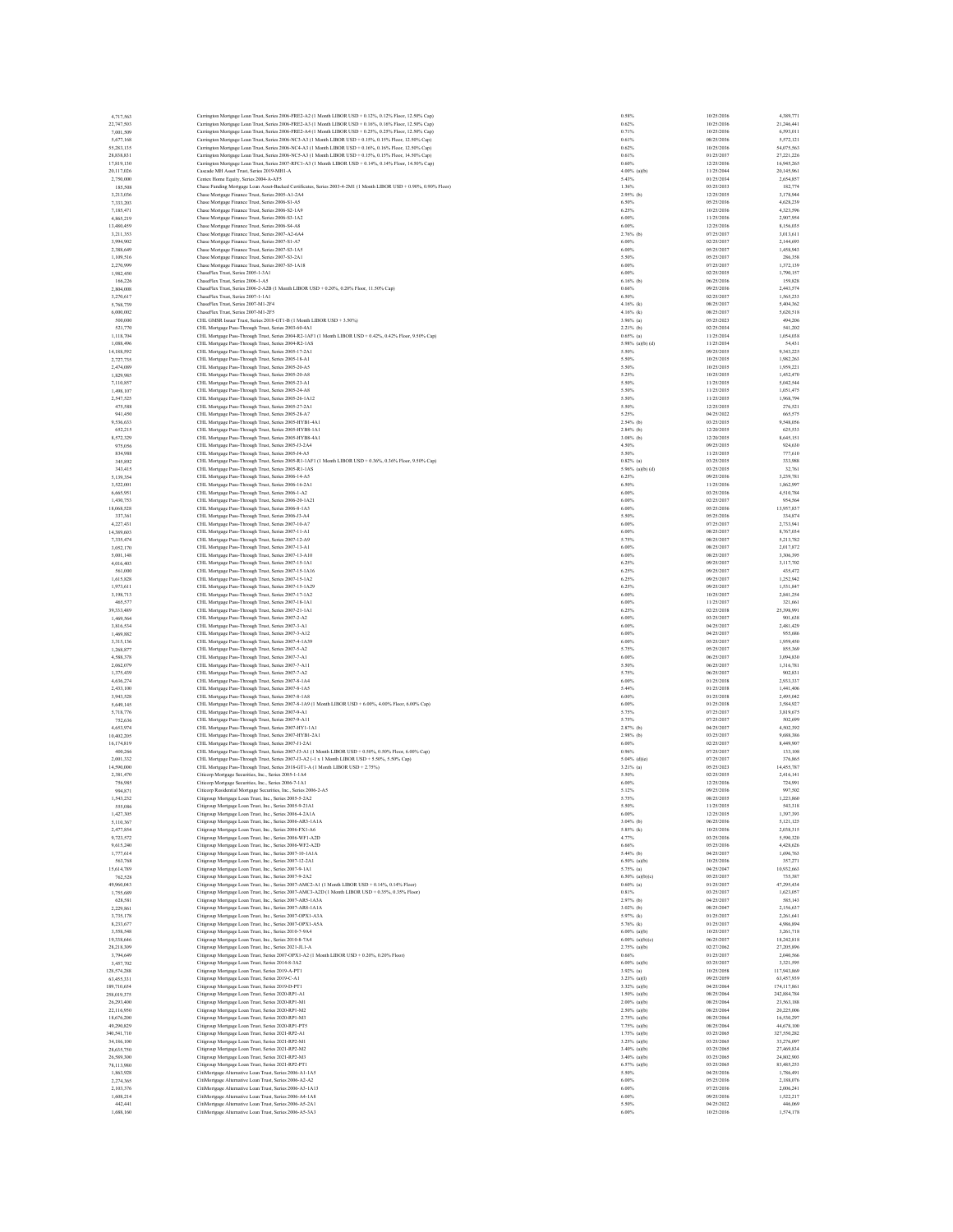| 4,717,563<br>22,747,503 |                                                                                                                                                                                                                      | 0.58%                 | 10/25/2036               |                          |
|-------------------------|----------------------------------------------------------------------------------------------------------------------------------------------------------------------------------------------------------------------|-----------------------|--------------------------|--------------------------|
|                         | Carrington Mortgage Loan Trust, Series 2006-FRE2-A2 (1 Month LIBOR USD + 0.12%, 0.12% Floor, 12.50% Cap)<br>Carrington Mortgage Loan Trust, Series 2006-FRE2-A3 (1 Month LIBOR USD + 0.16%, 0.16% Floor, 12.50% Cap) | 0.62%                 | 10/25/2036               | 4,389,771<br>21,246,441  |
| 7,001,509               | Carrington Mortgage Loan Trust, Series 2006-FRE2-A4 (1 Month LIBOR USD + 0.25%, 0.25% Floor, 12.50% Cap)                                                                                                             | 0.71%                 | 10/25/2036               | 6,593,011                |
| 5,677,168               | Carrington Mortgage Loan Trust, Series 2006-NC3-A3 (1 Month LIBOR USD + 0.15%, 0.15% Floor, 12.50% Cap)                                                                                                              | 0.61%                 | 08/25/2036               | 5,572,121                |
| 55,283,135              | Carrington Mortgage Loan Trust, Series 2006-NC4-A3 (1 Month LIBOR USD + 0.16%, 0.16% Floor, 12.50% Cap)                                                                                                              | 0.62%                 | 10/25/2036               | 54,075,563               |
| 28,838,831              | Carrington Mortgage Loan Trust, Series 2006-NC5-A3 (1 Month LIBOR USD + 0.15%, 0.15% Floor, 14.50% Cap)                                                                                                              | 0.61%                 | 01/25/2037               | 27,221,226               |
| 17,819,130              | Carrington Mortgage Loan Trust, Series 2007-RFC1-A3 (1 Month LIBOR USD + 0.14%, 0.14% Floor, 14.50% Cap)                                                                                                             | 0.60%                 | 12/25/2036               | 16,945,265               |
| 20.117.026              | Cascade MH Asset Trust. Series 2019-MH1-A                                                                                                                                                                            | 4.00% (a)(b)          | 11/25/2044               | 20,145,961               |
| 2,750,000               | Centex Home Equity, Series 2004-A-AF5                                                                                                                                                                                | 5.43%                 | 01/25/2034               | 2.654.857                |
| 185,508                 | Chase Funding Mortgage Loan Asset-Backed Certificates, Series 2003-4-2M1 (1 Month LIBOR USD + 0.90%, 0.90% Floor)                                                                                                    | 1.36%                 | 03/25/2033               | 182,774                  |
| 3.213.036               | Chase Mortgage Finance Trust. Series 2005-A1-2A4                                                                                                                                                                     | $2.95%$ (b)           | 12/25/2035               | 3,178,944                |
| 7,333,203               | Chase Mortgage Finance Trust, Series 2006-S1-A5                                                                                                                                                                      | 6.50%                 | 05/25/2036               | 4.628.239                |
| 7,185,471               | Chase Mortgage Finance Trust, Series 2006-S2-1A9                                                                                                                                                                     | 6.25%                 | 10/25/2036               | 4,323,596                |
| 4,865,219               | Chase Mortgage Finance Trust, Series 2006-S3-1A2                                                                                                                                                                     | 6.00%                 | 11/25/2036               | 2.907.954                |
| 13,480,459              | Chase Mortgage Finance Trust, Series 2006-S4-A8                                                                                                                                                                      | 6.00%                 | 12/25/2036               | 8,156,035                |
| 3,211,353               | Chase Mortgage Finance Trust, Series 2007-A2-6A4                                                                                                                                                                     | $2.76%$ (b)           | 07/25/2037               | 3,013,611                |
| 3,994,902               | Chase Mortgage Finance Trust, Series 2007-S1-A7                                                                                                                                                                      | 6.00%                 | 02/25/2037               | 2.144.693                |
| 2,388,649               | Chase Mortgage Finance Trust, Series 2007-S3-1A5                                                                                                                                                                     | 6.00%                 | 05/25/2037               | 1,458,943                |
| 1.109.516               | Chase Mortgage Finance Trust, Series 2007-S3-2A1                                                                                                                                                                     | 5.50%                 | 05/25/2037               | 286,358                  |
| 2,270,999               |                                                                                                                                                                                                                      | 6.00%                 | 07/25/2037               | 1,372,139                |
| 1,982,450               | Chase Mortgage Finance Trust, Series 2007-S5-1A18<br>ChaseFlex Trust. Series 2005-1-3A1                                                                                                                              | 6.00%                 | 02/25/2035               | 1,790,157                |
| 166,226                 | ChaseFlex Trust Series 2006-1-A5                                                                                                                                                                                     | $6.16\%$ (b)          | 06/25/2036               | 159,828                  |
|                         |                                                                                                                                                                                                                      | 0.66%                 | 09/25/2036               | 2,443,574                |
| 2,804,008               | ChaseFlex Trust, Series 2006-2-A2B (1 Month LIBOR USD + 0.20%, 0.20% Floor, 11.50% Cap)                                                                                                                              |                       |                          | 1.565.233                |
| 3,270,617               | ChaseFlex Trust, Series 2007-1-1A1                                                                                                                                                                                   | 6.50%                 | 02/25/2037               |                          |
| 5.768.739               | ChaseFlex Trust Series 2007-M1-2E4                                                                                                                                                                                   | $4.16%$ (k)           | 08/25/2037               | 5,404,362                |
| 6,000,002               | ChaseFlex Trust. Series 2007-M1-2F5                                                                                                                                                                                  | 4.16% (k)             | 08/25/2037               | 5,620,518                |
| 500,000                 | CHL GMSR Issuer Trust, Series 2018-GTI-B (1 Month LIBOR USD + 3.50%)                                                                                                                                                 | $3.96\%$ (a)          | 05/25/2023               | 494,206                  |
| 521.770                 | CHL Mortgage Pass-Through Trust, Series 2003-60-4A1                                                                                                                                                                  | $2.21%$ (b)           | 02/25/2034               | 541.202                  |
| 1,118,704               | CHL Mortgage Pass-Through Trust, Series 2004-R2-1AF1 (1 Month LIBOR USD + 0.42%, 0.42% Floor, 9.50% Cap)                                                                                                             | $0.65%$ (a)           | 11/25/2034               | 1,054,038                |
| 1,088,496               | CHL Mortgage Pass-Through Trust, Series 2004-R2-1AS                                                                                                                                                                  | $5.98\%$ (a)(b) (d)   | 11/25/2034               | 54,431                   |
| 14,188,592              | CHL Mortgage Pass-Through Trust, Series 2005-17-2A1                                                                                                                                                                  | 5.50%                 | 09/25/2035               | 9,343,225                |
| 2,727,735               | CHL Mortgage Pass-Through Trust, Series 2005-18-A1                                                                                                                                                                   | 5.50%                 | 10/25/2035               | 1,982,263                |
| 2.474,089               | CHL Mortgage Pass-Through Trust, Series 2005-20-A5                                                                                                                                                                   | 5.50%                 | 10/25/2035               | 1.959.221                |
| 1,829,985               | CHL Mortgage Pass-Through Trust, Series 2005-20-A8                                                                                                                                                                   | 5.25%                 | 10/25/2035               | 1,452,470                |
| 7,110,857               | CHL Mortgage Pass-Through Trust, Series 2005-23-A1                                                                                                                                                                   | 5.50%                 | 11/25/2035               | 5,042,544                |
| 1,498,107               | CHL Mortgage Pass-Through Trust, Series 2005-24-A8                                                                                                                                                                   | 5.50%                 | 11/25/2035               | 1.051.475                |
| 2,547,525               | CHL Mortgage Pass-Through Trust, Series 2005-26-1A12                                                                                                                                                                 | 5.50%                 | 11/25/2035               | 1,968,794                |
| 475,588                 | CHL Mortgage Pass-Through Trust, Series 2005-27-2A1                                                                                                                                                                  | 5.50%                 | 12/25/2035               | 276,521                  |
| 941,450                 | CHL Mortgage Pass-Through Trust, Series 2005-28-A7                                                                                                                                                                   | 5.25%                 | 04/25/2022               | 665,575                  |
| 9,536,633               | CHL Mortgage Pass-Through Trust, Series 2005-HYB1-4A1                                                                                                                                                                | $2.54%$ (b)           | 03/25/2035               | 9,548,056                |
| 652,215                 | CHL Mortgage Pass-Through Trust, Series 2005-HYB8-1A1                                                                                                                                                                | $2.84%$ (b)           | 12/20/2035               | 625,533                  |
| 8,572,329               | CHL Mortgage Pass-Through Trust, Series 2005-HYB8-4A1                                                                                                                                                                | $3.08%$ (b)           | 12/20/2035               | 8,645,151                |
| 975,056                 |                                                                                                                                                                                                                      | 4.50%                 | 09/25/2035               | 924,630                  |
| 834,988                 | CHL Mortgage Pass-Through Trust, Series 2005-J3-2A4<br>CHL Mortgage Pass-Through Trust, Series 2005-J4-A5                                                                                                            | 5.50%                 | 11/25/2035               | 777,610                  |
|                         |                                                                                                                                                                                                                      |                       |                          |                          |
| 345,892                 | CHL Mortgage Pass-Through Trust, Series 2005-R1-1AF1 (1 Month LIBOR USD + 0.36%, 0.36% Floor, 9.50% Cap)                                                                                                             | $0.82%$ (a)           | 03/25/2035               | 333,988                  |
| 343,415                 | CHL Mortgage Pass-Through Trust, Series 2005-R1-1AS                                                                                                                                                                  | 5.96% (a)(b) (d)      | 03/25/2035               | 32,761                   |
| 5,139,354               | CHL Mortgage Pass-Through Trust, Series 2006-14-A5                                                                                                                                                                   | 6.25%                 | 09/25/2036               | 3.239.781                |
| 3,522,001               | CHL Mortgage Pass-Through Trust, Series 2006-16-2A1                                                                                                                                                                  | 6.50%                 | 11/25/2036               | 1,862,997                |
| 6,665,951               | CHL Mortgage Pass-Through Trust. Series 2006-1-A2                                                                                                                                                                    | 6,00%                 | 03/25/2036               | 4,510,784                |
| 1,430,753               | CHL Mortgage Pass-Through Trust, Series 2006-20-1A21                                                                                                                                                                 | 6.00%                 | 02/25/2037               | 954.564                  |
| 18,068,528              | CHL Mortgage Pass-Through Trust, Series 2006-8-1A3                                                                                                                                                                   | 6.00%                 | 05/25/2036               | 13,957,837               |
| 337,361                 | CHL Mortgage Pass-Through Trust, Series 2006-J3-A4                                                                                                                                                                   | 5.50%                 | 05/25/2036               | 334,874                  |
| 4,227,431               | CHL Mortgage Pass-Through Trust, Series 2007-10-A7                                                                                                                                                                   | 6.00%                 | 07/25/2037               | 2.733,941                |
| 14,389,603              | CHL Mortgage Pass-Through Trust, Series 2007-11-A1                                                                                                                                                                   | 6.00%                 | 08/25/2037               | 8,767,034                |
| 7,335,474               | CHL Mortgage Pass-Through Trust, Series 2007-12-A9                                                                                                                                                                   | 5.75%                 | 08/25/2037               | 5,213,782                |
| 3,052,170               | CHL Mortgage Pass-Through Trust, Series 2007-13-A1                                                                                                                                                                   | 6.00%                 | 08/25/2037               | 2.017.872                |
| 5,001,148               | CHL Mortgage Pass-Through Trust, Series 2007-13-A10                                                                                                                                                                  | 6.00%                 | 08/25/2037               | 3,306,395                |
| 4,016,403               | CHL Mortgage Pass-Through Trust, Series 2007-15-1A1                                                                                                                                                                  | 6.25%                 | 09/25/2037               | 3.117.702                |
| 561,000                 | CHL Mortgage Pass-Through Trust, Series 2007-15-1A16                                                                                                                                                                 | 6.25%                 | 09/25/2037               | 435,472                  |
| 1,615,828               | CHL Mortgage Pass-Through Trust, Series 2007-15-1A2                                                                                                                                                                  | 6.25%                 | 09/25/2037               | 1,252,942                |
| 1.973.611               | CHL Mortgage Pass-Through Trust, Series 2007-15-1A29                                                                                                                                                                 | 6.25%                 | 09/25/2037               | 1.531.847                |
| 3,198,713               | CHL Mortgage Pass-Through Trust, Series 2007-17-1A2                                                                                                                                                                  | 6.00%                 | 10/25/2037               | 2.841.254                |
| 465,577                 | CHL Mortgage Pass-Through Trust, Series 2007-18-1A1                                                                                                                                                                  | 6.00%                 | 11/25/2037               | 321,661                  |
| 39,333,489              | CHL Mortgage Pass-Through Trust, Series 2007-21-1A1                                                                                                                                                                  | 6.25%                 | 02/25/2038               | 25,398,991               |
| 1,469,564               | CHL Mortgage Pass-Through Trust, Series 2007-2-A2                                                                                                                                                                    |                       |                          |                          |
|                         |                                                                                                                                                                                                                      |                       |                          |                          |
|                         |                                                                                                                                                                                                                      | 6.00%                 | 03/25/2037               | 901,638                  |
| 3,816,534               | CHL Mortgage Pass-Through Trust, Series 2007-3-A1                                                                                                                                                                    | 6.00%                 | 04/25/2037               | 2,481,429                |
| 1,469,882               | CHL Mortgage Pass-Through Trust, Series 2007-3-A12                                                                                                                                                                   | 6.00%                 | 04/25/2037               | 955,686                  |
| 3,315,136               | CHL Mortgage Pass-Through Trust, Series 2007-4-1A39                                                                                                                                                                  | 6.00%                 | 05/25/2037               | 1,959,450                |
| 1,268,877               | CHL Mortgage Pass-Through Trust, Series 2007-5-A2                                                                                                                                                                    | 5.75%                 | 05/25/2037               | 855,369                  |
| 4,588,378               | CHL Mortgage Pass-Through Trust, Series 2007-7-A1                                                                                                                                                                    | 6.00%                 | 06/25/2037               | 3,094,830                |
| 2,062,079               | CHL Mortgage Pass-Through Trust, Series 2007-7-A11                                                                                                                                                                   | 5.50%                 | 06/25/2037               | 1,316,781                |
| 1,375,439               | CHL Mortgage Pass-Through Trust, Series 2007-7-A2                                                                                                                                                                    | 5.75%                 | 06/25/2037               | 902.831                  |
| 4,636,274               | CHL Mortgage Pass-Through Trust, Series 2007-8-1A4                                                                                                                                                                   | 6.00%                 | 01/25/2038               | 2,933,337                |
| 2,433,100               | CHL Mortgage Pass-Through Trust, Series 2007-8-1A5                                                                                                                                                                   | 5.44%                 | 01/25/2038               | 1,441,406                |
| 3.943.528               | CHL Mortgage Pass-Through Trust, Series 2007-8-1A8                                                                                                                                                                   | 6.00%                 | 01/25/2038               | 2,495,042                |
| 5,649,145               | CHL Mortgage Pass-Through Trust, Series 2007-8-1A9 (1 Month LIBOR USD + 6.00%, 4.00% Floor, 6.00% Cap)                                                                                                               | 6.00%                 | 01/25/2038               | 3,584,927                |
| 5,718,776               | CHL Morteage Pass-Through Trust. Series 2007-9-A1                                                                                                                                                                    | 5.75%                 | 07/25/2037               | 3,819,675                |
| 752,636                 | CHL Mortgage Pass-Through Trust. Series 2007-9-A11                                                                                                                                                                   | 5.75%                 | 07/25/2037               | 502,699                  |
| 4,653,974               | CHL Mortgage Pass-Through Trust, Series 2007-HY1-1A1                                                                                                                                                                 | $2.87%$ (b)           | 04/25/2037               | 4,502,392                |
| 10.402.205              | CHL Mortgage Pass-Through Trust, Series 2007-HYB1-2A1                                                                                                                                                                | $2.98%$ (b)           | 03/25/2037               | 9,688,386                |
| 16,174,819              | CHL Mortgage Pass-Through Trust, Series 2007-J1-2A1                                                                                                                                                                  | 6.00%                 | 02/25/2037               | 8,449,907                |
| 400,266                 |                                                                                                                                                                                                                      | 0.96%                 | 07/25/2037               | 133,108                  |
| 2.001.332               | CHL Mortgage Pass-Through Trust, Series 2007-J3-A1 (1 Month LIBOR USD + 0.50%, 0.50% Floor, 6.00% Cap)<br>CHL Mortgage Pass-Through Trust, Series 2007-J3-A2 (-1 x 1 Month LIBOR USD + 5.50%, 5.50% Cap)             | $5.04%$ (d)(e)        | 07/25/2037               | 376,865                  |
| 14,590,000              | CHL Mortgage Pass-Through Trust, Series 2018-GT1-A (1 Month LIBOR USD + 2.75%)                                                                                                                                       | $3.21%$ (a)           | 05/25/2023               | 14,455,787               |
| 2,381,470               | Citicorp Mortgage Securities, Inc., Series 2005-1-1A4                                                                                                                                                                | 5.50%                 |                          |                          |
| 756,985                 |                                                                                                                                                                                                                      | 6.00%                 | 02/25/2035<br>12/25/2036 | 2,416,141<br>724.991     |
| 994,871                 | Citicorp Mortgage Securities, Inc., Series 2006-7-1A1<br>Citicorp Residential Mortgage Securities, Inc., Series 2006-2-A5                                                                                            | 5.12%                 | 09/25/2036               | 997,502                  |
|                         |                                                                                                                                                                                                                      |                       |                          |                          |
| 1,543,232<br>555,086    | Citigroup Mortgage Loan Trust, Inc., Series 2005-5-2A2<br>Citigroup Mortgage Loan Trust, Inc., Series 2005-9-21A1                                                                                                    | 5.75%<br>5.50%        | 08/25/2035<br>11/25/2035 | 1,223,860<br>543,318     |
| 1,427,305               | Citigroup Mortgage Loan Trust, Inc., Series 2006-4-2A1A                                                                                                                                                              | 6.00%                 | 12/25/2035               | 1,397,393                |
| 5,110,367               | Citigroup Mortgage Loan Trust, Inc., Series 2006-AR3-1A1A                                                                                                                                                            | $3.04%$ (b)           | 06/25/2036               | 5,121,125                |
| 2,477,854               | Citigroup Mortgage Loan Trust, Inc., Series 2006-FX1-A6                                                                                                                                                              | 5.85% (k)             | 10/25/2036               | 2,038,315                |
| 9,723,572               | Citigroup Mortgage Loan Trust, Inc., Series 2006-WF1-A2D                                                                                                                                                             | 4.77%                 | 03/25/2036               | 5,590,320                |
| 9.615.240               | Citigroup Mortgage Loan Trust, Inc., Series 2006-WF2-A2D                                                                                                                                                             | 6.66%                 | 05/25/2036               | 4,428,626                |
| 1,777,614               |                                                                                                                                                                                                                      | $5.44\%$ (b)          | 04/25/2037               | 1,696,763                |
|                         | Citigroup Mortgage Loan Trust, Inc., Series 2007-10-1A1A<br>Citigroup Mortgage Loan Trust, Inc., Series 2007-12-2A1                                                                                                  | $6.50\%$ (a)(b)       | 10/25/2036               | 357,271                  |
| 563,768<br>15.614.789   | Citigroup Mortgage Loan Trust, Inc., Series 2007-9-1A1                                                                                                                                                               | $5.75%$ (a)           | 04/25/2047               | 10.932.663               |
|                         |                                                                                                                                                                                                                      |                       |                          |                          |
| 762,528                 | Citigroup Mortgage Loan Trust, Inc., Series 2007-9-2A2                                                                                                                                                               | $6.50\%$ (a)(b)(c)    | 05/25/2037               | 735,387                  |
| 49,960,043<br>1,755,689 | Citigroup Mortgage Loan Trust, Inc., Series 2007-AMC2-A1 (1 Month LIBOR USD + 0.14%, 0.14% Floor)                                                                                                                    | $0.60\%$ (a)<br>0.81% | 01/25/2037<br>03/25/2037 | 47,295,434<br>1.623.057  |
|                         | Citigroup Mortgage Loan Trust, Inc., Series 2007-AMC3-A2D (1 Month LIBOR USD + 0.35%, 0.35% Floor)                                                                                                                   |                       |                          |                          |
| 628,581                 | Citigroup Mortgage Loan Trust, Inc., Series 2007-AR5-1A3A                                                                                                                                                            | 2.97% (b)             | 04/25/2037               | 585,143                  |
| 2,229,861               | Citigroup Mortgage Loan Trust, Inc., Series 2007-AR8-1A1A                                                                                                                                                            | $3.02\%$ (b)          | 08/25/2047               | 2,156,637                |
| 3,735,178               | Citigroup Mortgage Loan Trust, Inc., Series 2007-OPX1-A3A                                                                                                                                                            | 5.97% (k)             | 01/25/2037               | 2.261.641                |
| 8,233,677               | Citigroup Mortgage Loan Trust, Inc., Series 2007-OPX1-A5A                                                                                                                                                            | 5.76% (k)             | 01/25/2037               | 4,986,894                |
| 3,558,548               | Citigroup Mortgage Loan Trust, Inc., Series 2010-7-9A4                                                                                                                                                               | $6.00\%$ (a)(b)       | 10/25/2037               | 3,261,718                |
| 19,338,646              | Citigroup Mortgage Loan Trust, Inc., Series 2010-8-7A4                                                                                                                                                               | $6.00\%$ (a)(b)(c)    | 06/25/2037               | 18,242,818               |
| 28,218,309              | Citigroup Mortgage Loan Trust, Inc., Series 2021-JL1-A                                                                                                                                                               | $2.75%$ (a)(b)        | 02/27/2062               | 27,205,896               |
| 3,794,649               | Citigroup Mortgage Loan Trust, Series 2007-OPX1-A2 (1 Month LIBOR USD + 0.20%, 0.20% Floor)                                                                                                                          | 0.66%                 | 01/25/2037               | 2.040.566                |
| 3,457,702               | Citigroup Mortgage Loan Trust, Series 2014-8-3A2                                                                                                                                                                     | $6.00\%$ (a)(b)       | 03/25/2037               | 3,321,595                |
| 128,574,288             | Citigroup Mortgage Loan Trust, Series 2019-A-PT1                                                                                                                                                                     | $3.92\%$ (a)          | 10/25/2058               | 117,943,869              |
| 63,455,331              | Citigroup Mortgage Loan Trust, Series 2019-C-A1                                                                                                                                                                      | 3.23% (a)(l)          | 09/25/2059               | 63,457,939               |
| 189,710,654             | Citigroup Mortgage Loan Trust, Series 2019-D-PT1                                                                                                                                                                     | $3.32\%$ (a)(b)       | 04/25/2064               | 174,117,861              |
| 258,019,375             | Citigroup Mortgage Loan Trust, Series 2020-RP1-A1                                                                                                                                                                    | $1.50\%$ (a)(b)       | 08/25/2064               | 242,884,784              |
| 26,293,400              | Citigroup Mortgage Loan Trust, Series 2020-RP1-M1                                                                                                                                                                    | 2.00% (a)(b)          | 08/25/2064               | 23,563,188               |
| 22,116,950              |                                                                                                                                                                                                                      | $2.50\%$ (a)(b)       | 08/25/2064               | 20,225,006               |
| 18,676,200              | Citigroup Mortgage Loan Trust, Series 2020-RP1-M2<br>Citigroup Mortgage Loan Trust, Series 2020-RP1-M3                                                                                                               | $2.75%$ (a)(b)        | 08/25/2064               | 16,530,297               |
| 49,290,829              |                                                                                                                                                                                                                      | $7.75%$ (a)(b)        | 08/25/2064               | 44,678,100               |
| 340,541,710             | Citigroup Mortgage Loan Trust, Series 2020-RP1-PT5<br>Citigroup Mortgage Loan Trust, Series 2021-RP2-A1                                                                                                              | $1.75%$ (a)(b)        |                          |                          |
| 34,186,100              | Citigroup Mortgage Loan Trust, Series 2021-RP2-M1                                                                                                                                                                    |                       | 03/25/2065               | 327,550,282              |
| 28,635,750              |                                                                                                                                                                                                                      | $3.25\%$ (a)(b)       | 03/25/2065<br>03/25/2065 | 33,276,097<br>27,469,834 |
|                         | Citigroup Mortgage Loan Trust, Series 2021-RP2-M2                                                                                                                                                                    | $3.40\%$ (a)(b)       |                          |                          |
| 26,589,300              | Citigroup Mortgage Loan Trust, Series 2021-RP2-M3                                                                                                                                                                    | $3.40%$ (a)(b)        | 03/25/2065               | 24,802,903               |
| 78,113,980              | Citigroup Mortgage Loan Trust, Series 2021-RP2-PT1                                                                                                                                                                   | 6.57% (a)(b)          | 03/25/2065               | 83,485,253               |
| 1,863,928               | CitiMortgage Alternative Loan Trust, Series 2006-A1-1A5                                                                                                                                                              | 5.50%                 | 04/25/2036               | 1,786,491                |
| 2,274,365               | CitiMortgage Alternative Loan Trust, Series 2006-A2-A2                                                                                                                                                               | 6.00%                 | 05/25/2036               | 2,188,076                |
| 2.103.376               | CitiMortgage Alternative Loan Trust, Series 2006-A3-1A13                                                                                                                                                             | 6.00%                 | 07/25/2036               | 2.006.241                |
| 1,608,214               | CitiMortgage Alternative Loan Trust, Series 2006-A4-1A8                                                                                                                                                              | 6.00%                 | 09/25/2036               | 1,522,217                |
| 442,441<br>1,688,160    | CitiMortgage Alternative Loan Trust, Series 2006-A5-2A1<br>CitiMortgage Alternative Loan Trust, Series 2006-A5-3A3                                                                                                   | 5.50%<br>6.00%        | 04/25/2022<br>10/25/2036 | 446,069<br>1.574.178     |

| $\begin{array}{c} 21 \\ 6 \end{array}$ | : : : :<br>246,441<br>593,011<br>572,121<br>075,563<br>221,226<br>945,265                                                                                                                                                           |
|----------------------------------------|-------------------------------------------------------------------------------------------------------------------------------------------------------------------------------------------------------------------------------------|
|                                        | 572                                                                                                                                                                                                                                 |
|                                        | 075                                                                                                                                                                                                                                 |
|                                        |                                                                                                                                                                                                                                     |
|                                        | .<br>945                                                                                                                                                                                                                            |
|                                        | 0,145,961<br>2,654,857<br>182,774<br>3,178,944<br>4,628,239<br>2,907,954<br>8,156,035<br>3,013,611                                                                                                                                  |
|                                        |                                                                                                                                                                                                                                     |
|                                        |                                                                                                                                                                                                                                     |
|                                        |                                                                                                                                                                                                                                     |
|                                        |                                                                                                                                                                                                                                     |
|                                        |                                                                                                                                                                                                                                     |
|                                        |                                                                                                                                                                                                                                     |
|                                        | 511, 5, 5, 612, 5, 613, 693<br>1, 458, 943<br>286, 358                                                                                                                                                                              |
|                                        |                                                                                                                                                                                                                                     |
|                                        | 1,372,139<br>1,790,157<br>159,828<br>2,443,574<br>1,565,233<br>5,404,362<br>5,620,518                                                                                                                                               |
|                                        |                                                                                                                                                                                                                                     |
|                                        |                                                                                                                                                                                                                                     |
|                                        |                                                                                                                                                                                                                                     |
|                                        |                                                                                                                                                                                                                                     |
|                                        |                                                                                                                                                                                                                                     |
|                                        | 494,206<br>541,202                                                                                                                                                                                                                  |
|                                        |                                                                                                                                                                                                                                     |
|                                        | $1,054,038$<br>$54,431$                                                                                                                                                                                                             |
|                                        | 343,225                                                                                                                                                                                                                             |
|                                        | 1,982,263                                                                                                                                                                                                                           |
|                                        |                                                                                                                                                                                                                                     |
|                                        | 1,959,221<br>1,959,221<br>1,452,470<br>5,042,544                                                                                                                                                                                    |
|                                        | 5,042,544<br>1,051,475<br>1,968,794<br>276,521                                                                                                                                                                                      |
|                                        |                                                                                                                                                                                                                                     |
|                                        |                                                                                                                                                                                                                                     |
|                                        | $665,575$<br>$548,056$<br>$625,533$                                                                                                                                                                                                 |
|                                        |                                                                                                                                                                                                                                     |
|                                        | 645,151                                                                                                                                                                                                                             |
|                                        |                                                                                                                                                                                                                                     |
|                                        |                                                                                                                                                                                                                                     |
|                                        |                                                                                                                                                                                                                                     |
|                                        |                                                                                                                                                                                                                                     |
|                                        |                                                                                                                                                                                                                                     |
|                                        | 333,988<br>32,761<br>3,239,781<br>1,862,997<br>4,510,784<br>954,564<br>1,86.<br>4,510,1<br>954,1                                                                                                                                    |
|                                        |                                                                                                                                                                                                                                     |
|                                        |                                                                                                                                                                                                                                     |
|                                        |                                                                                                                                                                                                                                     |
|                                        |                                                                                                                                                                                                                                     |
|                                        |                                                                                                                                                                                                                                     |
|                                        |                                                                                                                                                                                                                                     |
|                                        |                                                                                                                                                                                                                                     |
|                                        |                                                                                                                                                                                                                                     |
|                                        |                                                                                                                                                                                                                                     |
|                                        |                                                                                                                                                                                                                                     |
|                                        |                                                                                                                                                                                                                                     |
|                                        |                                                                                                                                                                                                                                     |
|                                        |                                                                                                                                                                                                                                     |
|                                        |                                                                                                                                                                                                                                     |
|                                        | 3.987,837<br>3.34,874<br>3.34,874<br>3.34,874<br>3.753,941<br>8.767,034<br>3.3106,395<br>4.354,872<br>4.252,942<br>1.531,847<br>3.31,661<br>901,638<br>435,481<br>901,638<br>4.847<br>2.841,254<br>901,638<br>3.9441,254<br>901,638 |
|                                        |                                                                                                                                                                                                                                     |
|                                        |                                                                                                                                                                                                                                     |
|                                        | 2,461,425<br>955,686<br>1,959,450<br>855,369<br>3,094,830<br>1,316,781                                                                                                                                                              |
|                                        |                                                                                                                                                                                                                                     |
|                                        |                                                                                                                                                                                                                                     |
|                                        |                                                                                                                                                                                                                                     |
|                                        |                                                                                                                                                                                                                                     |
|                                        |                                                                                                                                                                                                                                     |
|                                        |                                                                                                                                                                                                                                     |
|                                        |                                                                                                                                                                                                                                     |
|                                        |                                                                                                                                                                                                                                     |
|                                        | 002,831<br>902,831<br>2,933,337<br>1,441,406<br>2,495,042<br>3,584,927<br>502,699<br>4,502,392<br>9,688,386<br>8,449,907<br>133,108                                                                                                 |
|                                        |                                                                                                                                                                                                                                     |
|                                        |                                                                                                                                                                                                                                     |
|                                        |                                                                                                                                                                                                                                     |
|                                        |                                                                                                                                                                                                                                     |
|                                        | 1,                                                                                                                                                                                                                                  |
|                                        | 376,865<br>455,787<br>416,141<br>724,991<br>997,502<br>223,860<br>543,318<br>,397,393<br>ī                                                                                                                                          |
|                                        | 121,125<br>5,                                                                                                                                                                                                                       |
|                                        | $\overline{2}$<br>ś                                                                                                                                                                                                                 |
|                                        |                                                                                                                                                                                                                                     |
|                                        | 428,626<br>,038,315<br>,590,320<br>,428,626<br>696,763                                                                                                                                                                              |
|                                        | 7,271<br>35                                                                                                                                                                                                                         |
| 10                                     | 2,6<br>63<br>q٤                                                                                                                                                                                                                     |
|                                        | 735,387<br>295,434                                                                                                                                                                                                                  |
|                                        | 1,623,057                                                                                                                                                                                                                           |
|                                        | 585,143                                                                                                                                                                                                                             |
|                                        | 2,156,637                                                                                                                                                                                                                           |
|                                        | 41<br>261,6<br>4,986,894                                                                                                                                                                                                            |
|                                        | 261,718                                                                                                                                                                                                                             |
|                                        | 18,242,818                                                                                                                                                                                                                          |
|                                        | 205,896<br>2,040,566                                                                                                                                                                                                                |
|                                        | 3,321,595                                                                                                                                                                                                                           |
|                                        |                                                                                                                                                                                                                                     |
|                                        |                                                                                                                                                                                                                                     |
| ú                                      | -----------<br>117,943,869<br>63,457,939<br>174,117,861<br>884,784                                                                                                                                                                  |
|                                        | 563,188                                                                                                                                                                                                                             |
| 16                                     | 20,225,006                                                                                                                                                                                                                          |
|                                        | 297<br>,<br>530,                                                                                                                                                                                                                    |
|                                        | 44,678,100<br>27,550,282                                                                                                                                                                                                            |
|                                        | 97<br>276<br>$\overline{0}$                                                                                                                                                                                                         |
|                                        | 469,834                                                                                                                                                                                                                             |
|                                        | 4,802,903<br>3,485,253                                                                                                                                                                                                              |
|                                        | 86,491<br>ı                                                                                                                                                                                                                         |
|                                        | 2,188,0                                                                                                                                                                                                                             |
|                                        | ,188,076<br>,006,241<br>,<br>ı                                                                                                                                                                                                      |
|                                        | 522,217<br>446,069<br>1,574,178                                                                                                                                                                                                     |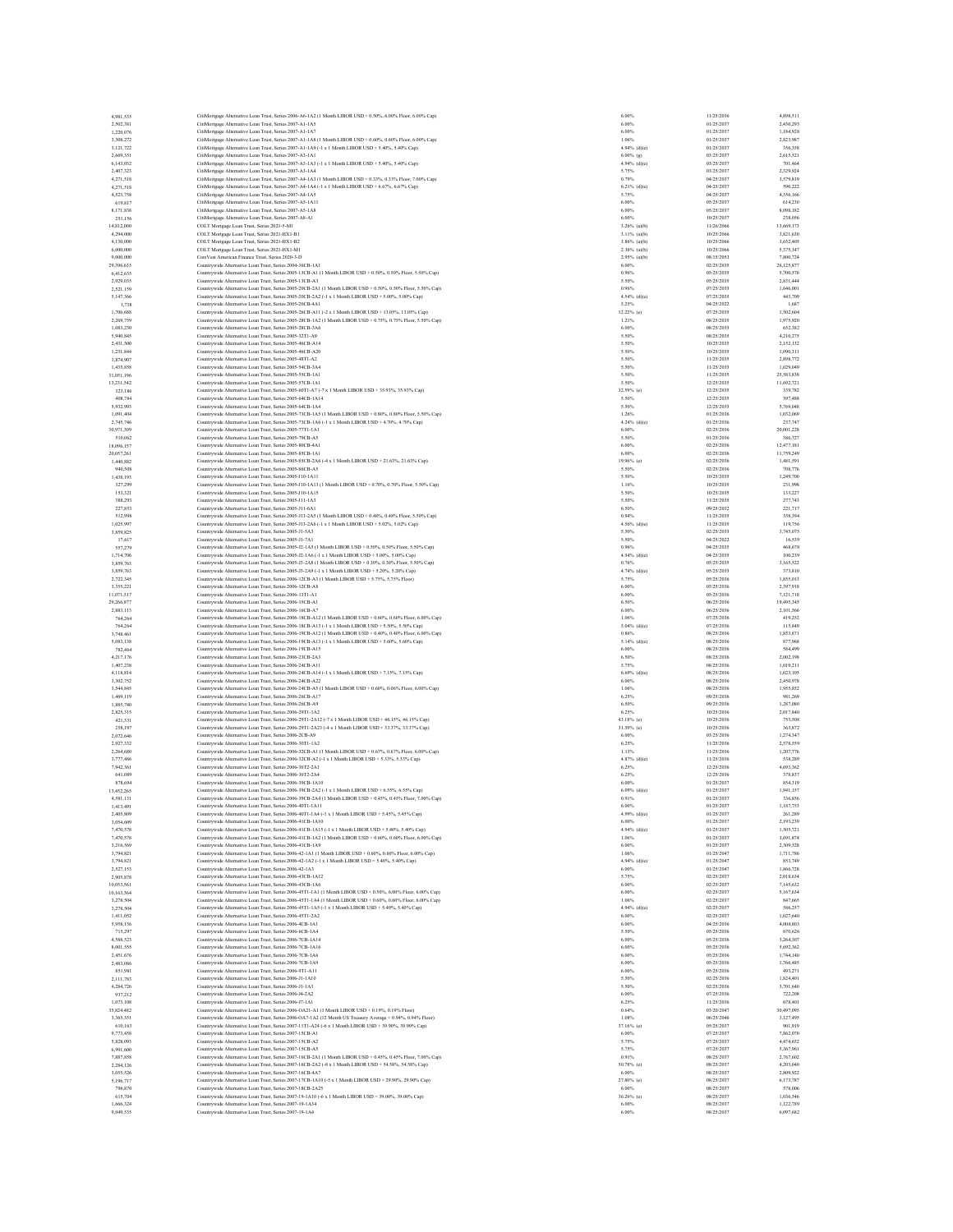| 4.981.535                | CitiMortgage Alternative Loan Trust, Series 2006-A6-1A2 (1 Month LIBOR USD + 0.50%, 6.00% Floor, 6.00% Cap)                                                                                                        | 6.00%                          | 11/25/2036               | 4,898,511              |
|--------------------------|--------------------------------------------------------------------------------------------------------------------------------------------------------------------------------------------------------------------|--------------------------------|--------------------------|------------------------|
| 2,502,381                | CitiMortgage Alternative Loan Trust, Series 2007-A1-1A5                                                                                                                                                            | 6.00%                          | 01/25/2037               | 2,430,293              |
| 1,220,076                | CitiMortgage Alternative Loan Trust, Series 2007-A1-1A7                                                                                                                                                            | 6.00%                          | 01/25/2037               | 1,184,928              |
| 3,308,272<br>3,121,722   | CitiMorteage Alternative Loan Trust. Series 2007-A1-1A8 (1 Month LIBOR USD + 0.60%, 0.60% Floor, 6.00% Cap)<br>CitiMortgage Alternative Loan Trust, Series 2007-A1-1A9 (-1 x 1 Month LIBOR USD + 5.40%, 5.40% Cap) | 1.06%<br>$4.94%$ (d)(e)        | 01/25/2037<br>01/25/2037 | 2.823.987<br>356,358   |
| 2,669,351                | CitiMortgage Alternative Loan Trust, Series 2007-A3-1A1                                                                                                                                                            | $6.00\%$ (g)                   | 03/25/2037               | 2.615.521              |
| 6,143,032                | CitiMortgage Alternative Loan Trust, Series 2007-A3-1A3 (-1 x 1 Month LIBOR USD + 5.40%, 5.40% Cap)                                                                                                                | 4.94% (d)(e)                   | 03/25/2037               | 701.464                |
| 2,407,323                | CitiMortgage Alternative Loan Trust, Series 2007-A3-1A4                                                                                                                                                            | 5.75%                          | 03/25/2037               | 2,329,924              |
| 4,271,518                | CitiMortgage Alternative Loan Trust, Series 2007-A4-1A3 (1 Month LIBOR USD + 0.33%, 0.33% Floor, 7.00% Cap)                                                                                                        | 0.79%                          | 04/25/2037               | 3,579,819              |
| 4,271,518<br>4,523,758   | CitiMortgage Alternative Loan Trust, Series 2007-A4-1A4 (-1 x 1 Month LIBOR USD + 6.67%, 6.67% Cap)<br>CitiMortgage Alternative Loan Trust, Series 2007-A4-1A5                                                     | $6.21\%$ (d)(e)<br>5.75%       | 04/25/2037<br>04/25/2037 | 590.222<br>4,356,166   |
| 619.817                  | CitiMortgage Alternative Loan Trust. Series 2007-A5-1A11                                                                                                                                                           | 6,00%                          | 05/25/2037               | 614.230                |
| 8,171,838                | CitiMortgage Alternative Loan Trust, Series 2007-A5-1A8                                                                                                                                                            | 6.00%                          | 05/25/2037               | 8,098,182              |
| 251,156                  | CitiMortgage Alternative Loan Trust, Series 2007-A8-Al                                                                                                                                                             | 6.00%                          | 10/25/2037               | 238,056                |
| 14.812.000               | COLT Mortgage Loan Trust, Series 2021-5-M1                                                                                                                                                                         | 3.26% (a)(b)                   | 11/26/2066               | 13,669,173             |
| 4.294,000                | COLT Mortgage Loan Trust, Series 2021-HX1-B1                                                                                                                                                                       | $3.11%$ (a)(b)                 | 10/25/2066               | 3,821,630              |
| 4,130,000                | COLT Mortgage Loan Trust, Series 2021-HX1-B2                                                                                                                                                                       | $3.86%$ (a)(b)                 | 10/25/2066               | 3,652,405<br>5,375,347 |
| 6,000,000<br>9,000,000   | COLT Mortgage Loan Trust, Series 2021-HX1-M1<br>CoreVest American Finance Trust, Series 2020-3-D                                                                                                                   | 2.36% (a)(b)<br>$2.95%$ (a)(b) | 10/25/2066<br>08/15/2053 | 7,800,724              |
| 29,396,635               | Countrywide Alternative Loan Trust, Series 2004-36CB-1A1                                                                                                                                                           | 6.00%                          | 02/25/2035               | 26,125,877             |
| 6,412,635                | Countrywide Alternative Loan Trust, Series 2005-13CB-A1 (1 Month LIBOR USD + 0.50%, 0.50% Floor, 5.50% Cap)                                                                                                        | 0.96%                          | 05/25/2035               | 5,700,576              |
| 2,929,035                | Countrywide Alternative Loan Trust, Series 2005-13CB-A3                                                                                                                                                            | 5.50%                          | 05/25/2035               | 2,831,444              |
| 2.521.159                | Countrywide Alternative Loan Trust, Series 2005-20CB-2A1 (1 Month LIBOR USD + 0.50%, 0.50% Floor, 5.50% Cap)                                                                                                       | 0.96%                          | 07/25/2035               | 1,646,001              |
| 5,147,366                | Countrywide Alternative Loan Trust, Series 2005-20CB-2A2 (-1 x 1 Month LIBOR USD + 5.00%, 5.00% Cap)<br>Countrywide Alternative Loan Trust, Series 2005-20CB-4A                                                    | $4.54%$ (d)(e)                 | 07/25/2035               | 443,709                |
| 1,738<br>1,706,688       | Countrywide Alternative Loan Trust, Series 2005-26CB-A11 (-2 x 1 Month LIBOR USD + 13.05%, 13.05% Cap)                                                                                                             | 5.25%<br>12.22% (e)            | 04/25/2022<br>07/25/2035 | 1,687<br>1.502.604     |
| 2,269,759                | Countrywide Alternative Loan Trust, Series 2005-28CB-1A2 (1 Month LIBOR USD + 0.75%, 0.75% Floor, 5.50% Cap)                                                                                                       | 1.21%                          | 08/25/2035               | 1,975,920              |
| 1,083,230                | Countrywide Alternative Loan Trust, Series 2005-28CB-3A6                                                                                                                                                           | 6.00%                          | 08/25/2035               | 652,382                |
| 5,940,845                | Countrywide Alternative Loan Trust. Series 2005-32T1-A9                                                                                                                                                            | 5.50%                          | 08/25/2035               | 4.210.275              |
| 2,431,500                | Countrywide Alternative Loan Trust, Series 2005-46CB-A14                                                                                                                                                           | 5.50%                          | 10/25/2035               | 2,152,132              |
| 1,231,844                | Countrywide Alternative Loan Trust, Series 2005-46CB-A20                                                                                                                                                           | 5.50%                          | 10/25/2035               | 1,090,311              |
| 3,874,907<br>1,435,858   | Countrywide Alternative Loan Trust, Series 2005-48T1-A2<br>Countrywide Alternative Loan Trust, Series 2005-54CB-3A4                                                                                                | 5.50%<br>5.50%                 | 11/25/2035<br>11/25/2035 | 2,898,772<br>1,029,049 |
| 31,051,196               | Countrywide Alternative Loan Trust, Series 2005-55CB-1A1                                                                                                                                                           | 5.50%                          | 11/25/2035               | 25.583.838             |
| 13,231,542               | Countrywide Alternative Loan Trust, Series 2005-57CB-1A1                                                                                                                                                           | 5.50%                          | 12/25/2035               | 11,692,721             |
| 323,186                  | Countrywide Alternative Loan Trust, Series 2005-60T1-A7 (-7 x 1 Month LIBOR USD + 35.93%, 35.93% Cap)                                                                                                              | 32.59% (e)                     | 12/25/2035               | 339,782                |
| 408,784                  | Countrywide Alternative Loan Trust, Series 2005-64CB-1A14                                                                                                                                                          | 5.50%                          | 12/25/2035               | 397,488                |
| 5.932.993                | Countrywide Alternative Loan Trust, Series 2005-64CB-1A4                                                                                                                                                           | 5.50%                          | 12/25/2035               | 5,769,048              |
| 1,091,404<br>2.745.746   | Countrywide Alternative Loan Trust, Series 2005-73CB-1A5 (1 Month LIBOR USD + 0.80%, 0.80% Floor, 5.50% Cap)                                                                                                       | 1.26%<br>4.24% (d)(e)          | 01/25/2036<br>01/25/2036 | 1,032,069<br>237,747   |
| 30,971,309               | Countrywide Alternative Loan Trust, Series 2005-73CB-1A6 (-1 x 1 Month LIBOR USD + 4.70% (4.70% Cap)<br>Countrywide Alternative Loan Trust, Series 2005-77T1-1A1                                                   | 6.00%                          | 02/25/2036               | 20,001,228             |
| 510,062                  | Countrywide Alternative Loan Trust, Series 2005-79CB-A5                                                                                                                                                            | 5.50%                          | 01/25/2036               | 386,727                |
| 18,096,157               | Countrywide Alternative Loan Trust, Series 2005-80CB-4A1                                                                                                                                                           | 6.00%                          | 02/25/2036               | 12.477.181             |
| 20,057,261               | Countrywide Alternative Loan Trust, Series 2005-85CB-1A1                                                                                                                                                           | 6.00%                          | 02/25/2036               | 11,759,249             |
| 1,440,882                | Countrywide Alternative Loan Trust, Series 2005-85CB-2A6 (-4 x 1 Month LIBOR USD + 21.63%, 21.63% Cap)                                                                                                             | 19.96% (e)                     | 02/25/2036               | 1,481,591              |
| 940,508                  | Countrywide Alternative Loan Trust, Series 2005-86CB-A5                                                                                                                                                            | 5.50%                          | 02/25/2036               | 708,776                |
| 1,438,193                | Countrywide Alternative Loan Trust, Series 2005-J10-1A11                                                                                                                                                           | 5.50%                          | 10/25/2035               | 1,249,700              |
| 327.299<br>153,321       | Countrywide Alternative Loan Trust, Series 2005-J10-1A13 (1 Month LIBOR USD + 0.70%, 0.70% Floor, 5.50% Cap)                                                                                                       | 1.16%<br>5.50%                 | 10/25/2035<br>10/25/2035 | 231,998<br>133,227     |
| 388,293                  | Countrywide Alternative Loan Trust, Series 2005-J10-1A15<br>Countrywide Alternative Loan Trust, Series 2005-J11-1A3                                                                                                | 5.50%                          | 11/25/2035               | 277,743                |
| 227,853                  | Countrywide Alternative Loan Trust, Series 2005-J11-6A1                                                                                                                                                            | 6.50%                          | 09/25/2032               | 221.717                |
| 512,998                  | Countrywide Alternative Loan Trust, Series 2005-J13-2A5 (1 Month LIBOR USD + 0.48%, 0.48% Floor, 5.50% Cap)                                                                                                        | 0.94%                          | 11/25/2035               | 358,394                |
| 1.025.997                | Countrywide Alternative Loan Trust, Series 2005-J13-2A6 (-1 x 1 Month LIBOR USD + 5.02% 5.02% Cap)                                                                                                                 | $4.56%$ (d)(e)                 | 11/25/2035               | 119,756                |
| 3,859,825                | Countrywide Alternative Loan Trust. Series 2005-J1-5A3                                                                                                                                                             | 5.50%                          | 02/25/2035               | 3,745,075              |
| 17,617                   | Countrywide Alternative Loan Trust, Series 2005-J1-7A1                                                                                                                                                             | 5.50%                          | 04/25/2022               | 16,539                 |
| 557,279                  | Countrywide Alternative Loan Trust, Series 2005-J2-1A5 (1 Month LIBOR USD + 0.50%, 0.50% Floor, 5.50% Cap)<br>Countrywide Alternative Loan Trust, Series 2005-J2-1A6 (-1 x 1 Month LIBOR USD + 5.00%, 5.00% Cap)   | 0.96%<br>4.54% (d)(e)          | 04/25/2035<br>04/25/2035 | 468,678<br>100.239     |
| 1.714.706<br>3,859,763   | Countrywide Alternative Loan Trust, Series 2005-J3-2A8 (1 Month LIBOR USD + 0.30%, 0.30% Floor, 5.50% Cap)                                                                                                         | 0.76%                          | 05/25/2035               | 3,165,522              |
| 3,859,763                | Countrywide Alternative Loan Trust, Series 2005-J3-2A9 (-1 x 1 Month LIBOR USD + 5.20%, 5.20% Cap)                                                                                                                 | $4.74%$ (d)(e)                 | 05/25/2035               | 373,810                |
| 2.722.345                | Countrywide Alternative Loan Trust, Series 2006-12CB-A3 (1 Month LIBOR USD + 5.75%, 5.75% Floor)                                                                                                                   | 5.75%                          | 05/25/2036               | 1,855,013              |
| 3,355,221                | Countrywide Alternative Loan Trust, Series 2006-12CB-A8                                                                                                                                                            | 6.00%                          | 05/25/2036               | 2,397,918              |
| 11.071.517               | Countrywide Alternative Loan Trust, Series 2006-13T1-A1                                                                                                                                                            | 6.00%                          | 05/25/2036               | 7.121.718              |
| 29,266,877               | Countrywide Alternative Loan Trust, Series 2006-15CB-A1                                                                                                                                                            | 6.50%                          | 06/25/2036               | 19,495.345             |
| 2,883,113<br>764,264     | Countrywide Alternative Loan Trust, Series 2006-16CB-A7<br>Countrywide Alternative Loan Trust, Series 2006-18CB-A12 (1 Month LIBOR USD + 0.60% 0.60% Floor. 6.00% Cap)                                             | 6.00%<br>1.06%                 | 06/25/2036<br>07/25/2036 | 2,101,566<br>419.252   |
| 764.264                  | Countrywide Alternative Loan Trust, Series 2006-18CB-A13 (-1 x 1 Month LIBOR USD + 5.50%, 5.50% Cap)                                                                                                               | $5.04%$ (d)(e)                 | 07/25/2036               | 115,849                |
| 3,748,461                | Countrywide Alternative Loan Trust, Series 2006-19CB-A12 (1 Month LIBOR USD + 0.40%, 0.40% Floor, 6.00% Cap)                                                                                                       | 0.86%                          | 08/25/2036               | 1,853,871              |
| 5.083.138                | Countrywide Alternative Loan Trust, Series 2006-19CB-A13 (-1 x 1 Month LIBOR USD + 5.60%, 5.60% Cap)                                                                                                               | 5.14% (d)(e)                   | 08/25/2036               | 877,968                |
| 782,464                  | Countrywide Alternative Loan Trust, Series 2006-19CB-A15                                                                                                                                                           | 6.00%                          | 08/25/2036               | 584,499                |
| 4,217,176                | Countrywide Alternative Loan Trust, Series 2006-23CB-2A3                                                                                                                                                           | 6.50%                          | 08/25/2036               | 2,002,198              |
| 1,407,238<br>4,118,814   | Countrywide Alternative Loan Trust, Series 2006-24CB-A11<br>Countrywide Alternative Loan Trust, Series 2006-24CB-A14 (-1 x 1 Month LIBOR USD + 7.15%, 7.15% Cap)                                                   | 5.75%<br>$6.69%$ (d)(e)        | 08/25/2036<br>08/25/2036 | 1.019.211<br>1,023,105 |
| 3.302.752                | Countrywide Alternative Loan Trust, Series 2006-24CB-A22                                                                                                                                                           | 6.00%                          | 08/25/2036               | 2,450,978              |
| 3,544,845                | Countrywide Alternative Loan Trust, Series 2006-24CB-A5 (1 Month LIBOR USD + 0.60%, 0.06% Floor, 6.00% Cap)                                                                                                        | 1.06%                          | 08/25/2036               | 1,955,852              |
| 1,469,119                | Countrywide Alternative Loan Trust, Series 2006-26CB-A17                                                                                                                                                           | 6.25%                          | 09/25/2036               | 981,269                |
| 1,885,740                | Countrywide Alternative Loan Trust, Series 2006-26CB-A9                                                                                                                                                            | 6.50%                          | 09/25/2036               | 1.287.080              |
| 2,825,315                | Countrywide Alternative Loan Trust, Series 2006-29T1-1A2                                                                                                                                                           | 6.25%                          | 10/25/2036               | 2,017,840              |
| 421,531                  | Countrywide Alternative Loan Trust, Series 2006-29T1-2A12 (-7 x 1 Month LIBOR USD + 46.15%, 46.15% Cap)<br>Countrywide Alternative Loan Trust. Series 2006-29T1-2A23 (-4 x 1 Month LIBOR USD + 33.37% 33.37% Cap)  | 43.18% (e)<br>31.39% (e)       | 10/25/2036<br>10/25/2036 | 753,508<br>363,872     |
| 258,197<br>2,072,646     | Countrywide Alternative Loan Trust, Series 2006-2CB-A9                                                                                                                                                             | 6.00%                          | 03/25/2036               | 1.274.347              |
| 2,927,332                | Countrywide Alternative Loan Trust, Series 2006-30T1-1A2                                                                                                                                                           | 6.25%                          | 11/25/2036               | 2.578,559              |
| 2.264,680                | Countrywide Alternative Loan Trust, Series 2006-32CB-A1 (1 Month LIBOR USD + 0.67%, 0.67% Floor, 6.00% Cap)                                                                                                        | 1.13%                          | 11/25/2036               | 1,207,776              |
| 3,777,486                | Countrywide Alternative Loan Trust, Series 2006-32CB-A2 (-1 x 1 Month LIBOR USD + 5.33%, 5.33% Cap)                                                                                                                | $4.87%$ (d)(e)                 | 11/25/2036               | 538,289                |
| 7,942,361                | Countrywide Alternative Loan Trust. Series 2006-36T2-2A1                                                                                                                                                           | 6.25%                          | 12/25/2036               | 4,693,362              |
| 641,089<br>878,694       | Countrywide Alternative Loan Trust, Series 2006-36T2-2A4                                                                                                                                                           | 6.25%<br>6.00%                 | 12/25/2036<br>01/25/2037 | 378,837<br>854,319     |
| 13,452.265               | Countrywide Alternative Loan Trust, Series 2006-39CB-1A10<br>Countrywide Alternative Loan Trust, Series 2006-39CB-2A2 (-1 x 1 Month LIBOR USD + 6.55%, 6.55% Cap)                                                  | $6.09%$ (d)(e)                 | 01/25/2037               | 1,941,157              |
| 4,581,131                | Countrywide Alternative Loan Trust, Series 2006-39CB-2A4 (1 Month LIBOR USD + 0.45%, 0.45% Floor, 7.00% Cap)                                                                                                       | 0.91%                          | 01/25/2037               | 336,856                |
| 1.413.491                | Countrywide Alternative Loan Trust, Series 2006-40T1-1A11                                                                                                                                                          | 6.00%                          | 01/25/2037               | 1,187,753              |
| 2,405,809                | Countrywide Alternative Loan Trust. Series 2006-40T1-1A4 (-1 x 1 Month LIBOR USD + 5.45%, 5.45% Cap)                                                                                                               | $4.99%$ (d)(e)                 | 01/25/2037               | 261.289                |
| 3,054,609<br>7,470,578   | Countrywide Alternative Loan Trust, Series 2006-41CB-1A10<br>Countrywide Alternative Loan Trust, Series 2006-41CB-1A15 (-1 x 1 Month LIBOR USD + 5.40%, 5.40% Cap)                                                 | 6,00%<br>$4.94%$ (d)(e)        | 01/25/2037<br>01/25/2037 | 2.193.239<br>1,505,721 |
| 7,470,578                | Countrywide Alternative Loan Trust, Series 2006-41CB-1A2 (1 Month LIBOR USD + 0.60%, 0.60% Floor, 6.00% Cap)                                                                                                       | 1.06%                          | 01/25/2037               | 3,691,874              |
| 3,216,569                | Countrywide Alternative Loan Trust, Series 2006-41CB-1A9                                                                                                                                                           | 6.00%                          | 01/25/2037               | 2,309,528              |
| 3,794,821                | Countrywide Alternative Loan Trust, Series 2006-42-1A1 (1 Month LIBOR USD + 0.60%, 0.60% Floor, 6.00% Cap)                                                                                                         | 1.06%                          | 01/25/2047               | 1,711,786              |
| 3,794,821                | Countrywide Alternative Loan Trust, Series 2006-42-1A2 (-1 x 1 Month LIBOR USD + 5.40%, 5.40% Cap)                                                                                                                 | 4.94% (d)(e)                   | 01/25/2047               | 853,749                |
| 2,527,153                | Countrywide Alternative Loan Trust, Series 2006-42-1A3                                                                                                                                                             | 6.00%                          | 01/25/2047               | 1,866,728              |
| 2.905,878                | Countrywide Alternative Loan Trust, Series 2006-43CB-1A12                                                                                                                                                          | 5.75%<br>6.00%                 | 02/25/2037               | 2,018,634              |
| 10,053,561<br>10,163,364 | Countrywide Alternative Loan Trust, Series 2006-43CB-1A6<br>Countrywide Alternative Loan Trust, Series 2006-45T1-1A1 (1 Month LIBOR USD + 0.50%, 6.00% Floor, 6.00% Cap)                                           | 6.00%                          | 02/25/2037<br>02/25/2037 | 7,145,632<br>5,167,634 |
| 3,278,504                | Countrywide Alternative Loan Trust, Series 2006-45T1-1A4 (1 Month LIBOR USD + 0.60% 0.60% Floor, 6.00% Cap)                                                                                                        | 1.06%                          | 02/25/2037               | 847,665                |
| 3,278,504                | Countrywide Alternative Loan Trust, Series 2006-45T1-1A5 (-1 x 1 Month LIBOR USD + 5.40%, 5.40% Cap)                                                                                                               | $4.94%$ (d)(e)                 | 02/25/2037               | 586.257                |
| 1,411,052                | Countrywide Alternative Loan Trust, Series 2006-45T1-2A2                                                                                                                                                           | 6.00%                          | 02/25/2037               | 1,027,640              |
| 5.958.136                | Countrywide Alternative Loan Trust, Series 2006-4CB-1A1                                                                                                                                                            | 6.00%                          | 04/25/2036               | 4,004,803              |
| 715,297                  | Countrywide Alternative Loan Trust, Series 2006-6CB-1A4<br>Countrywide Alternative Loan Trust. Series 2006-7CB-1A14                                                                                                | 5.50%                          | 05/25/2036<br>05/25/2036 | 670,626<br>3.264.307   |
| 4,588,523<br>8,001,555   | Countrywide Alternative Loan Trust, Series 2006-7CB-1A16                                                                                                                                                           | 6.00%<br>6.00%                 | 05/25/2036               | 5.692.362              |
| 2,451,676                | Countrywide Alternative Loan Trust, Series 2006-7CB-1A6                                                                                                                                                            | 6.00%                          | 05/25/2036               | 1,744,140              |
| 2,483,086                | Countrywide Alternative Loan Trust, Series 2006-7CB-1A9                                                                                                                                                            | 6.00%                          | 05/25/2036               | 1,766,485              |
| 851.981                  | Countrywide Alternative Loan Trust, Series 2006-9T1-A11                                                                                                                                                            | 6.00%                          | 05/25/2036               | 493,271                |
| 2,111,783                | Countrywide Alternative Loan Trust, Series 2006-J1-1A10                                                                                                                                                            | 5.50%                          | 02/25/2036               | 1,824,401              |
| 4.284.726                | Countrywide Alternative Loan Trust, Series 2006-J1-1A3                                                                                                                                                             | 5.50%                          | 02/25/2036               | 3,701,640              |
| 937,212                  | Countrywide Alternative Loan Trust, Series 2006-J4-2A2                                                                                                                                                             | 6.00%                          | 07/25/2036               | 722.208                |
| 1,073,108<br>35.824.482  | Countrywide Alternative Loan Trust, Series 2006-J7-1A1<br>Countrywide Alternative Loan Trust. Series 2006-OA21-A1 (1 Month LIBOR USD + 0.19% 0.19% Floor)                                                          | 6.25%<br>0.64%                 | 11/25/2036<br>03/20/2047 | 678,401<br>30,497,095  |
| 3,365,351                | Countrywide Alternative Loan Trust, Series 2006-OA7-1A2 (12 Month US Treasury Average + 0.94%, 0.94% Floor)                                                                                                        | 1.08%                          | 06/25/2046               | 3,127,495              |
| 610,163                  | Countrywide Alternative Loan Trust, Series 2007-11T1-A24 (-6 x 1 Month LIBOR USD + 39.90%, 39.90% Cap)                                                                                                             | 37.16% (e)                     | 05/25/2037               | 901,919                |
| 9,773,458                | Countrywide Alternative Loan Trust. Series 2007-15CB-A1                                                                                                                                                            | 6.00%                          | 07/25/2037               | 7,862,070              |
| 5,828,093                | Countrywide Alternative Loan Trust, Series 2007-15CB-A2                                                                                                                                                            | 5.75%                          | 07/25/2037               | 4,474,652              |
| 6,991,600                | Countrywide Alternative Loan Trust, Series 2007-15CB-A5<br>Countrywide Alternative Loan Trust, Series 2007-16CB-2A1 (1 Month LIBOR USD + 0.45%, 0.45% Floor, 7.00% Cap)                                            | 5.75%<br>0.91%                 | 07/25/2037<br>08/25/2037 | 5,367,961<br>2.767.602 |
| 7,887,858<br>2,284,126   | Countrywide Alternative Loan Trust, Series 2007-16CB-2A2 (-8 x 1 Month LIBOR USD + 54.58%, 54.58% Cap)                                                                                                             | 50.78% (e)                     | 08/25/2037               | 4,203,040              |
| 3.055.526                | Countrywide Alternative Loan Trust, Series 2007-16CB-4A7                                                                                                                                                           | 6.00%                          | 08/25/2037               | 2,809,922              |
| 5,196,717                | Countrywide Alternative Loan Trust, Series 2007-17CB-1A10 (-5 x 1 Month LIBOR USD + 29.90%, 29.90% Cap)                                                                                                            | 27.80% (e)                     | 08/25/2037               | 6,173,787              |
| 796,870                  | Countrywide Alternative Loan Trust, Series 2007-18CB-2A25                                                                                                                                                          | 6.00%                          | 08/25/2037               | 578,006                |
| 615,704                  | Countrywide Alternative Loan Trust, Series 2007-19-1A10 (-6 x 1 Month LIBOR USD + 39.00%, 39.00% Cap)                                                                                                              | $36.26%$ (c)                   | 08/25/2037               | 1,036,546              |
| 1,666,324<br>9,049,535   | Countrywide Alternative Loan Trust, Series 2007-19-1A34<br>Countrywide Alternative Loan Trust, Series 2007-19-1A4                                                                                                  | 6.00%<br>6.00%                 | 08/25/2037<br>08/25/2037 | 1,122,789<br>6,097,682 |
|                          |                                                                                                                                                                                                                    |                                |                          |                        |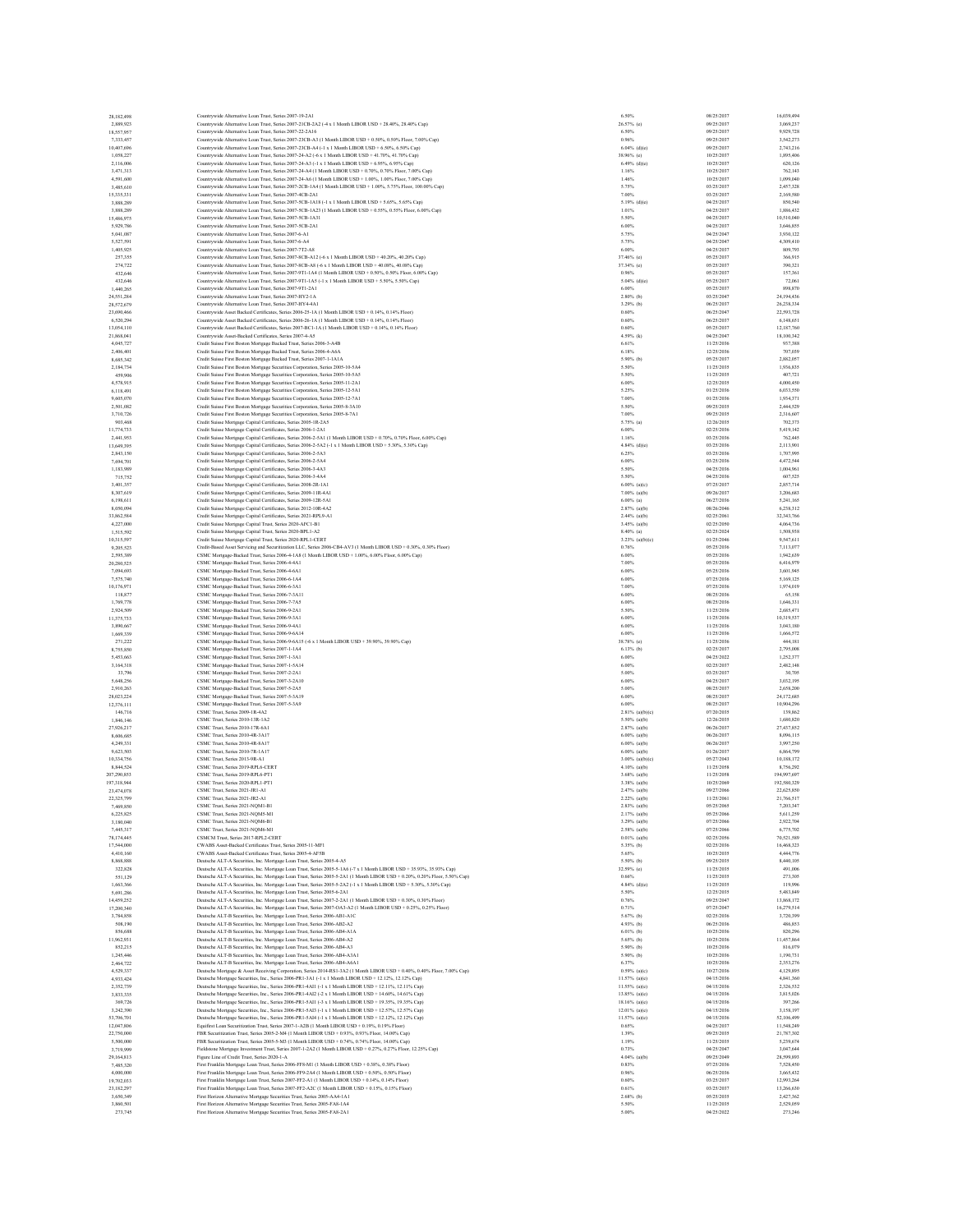| 28,182,498                | Countrywide Alternative Loan Trust, Series 2007-19-2A1                                                                                                                                                                            | 6.50%                             | 08/25/2037               | 16,039,494                |
|---------------------------|-----------------------------------------------------------------------------------------------------------------------------------------------------------------------------------------------------------------------------------|-----------------------------------|--------------------------|---------------------------|
| 2,889,923                 | Countrywide Alternative Loan Trust, Series 2007-21CB-2A2 (-4 x 1 Month LIBOR USD + 28.40%, 28.40% Cap                                                                                                                             | 26.57% (e)                        | 09/25/2037               | 3,069,237                 |
| 18,557,957<br>7,333,457   | Countrywide Alternative Loan Trust. Series 2007-22-2A16                                                                                                                                                                           | 6.50%<br>0.96%                    | 09/25/2037<br>09/25/2037 | 9,929,728<br>3,542,273    |
| 10,407,696                | Countrywide Alternative Loan Trust, Series 2007-23CB-A3 (1 Month LIBOR USD + 0.50%, 0.50% Floor, 7.00% Cap)<br>Countrywide Alternative Loan Trust, Series 2007-23CB-A4 (-1 x 1 Month LIBOR USD + 6.50% 6.50% Cap)                 | $6.04%$ (d)(e)                    | 09/25/2037               | 2,743,216                 |
| 1.058.227                 | Countrywide Alternative Loan Trust. Series 2007-24-A2 (+6 x 1 Month LIBOR USD + 41.70% 41.70% Cap)                                                                                                                                | 38.96% (c)                        | 10/25/2037               | 1,895,406                 |
| 2,116,006                 | Countrywide Alternative Loan Trust, Series 2007-24-A3 (-1 x 1 Month LIBOR USD + 6.95%, 6.95% Cap)                                                                                                                                 | $6.49%$ (d)(e)                    | 10/25/2037               | 620,126                   |
| 3,471,313                 | Countrywide Alternative Loan Trust, Series 2007-24-A4 (1 Month LIBOR USD + 0.70%, 0.70% Floor, 7.00% Cap)                                                                                                                         | 1.16%                             | 10/25/2037               | 762,143                   |
| 4,591,600                 | Countrywide Alternative Loan Trust, Series 2007-24-A6 (1 Month LIBOR USD + 1.00%, 1.00% Floor, 7.00% Cap)                                                                                                                         | 1.46%                             | 10/25/2037               | 1,099,040                 |
| 3,485,610                 | Countrywide Alternative Loan Trust, Series 2007-2CB-1A4 (1 Month LIBOR USD + 1.00%, 5.75% Floor, 100.00% Cap)                                                                                                                     | 5.75%                             | 03/25/2037               | 2,457,328                 |
| 15,335,331                | Countrywide Alternative Loan Trust, Series 2007-4CB-2A1<br>Countrywide Alternative Loan Trust, Series 2007-5CB-1A18 (-1 x 1 Month LIBOR USD + 5.65%, 5.65% Cap)                                                                   | 7.00%<br>$5.19%$ (d)(e)           | 03/25/2037<br>04/25/2037 | 2,169,580<br>850,540      |
| 3,888,289<br>3,888,289    |                                                                                                                                                                                                                                   | 1.01%                             | 04/25/2037               | 1,886,432                 |
| 15,486,975                | Countrywide Alternative Loan Trust, Series 2007-5CB-1A23 (1 Month LIBOR USD + 0.55%, 0.55% Floor, 6.00% Cap)<br>Countrywide Alternative Loan Trust, Series 2007-5CB-1A31                                                          | 5.50%                             | 04/25/2037               | 10,510,040                |
| 5.929.786                 | Countrywide Alternative Loan Trust, Series 2007-5CB-2A1                                                                                                                                                                           | 6.00%                             | 04/25/2037               | 3,646,855                 |
| 5,041,087                 | Countrywide Alternative Loan Trust, Series 2007-6-Al                                                                                                                                                                              | 5.75%                             | 04/25/2047               | 3,930,122                 |
| 5,527,591                 | Countrywide Alternative Loan Trust, Series 2007-6-A4                                                                                                                                                                              | 5.75%                             | 04/25/2047               | 4,309,410                 |
| 1.405.925                 | Countrywide Alternative Loan Trust, Series 2007-7T2-A8                                                                                                                                                                            | 6.00%                             | 04/25/2037               | 809,793                   |
| 257,355                   | Countrywide Alternative Loan Trust, Series 2007-8CB-A12 (-6 x 1 Month LIBOR USD + 40.20%, 40.20% Cap)                                                                                                                             | 37.46% (e)                        | 05/25/2037               | 366,915                   |
| 274,722                   | Countrywide Alternative Loan Trust, Series 2007-8CB-A8 (-6 x 1 Month LIBOR USD + 40.08%, 40.08% Cap)                                                                                                                              | 37.34% (e)<br>0.96%               | 05/25/2037<br>05/25/2037 | 390,321<br>157,361        |
| 432,646<br>432,646        | Countrywide Alternative Loan Trust, Series 2007-9T1-1A4 (1 Month LIBOR USD + 0.50%, 0.50% Floor, 6.00% Cap)<br>Countrywide Alternative Loan Trust, Series 2007-9T1-1A5 (-1 x 1 Month LIBOR USD + 5.50%, 5.50% Cap)                | $5.04\%$ (d)(e)                   | 05/25/2037               | 72,061                    |
| 1,440,265                 | Countrywide Alternative Loan Trust. Series 2007-9T1-2A1                                                                                                                                                                           | 6.00%                             | 05/25/2037               | 898,870                   |
| 24,551,284                | Countrywide Alternative Loan Trust, Series 2007-HY2-1A                                                                                                                                                                            | $2.80\%$ (b)                      | 03/25/2047               | 24,194,436                |
| 28,572,679                | Countrywide Alternative Loan Trust, Series 2007-HY4-4A1                                                                                                                                                                           | 3.29% (b)                         | 06/25/2037               | 26,238,334                |
| 23,690,466                | Countrywide Asset Backed Certificates, Series 2006-25-1A (1 Month LIBOR USD + 0.14%, 0.14% Floor)                                                                                                                                 | 0.60%                             | 06/25/2047               | 22,593,728                |
| 6,520,294                 | Countrywide Asset Backed Certificates, Series 2006-26-1A (1 Month LIBOR USD + 0.14%, 0.14% Floor)                                                                                                                                 | 0.60%                             | 06/25/2037               | 6,148,651                 |
| 13,054,110<br>21,868,041  | Countrywide Asset Backed Certificates, Series 2007-BC1-1A (1 Month LIBOR USD + 0.14%, 0.14% Floor)                                                                                                                                | 0.60%<br>4.59% (k)                | 05/25/2037<br>04/25/2047 | 12,187,760<br>18,100,342  |
| 4,045,727                 | Countrywide Asset-Backed Certificates, Series 2007-4-A5<br>Credit Suisse First Boston Mortgage Backed Trust, Series 2006-3-A4B                                                                                                    | 6.61%                             | 11/25/2036               | 937,388                   |
| 2,406,401                 | Credit Suisse First Boston Mortgage Backed Trust, Series 2006-4-A6A                                                                                                                                                               | 6.18%                             | 12/25/2036               | 707.039                   |
| 8,685,342                 | Credit Suisse First Boston Mortgage Backed Trust, Series 2007-1-1A1A                                                                                                                                                              | 5.90% (b)                         | 05/25/2037               | 2,882,057                 |
| 2,184,734                 | Credit Suisse First Boston Mortgage Securities Corporation, Series 2005-10-5A4                                                                                                                                                    | 5.50%                             | 11/25/2035               | 1,936,835                 |
| 459,906                   | Credit Suisse First Boston Mortgage Securities Corporation, Series 2005-10-5A5                                                                                                                                                    | 5.50%                             | 11/25/2035               | 407.721                   |
| 4,578,915                 | Credit Suisse First Boston Mortgage Securities Corporation, Series 2005-11-2A1                                                                                                                                                    | 6.00%                             | 12/25/2035               | 4,000,450                 |
| 6,118,491                 | Credit Suisse First Boston Mortgage Securities Corporation, Series 2005-12-5A1                                                                                                                                                    | 5.25%                             | 01/25/2036               | 6,033,550                 |
| 9,605,070<br>2,501,082    | Credit Suisse First Boston Mortgage Securities Corporation, Series 2005-12-7A1                                                                                                                                                    | 7.00%<br>5.50%                    | 01/25/2036<br>09/25/2035 | 1.934.371<br>2,444,529    |
| 3.710.726                 | Credit Suisse First Boston Mortgage Securities Corporation, Series 2005-8-3A10<br>Credit Suisse First Boston Mortgage Securities Corporation, Series 2005-8-7A1                                                                   | 7.00%                             | 09/25/2035               | 2,316,607                 |
| 903,468                   | Credit Suisse Mortgage Capital Certificates, Series 2005-1R-2A5                                                                                                                                                                   | $5.75%$ (a)                       | 12/26/2035               | 702.373                   |
| 11,774,733                | Credit Suisse Mortgage Capital Certificates, Series 2006-1-2A1                                                                                                                                                                    | 6.00%                             | 02/25/2036               | 5,419,142                 |
| 2.441.953                 | Credit Suisse Mortgage Capital Certificates, Series 2006-2-5A1 (1 Month LIBOR USD + 0.70% - 0.70% Floor. 6.00% Cap)                                                                                                               | 1.16%                             | 03/25/2036               | 762,445                   |
| 13,649,395                | Credit Suisse Mortgage Capital Certificates, Series 2006-2-5A2 (-1 x 1 Month LIBOR USD + 5.30%, 5.30% Cap)                                                                                                                        | $4.84%$ (d)(e)                    | 03/25/2036               | 2,113,901                 |
| 2,843,150                 | Credit Suisse Mortgage Capital Certificates, Series 2006-2-5A3                                                                                                                                                                    | 6.25%                             | 03/25/2036               | 1,707,995                 |
| 7,694,701                 | Credit Suisse Mortgage Capital Certificates, Series 2006-2-5A4                                                                                                                                                                    | 6.00%<br>5.50%                    | 03/25/2036<br>04/25/2036 | 4.472.544<br>1.004.961    |
| 1,183,989<br>715,752      | Credit Suisse Mortgage Capital Certificates, Series 2006-3-4A3<br>Credit Suisse Mortgage Capital Certificates, Series 2006-3-4A4                                                                                                  | 5.50%                             | 04/25/2036               | 607,525                   |
| 3,401,357                 | Credit Suisse Mortgage Capital Certificates, Series 2008-2R-1A1                                                                                                                                                                   | $6.00\%$ (a)(c)                   | 07/25/2037               | 2.857.714                 |
| 8,307,619                 | Credit Suisse Mortgage Capital Certificates, Series 2009-11R-4A1                                                                                                                                                                  | 7.00% (a)(b)                      | 09/26/2037               | 3,206,683                 |
| 6,198,611                 | Credit Suisse Mortgage Capital Certificates, Series 2009-12R-5A1                                                                                                                                                                  | $6.00\%$ (a)                      | 06/27/2036               | 5,241,165                 |
| 8,050,094                 | Credit Suisse Mortgage Capital Certificates, Series 2012-10R-4A2                                                                                                                                                                  | $2.87%$ (a)(b)                    | 08/26/2046               | 6.238.312                 |
| 33,862,584                | Credit Suisse Mortgage Capital Certificates, Series 2021-RPL9-A1                                                                                                                                                                  | $2.44%$ (a)(b)                    | 02/25/2061               | 32,343,766                |
| 4.227,000                 | Credit Suisse Mortgage Capital Trust, Series 2020-AFC1-B1                                                                                                                                                                         | $3.45%$ (a)(b)                    | 02/25/2050               | 4,064,736                 |
| 1,515,592<br>10,315,597   | Credit Suisse Mortgage Capital Trust, Series 2020-BPL1-A2<br>Credit Suisse Mortgage Capital Trust, Series 2020-RPL1-CERT                                                                                                          | 8.40% (a)<br>$3.23%$ (a)(b)(c)    | 02/25/2024<br>01/25/2046 | 1,508,938<br>9,547,61     |
| 9.205.523                 | Credit-Based Asset Servicing and Securitization LLC, Series 2006-CB4-AV3 (1 Month LIBOR USD + 0.30%, 0.30% Floor)                                                                                                                 | 0.76%                             | 05/25/2036               | 7.113.077                 |
| 2,595,389                 | CSMC Mortgage-Backed Trust, Series 2006-4-1A8 (1 Month LIBOR USD + 1.00%, 6.00% Floor, 6.00% Cap)                                                                                                                                 | 6.00%                             | 05/25/2036               | 1,942,639                 |
| 20,280,525                | CSMC Mortgage-Backed Trust, Series 2006-4-4A1                                                                                                                                                                                     | 7.00%                             | 05/25/2036               | 6,416,979                 |
| 7.094.693                 | CSMC Mortgage-Backed Trust, Series 2006-4-6A1                                                                                                                                                                                     | 6.00%                             | 05/25/2036               | 3,601,945                 |
| 7,575,740                 | CSMC Mortgage-Backed Trust, Series 2006-6-1A4                                                                                                                                                                                     | 6.00%                             | 07/25/2036               | 5,169,125                 |
| 10,176,971                | CSMC Mortgage-Backed Trust, Series 2006-6-3A1                                                                                                                                                                                     | 7.00%                             | 07/25/2036               | 1,974,019                 |
| 118,877<br>1,769,778      | CSMC Mortgage-Backed Trust, Series 2006-7-3A11                                                                                                                                                                                    | 6.00%<br>6.00%                    | 08/25/2036<br>08/25/2036 | 65.158<br>1,646,331       |
| 2.924.509                 | CSMC Mortgage-Backed Trust, Series 2006-7-7A5<br>CSMC Mortgage-Backed Trust, Series 2006-9-2A1                                                                                                                                    | 5.50%                             | 11/25/2036               | 2,685,471                 |
| 11,375,733                | CSMC Mortgage-Backed Trust, Series 2006-9-3A1                                                                                                                                                                                     | 6.00%                             | 11/25/2036               | 10,319,537                |
| 3,890,667                 | CSMC Mortgage-Backed Trust, Series 2006-9-4A1                                                                                                                                                                                     | 6.00%                             | 11/25/2036               | 3,043,180                 |
| 1,669,339                 | CSMC Mortgage-Backed Trust, Series 2006-9-6A14                                                                                                                                                                                    | 6.00%                             | 11/25/2036               | 1,666,572                 |
| 271,222                   | CSMC Mortgage-Backed Trust, Series 2006-9-6A15 (-6 x 1 Month LIBOR USD + 39.90%, 39.90% Cap)                                                                                                                                      | 38.78% (c)                        | 11/25/2036               | 444,181                   |
| 8,755,850                 | CSMC Mortgage-Backed Trust, Series 2007-1-1A4                                                                                                                                                                                     | $6.13%$ (b)                       | 02/25/2037               | 2,795,008                 |
| 5,453,663<br>3,164,318    | CSMC Mortgage-Backed Trust, Series 2007-1-3A1<br>CSMC Mortgage-Backed Trust, Series 2007-1-5A14                                                                                                                                   | 6.00%<br>6.00%                    | 04/25/2022<br>02/25/2037 | 1.252.377<br>2,482,148    |
| 33,796                    | CSMC Mortgage-Backed Trust, Series 2007-2-2A1                                                                                                                                                                                     | 5.00%                             | 03/25/2037               | 30,705                    |
| 5,648,256                 | CSMC Mortgage-Backed Trust, Series 2007-3-2A10                                                                                                                                                                                    | 6.00%                             | 04/25/2037               | 3.032.195                 |
| 2,910,263                 | CSMC Mortgage-Backed Trust, Series 2007-5-2A5                                                                                                                                                                                     | 5.00%                             | 08/25/2037               | 2,658,20                  |
| 28,023,224                | CSMC Mortgage-Backed Trust, Series 2007-5-3A19                                                                                                                                                                                    | 6.00%                             | 08/25/2037               | 24,172,685                |
| 12,376,111                | CSMC Mortgage-Backed Trust, Series 2007-5-3A9                                                                                                                                                                                     | 6.00%                             | 08/25/2037               | 10,904,296                |
| 146,716                   | CSMC Trust, Series 2009-1R-4A2                                                                                                                                                                                                    | 2.81% (a)(b)(c)                   | 07/20/2035               | 139,862                   |
| 1,846,146<br>27,926,217   | CSMC Trust, Series 2010-13R-1A2<br>CSMC Trust, Series 2010-17R-6A1                                                                                                                                                                | $5.50\%$ (a)(b)                   | 12/26/2035<br>06/26/2037 | 1,680,820<br>27,437,852   |
| 8,606,685                 | CSMC Trust. Series 2010-4R-3A17                                                                                                                                                                                                   | $2.87%$ (a)(b)<br>$6.00\%$ (a)(b) | 06/26/2037               | 8,096,115                 |
| 4.249.331                 | CSMC Trust. Series 2010-4R-8A17                                                                                                                                                                                                   | 6.00% (a)(b)                      | 06/26/2037               | 3,997.250                 |
| 9,623,503                 | CSMC Trust. Series 2010-7R-1A17                                                                                                                                                                                                   | $6.00\%$ (a)(b)                   | 01/26/2037               | 6,864,799                 |
| 10,334,756                | CSMC Trust, Series 2013-9R-A1                                                                                                                                                                                                     | $3.00\%$ (a)(b)(c)                | 05/27/2043               | 10,188,172                |
| 8,844,524                 | CSMC Trust Series 2019-RPL6-CERT                                                                                                                                                                                                  | 4.10% (a)(b)                      | 11/25/2058               | 8,756,292                 |
| 207,290,853               | CSMC Trust, Series 2019-RPL6-PT1                                                                                                                                                                                                  | $3.68%$ (a)(b)                    | 11/25/2058               | 194,997,697               |
| 197,318,944<br>23.474.078 | CSMC Trust, Series 2020-RPL1-PT1<br>CSMC Trust, Series 2021-JR1-A1                                                                                                                                                                | $3.38%$ (a)(b)<br>2.47% (a)(b)    | 10/25/2069<br>09/27/2066 | 192,580,329<br>22,625,850 |
| 22,325,799                | CSMC Trust, Series 2021-JR2-A1                                                                                                                                                                                                    | $2.22\%$ (a)(b)                   | 11/25/2061               | 21,766,517                |
| 7 469 850                 | CSMC Trust. Series 2021-NOM1-B1                                                                                                                                                                                                   | 2.83% (a)(b)                      |                          | 7.203.347                 |
| 6,225,825                 | CSMC Trust, Series 2021-NQM5-M1                                                                                                                                                                                                   | $2.17%$ (a)(b)                    | 05/25/2066               | 5,611,259                 |
| 3,180,040                 | CSMC Trust. Series 2021-NOM6-B1                                                                                                                                                                                                   | 3.29% (a)(b)                      | 07/25/2066               | 2,922,704                 |
| 7,445,317                 | CSMC Trust. Series 2021-NOM6-M1                                                                                                                                                                                                   | 2.58% (a)(b)                      | 07/25/2066               | 6,775,702                 |
| 78,174,445                | CSMCM Trust. Series 2017-RPL2-CERT                                                                                                                                                                                                | $0.01\%$ (a)(b)                   | 02/25/2056               | 70,521,589                |
| 17,544,000<br>4,410,160   | CWABS Asset-Backed Certificates Trust, Series 2005-11-MF1<br>CWABS Asset-Backed Certificates Trust. Series 2005-4-AF5B                                                                                                            | 5.35% (b)<br>5.65%                | 02/25/2036<br>10/25/2035 | 16,468,323<br>4,444,776   |
| 8,868,888                 | Deutsche ALT-A Securities, Inc. Mortgage Loan Trust, Series 2005-4-A5                                                                                                                                                             | 5.50% (b)                         | 09/25/2035               | 8,440,105                 |
| 322,828                   | Deutsche ALT-A Securities, Inc. Mortgage Loan Trust, Series 2005-5-1A6 (-7 x 1 Month LIBOR USD + 35.93%, 35.93% Cap)                                                                                                              | 32.59% (e)                        | 11/25/2035               | 491,006                   |
| 551,129                   | Deutsche ALT-A Securities, Inc. Mortgage Loan Trust, Series 2005-5-2A1 (1 Month LIBOR USD + 0.20%, 0.20% Floor, 5.50% Cap)                                                                                                        | 0.66%                             | 11/25/2035               | 273,305                   |
| 1,663,366                 | Deutsche ALT-A Securities, Inc. Mortgage Loan Trust, Series 2005-5-2A2 (-1 x 1 Month LIBOR USD + 5.30%, 5.30% Cap)                                                                                                                | $4.84%$ (d)(e)                    | 11/25/2035               | 119,996                   |
| 5,691,286                 | Deutsche ALT-A Securities, Inc. Mortgage Loan Trust, Series 2005-6-2A1                                                                                                                                                            | 5.50%                             | 12/25/2035               | 5,483,849                 |
| 14,459,252                | Deutsche ALT-A Securities, Inc. Mortgage Loan Trust, Series 2007-2-2A1 (1 Month LIBOR USD + 0.30%, 0.30% Floor)                                                                                                                   | 0.76%                             | 09/25/2047               | 13,868,172                |
| 17,200,340<br>3,784,858   | Deutsche ALT-A Securities, Inc. Mortgage Loan Trust, Series 2007-OA3-A2 (1 Month LIBOR USD + 0.25%, 0.25% Floor)<br>Deutsche ALT-B Securities, Inc. Mortgage Loan Trust, Series 2006-AB1-A1C                                      | 0.71%<br>5.67% (b)                | 07/25/2047<br>02/25/2036 | 16,279,514<br>3,720,399   |
| 508,190                   | Deutsche ALT-B Securities, Inc. Mortgage Loan Trust, Series 2006-AB2-A2                                                                                                                                                           | 4.93% (b)                         | 06/25/2036               | 486,853                   |
| 856,688                   | Deutsche ALT-B Securities, Inc. Mortgage Loan Trust, Series 2006-AB4-A1A                                                                                                                                                          | $6.01%$ (b)                       | 10/25/2036               | 820,296                   |
| 11,962.931                | Deutsche ALT-B Securities, Inc. Mortgage Loan Trust, Series 2006-AB4-A2                                                                                                                                                           | $5.65%$ (b)                       | 10/25/2036               | 11,457,864                |
| 852,215                   | Deutsche ALT-B Securities, Inc. Mortgage Loan Trust, Series 2006-AB4-A3                                                                                                                                                           | 5.90% (b)                         | 10/25/2036               | 816,079                   |
| 1,245,446                 | Deutsche ALT-B Securities, Inc. Mortgage Loan Trust, Series 2006-AB4-A3A1                                                                                                                                                         | 5.90% (b)                         | 10/25/2036               | 1,190,731                 |
| 2.464.722                 | Deutsche ALT-B Securities, Inc. Mortgage Loan Trust, Series 2006-AB4-A6A1                                                                                                                                                         | 6.37%                             | 10/25/2036               | 2.353.276                 |
| 4,529,337<br>4,933,424    | Deutsche Mortgage & Asset Receiving Corporation, Series 2014-RS1-3A2 (1 Month LIBOR USD + 0.40%, 0.40% Floor, 7.00% Cap)<br>Deutsche Mortgage Securities, Inc., Series 2006-PR1-3A1 (-1 x 1 Month LIBOR USD + 12.12%, 12.12% Cap) | $0.59%$ (a)(c)<br>$11.57%$ (a)(c) | 10/27/2036<br>04/15/2036 | 4,129,895<br>4,841,360    |
| 2.352.739                 | Deutsche Mortgage Securities, Inc., Series 2006-PR1-4AI1 (-1 x 1 Month LIBOR USD + 12.11%, 12.11% Cap)                                                                                                                            | 11.55% (a)(e)                     | 04/15/2036               | 2.326.532                 |
| 3,833,335                 | Deutsche Mortgage Securities, Inc., Series 2006-PR1-4AI2 (-2 x 1 Month LIBOR USD + 14.60%, 14.61% Cap)                                                                                                                            | $13.85%$ (a)(e)                   | 04/15/2036               | 3,815,026                 |
| 369,726                   | Deutsche Mortgage Securities, Inc., Series 2006-PR1-5AI1 (-3 x 1 Month LIBOR USD + 19.35%, 19.35% Cap)                                                                                                                            | $18.16%$ (a)(c)                   | 04/15/2036               | 397,266                   |
| 3,242,390                 | Deutsche Mortgage Securities, Inc., Series 2006-PR1-5AI3 (-1 x 1 Month LIBOR USD + 12.57%, 12.57% Cap)                                                                                                                            | $12.01%$ (a)(c)                   | 04/15/2036               | 3,158,197                 |
| 53,706,701                | Deutsche Mortgage Securities, Inc., Series 2006-PR1-5AI4 (-1 x 1 Month LIBOR USD + 12.12%, 12.12% Cap)                                                                                                                            | $11.57%$ (a)(c)                   | 04/15/2036               | 52,106,499                |
| 12,047,806                | Equifirst Loan Securitization Trust, Series 2007-1-A2B (1 Month LIBOR USD + 0.19% 0.19% Floor)                                                                                                                                    | 0.65%                             | 04/25/2037               | 11.548.249                |
| 22,750,000                | FBR Securitization Trust, Series 2005-2-M4 (1 Month LIBOR USD + 0.93%, 0.93% Floor, 14.00% Cap)                                                                                                                                   | 1.39%                             | 09/25/2035               | 21,787,302                |
| 5,500,000                 | FBR Securitization Trust, Series 2005-5-M3 (1 Month LIBOR USD + 0.74%, 0.74% Floor, 14.00% Cap)<br>Fieldstone Mortgage Investment Trust, Series 2007-1-2A2 (1 Month LIBOR USD + 0.27%, 0.27% Floor, 12.25% Cap)                   | 1.19%                             | 11/25/2035               | 5,239,674                 |
| 3.719.999<br>29,164,813   | Figure Line of Credit Trust, Series 2020-1-A                                                                                                                                                                                      | 0.73%<br>$4.04%$ (a)(b)           | 04/25/2047<br>09/25/2049 | 3.047.644<br>28,599,893   |
| 7,485,320                 | First Franklin Mortgage Loan Trust, Series 2006-FF8-M1 (1 Month LIBOR USD + 0.38%, 0.38% Floor)                                                                                                                                   | 0.83%                             | 07/25/2036               | 7,528,450                 |
| 4,000,000                 | First Franklin Mortgage Loan Trust, Series 2006-FF9-2A4 (1 Month LIBOR USD + 0.50%, 0.50% Floor)                                                                                                                                  | 0.96%                             | 06/25/2036               | 3,665,432                 |
| 19,702,033                | First Franklin Mortgage Loan Trust, Series 2007-FF2-A1 (1 Month LIBOR USD + 0.14%, 0.14% Floor)                                                                                                                                   | 0.60%                             | 03/25/2037               | 12,993,264                |
| 23,182,297                | First Franklin Mortgage Loan Trust, Series 2007-FF2-A2C (1 Month LIBOR USD + 0.15%, 0.15% Floor)                                                                                                                                  | 0.61%                             | 03/25/2037               | 13,266,630                |
| 3,650,349                 | First Horizon Alternative Mortgage Securities Trust, Series 2005-AA4-1A1                                                                                                                                                          | $2.68%$ (b)                       | 05/25/2035               | 2,427,362                 |
|                           |                                                                                                                                                                                                                                   |                                   |                          |                           |
| 3,860,501<br>273,745      | First Horizon Alternative Mortgage Securities Trust, Series 2005-FA8-1A4<br>First Horizon Alternative Mortgage Securities Trust, Series 2005-FA8-2A1                                                                              | 5.50%<br>5.00%                    | 11/25/2035<br>04/25/2022 | 2,529,059<br>273,246      |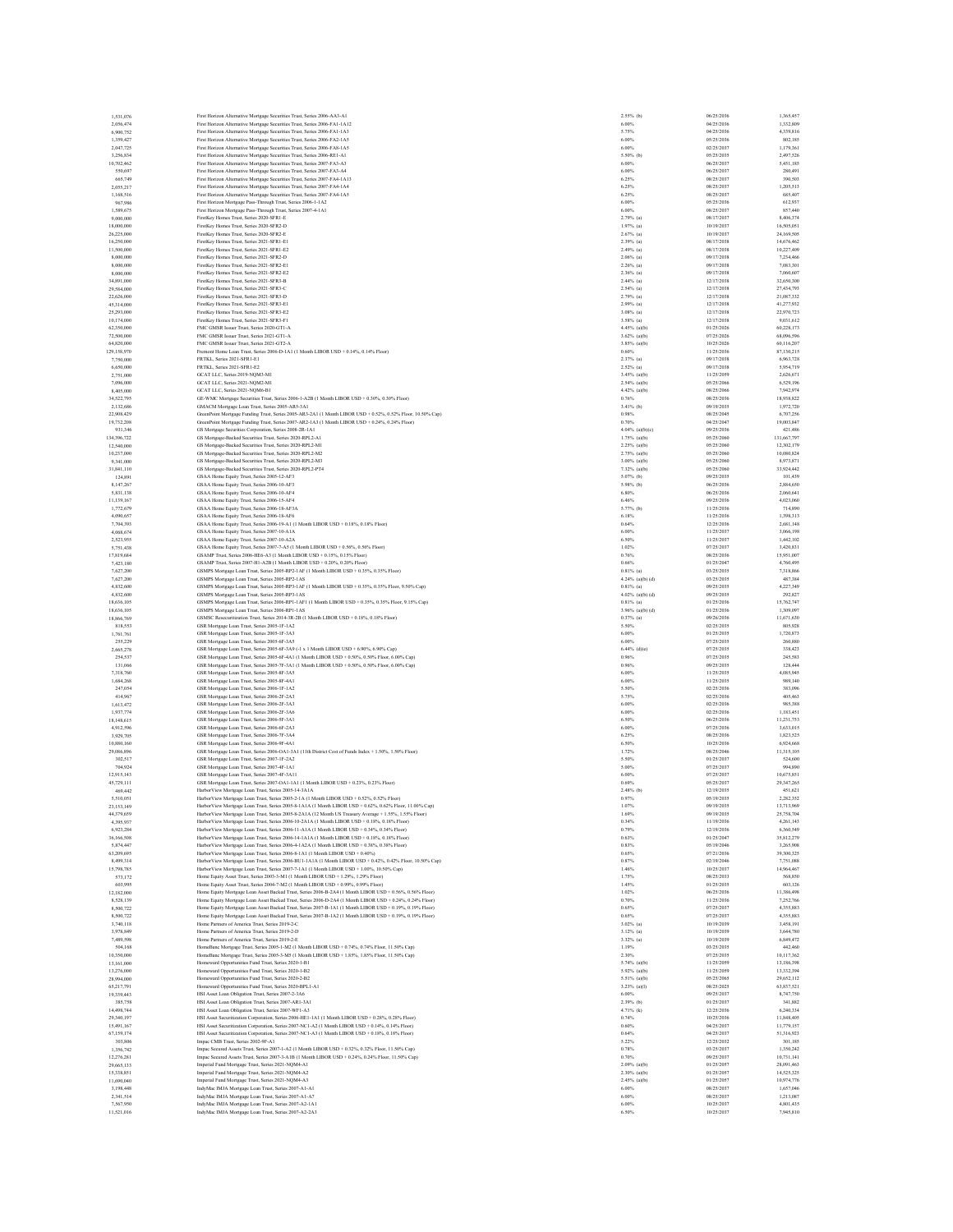| 1,531,076                | First Horizon Alternative Mortgage Securities Trust, Series 2006-AA3-A1                                                                                                                          | $2.55%$ (b)                        | 06/25/2036               | 1,365,457                |
|--------------------------|--------------------------------------------------------------------------------------------------------------------------------------------------------------------------------------------------|------------------------------------|--------------------------|--------------------------|
| 2,056,474                | First Horizon Alternative Mortgage Securities Trust, Series 2006-FA1-1A12<br>First Horizon Alternative Mortgage Securities Trust. Series 2006-FA1-1A3                                            | 6.00%<br>5.75%                     | 04/25/2036<br>04/25/2036 | 1,332,809                |
| 6,900,752<br>1,359,427   |                                                                                                                                                                                                  | 6.00%                              | 05/25/2036               | 4,339,816                |
|                          | First Horizon Alternative Mortgage Securities Trust, Series 2006-FA2-1A5                                                                                                                         | 6.00%                              | 02/25/2037               | 802,185<br>1,179,361     |
| 2,047,725<br>3.256.834   | First Horizon Alternative Mortgage Securities Trust, Series 2006-FA8-1A5<br>First Horizon Alternative Mortgage Securities Trust, Series 2006-RE1-A1                                              | 5.50% (b)                          | 05/25/2035               | 2.497.526                |
| 10,702,462               | First Horizon Alternative Mortgage Securities Trust, Series 2007-FA3-A3                                                                                                                          | 6.00%                              | 06/25/2037               | 5,451,185                |
| 550,697                  | First Horizon Alternative Mortgage Securities Trust, Series 2007-FA3-A4                                                                                                                          | 6.00%                              | 06/25/2037               | 280,491                  |
| 665,749                  | First Horizon Alternative Mortgage Securities Trust, Series 2007-FA4-1A13                                                                                                                        | 6.25%                              | 08/25/2037               | 390,503                  |
| 2,055,217                | First Horizon Alternative Mortgage Securities Trust, Series 2007-FA4-1A4                                                                                                                         | 6.25%                              | 08/25/2037               | 1,205,513                |
| 1,168,516                | First Horizon Alternative Mortgage Securities Trust, Series 2007-FA4-1A5                                                                                                                         | 6.25%                              | 08/25/2037               | 685,407                  |
| 967,986                  | First Horizon Mortgage Pass-Through Trust, Series 2006-1-1A2                                                                                                                                     | 6.00%                              | 05/25/2036               | 612.937                  |
| 1,589,675                | First Horizon Mortgage Pass-Through Trust, Series 2007-4-1A1                                                                                                                                     | 6.00%                              | 08/25/2037               | 857,440                  |
| 9,000,000                | FirstKey Homes Trust, Series 2020-SFR1-E                                                                                                                                                         | $2.79%$ (a)                        | 08/17/2037               | 8,406,374                |
| 18,000,000               | FirstKey Homes Trust, Series 2020-SFR2-D                                                                                                                                                         | $1.97%$ (a)                        | 10/19/2037               | 16,505,051               |
| 26,225,000               | FirstKey Homes Trust, Series 2020-SFR2-E                                                                                                                                                         | $2.67%$ (a)                        | 10/19/2037               | 24,169,505               |
| 16,250,000               | FirstKey Homes Trust, Series 2021-SFR1-E1                                                                                                                                                        | $2.39%$ (a)                        | 08/17/2038               | 14,676,462               |
| 11,500,000               | FirstKey Homes Trust, Series 2021-SFR1-E2                                                                                                                                                        | $2.49%$ (a)                        | 08/17/2038               | 10,227,409               |
| 8,000,000                | FirstKey Homes Trust, Series 2021-SFR2-D                                                                                                                                                         | $2.06\%$ (a)                       | 09/17/2038               | 7,234,466                |
| 8,000,000                | FirstKey Homes Trust, Series 2021-SFR2-E1                                                                                                                                                        | $2.26%$ (a)                        | 09/17/2038               | 7.083.301                |
| 8,000,000                | FirstKey Homes Trust, Series 2021-SFR2-E2                                                                                                                                                        | $2.36\%$ (a)                       | 09/17/2038               | 7.060,607                |
| 34,891,000               | FirstKey Homes Trust, Series 2021-SFR3-B                                                                                                                                                         | $2.44%$ (a)                        | 12/17/2038               | 32,650,300               |
| 29,584,000               | FirstKey Homes Trust, Series 2021-SFR3-C                                                                                                                                                         | $2.54%$ (a)                        | 12/17/2038               | 27,434,793               |
| 22,626,000               | FirstKey Homes Trust, Series 2021-SFR3-D                                                                                                                                                         | $2.79%$ (a)                        | 12/17/2038               | 21,087,332               |
| 45,314,000               | FirstKey Homes Trust, Series 2021-SFR3-E1                                                                                                                                                        | $2.99%$ (a)                        | 12/17/2038               | 41,277,932               |
| 25,293,000               | FirstKey Homes Trust, Series 2021-SFR3-E2                                                                                                                                                        | $3.08%$ (a)                        | 12/17/2038               | 22.970.723               |
| 10,174,000               | FirstKey Homes Trust, Series 2021-SFR3-F1                                                                                                                                                        | $3.58%$ (a)                        | 12/17/2038               | 9,031,612                |
| 62.350,000               | FMC GMSR Issuer Trust, Series 2020-GTI-A                                                                                                                                                         | $4.45%$ (a)(b)                     | 01/25/2026               | 60,228,173               |
| 72,500,000               | FMC GMSR Issuer Trust, Series 2021-GTI-A                                                                                                                                                         | $3.62\%$ (a)(b)                    | 07/25/2026               | 68,096,596               |
| 64,820,000               | FMC GMSR Issuer Trust, Series 2021-GT2-A                                                                                                                                                         | $3.85%$ (a)(b)                     | 10/25/2026               | 60,116,207               |
| 129,158,970              | Fremont Home Loan Trust. Series 2006-D-1A1 (1 Month LIBOR USD + 0.14%, 0.14% Floor)                                                                                                              | 0.60%                              | 11/25/2036               | 87.130.215               |
| 7,750,000                | FRTKL. Series 2021-SFR1-E1                                                                                                                                                                       | $2.37%$ (a)                        | 09/17/2038               | 6.963.728                |
| 6,650,000                | FRTKL, Series 2021-SFR1-E2                                                                                                                                                                       | $2.52\%$ (a)                       | 09/17/2038               | 5,954,719                |
| 2.751,000                | GCAT LLC. Series 2019-NOM3-M1                                                                                                                                                                    | $3.45%$ (a)(b)                     | 11/25/2059               | 2.626.671                |
| 7,096,000                | GCAT LLC, Series 2021-NQM2-M1                                                                                                                                                                    | $2.54%$ (a)(b)                     | 05/25/2066               | 6,529,196                |
| 8,405,000                | GCAT LLC, Series 2021-NQM6-B1                                                                                                                                                                    | $4.42%$ (a)(b)                     | 08/25/2066               | 7,942,974                |
| 34.522.795               | GE-WMC Mortgage Securities Trust, Series 2006-1-A2B (1 Month LIBOR USD + 0.30%, 0.30% Floor)                                                                                                     | 0.76%                              | 08/25/2036               | 18,938,822               |
| 2,132,686                | GMACM Mortgage Loan Trust, Series 2005-AR5-3A1                                                                                                                                                   | 3.41% (b)                          | 09/19/2035               | 1,972,720                |
| 22.908.429               | GreenPoint Mortgage Funding Trust, Series 2005-AR3-2A1 (1 Month LIBOR USD + 0.52%, 0.52% Floor, 10.50% Cap)                                                                                      | 0.98%                              | 08/25/2045               | 6,707.256                |
| 19,732,208               | GreenPoint Mortgage Funding Trust, Series 2007-AR2-1A3 (1 Month LIBOR USD + 0.24%, 0.24% Floor)                                                                                                  | 0.70%                              | 04/25/2047               | 19,003,847               |
| 931,346                  | GS Mortgage Securities Corporation, Series 2008-2R-1A1                                                                                                                                           | 4.04% (a)(b)(c)                    | 09/25/2036               | 421,486                  |
| 134,396,722              | GS Mortgage-Backed Securities Trust, Series 2020-RPL2-A1                                                                                                                                         | 1.75% (a)(b)                       | 05/25/2060               | 131,667,797              |
| 12,540,000               | GS Mortgage-Backed Securities Trust, Series 2020-RPL2-M1                                                                                                                                         | $2.25%$ (a)(b)                     | 05/25/2060               | 12.302.179               |
| 10.237,000               | GS Mortgage-Backed Securities Trust, Series 2020-RPL2-M2                                                                                                                                         | $2.75%$ (a)(b)                     | 05/25/2060               | 10,080,824               |
| 9,341,000                | GS Mortgage-Backed Securities Trust, Series 2020-RPL2-M3                                                                                                                                         | 3.00% (a)(b)                       | 05/25/2060               | 8,973,871                |
| 31,841,110               | GS Mortgage-Backed Securities Trust, Series 2020-RPL2-PT4                                                                                                                                        | 7.32% (a)(b)                       | 05/25/2060               | 33,924,442               |
| 124,891                  | GSAA Home Equity Trust, Series 2005-12-AF3                                                                                                                                                       | 5.07% (b)                          | 09/25/2035               | 101,439                  |
| 8,147,267                | GSAA Home Equity Trust, Series 2006-10-AF3                                                                                                                                                       | $5.98\%$ (b)                       | 06/25/2036               | 2,884,650                |
| 5,831,138                | GSAA Home Equity Trust, Series 2006-10-AF4                                                                                                                                                       | 6.80%                              | 06/25/2036               | 2,060,641                |
| 11,139,167               | GSAA Home Equity Trust, Series 2006-15-AF4                                                                                                                                                       | 6.46%                              | 09/25/2036               | 4.023.060                |
| 1,772,679                | GSAA Home Equity Trust, Series 2006-18-AF3A                                                                                                                                                      | 5.77% (b)                          | 11/25/2036               | 714,890                  |
| 4,090,657                | GSAA Home Equity Trust, Series 2006-18-AF6                                                                                                                                                       | 6.18%                              | 11/25/2036               | 1,398,313                |
| 7,704,393                | GSAA Home Equity Trust, Series 2006-19-A1 (1 Month LIBOR USD + 0.18%, 0.18% Floor)                                                                                                               | 0.64%                              | 12/25/2036               | 2,681,148                |
| 4,068,674                | GSAA Home Equity Trust, Series 2007-10-A1A                                                                                                                                                       | 6.00%                              | 11/25/2037               | 3,066,198                |
| 2,523,955                | GSAA Home Equity Trust, Series 2007-10-A2A                                                                                                                                                       | 6.50%                              | 11/25/2037               | 1,442,102                |
| 5.751.438                | GSAA Home Equity Trust, Series 2007-7-A5 (1 Month LIBOR USD + 0.56%, 0.56% Floor)<br>GSAMP Trust. Series 2006-HE6-A3 (1 Month LIBOR USD + 0.15%, 0.15% Floor)                                    | 1.02%                              | 07/25/2037               | 3.420.831                |
| 17,819,684               |                                                                                                                                                                                                  | 0.76%                              | 08/25/2036               | 15,951,007               |
| 7,423,180                | GSAMP Trust, Series 2007-H1-A2B (1 Month LIBOR USD + 0.20%, 0.20% Floor)                                                                                                                         | 0.66%                              | 01/25/2047               | 4,760,495                |
| 7.627.200                | GSMPS Mortgage Loan Trust, Series 2005-RP2-1AF (1 Month LIBOR USD + 0.35%, 0.35% Floor)                                                                                                          | $0.81\%$ (a)                       | 03/25/2035               | 7.318,866                |
| 7,627,200                | GSMPS Mortgage Loan Trust, Series 2005-RP2-1AS                                                                                                                                                   | $4.24%$ (a)(b) (d)                 | 03/25/2035               | 487,384<br>4.227.349     |
| 4,832,600                | GSMPS Mortgage Loan Trust, Series 2005-RP3-1AF (1 Month LIBOR USD + 0.35%, 0.35% Floor, 9.50% Cap)                                                                                               | $0.81%$ (a)<br>$4.02\%$ (a)(b) (d) | 09/25/2035<br>09/25/2035 | 292.827                  |
| 4,832,600<br>18,636,105  | GSMPS Mortgage Loan Trust, Series 2005-RP3-1AS<br>GSMPS Mortgage Loan Trust, Series 2006-RP1-1AF1 (1 Month LIBOR USD + 0.35%, 0.35% Floor, 9.15% Cap)                                            | $0.81%$ (a)                        | 01/25/2036               | 15,762,747               |
| 18,636,105               | GSMPS Mortgage Loan Trust, Series 2006-RP1-1AS                                                                                                                                                   | $3.96%$ (a)(b) (d)                 | 01/25/2036               | 1,309,097                |
| 18,866,769               | GSMSC Resecuritization Trust, Series 2014-3R-2B (1 Month LIBOR USD + 0.18%, 0.18% Floor)                                                                                                         | $0.37%$ (a)                        | 09/26/2036               | 11,671,630               |
| 818,553                  | GSR Mortgage Loan Trust, Series 2005-1F-1A2                                                                                                                                                      | 5.50%                              | 02/25/2035               | 805,928                  |
| 1.761.761                | GSR Mortgage Loan Trust, Series 2005-1F-3A3                                                                                                                                                      | 6.00%                              | 01/25/2035               | 1,720,873                |
| 255,229                  | GSR Mortgage Loan Trust, Series 2005-6F-3A5                                                                                                                                                      | 6.00%                              | 07/25/2035               | 260,880                  |
| 2,665,278                | GSR Mortgage Loan Trust, Series 2005-6F-3A9 (-1 x 1 Month LIBOR USD + 6.90%, 6.90% Cap)                                                                                                          | $6.44%$ (d)(e)                     | 07/25/2035               | 338,423                  |
| 254,537                  | GSR Mortgage Loan Trust, Series 2005-6F-4A1 (1 Month LIBOR USD + 0.50% 0.50% Floor, 6.00% Cap)                                                                                                   | 0.96%                              | 07/25/2035               | 245,583                  |
| 131,066                  | GSR Mortgage Loan Trust, Series 2005-7F-3A1 (1 Month LIBOR USD + 0.50%, 0.50% Floor, 6.00% Cap)                                                                                                  | 0.96%                              | 09/25/2035               | 128,444                  |
| 7,318,760                | GSR Mortgage Loan Trust, Series 2005-8F-3A5                                                                                                                                                      | 6,00%                              | 11/25/2035               | 4.085.945                |
| 1.684.268                | GSR Mortgage Loan Trust, Series 2005-8F-4A1                                                                                                                                                      | 6.00%                              | 11/25/2035               | 989,140                  |
| 247,054                  | GSR Mortgage Loan Trust, Series 2006-1F-1A2                                                                                                                                                      | 5.50%                              | 02/25/2036               | 383,096                  |
| 414,967                  | GSR Mortgage Loan Trust, Series 2006-2F-2A3                                                                                                                                                      | 5.75%                              | 02/25/2036               | 405,463                  |
| 1,613,472                | GSR Mortgage Loan Trust, Series 2006-2F-3A3                                                                                                                                                      | 6.00%                              | 02/25/2036               | 985.388                  |
| 1,937,774                | GSR Mortgage Loan Trust, Series 2006-2F-3A6                                                                                                                                                      | 6.00%                              | 02/25/2036               | 1,183,451                |
| 18,148,615               | GSR Mortgage Loan Trust, Series 2006-5F-3A1                                                                                                                                                      | 6.50%                              | 06/25/2036               | 11,231,753               |
| 4,912,596                | GSR Mortgage Loan Trust, Series 2006-6F-2A3                                                                                                                                                      | 6.00%                              | 07/25/2036               | 3,633,015                |
| 3,929,705                | GSR Mortgage Loan Trust, Series 2006-7F-3A4                                                                                                                                                      | 6.25%                              | 08/25/2036               | 1,823,525                |
| 10,880,160               | GSR Mortgage Loan Trust, Series 2006-9F-4A1                                                                                                                                                      | 6.50%                              | 10/25/2036               | 6,924,668                |
| 29,086,896               | GSR Mortgage Loan Trust, Series 2006-OA1-3A1 (11th District Cost of Funds Index + 1.50%, 1.50% Floor)                                                                                            | 1.72%                              | 08/25/2046               | 11,315,105               |
| 302,517                  | GSR Mortgage Loan Trust, Series 2007-1F-2A2                                                                                                                                                      | 5.50%                              | 01/25/2037               | 524,600                  |
| 704.924                  | GSR Mortgage Loan Trust, Series 2007-4F-1A1                                                                                                                                                      | 5.00%                              | 07/25/2037               | 994.890                  |
| 12,915,143               | GSR Mortgage Loan Trust, Series 2007-4F-3A11                                                                                                                                                     | 6.00%                              | 07/25/2037               | 10,675,851               |
| 45,729,111               | GSR Mortgage Loan Trust, Series 2007-OA1-1A1 (1 Month LIBOR USD + 0.23%, 0.23% Floor)                                                                                                            | 0.69%                              | 05/25/2037               | 29,347,265               |
| 469,442                  | HarborView Mortgage Loan Trust, Series 2005-14-3A1A                                                                                                                                              | $2.48%$ (b)                        | 12/19/2035               | 451.621                  |
| 5,510,051                | HarborView Mortgage Loan Trust, Series 2005-2-1A (1 Month LIBOR USD + 0.52%, 0.52% Floor)                                                                                                        | 0.97%                              | 05/19/2035               | 2,282,352                |
| 23 153 149               | Harbor View Mortgage Loan Trust. Series 2005-8-1A1A (1 Month LIBOR USD + 0.62%, 0.62% Floor, 11.00% Cap)                                                                                         | 1.07%                              | 09/19/2035               | 13,713,969               |
| 44,379,659               | HarborView Mortgage Loan Trust, Series 2005-8-2A1A (12 Month US Treasury Average + 1.55%, 1.55% Floor)                                                                                           | 1.69%                              | 09/19/2035               | 25,758,704               |
| 4,395,937                | HarborView Mortgage Loan Trust, Series 2006-10-2A1A (1 Month LIBOR USD + 0.18%, 0.18% Floor)                                                                                                     | 0.34%                              | 11/19/2036               | 4,261,143                |
| 6,923,284                | Harbor View Mortgage Loan Trust, Series 2006-11-A1A (1 Month LIBOR USD + 0.34%, 0.34% Floor)                                                                                                     | 0.79%                              | 12/19/2036               | 6,360,549                |
| 36,166,508               | HarborView Mortgage Loan Trust, Series 2006-14-1A1A (1 Month LIBOR USD + 0.18%, 0.18% Floor)                                                                                                     | 0.63%                              | 01/25/2047               | 35,812,279               |
| 5,874,447                | HarborView Mortgage Loan Trust, Series 2006-4-1A2A (1 Month LIBOR USD + 0.38%, 0.38% Floor)                                                                                                      | 0.83%                              | 05/19/2046               | 3,265,908                |
| 63,209,695               | Harbor View Mortgage Loan Trust, Series 2006-8-1A1 (1 Month LIBOR USD + 0.40%)                                                                                                                   | 0.65%                              | 07/21/2036               | 39,300,325               |
| 8,499,314                | HarborView Mortgage Loan Trust, Series 2006-BUI-IAIA (1 Month LIBOR USD + 0.42%, 0.42% Floor, 10.50% Cap)                                                                                        | 0.87%                              | 02/19/2046               | 7,751,088                |
| 15,798,785               | HarborView Mortgage Loan Trust, Series 2007-7-1A1 (1 Month LIBOR USD + 1.00%, 10.50% Cap)                                                                                                        | 1.46%                              | 10/25/2037               | 14,964,467               |
| 573,172                  | Home Equity Asset Trust, Series 2003-3-M1 (1 Month LIBOR USD + 1.29%, 1.29% Floor)                                                                                                               | 1.75%                              | 08/25/2033               | 568,850                  |
| 603,995                  | Home Equity Asset Trust, Series 2004-7-M2 (1 Month LIBOR USD + 0.99%, 0.99% Floor)                                                                                                               | 1.45%                              | 01/25/2035               | 603,126                  |
| 12,182,000               | Home Equity Mortgage Loan Asset Backed Trust, Series 2006-B-2A4 (1 Month LIBOR USD + 0.56%, 0.56% Floor)                                                                                         | 1.02%                              | 06/25/2036               | 11,386,498               |
| 8,528,139                | Home Equity Mortgage Loan Asset Backed Trust, Series 2006-D-2A4 (1 Month LIBOR USD + 0.24%, 0.24% Floor)                                                                                         | 0.70%                              | 11/25/2036               | 7.252.766                |
| 8,500,722                | Home Equity Mortgage Loan Asset Backed Trust, Series 2007-B-1A1 (1 Month LIBOR USD + 0.19%, 0.19% Floor)                                                                                         | 0.65%                              | 07/25/2037               | 4,355,883                |
| 8,500,722                | Home Equity Mortgage Loan Asset Backed Trust, Series 2007-B-1A2 (1 Month LIBOR USD + 0.19%, 0.19% Floor)                                                                                         | 0.65%                              | 07/25/2037               | 4,355,883                |
| 3,740,118                | Home Partners of America Trust. Series 2019-2-C                                                                                                                                                  | $3.02\%$ (a)                       | 10/19/2039               | 3,458,191                |
| 3,978,849                | Home Partners of America Trust, Series 2019-2-D                                                                                                                                                  | $3.12%$ (a)                        | 10/19/2039               | 3,644,780                |
| 7,489,598                | Home Partners of America Trust. Series 2019-2-E                                                                                                                                                  | $3.32\%$ (a)<br>1.19%              | 10/19/2039<br>03/25/2035 | 6,849,472                |
| 504,168                  | HomeBanc Mortgage Trust, Series 2005-1-M2 (1 Month LIBOR USD + 0.74%, 0.74% Floor, 11.50% Cap)<br>HomeBanc Mortgage Trust, Series 2005-3-M5 (1 Month LIBOR USD + 1.85%, 1.85% Floor, 11.50% Cap) |                                    |                          | 442,460                  |
| 10,350,000               |                                                                                                                                                                                                  | 2.30%                              | 07/25/2035               | 10,117,362               |
| 13,161,000               | Homeward Opportunities Fund Trust, Series 2020-1-B1                                                                                                                                              | 5.74% (a)(b)                       | 11/25/2059               | 13,186,398               |
| 13,276,000               | Homeward Opportunities Fund Trust, Series 2020-1-B2<br>Homeward Opportunities Fund Trust. Series 2020-2-B2                                                                                       | $5.92\%$ (a)(b)                    | 11/25/2059               | 13,332,394               |
| 28,994,000               |                                                                                                                                                                                                  | $5.51%$ (a)(b)                     | 05/25/2065               | 29,652,112<br>63,837.521 |
| 65.217.791               | Homeward Opportunities Fund Trust, Series 2020-BPL1-A1<br>HSI Asset Loan Obligation Trust. Series 2007-2-3A6                                                                                     | $3.23%$ (a)(I)                     | 08/25/2025               |                          |
| 19,339,443               | HSI Asset Loan Obligation Trust. Series 2007-AR1-3A1                                                                                                                                             | 6.00%                              | 09/25/2037               | 8,747,750                |
| 385,758                  |                                                                                                                                                                                                  | $2.39%$ (b)                        | 01/25/2037               | 341,882                  |
| 14,498,744<br>29,340,197 | HSI Asset Loan Obligation Trust, Series 2007-WF1-A3<br>HSI Asset Securitization Corporation, Series 2006-HE1-1A1 (1 Month LIBOR USD + 0.28%, 0.28% Floor)                                        | 4.71% (k)<br>0.74%                 | 12/25/2036<br>10/25/2036 | 6,240,334<br>11,848,405  |
| 15,491,167               | HSI Asset Securitization Corporation, Series 2007-NC1-A2 (1 Month LIBOR USD + 0.14%, 0.14% Floor)                                                                                                | 0.60%                              | 04/25/2037               | 11,779,157               |
| 67,159,174               | HSI Asset Securitization Corporation, Series 2007-NC1-A3 (1 Month LIBOR USD + 0.18%, 0.18% Floor)                                                                                                | 0.64%                              | 04/25/2037               | 51,316,923               |
| 303,806                  | Impac CMB Trust, Series 2002-9F-A1                                                                                                                                                               | 5.22%                              | 12/25/2032               | 301,185                  |
| 1,356,742                | Impac Secured Assets Trust, Series 2007-1-A2 (1 Month LIBOR USD + 0.32%, 0.32% Floor, 11.50% Cap)                                                                                                | 0.78%                              | 03/25/2037               | 1.350.242                |
|                          |                                                                                                                                                                                                  | 0.70%                              | 09/25/2037               | 10,731,141               |
| 12,276,281<br>29,665,133 | Impac Secured Assets Trust, Series 2007-3-A1B (1 Month LIBOR USD + 0.24%, 0.24% Floor, 11.50% Cap)<br>Imperial Fund Mortgage Trust, Series 2021-NQM4-A1                                          | $2.09%$ (a)(b)                     | 01/25/2057               | 28,091,463               |
| 15,338,851               | Imperial Fund Mortgage Trust, Series 2021-NQM4-A2                                                                                                                                                | 2.30% (a)(b)                       | 01/25/2057               | 14.525.325               |
| 11,690,040               | Imperial Fund Mortgage Trust, Series 2021-NQM4-A3                                                                                                                                                | $2.45%$ (a)(b)                     | 01/25/2057               | 10,974,776               |
| 3,198,448                | IndyMac IMJA Mortgage Loan Trust, Series 2007-A1-A1                                                                                                                                              | 6.00%                              | 08/25/2037               | 1,657,046                |
| 2,341,514                | IndyMac IMJA Mortgage Loan Trust, Series 2007-A1-A7                                                                                                                                              | 6.00%                              | 08/25/2037               | 1,213,087                |
| 7,567,950                | IndyMac IMJA Mortgage Loan Trust, Series 2007-A2-1A1                                                                                                                                             | 6.00%                              | 10/25/2037               | 4,801,435                |
|                          |                                                                                                                                                                                                  |                                    |                          | 7,945,810                |
| 11.521.016               | IndyMac IMJA Mortgage Loan Trust, Series 2007-A2-2A3                                                                                                                                             | 6,50%                              | 10/25/2037               |                          |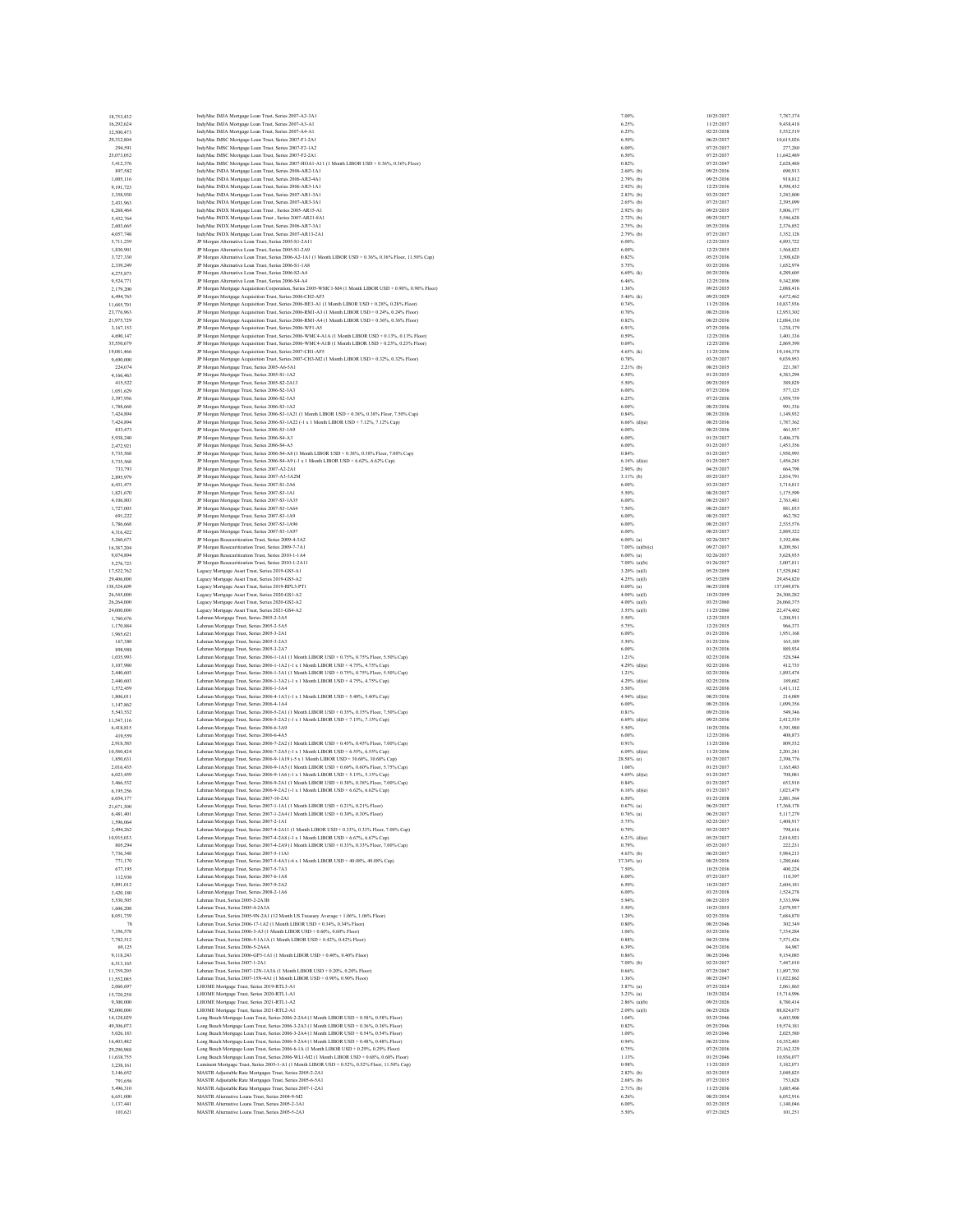| 18,753,432               |                                                                                                                                                                                                        |                    |                          |                          |
|--------------------------|--------------------------------------------------------------------------------------------------------------------------------------------------------------------------------------------------------|--------------------|--------------------------|--------------------------|
|                          | IndyMac IMJA Mortgage Loan Trust, Series 2007-A2-3A1<br>IndyMac IMJA Mortgage Loan Trust, Series 2007-A3-A1                                                                                            | 7.00%<br>6.25%     | 10/25/2037<br>11/25/2037 | 7,787,374<br>9,438,418   |
| 16,292,624<br>12,500,473 | IndyMac IMJA Mortgage Loan Trust, Series 2007-A4-A1                                                                                                                                                    | 6.25%              | 02/25/2038               | 5.532.519                |
| 29,332,804               | IndyMac IMSC Mortgage Loan Trust, Series 2007-F1-2A1                                                                                                                                                   | 6.50%              | 06/25/2037               | 10,615,026               |
| 294.591                  | IndyMac IMSC Mortgage Loan Trust, Series 2007-F2-1A2                                                                                                                                                   | 6.00%              | 07/25/2037               | 277,280                  |
| 25,073,052               | IndyMac IMSC Mortgage Loan Trust, Series 2007-F2-2A1                                                                                                                                                   | 6.50%              | 07/25/2037               | 11,642,489               |
| 3,412,376                | IndyMac IMSC Mortgage Loan Trust, Series 2007-HOA1-A11 (1 Month LIBOR USD + 0.36%, 0.36% Floor)                                                                                                        | 0.82%              | 07/25/2047               | 2,628,488                |
| 897,582                  | IndyMac INDA Mortgage Loan Trust, Series 2006-AR2-1A1                                                                                                                                                  | $2.60\%$ (b)       | 09/25/2036               | 690.913                  |
| 1,005,116                | IndyMac INDA Mortgage Loan Trust, Series 2006-AR2-4A1                                                                                                                                                  | $2.79%$ (b)        | 09/25/2036               | 918,812                  |
| 9,191,723                | IndyMac INDA Mortgage Loan Trust. Series 2006-AR3-1A1                                                                                                                                                  | $2.92\%$ (b)       | 12/25/2036               | 8,598,432                |
| 3,358,930                | IndyMac INDA Mortgage Loan Trust, Series 2007-AR1-3A1                                                                                                                                                  | $2.83%$ (b)        | 03/25/2037               | 3,243,800                |
| 2,431,963                | IndyMac INDA Mortgage Loan Trust, Series 2007-AR3-3A1                                                                                                                                                  | $2.65%$ (b)        | 07/25/2037               | 2,395,099                |
| 6,268,464                | IndyMac INDX Mortgage Loan Trust, Series 2005-AR15-A1                                                                                                                                                  | $2.92\%$ (b)       | 09/25/2035               | 5,806,177                |
| 5.432.764                | IndyMac INDX Mortgage Loan Trust, Series 2007-AR21-8A1                                                                                                                                                 | $2.72%$ (b)        | 09/25/2037               | 5.546,628                |
| 2,603,665                | IndyMac INDX Mortgage Loan Trust, Series 2006-AR7-3A1                                                                                                                                                  | $2.75%$ (b)        | 05/25/2036               | 2,376,852                |
| 4,057,748                | IndyMac INDX Mortgage Loan Trust, Series 2007-AR13-2A1                                                                                                                                                 | 2.79% (b)          | 07/25/2037               | 3,352,128                |
| 5.711.239                | JP Morgan Alternative Loan Trust, Series 2005-S1-2A11                                                                                                                                                  | 6.00%              | 12/25/2035               | 4,893,722                |
| 1,830,901                | JP Morgan Alternative Loan Trust, Series 2005-S1-2A9                                                                                                                                                   | 6.00%              | 12/25/2035               | 1,568,823                |
| 3,727,330                | JP Morgan Alternative Loan Trust, Series 2006-A2-1A1 (1 Month LIBOR USD + 0.36%, 0.36% Floor, 11.50% Cap)                                                                                              | 0.82%              | 05/25/2036               | 3,508,620                |
| 2,339,249                | JP Morgan Alternative Loan Trust, Series 2006-S1-1A8                                                                                                                                                   | 5.75%              | 03/25/2036               | 1,652,974                |
| 4,275,873                | JP Morgan Alternative Loan Trust, Series 2006-S2-A4                                                                                                                                                    | $6.69%$ (k)        | 05/25/2036               | 4,289,605                |
| 9.524.771                | IP Morgan Alternative Loan Trust Series 2006-S4-A4                                                                                                                                                     | 6.46%              | 12/25/2036               | 9,342,890                |
| 2,179,200                | JP Morgan Mortgage Acquisition Corporation, Series 2005-WMC1-M4 (1 Month LIBOR USD + 0.90%, 0.90% Floor)                                                                                               | 1.36%              | 09/25/2035               | 2,088,416                |
| 6,494,765                | JP Morgan Mortgage Acquisition Trust, Series 2006-CH2-AF3                                                                                                                                              | 5.46% (k)          | 09/25/2029               | 4,672,462                |
| 11,685,701               | JP Morgan Mortgage Acquisition Trust, Series 2006-HE3-A1 (1 Month LIBOR USD + 0.28%, 0.28% Floor)                                                                                                      | 0.74%              | 11/25/2036               | 10,837,936               |
| 23,776,963<br>21,975,729 | JP Morgan Mortgage Acquisition Trust, Series 2006-RM1-A3 (1 Month LIBOR USD + 0.24%, 0.24% Floor)<br>JP Morgan Mortgage Acquisition Trust, Series 2006-RM1-A4 (1 Month LIBOR USD + 0.36%, 0.36% Floor) | 0.70%<br>0.82%     | 08/25/2036<br>08/25/2036 | 12,953,302<br>12,084,130 |
| 3,167,153                | JP Morgan Mortgage Acquisition Trust, Series 2006-WF1-A5                                                                                                                                               | 6.91%              | 07/25/2036               | 1.238.179                |
| 4,690,147                | JP Morgan Mortgage Acquisition Trust, Series 2006-WMC4-A1A (1 Month LIBOR USD + 0.13%, 0.13% Floor)                                                                                                    | 0.59%              | 12/25/2036               | 3,401,33                 |
| 35,550,679               | JP Morgan Mortgage Acquisition Trust, Series 2006-WMC4-A1B (1 Month LIBOR USD + 0.23%, 0.23% Floor)                                                                                                    | 0.69%              | 12/25/2036               | 2,869,398                |
| 19,081,466               | JP Morgan Mortgage Acquisition Trust, Series 2007-CHI-AF5                                                                                                                                              | $4.65%$ (k)        | 11/25/2036               | 19,144,378               |
| 9,690,000                | JP Morgan Mortgage Acquisition Trust, Series 2007-CH3-M2 (1 Month LIBOR USD + 0.32%, 0.32% Floor)                                                                                                      | 0.78%              | 03/25/2037               | 9,039,953                |
| 224,074                  | JP Morgan Mortgage Trust, Series 2005-A6-5A1                                                                                                                                                           | $2.21%$ (b)        | 08/25/2035               | 221.387                  |
| 4,166,463                | JP Morgan Mortgage Trust, Series 2005-S1-1A2                                                                                                                                                           | 6.50%              | 01/25/2035               | 4,383,294                |
| 415,522                  | JP Morgan Mortgage Trust, Series 2005-S2-2A13                                                                                                                                                          | 5.50%              | 09/25/2035               | 389,829                  |
| 1.051.629                | JP Morgan Mortgage Trust, Series 2006-S2-3A3                                                                                                                                                           | 6.00%              | 07/25/2036               | 577,125                  |
| 3,397,956                | JP Morgan Mortgage Trust, Series 2006-S2-3A5                                                                                                                                                           | 6.25%              | 07/25/2036               | 1,959,759                |
| 1,788,668                | JP Morgan Mortgage Trust, Series 2006-S3-1A2                                                                                                                                                           | 6.00%              | 08/25/2036               | 991,336                  |
| 7,424,894                | JP Morgan Mortgage Trust, Series 2006-S3-1A21 (1 Month LIBOR USD + 0.38%, 0.38% Floor, 7.50% Cap)                                                                                                      | 0.84%              | 08/25/2036               | 1.149.932                |
| 7,424,894                | JP Morgan Mortgage Trust, Series 2006-S3-1A22 (-1 x 1 Month LIBOR USD + 7.12%, 7.12% Cap)                                                                                                              | $6.66\%$ (d)(e)    | 08/25/2036               | 1,787,362                |
| 833,473                  | JP Morgan Mortgage Trust, Series 2006-S3-1A9                                                                                                                                                           | 6.00%              | 08/25/2036               | 461,937                  |
| 5.938.240                | JP Morgan Mortgage Trust, Series 2006-S4-A3                                                                                                                                                            | 6.00%              | 01/25/2037               | 3,406,378                |
| 2,472,921                | JP Morgan Mortgage Trust, Series 2006-S4-A5                                                                                                                                                            | 6.00%              | 01/25/2037               | 1,453,356                |
| 5.735.568                | JP Morgan Mortgage Trust, Series 2006-S4-A8 (1 Month LIBOR USD + 0.38%, 0.38% Floor, 7.00% Cap)                                                                                                        | 0.84%              | 01/25/2037               | 1,950,993                |
| 5,735,568                | JP Morgan Mortgage Trust, Series 2006-S4-A9 (-1 x 1 Month LIBOR USD + 6.62%, 6.62% Cap)                                                                                                                | $6.16\%$ (d)(e)    | 01/25/2037               | 1,456,245                |
| 733,793                  | JP Morgan Mortgage Trust, Series 2007-A2-2A1                                                                                                                                                           | $2.90%$ (b)        | 04/25/2037               | 664,798                  |
| 2,895,979                | JP Morgan Mortgage Trust, Series 2007-A3-3A2M                                                                                                                                                          | 3.11% (b)          | 05/25/2037               | 2.834.791                |
| 6,431,475                | JP Morgan Mortgage Trust, Series 2007-S1-2A6                                                                                                                                                           | 6.00%              | 03/25/2037               | 3,714,813                |
| 1,821,670                | JP Morgan Mortgage Trust, Series 2007-S3-1A1                                                                                                                                                           | 5.50%              | 08/25/2037               | 1,175,599                |
| 4,106,803                | JP Morgan Mortgage Trust, Series 2007-S3-1A35                                                                                                                                                          | 6.00%              | 08/25/2037               | 2.763.481                |
| 1,727,003                | JP Morgan Mortgage Trust, Series 2007-S3-1A64                                                                                                                                                          | 7.50%              | 08/25/2037               | 881,035                  |
| 691,222                  | JP Morgan Mortgage Trust, Series 2007-S3-1A9                                                                                                                                                           | 6.00%              | 08/25/2037               | 462,782                  |
| 3,786,668                | JP Morgan Mortgage Trust, Series 2007-S3-1A96                                                                                                                                                          | 6.00%              | 08/25/2037               | 2.535.576                |
| 4,316,422                | JP Morgan Mortgage Trust, Series 2007-S3-1A97                                                                                                                                                          | 6.00%              | 08/25/2037               | 2,889,322                |
| 5.260,673                | JP Morgan Resecuritization Trust, Series 2009-4-3A2                                                                                                                                                    | $6.00\%$ (a)       | 02/26/2037               | 3,192,406                |
| 16,387,204               | JP Morgan Resecuritization Trust. Series 2009-7-7A1                                                                                                                                                    | $7.00\%$ (a)(b)(c) | 09/27/2037               | 8,209,561                |
| 9,074,894                | JP Morgan Resecuritization Trust, Series 2010-1-1A4                                                                                                                                                    | $6.00\%$ (a)       | 02/26/2037               | 5,628,935                |
| 5.276.723                | JP Morgan Resecuritization Trust. Series 2010-1-2A11                                                                                                                                                   | 7.00% (a)(b)       | 01/26/2037               | 3,007.811                |
| 17,522,762               | Legacy Mortgage Asset Trust, Series 2019-GS5-A1                                                                                                                                                        | 3.20% (a)(I)       | 05/25/2059               | 17,529,042               |
| 29,406,000               | Legacy Mortgage Asset Trust, Series 2019-GS5-A2                                                                                                                                                        | $4.25%$ (a)(I)     | 05/25/2059               | 29,454,820               |
| 138,524,609              | Legacy Mortgage Asset Trust, Series 2019-RPL3-PT1                                                                                                                                                      | $0.00\%$ (a)       | 06/25/2058               | 137,049,876              |
| 26,545,000               | Legacy Mortgage Asset Trust, Series 2020-GS1-A2                                                                                                                                                        | $4.00\%$ (a)(I)    | 10/25/2059               | 26,300,282               |
| 26.264,000               | Legacy Mortgage Asset Trust, Series 2020-GS2-A2                                                                                                                                                        | $4.00\%$ (a)(I)    | 03/25/2060               | 26,060,375               |
| 24,000,000               | Legacy Mortgage Asset Trust, Series 2021-GS4-A2                                                                                                                                                        | 3.55% (a)(I)       | 11/25/2060               | 22.474.402               |
|                          |                                                                                                                                                                                                        |                    |                          |                          |
| 1,760,676                | Lehman Mortgage Trust, Series 2005-2-3A5                                                                                                                                                               | 5.50%              | 12/25/2035               | 1,208,911                |
| 1,170,884                | Lehman Mortgage Trust, Series 2005-2-5A5                                                                                                                                                               | 5.75%              | 12/25/2035               | 966,373                  |
| 1.965.621                | Lehman Mortgage Trust, Series 2005-3-2A1                                                                                                                                                               | 6.00%              | 01/25/2036               | 1,951,168                |
| 167,380                  | Lehman Mortgage Trust, Series 2005-3-2A3                                                                                                                                                               | 5.50%              | 01/25/2036               | 165,189                  |
| 898,988                  | Lehman Mortgage Trust, Series 2005-3-2A7                                                                                                                                                               | 6.00%              | 01/25/2036               | 889,934                  |
| 1,035,993                | Lehman Mortgage Trust, Series 2006-1-1A1 (1 Month LIBOR USD + 0.75%, 0.75% Floor, 5.50% Cap)                                                                                                           | 1.21%              | 02/25/2036               | 528,544                  |
| 3,107,980                | Lehman Mortgage Trust, Series 2006-1-1A2 (-1 x 1 Month LIBOR USD + 4.75%, 4.75% Cap)                                                                                                                   | $4.29%$ (d)(e)     | 02/25/2036               | 412,735                  |
| 2,440,603                | Lehman Mortgage Trust, Series 2006-1-3A1 (1 Month LIBOR USD + 0.75%, 0.75% Floor. 5.50% Cap)                                                                                                           | 1.21%              | 02/25/2036               | 1,893,474                |
| 2,440,603                | Lehman Mortgage Trust, Series 2006-1-3A2 (-1 x 1 Month LIBOR USD + 4.75%, 4.75% Cap)                                                                                                                   | $4.29%$ (d)(e)     | 02/25/2036               | 189,682                  |
| 1,572,459                | Lehman Mortgage Trust, Series 2006-1-3A4                                                                                                                                                               | 5.50%              | 02/25/2036               | 1,411,112                |
| 1,806,011                | Lehman Mortgage Trust, Series 2006-4-1A3 (-1 x 1 Month LIBOR USD + 5.40%, 5.40% Cap)                                                                                                                   | 4.94% (d)(e)       | 08/25/2036               | 214,089                  |
| 1,147,862                | Lehman Mortgage Trust, Series 2006-4-1A4                                                                                                                                                               | 6.00%              | 08/25/2036               | 1,099,356                |
| 5,543,532                | Lehman Mortgage Trust, Series 2006-5-2A1 (1 Month LIBOR USD + 0.35%, 0.35% Floor, 7.50% Cap)                                                                                                           | 0.81%              | 09/25/2036               | 549,346                  |
| 11,547,116               | Lehman Mortgage Trust, Series 2006-5-2A2 (-1 x 1 Month LIBOR USD + 7.15%, 7.15% Cap)                                                                                                                   | $6.69%$ (d)(e)     | 09/25/2036               | 2.412.539                |
| 6,418,815                | Lehman Mortgage Trust, Series 2006-6-3A9                                                                                                                                                               | 5.50%              | 10/25/2036               | 5,391,980                |
| 419,559                  | Lehman Mortgage Trust, Series 2006-6-4A5                                                                                                                                                               | 6.00%              | 12/25/2036               | 408,873                  |
| 2,918,585                | Lehman Mortgage Trust, Series 2006-7-2A2 (1 Month LIBOR USD + 0.45%, 0.45% Floor, 7.00% Cap)                                                                                                           | 0.91%              | 11/25/2036               | 809,532                  |
| 10,580,424               | Lehman Mortgage Trust, Series 2006-7-2A5 (-1 x 1 Month LIBOR USD + 6.55%, 6.55% Cap)                                                                                                                   | $6.09%$ (d)(e)     | 11/25/2036               | 2,201,24                 |
| 1.850.631                | Lehman Mortgage Trust, Series 2006-9-1A19 (-5 x 1 Month LIBOR USD + 30.68%, 30.68% Cap)                                                                                                                | 28.58% (e)         | 01/25/2037               | 2.398.776                |
| 2,016,435                | Lehman Mortgage Trust, Series 2006-9-1A5 (1 Month LIBOR USD + 0.60%, 0.60% Floor, 5.75% Cap)                                                                                                           | 1.06%              | 01/25/2037               | 1,165,483                |
| 6,023,459                | Lehman Mortgage Trust, Series 2006-9-1A6 (-1 x 1 Month LIBOR USD + 5.15%, 5.15% Cap)                                                                                                                   | $4.69%$ (d)(e)     | 01/25/2037               | 708,081                  |
| 3,466,532                | Lehman Mortgage Trust, Series 2006-9-2A1 (1 Month LIBOR USD + 0.38%, 0.38% Floor, 7.00% Cap)                                                                                                           | 0.84%              | 01/25/2037               | 653,910                  |
| 6,195,256                | Lehman Mortgage Trust, Series 2006-9-2A2 (-1 x 1 Month LIBOR USD + 6.62%, 6.62% Cap)                                                                                                                   | $6.16\%$ (d)(e)    | 01/25/2037               | 1,023,479                |
| 6.054.177<br>1.671.30    | Lehman Mortgage Trust, Series 2007-10-2A1<br>in Trent, Series: 2007-1-141 (1 Month J IBOP USD + 0.21%, 0.21% Elocal                                                                                    | 6,50%<br>0.67% 0   | 01/25/2038<br>16/25/2037 | 2,881,564<br>17 368 178  |
| 6,481,401                |                                                                                                                                                                                                        | $0.76%$ (a)        | 06/25/2037               | 5,117,279                |
| 1,596,064                | Lehman Mortgage Trust, Series 2007-1-2A4 (1 Month LIBOR USD + 0.30%, 0.30% Floor)<br>Lehman Mortgage Trust, Series 2007-2-1A1                                                                          | 5.75%              | 02/25/2037               | 1,408,917                |
| 2.494.262                |                                                                                                                                                                                                        | 0.79%              | 05/25/2037               | 798,616                  |
| 10,935,033               | Lehman Mortgage Trust, Series 2007-4-2A11 (1 Month LIBOR USD + 0.33%, 0.33% Floor, 7.00% Cap)<br>Lehman Mortgage Trust, Series 2007-4-2A8 (-1 x 1 Month LIBOR USD + 6.67%, 6.67% Cap)                  | $6.21\%$ (d)(e)    | 05/25/2037               | 2,010,921                |
| 805,294                  | Lehman Mortgage Trust, Series 2007-4-2A9 (1 Month LIBOR USD + 0.33%, 0.33% Floor, 7.00% Cap)                                                                                                           | 0.79%              | 05/25/2037               | 222,231                  |
| 7,736,348                | Lehman Mortgage Trust, Series 2007-5-11A1                                                                                                                                                              | $4.63%$ (b)        | 06/25/2037               | 5,984,213                |
| 771,170                  | Lehman Mortgage Trust, Series 2007-5-4A3 (-6 x 1 Month LIBOR USD + 40.08%, 40.08% Cap)                                                                                                                 | 37.34% (e)         | 08/25/2036               | 1,280,646                |
| 677.195                  | Lehman Mortgage Trust, Series 2007-5-7A3                                                                                                                                                               | 7.50%              | 10/25/2036               | 400.224                  |
| 112,930                  | Lehman Mortgage Trust, Series 2007-6-1A8                                                                                                                                                               | 6.00%              | 07/25/2037               | 110,397                  |
| 5,891,012                | Lehman Mortgage Trust, Series 2007-9-2A2                                                                                                                                                               | 6.50%              | 10/25/2037               | 2,604,181                |
| 3,420,180                | Lehman Mortgage Trust, Series 2008-2-1A6                                                                                                                                                               | 6.00%              | 03/25/2038               | 1.524.278                |
| 5,530,505                | Lehman Trust, Series 2005-2-2A3B                                                                                                                                                                       | 5.94%              | 08/25/2035               | 5,333,994                |
| 1,606,208                | Lehman Trust, Series 2005-4-2A3A                                                                                                                                                                       | 5.50%              | 10/25/2035               | 2,079,957                |
| 8,051,739                | Lehman Trust. Series 2005-9N-2A1 (12 Month US Treasury Average + 1.06%, 1.06% Floor)                                                                                                                   | 1.20%              | 02/25/2036               | 7.684.870                |
|                          | Lehman Trust, Series 2006-17-1A2 (1 Month LIBOR USD + 0.34%, 0.34% Floor)                                                                                                                              | 0.80%              | 08/25/2046               | 302,349                  |
| 7,356,578                | Lehman Trust, Series 2006-3-A3 (1 Month LIBOR USD + 0.60%, 0.60% Floor)                                                                                                                                | 1.06%              | 03/25/2036               | 7,334,284                |
| 7,782,512                | Lehman Trust, Series 2006-5-1A1A (1 Month LIBOR USD + 0.42%, 0.42% Floor)                                                                                                                              | 0.88%              | 04/25/2036               | 7,571,426                |
| 69,125                   | Lehman Trust. Series 2006-5-2A4A                                                                                                                                                                       | 6.39%              | 04/25/2036               | 84,987                   |
| 9.118.243                | Lehman Trust, Series 2006-GP3-1A1 (1 Month LIBOR USD + 0.40%, 0.40% Floor)                                                                                                                             | 0.86%              | 06/25/2046               | 9.154.085                |
| 6,513,165                | Lehman Trust, Series 2007-1-2A1                                                                                                                                                                        | $7.00\%$ (b)       | 02/25/2037               | 7,447,010                |
| 11,759,205               | Lehman Trust, Series 2007-12N-1A3A (1 Month LIBOR USD + 0.20%, 0.20% Floor)                                                                                                                            | $0.66\%$           | 07/25/2047               | 11,897,703               |
| 11,552,085               | Lehman Trust, Series 2007-15N-4A1 (1 Month LIBOR USD + 0.90% 0.90% Floor)                                                                                                                              | 1.36%              | 08/25/2047               | 11.022.862               |
| 2,060,697                | LHOME Mortgage Trust, Series 2019-RTL3-A1                                                                                                                                                              | $3.87%$ (a)        | 07/25/2024               | 2,061,865                |
| 15,720,258               | LHOME Mortgage Trust, Series 2020-RTL1-A1                                                                                                                                                              | $3.23%$ (a)        | 10/25/2024               | 15,714,996               |
| 9,300,000                | LHOME Mortgage Trust, Series 2021-RTL1-A2                                                                                                                                                              | 2.86% (a)(b)       | 09/25/2026               | 8,780,414                |
| 92,000,000               | LHOME Mortgage Trust, Series 2021-RTL2-A1                                                                                                                                                              | $2.09%$ (a)(I)     | 06/25/2026               | 88,824,675               |
| 14,128,029               | Long Beach Mortgage Loan Trust, Series 2006-2-2A4 (1 Month LIBOR USD + 0.58%, 0.58% Floor)                                                                                                             | 1.04%              | 03/25/2046               | 6,603,908                |
| 49,306,073               | Long Beach Mortgage Loan Trust, Series 2006-3-2A3 (1 Month LIBOR USD + 0.36%, 0.36% Floor)                                                                                                             | 0.82%              | 05/25/2046               | 19,574,181               |
| 5,026,183                | Long Beach Mortgage Loan Trust, Series 2006-3-2A4 (1 Month LIBOR USD + 0.54%, 0.54% Floor)                                                                                                             | 1.00%              | 05/25/2046               | 2,025,580                |
| 16,403,482               | Long Beach Mortgage Loan Trust, Series 2006-5-2A4 (1 Month LIBOR USD + 0.48%, 0.48% Floor)                                                                                                             | 0.94%              | 06/25/2036               | 10,352,485               |
| 29,290,988               | Long Beach Mortgage Loan Trust, Series 2006-6-1A (1 Month LIBOR USD + 0.29%, 0.29% Floor)                                                                                                              | 0.75%              | 07/25/2036               | 23,162,329               |
| 11,638,755               | Long Beach Mortgage Loan Trust, Series 2006-WL1-M2 (1 Month LIBOR USD + 0.68%, 0.68% Floor)                                                                                                            | 1.13%              | 01/25/2046               | 10,936,077               |
| 3.238.161                | Luminent Mortgage Trust, Series 2005-1-A1 (1 Month LIBOR USD + 0.52%, 0.52% Floor, 11.50% Cap)                                                                                                         | 0.98%              | 11/25/2035               | 3.182.071                |
| 3,146,652                | MASTR Adjustable Rate Mortgages Trust, Series 2005-2-2A1                                                                                                                                               | $2.82%$ (b)        | 03/25/2035               | 3,049,825                |
| 791,656                  | MASTR Adjustable Rate Mortgages Trust, Series 2005-6-5A1                                                                                                                                               | $2.68%$ (b)        | 07/25/2035               | 753,628                  |
| 5,496,310                | MASTR Adjustable Rate Mortgages Trust, Series 2007-1-2A1                                                                                                                                               | $2.71%$ (b)        | 11/25/2036               | 3,685,466                |
| 6,651,000                | MASTR Alternative Loans Trust, Series 2004-9-M2                                                                                                                                                        | 6.26%              | 08/25/2034               | 6,052,916                |
| 1,137,441<br>103,621     | MASTR Alternative Loans Trust, Series 2005-2-3A1<br>MASTR Alternative Loans Trust, Series 2005-5-2A3                                                                                                   | 6.00%<br>5.50%     | 03/25/2035<br>07/25/2025 | 1,140,046<br>101,251     |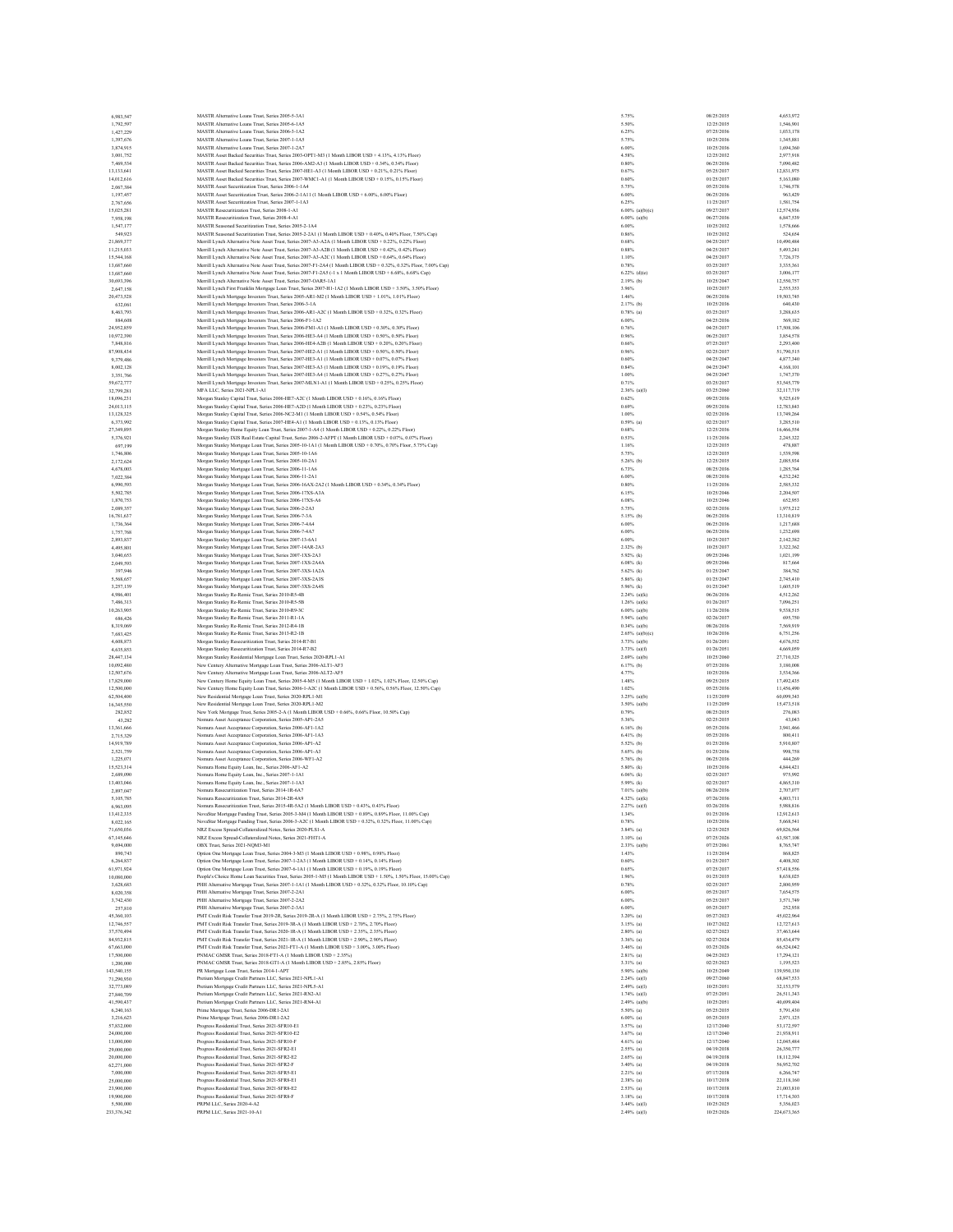| 6,983,547<br>1.792.597<br>1,427,229<br>1,397,676 | MASTR Alternative Loans Trust, Series 2005-5-3A1                                                                                                                                                      |                                |                          | 4,653,972               |
|--------------------------------------------------|-------------------------------------------------------------------------------------------------------------------------------------------------------------------------------------------------------|--------------------------------|--------------------------|-------------------------|
|                                                  |                                                                                                                                                                                                       | 5.75%                          | 08/25/2035               |                         |
|                                                  | MASTR Alternative Loans Trust. Series 2005-6-1A5                                                                                                                                                      | 5.50%                          | 12/25/2035               | 1.546.901               |
|                                                  | MASTR Alternative Loans Trust, Series 2006-3-1A2                                                                                                                                                      | 6.25%                          | 07/25/2036               | 1,033,178               |
|                                                  | MASTR Alternative Loans Trust, Series 2007-1-1A5                                                                                                                                                      | 5.75%                          | 10/25/2036               | 1,345,881               |
| 3,874,915                                        | MASTR Alternative Loans Trust. Series 2007-1-2A7<br>MASTR Asset Backed Securities Trust, Series 2003-OPT1-M3 (1 Month LIBOR USD + 4.13%, 4.13% Floor)                                                 | 6.00%                          | 10/25/2036               | 1,694,360               |
| 3,001,752                                        | MASTR Asset Backed Securities Trust, Series 2006-AM2-A3 (1 Month LIBOR USD + 0.34%, 0.34% Floor)                                                                                                      | 4.58%<br>0.80%                 | 12/25/2032<br>06/25/2036 | 2,977,918<br>7,090,482  |
| 7,469,534<br>13,133,641                          |                                                                                                                                                                                                       | 0.67%                          | 05/25/2037               | 12,831,975              |
| 14,012,616                                       | MASTR Asset Backed Securities Trust, Series 2007-HE1-A3 (1 Month LIBOR USD + 0.21%, 0.21% Floor)<br>MASTR Asset Backed Securities Trust, Series 2007-WMC1-A1 (1 Month LIBOR USD + 0.15%, 0.15% Floor) | 0.60%                          | 01/25/2037               | 5,163,080               |
| 2.067.384                                        | MASTR Asset Securitization Trust. Series 2006-1-1A4                                                                                                                                                   | 5.75%                          | 05/25/2036               | 1,746,578               |
| 1,197,457                                        | MASTR Asset Securitization Trust, Series 2006-2-1A11 (1 Month LIBOR USD + 6.00%, 6.00% Floor)                                                                                                         | 6.00%                          | 06/25/2036               | 963,429                 |
| 2,767,656                                        | MASTR Asset Securitization Trust. Series 2007-1-1A3                                                                                                                                                   | 6.25%                          | 11/25/2037               | 1,581,754               |
| 15.025.281                                       | MASTR Resecuritization Trust. Series 2008-1-A1                                                                                                                                                        | 6.00% (aVbYe)                  | 09/27/2037               | 12.574.936              |
| 7,958,198                                        | MASTR Resecuritization Trust, Series 2008-4-A1                                                                                                                                                        | $6.00\%$ (a)(b)                | 06/27/2036               | 6,847,539               |
| 1,547,177                                        | MASTR Seasoned Securitization Trust, Series 2005-2-1A4                                                                                                                                                | 6.00%                          | 10/25/2032               | 1,578,666               |
| 549,923                                          | MASTR Seasoned Securitization Trust. Series 2005-2-2A1 (1 Month LIBOR USD + 0.40% 0.40% Floor, 7.50% Cap)                                                                                             | 0.86%                          | 10/25/2032               | 524,654                 |
| 21,869,377                                       | Merrill Lynch Alternative Note Asset Trust, Series 2007-A3-A2A (1 Month LIBOR USD + 0.22%, 0.22% Floor)                                                                                               | 0.68%                          | 04/25/2037               | 10,490,484              |
| 11,215,033                                       | Merrill Lynch Alternative Note Asset Trust, Series 2007-A3-A2B (1 Month LIBOR USD + 0.42%, 0.42% Floor)                                                                                               | 0.88%                          | 04/25/2037               | 5,493,241               |
| 15,544,168                                       | Merrill Lynch Alternative Note Asset Trust, Series 2007-A3-A2C (1 Month LIBOR USD + 0.64%, 0.64% Floor)                                                                                               | 1.10%                          | 04/25/2037               | 7.726.375               |
| 13,687,660                                       | Merrill Lynch Alternative Note Asset Trust, Series 2007-F1-2A4 (1 Month LIBOR USD + 0.32%, 0.32% Floor, 7.00% Cap)                                                                                    | 0.78%                          | 03/25/2037               | 3,335,361               |
| 13,687,660                                       | Merrill Lynch Alternative Note Asset Trust, Series 2007-F1-2A5 (-1 x 1 Month LIBOR USD + 6.68%, 6.68% Cap)                                                                                            | $6.22\%$ (d)(e)                | 03/25/2037               | 3,006,177               |
| 30,693,396                                       | Merrill Lynch Alternative Note Asset Trust, Series 2007-OAR5-1A1                                                                                                                                      | 2.19% (b)                      | 10/25/2047               | 12,550,757              |
| 2.647.158                                        | Merrill Lynch First Franklin Mortgage Loan Trust, Series 2007-H1-1A2 (1 Month LIBOR USD + 3.50%, 3.50% Floor)                                                                                         | 3.96%                          | 10/25/2037               | 2,555,353               |
| 20.473.528                                       | Merrill Lynch Mortgage Investors Trust, Series 2005-AR1-M2 (1 Month LIBOR USD + 1.01%, 1.01% Floor)                                                                                                   | 1.46%                          | 06/25/2036               | 19,503,745              |
| 632,061                                          | Merrill Lynch Mortgage Investors Trust, Series 2006-3-1A                                                                                                                                              | $2.17%$ (b)                    | 10/25/2036               | 640,430                 |
| 8,463,793                                        | Merrill Lynch Mortgage Investors Trust, Series 2006-AR1-A2C (1 Month LIBOR USD + 0.32%, 0.32% Floor)                                                                                                  | $0.78%$ (a)                    | 03/25/2037               | 3,288,635               |
| 884,608                                          | Merrill Lynch Mortgage Investors Trust, Series 2006-F1-1A2                                                                                                                                            | 6.00%                          | 04/25/2036               | 569,182                 |
| 24,952,859                                       | Merrill Lynch Mortgage Investors Trust, Series 2006-FM1-A1 (1 Month LIBOR USD + 0.30%, 0.30% Floor)                                                                                                   | 0.76%                          | 04/25/2037               | 17,508,106              |
| 10,972,390                                       | Merrill Lynch Mortgage Investors Trust, Series 2006-HE3-A4 (1 Month LIBOR USD + 0.50%, 0.50% Floor)                                                                                                   | 0.96%                          | 06/25/2037               | 3,854,578               |
| 7,848,816                                        | Merrill Lynch Mortgage Investors Trust, Series 2006-HE4-A2B (1 Month LIBOR USD + 0.20%, 0.20% Floor)                                                                                                  | 0.66%                          | 07/25/2037               | 2.293.400               |
| 87,908,434                                       | Merrill Lynch Mortgage Investors Trust, Series 2007-HE2-A1 (1 Month LIBOR USD + 0.50%, 0.50% Floor)                                                                                                   | 0.96%                          | 02/25/2037               | 51,790,515              |
| 9,379,486                                        | Merrill Lynch Mortgage Investors Trust, Series 2007-HE3-A1 (1 Month LIBOR USD + 0.07%, 0.07% Floor)                                                                                                   | 0.60%                          | 04/25/2047               | 4,877,340               |
| 8,002,128                                        | Merrill Lynch Mortgage Investors Trust, Series 2007-HE3-A3 (1 Month LIBOR USD + 0.19%, 0.19% Floor)                                                                                                   | 0.84%                          | 04/25/2047               | 4,168,101               |
| 3,351,766                                        | Merrill Lynch Mortgage Investors Trust, Series 2007-HE3-A4 (1 Month LIBOR USD + 0.27%, 0.27% Floor)                                                                                                   | 1.00%                          | 04/25/2047               | 1,747,370               |
| 59.672.777                                       | Merrill Lynch Mortgage Investors Trust, Series 2007-MLN1-A1 (1 Month LIBOR USD + 0.25%, 0.25% Floor)                                                                                                  | 0.71%                          | 03/25/2037               | 53, 545, 779            |
| 32,799,281                                       | MFA LLC, Series 2021-NPL1-A1<br>Morgan Stanley Capital Trust, Series 2006-HE7-A2C (1 Month LIBOR USD + 0.16%, 0.16% Floor)                                                                            | $2.36\%$ (a)(I)<br>0.62%       | 03/25/2060<br>09/25/2036 | 32,117,719<br>9,525,619 |
| 18,096,231                                       | Morgan Stanley Capital Trust, Series 2006-HE7-A2D (1 Month LIBOR USD + 0.23%, 0.23% Floor)                                                                                                            |                                | 09/25/2036               | 12,783,843              |
| 24.013.115                                       | Morgan Stanley Capital Trust, Series 2006-NC2-M1 (1 Month LIBOR USD + 0.54%, 0.54% Floor)                                                                                                             | 0.69%<br>1.00%                 | 02/25/2036               | 13,749,264              |
| 13,128,325<br>6,373,992                          | Morgan Stanley Capital Trust, Series 2007-HE4-A1 (1 Month LIBOR USD + 0.13%, 0.13% Floor)                                                                                                             | $0.59%$ (a)                    | 02/25/2037               | 3,285,510               |
| 27,349,895                                       | Morgan Stanley Home Equity Loan Trust, Series 2007-1-A4 (1 Month LIBOR USD + 0.22%, 0.22% Floor)                                                                                                      | 0.68%                          | 12/25/2036               | 16,466,554              |
| 5,376,921                                        | Morgan Stanley IXIS Real Estate Capital Trust, Series 2006-2-AFPT (1 Month LIBOR USD + 0.07%, 0.07% Floor)                                                                                            | 0.53%                          | 11/25/2036               | 2,245,322               |
| 697,199                                          | Morgan Stanley Mortgage Loan Trust, Series 2005-10-1A1 (1 Month LIBOR USD + 0.70%, 0.70% Floor, 5.75% Cap)                                                                                            | 1.16%                          | 12/25/2035               | 478,887                 |
| 1,746,806                                        | Morgan Stanley Mortgage Loan Trust, Series 2005-10-1A6                                                                                                                                                | 5.75%                          | 12/25/2035               | 1.539.598               |
| 2,172,624                                        | Morgan Stanley Mortgage Loan Trust, Series 2005-10-2A1                                                                                                                                                | 5.26% (b)                      | 12/25/2035               | 2,085,934               |
| 4,678,003                                        | Morgan Stanley Mortgage Loan Trust, Series 2006-11-1A6                                                                                                                                                | 6.73%                          | 08/25/2036               | 1,285,764               |
| 7.022.384                                        | Morgan Stanley Mortgage Loan Trust, Series 2006-11-2A1                                                                                                                                                | 6.00%                          | 08/25/2036               | 4,232,242               |
| 6,990,593                                        | Morgan Stanley Mortgage Loan Trust, Series 2006-16AX-2A2 (1 Month LIBOR USD + 0.34%, 0.34% Floor)                                                                                                     | 0.80%                          | 11/25/2036               | 2,585,332               |
| 5,502,785                                        | Morgan Stanley Mortgage Loan Trust, Series 2006-17XS-A3A                                                                                                                                              | 6.15%                          | 10/25/2046               | 2.204.507               |
| 1,870,753                                        | Morgan Stanley Mortgage Loan Trust, Series 2006-17XS-A6                                                                                                                                               | 6.08%                          | 10/25/2046               | 652,953                 |
| 2,089,357                                        | Morgan Stanley Mortgage Loan Trust, Series 2006-2-2A3                                                                                                                                                 | 5.75%                          | 02/25/2036               | 1,975,212               |
| 16,781,637                                       | Morgan Stanley Mortgage Loan Trust, Series 2006-7-3A                                                                                                                                                  | $5.15%$ (b)                    | 06/25/2036               | 13,310,819              |
| 1,736,364                                        | Morgan Stanley Mortgage Loan Trust, Series 2006-7-4A4                                                                                                                                                 | 6.00%                          | 06/25/2036               | 1,217,688               |
| 1,757,768                                        | Morgan Stanley Mortgage Loan Trust, Series 2006-7-4A7                                                                                                                                                 | 6.00%                          | 06/25/2036               | 1,232,698               |
| 2,893,837                                        | Morgan Stanley Mortgage Loan Trust, Series 2007-13-6A1                                                                                                                                                | 6.00%                          | 10/25/2037               | 2.142.382               |
| 4,495,801                                        | Morgan Stanley Mortgage Loan Trust, Series 2007-14AR-2A3                                                                                                                                              | $2.32\%$ (b)                   | 10/25/2037               | 3,322,362               |
| 3.040.653                                        | Morgan Stanley Mortgage Loan Trust, Series 2007-1XS-2A3                                                                                                                                               | $5.92\%$ (k)                   | 09/25/2046               | 1,021,199               |
| 2,049,593                                        | Morgan Stanley Mortgage Loan Trust, Series 2007-1XS-2A4A                                                                                                                                              | $6.08%$ (k)                    | 09/25/2046               | 817,664                 |
| 397,946                                          | Morgan Stanley Mortgage Loan Trust, Series 2007-3XS-1A2A                                                                                                                                              | $5.62%$ (k)                    | 01/25/2047               | 384,762                 |
| 5,568,657                                        | Morgan Stanley Mortgage Loan Trust, Series 2007-3XS-2A3S                                                                                                                                              | 5.86% (k)                      | 01/25/2047               | 2.745.410               |
| 3,257,139                                        | Morgan Stanley Mortgage Loan Trust, Series 2007-3XS-2A4S                                                                                                                                              | 5.96% (k)                      | 01/25/2047               | 1,605,519               |
| 4,986,401                                        | Morgan Stanley Re-Remic Trust, Series 2010-R5-4B                                                                                                                                                      | $2.24%$ (a)(k)                 | 06/26/2036               | 4,512,262               |
| 7,486,313                                        | Morgan Stanley Re-Remic Trust, Series 2010-R5-5B                                                                                                                                                      | $1.26\%$ (a)(k)                | 01/26/2037               | 7.096.251               |
| 10,263,905                                       | Morgan Stanley Re-Remic Trust, Series 2010-R9-3C                                                                                                                                                      | $6.00\%$ (a)(b)                | 11/26/2036               | 9,538,515               |
| 686,426                                          | Morgan Stanley Re-Remic Trust, Series 2011-R1-1A                                                                                                                                                      | $5.94%$ (a)(b)                 | 02/26/2037               | 695,750                 |
| 8,319,069                                        | Morgan Stanley Re-Remic Trust, Series 2012-R4-1B                                                                                                                                                      | $0.34\%$ (a)(b)                | 08/26/2036               | 7,569,919               |
| 7,683,425                                        | Morgan Stanley Re-Remic Trust, Series 2013-R2-1B                                                                                                                                                      | $2.65\%$ (a)(b)(c)             | 10/26/2036               | 6,751,256               |
| 4,608,873                                        | Morgan Stanley Resecuritization Trust, Series 2014-R7-B1                                                                                                                                              | $3.73%$ (a)(b)                 | 01/26/2051               | 4,676,552               |
| 4,635,853                                        | Morgan Stanley Resecuritization Trust, Series 2014-R7-B2                                                                                                                                              | $3.73%$ (a)(f)                 | 01/26/2051               | 4,669,059               |
| 28,447,134                                       | Morgan Stanley Residential Mortgage Loan Trust, Series 2020-RPL1-A1                                                                                                                                   | $2.69%$ (a)(b)                 | 10/25/2060               | 27,710,325              |
| 10.092.480                                       | New Century Alternative Mortgage Loan Trust, Series 2006-ALT1-AF3                                                                                                                                     |                                |                          | 3,180,008               |
|                                                  |                                                                                                                                                                                                       | $6.17%$ (b)                    | 07/25/2036               |                         |
| 12,507,676                                       | New Century Alternative Mortgage Loan Trust, Series 2006-ALT2-AF5                                                                                                                                     | 4.77%                          | 10/25/2036               | 3,534,366               |
| 17,829,000                                       | New Century Home Equity Loan Trust, Series 2005-4-M5 (1 Month LIBOR USD + 1.02%, 1.02% Floor, 12.50% Cap)                                                                                             | 1.48%                          | 09/25/2035               | 17,492,435              |
| 12,500,000                                       | New Century Home Equity Loan Trust, Series 2006-1-A2C (1 Month LIBOR USD + 0.56%, 0.56% Floor, 12.50% Cap)                                                                                            | 1.02%                          | 05/25/2036               | 11,456,490              |
| 62,504,400                                       | New Residential Mortgage Loan Trust, Series 2020-RPL1-M1                                                                                                                                              | $3.25\%$ (a)(b)                | 11/25/2059               | 60,099,343              |
| 16,345,550                                       | New Residential Mortgage Loan Trust, Series 2020-RPL1-M2                                                                                                                                              | $3.50\%$ (a)(b)                | 11/25/2059               | 15,473,518              |
| 282,852                                          | New York Mortgage Trust, Series 2005-2-A (1 Month LIBOR USD + 0.66%, 0.66% Floor, 10.50% Cap)                                                                                                         | 0.79%                          | 08/25/2035               | 276,083                 |
| 43,282                                           | Nomura Asset Acceptance Corporation, Series 2005-AP1-2A5                                                                                                                                              | 5.36%                          | 02/25/2035               | 43,043                  |
| 13,361,666                                       | Nomura Asset Acceptance Corporation, Series 2006-AF1-1A2                                                                                                                                              | $6.16%$ (b)                    | 05/25/2036               | 3,941,466               |
| 2,715,329                                        | Nomura Asset Acceptance Corporation, Series 2006-AF1-1A3                                                                                                                                              | $6.41%$ (b)                    | 05/25/2036               | 800.411                 |
| 14,919,789                                       | Nomura Asset Acceptance Corporation, Series 2006-AP1-A2                                                                                                                                               | 5.52% (b)                      | 01/25/2036               | 5,910,807               |
| 2.521.759                                        | Nomura Asset Acceptance Corporation, Series 2006-AP1-A3                                                                                                                                               | 5.65% (b)                      | 01/25/2036               | 998,758                 |
| 1,225,071                                        | Nomura Asset Acceptance Corporation, Series 2006-WF1-A2                                                                                                                                               | 5.76% (b)                      | 06/25/2036               | 444,269                 |
| 15,523,314                                       | Nomura Home Equity Loan, Inc., Series 2006-AF1-A2                                                                                                                                                     | 5.80% (k)                      | 10/25/2036               | 4,844,421               |
| 2,689,090                                        | Nomura Home Equity Loan, Inc., Series 2007-1-1A1                                                                                                                                                      | $6.06%$ (k)                    | 02/25/2037               | 975,992                 |
| 13,403,046                                       | Nomura Home Equity Loan, Inc., Series 2007-1-1A3                                                                                                                                                      | 5.99% (k)                      | 02/25/2037               | 4,865,310               |
| 2,897,047<br>5,105,785                           | Nomura Resecuritization Trust, Series 2014-1R-6A7<br>Nomura Resecuritization Trust. Series 2014-2R-4A9                                                                                                | $7.01%$ (a)(b)<br>4.32% (a)(k) | 08/26/2036<br>07/26/2036 | 2,707,077<br>4,803,711  |
|                                                  | 4-1 TROP TICD + 0.428/ 0.428/ EL<br>ritiration Trust Se<br>$-2015.49.542$                                                                                                                             |                                |                          | 08881                   |
| 13,412,335                                       | NovaStar Mortgage Funding Trust, Series 2005-3-M4 (1 Month LIBOR USD + 0.89%, 0.89% Floor, 11.00% Cap)                                                                                                | 1.34%                          | 01/25/2036               | 12,912,613              |
| 8.022.165                                        | NovaStar Mortgage Funding Trust, Series 2006-3-A2C (1 Month LIBOR USD + 0.32%, 0.32% Floor, 11.00% Cap)                                                                                               | 0.78%                          | 10/25/2036               | 5,668,541               |
| 71,650,036                                       | NRZ Excess Spread-Collateralized Notes, Series 2020-PLS1-A                                                                                                                                            | $3.84%$ (a)                    | 12/25/2025               | 69,826,564              |
| 67,145,646                                       | NRZ Excess Spread-Collateralized Notes, Series 2021-FHT1-A                                                                                                                                            | $3.10\%$ (a)                   | 07/25/2026               | 63,587,108              |
| 9,694,000                                        | OBX Trust. Series 2021-NOM3-M1                                                                                                                                                                        | $2.33%$ (a)(b)                 | 07/25/2061               | 8,765,747               |
| 890,743                                          | Option One Mortgage Loan Trust, Series 2004-3-M3 (1 Month LIBOR USD + 0.98%, 0.98% Floor)                                                                                                             | 1.43%                          | 11/25/2034               | 868,825                 |
| 6,264,837                                        | Option One Mortgage Loan Trust, Series 2007-1-2A3 (1 Month LIBOR USD + 0.14%, 0.14% Floor)                                                                                                            | 0.60%                          | 01/25/2037               | 4,408,302               |
| 61,971,924                                       | Option One Mortgage Loan Trust, Series 2007-6-1A1 (1 Month LIBOR USD + 0.19%, 0.19% Floor)                                                                                                            | 0.65%                          | 07/25/2037               | 57,418,556              |
| 10,080,000                                       | People's Choice Home Loan Securities Trust, Series 2005-1-M5 (1 Month LIBOR USD + 1.50%, 1.50% Floor, 15.00% Cap)                                                                                     | 1.96%                          | 01/25/2035               | 8,638,025               |
| 3.628.683                                        | PHH Alternative Mortgage Trust, Series 2007-1-1A1 (1 Month LIBOR USD + 0.32% 0.32% Floor, 10.10% Cap)                                                                                                 | 0.78%                          | 02/25/2037               | 2,800,959               |
| 8,020,358                                        | PHH Alternative Mortgage Trust, Series 2007-2-2A1                                                                                                                                                     | 6.00%                          | 05/25/2037               | 7,654,575               |
| 3,742,430                                        | PHH Alternative Mortgage Trust, Series 2007-2-2A2                                                                                                                                                     | 6.00%                          | 05/25/2037               | 3,571,749               |
| 257,810                                          | PHH Alternative Mortgage Trust, Series 2007-2-3A1                                                                                                                                                     | 6.00%                          | 05/25/2037               | 252,938                 |
| 45,360,103                                       | PMT Credit Risk Transfer Trust 2019-2R, Series 2019-2R-A (1 Month LIBOR USD + 2.75%, 2.75% Floor)                                                                                                     | $3.20\%$ (a)                   | 05/27/2023               | 45,022,964              |
| 12,746,557                                       | PMT Credit Risk Transfer Trust, Series 2019-3R-A (1 Month LIBOR USD + 2.70%, 2.70% Floor)                                                                                                             | $3.15%$ (a)                    | 10/27/2022               | 12,727,613              |
| 37,570,494                                       | PMT Credit Risk Transfer Trust. Series 2020-1R-A (1 Month LIBOR USD + 2.35%, 2.35% Floor)                                                                                                             | $2.80\%$ (a)                   | 02/27/2023               | 37,463,644              |
| 84,932,815                                       | PMT Credit Risk Transfer Trust. Series 2021-1R-A (1 Month LIBOR USD + 2.90%, 2.90% Floor)                                                                                                             | 3.36% (a)                      | 02/27/2024               | 85,434,479              |
| 67,663,000                                       | PMT Credit Risk Transfer Trust. Series 2021-FT1-A (1 Month LIBOR USD + 3.00% 3.00% Floor)                                                                                                             | $3.46%$ (a)                    | 03/25/2026               | 66,524,042              |
| 17,500,000                                       | PNMAC GMSR Trust, Series 2018-FT1-A (1 Month LIBOR USD + 2.35%)                                                                                                                                       | $2.81%$ (a)                    | 04/25/2023               | 17,294,121              |
| 1,200,000                                        | PNMAC GMSR Trust, Series 2018-GT1-A (1 Month LIBOR USD + 2.85%, 2.85% Floor)                                                                                                                          | $3.31%$ (a)                    | 02/25/2023               | 1,195,523               |
| 143,540,155                                      | PR Mortgage Loan Trust, Series 2014-1-APT                                                                                                                                                             | 5.90% (a)(b)                   | 10/25/2049               | 139,950,130             |
| 71,290,930                                       | Pretium Mortgage Credit Partners LLC, Series 2021-NPL1-A1                                                                                                                                             | $2.24%$ (a)(I)                 | 09/27/2060               | 68,847,533              |
| 32,773,089                                       | Pretium Mortgage Credit Partners LLC, Series 2021-NPL5-A1                                                                                                                                             | $2.49%$ (a)(I)                 | 10/25/2051               | 32,153,579              |
| 27,840,709                                       | Pretium Mortgage Credit Partners LLC, Series 2021-RN2-A1                                                                                                                                              | $1.74%$ (a)(I)                 | 07/25/2051               | 26.511.343              |
| 41,590,437                                       | Pretium Mortgage Credit Partners LLC, Series 2021-RN4-A1                                                                                                                                              | $2.49%$ (a)(b)                 | 10/25/2051               | 40,699,404              |
| 6,240,163                                        | Prime Mortgage Trust, Series 2006-DR1-2A1                                                                                                                                                             | 5.50% (a)                      | 05/25/2035               | 5,791,430               |
| 3.216.623                                        | Prime Mortgage Trust, Series 2006-DR1-2A2                                                                                                                                                             | $6.00\%$ (a)                   | 05/25/2035               | 2.971.125               |
| 57,832,000                                       | Progress Residential Trust, Series 2021-SFR10-E1                                                                                                                                                      | $3.57%$ (a)                    | 12/17/2040               | 53,172,597              |
| 24,000,000                                       | Progress Residential Trust, Series 2021-SFR10-E2                                                                                                                                                      | $3.67%$ (a)                    | 12/17/2040               | 21,938,911              |
| 13,000,000                                       | Progress Residential Trust, Series 2021-SFR10-F                                                                                                                                                       | $4.61%$ (a)                    | 12/17/2040               | 12,045,484              |
| 29,000,000                                       | Progress Residential Trust, Series 2021-SFR2-E1                                                                                                                                                       | $2.55%$ (a)                    | 04/19/2038               | 26,350,777              |
| 20,000,000                                       | Progress Residential Trust, Series 2021-SFR2-E2                                                                                                                                                       | $2.65%$ (a)                    | 04/19/2038               | 18,112,394              |
| 62,271,000                                       | Progress Residential Trust, Series 2021-SFR2-F                                                                                                                                                        | $3.40\%$ (a)                   | 04/19/2038               | 56,952,702              |
| 7,000,000                                        | Progress Residential Trust, Series 2021-SFR5-E1                                                                                                                                                       | $2.21%$ (a)                    | 07/17/2038               | 6,266,747               |
| 25,000,000                                       | Progress Residential Trust, Series 2021-SFR8-E1                                                                                                                                                       | $2.38%$ (a)                    | 10/17/2038               | 22.118.160              |
| 23,900,000                                       | Progress Residential Trust, Series 2021-SFR8-E2                                                                                                                                                       | $2.53\%$ (a)                   | 10/17/2038               | 21,003,810              |
| 19,900,000<br>5,500,000                          | Progress Residential Trust, Series 2021-SFR8-F<br>PRPM LLC. Series 2020-4-A2                                                                                                                          | $3.18%$ (a)<br>3.44% (a)(I)    | 10/17/2038<br>10/25/2025 | 17,714,303<br>5.356.023 |
| 233,376,342                                      | PRPM LLC, Series 2021-10-A1                                                                                                                                                                           | $2.49%$ (a)(I)                 | 10/25/2026               | 224,673,365             |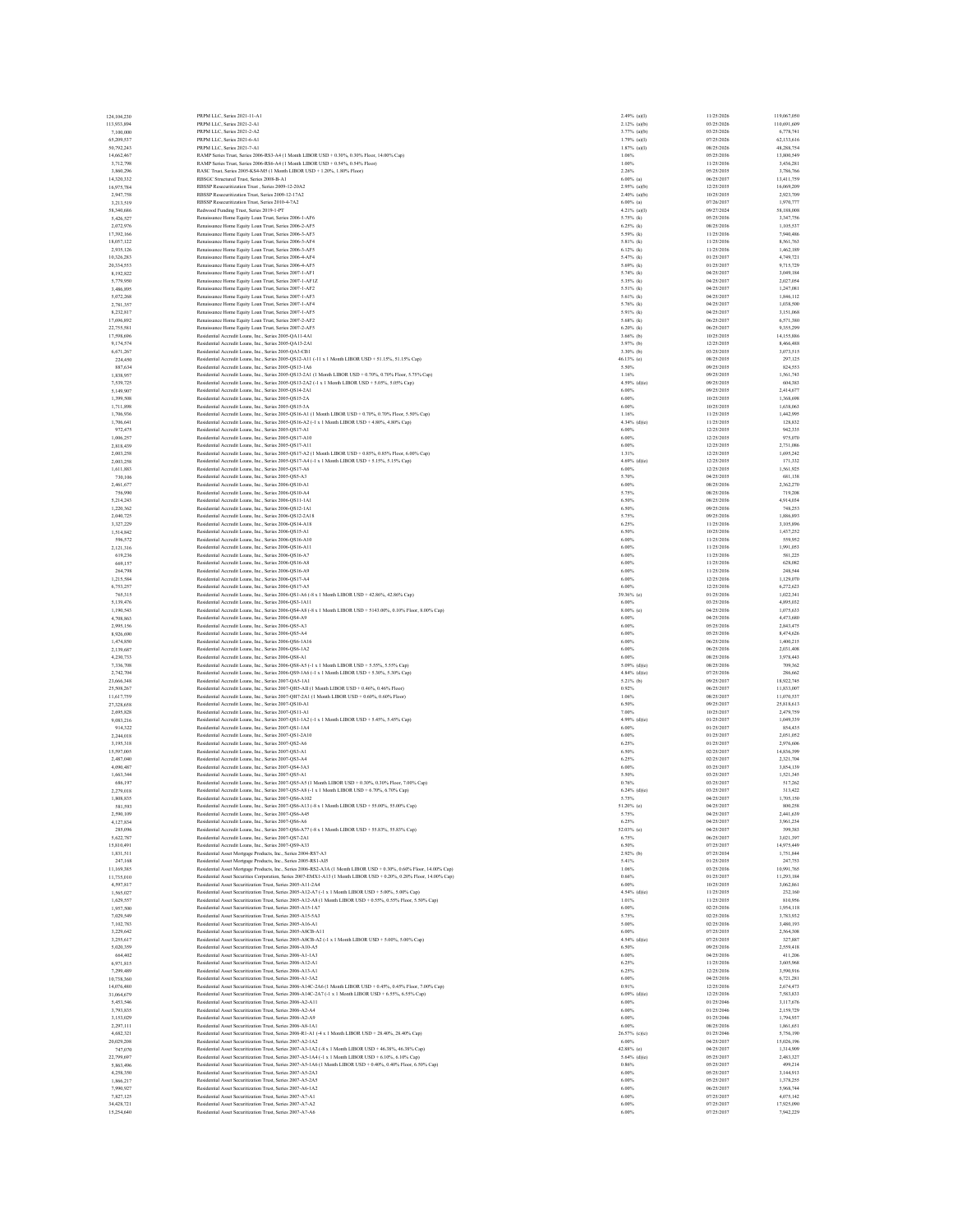| 124,104,230              | PRPM LLC Series 2021-11-A1                                                                                                                                                   | 2.49% (a)(l)                 | 11/25/2026               | 119,067,050             |
|--------------------------|------------------------------------------------------------------------------------------------------------------------------------------------------------------------------|------------------------------|--------------------------|-------------------------|
| 113,933,894              | PRPM LLC, Series 2021-2-A1                                                                                                                                                   | $2.12%$ (a)(b)               | 03/25/2026               | 110,691,609             |
| 7,100,000                | PRPM LLC, Series 2021-2-A2                                                                                                                                                   | 3.77% (a)(b)                 | 03/25/2026               | 6,778,741               |
| 65,209,537               | PRPM LLC Series 2021-6-A1                                                                                                                                                    | 1.79% (a)(I)                 | 07/25/2026               | 62.133.616              |
| 50,792,243               | PRPM LLC, Series 2021-7-A1                                                                                                                                                   | $1.87%$ (a)(I)               | 08/25/2026               | 48,288,754              |
| 14,662,467<br>3,712,798  | RAMP Series Trust, Series 2006-RS3-A4 (1 Month LIBOR USD + 0.30%, 0.30% Floor, 14.00% Cap)<br>RAMP Series Trust. Series 2006-RS6-A4 (1 Month LIBOR USD + 0.54%, 0.54% Floor) | 1.06%<br>1.00%               | 05/25/2036<br>11/25/2036 | 13,800,549<br>3,436,281 |
| 3,860,296                | RASC Trust, Series 2005-KS4-M5 (1 Month LIBOR USD + 1.20%, 1.80% Floor)                                                                                                      | 2.26%                        | 05/25/2035               | 3,786,766               |
| 14,320,332               | RBSGC Structured Trust, Series 2008-B-A1                                                                                                                                     | $6.00\%$ (a)                 | 06/25/2037               | 13,411,759              |
| 16,975,784               | RBSSP Resecuritization Trust, Series 2009-12-20A2                                                                                                                            | $2.95%$ (a)(b)               | 12/25/2035               | 16,069,209              |
| 2,947,758                | RBSSP Resecuritization Trust, Series 2009-12-17A2                                                                                                                            | $2.40\%$ (a)(b)              | 10/25/2035               | 2,923,709               |
| 3.213.519                | RBSSP Resecuritization Trust, Series 2010-4-7A2                                                                                                                              | $6.00\%$ (a)                 | 07/26/2037               | 1,970,777               |
| 58,340,686               | Redwood Funding Trust, Series 2019-1-PT                                                                                                                                      | $4.21%$ (a)(I)               | 09/27/2024               | 58,188,008              |
| 5,426,527                | Renaissance Home Equity Loan Trust, Series 2006-1-AF6                                                                                                                        | 5.75% (k)                    | 05/25/2036<br>08/25/2036 | 3,347,756<br>1.105.537  |
| 2.072.976<br>17,392,166  | Renaissance Home Equity Loan Trust, Series 2006-2-AF5<br>Renaissance Home Equity Loan Trust, Series 2006-3-AF3                                                               | $6.25%$ (k)<br>5.59% (k)     | 11/25/2036               | 7,940,486               |
| 18,057,122               | Renaissance Home Equity Loan Trust, Series 2006-3-AF4                                                                                                                        | 5.81% (k)                    | 11/25/2036               | 8,561,763               |
| 2.935.126                | Renaissance Home Equity Loan Trust, Series 2006-3-AF5                                                                                                                        | $6.12\%$ (k)                 | 11/25/2036               | 1,462,189               |
| 10,326,283               | Renaissance Home Equity Loan Trust, Series 2006-4-AF4                                                                                                                        | 5.47% (k)                    | 01/25/2037               | 4,749,721               |
| 20,334,553               | Renaissance Home Equity Loan Trust. Series 2006-4-AF5                                                                                                                        | 5.69% (k)                    | 01/25/2037               | 9,715,729               |
| 8,192,822                | Renaissance Home Equity Loan Trust, Series 2007-1-AF1                                                                                                                        | 5.74% (k)                    | 04/25/2037               | 3,049,184               |
| 5,779,950                | sance Home Equity Loan Trust, Series 2007-1-AF1Z                                                                                                                             | 5.35% (k)                    | 04/25/2037               | 2,027,054               |
| 3,486,895                | Renaissance Home Equity Loan Trust. Series 2007-1-AF2                                                                                                                        | 5.51% (k)                    | 04/25/2037               | 1,247,081               |
| 5,072,268                | Renaissance Home Equity Loan Trust, Series 2007-1-AF3                                                                                                                        | $5.61%$ (k)                  | 04/25/2037               | 1,846,112               |
| 2,781,357                | Renaissance Home Equity Loan Trust, Series 2007-1-AF4                                                                                                                        | 5.76% (k)                    | 04/25/2037               | 1,038,500               |
| 8.232.817                | Renaissance Home Equity Loan Trust. Series 2007-1-AF5                                                                                                                        | $5.91%$ (k)                  | 04/25/2037               | 3.151.068               |
| 17,696,892<br>22,755,581 | Renaissance Home Equity Loan Trust, Series 2007-2-AF2<br>ance Home Equity Loan Trust, Series 2007-2-AF5                                                                      | $5.68%$ (k)<br>$6.20\%$ (k)  | 06/25/2037<br>06/25/2037 | 6,571,380<br>9,355,299  |
| 17,598,696               | Residential Accredit Loans, Inc., Series 2005-OA11-4A1                                                                                                                       | $3.66\%$ (b)                 | 10/25/2035               | 14,155,886              |
| 9,174,574                | Residential Accredit Loans, Inc., Series 2005-QA13-2A1                                                                                                                       | 3.97% (b)                    | 12/25/2035               | 8,466,488               |
| 6,671,267                | Residential Accredit Loans, Inc., Series 2005-QA3-CB1                                                                                                                        | 3.30% (b)                    | 03/25/2035               | 3,073,515               |
| 224,450                  | Residential Accredit Loans, Inc., Series 2005-QS12-A11 (-11 x 1 Month LIBOR USD + 51.15%, 51.15% Cap)                                                                        | 46.13% (e)                   | 08/25/2035               | 297.125                 |
| 887,634                  | Residential Accredit Loans, Inc., Series 2005-QS13-1A6                                                                                                                       | 5.50%                        | 09/25/2035               | 824,553                 |
| 1,838,957                | Residential Accredit Loans, Inc., Series 2005-QS13-2A1 (1 Month LIBOR USD + 0.70%, 0.70% Floor, 5.75% Cap)                                                                   | 1.16%                        | 09/25/2035               | 1,561,743               |
| 7,539,725                | Residential Accredit Loans, Inc., Series 2005-QS13-2A2 (-1 x 1 Month LIBOR USD + 5.05%, 5.05% Cap)                                                                           | $4.59%$ (d)(e)               | 09/25/2035               | 604,383                 |
| 5,149,907                | Residential Accredit Loans, Inc., Series 2005-QS14-2A1                                                                                                                       | 6.00%                        | 09/25/2035               | 2,414,677               |
| 1,399,508                | Residential Accredit Loans, Inc., Series 2005-QS15-2A                                                                                                                        | 6.00%                        | 10/25/2035               | 1,368,698               |
| 1,711,898                | Residential Accredit Loans, Inc., Series 2005-QS15-3A<br>Residential Accredit Loans, Inc., Series 2005-QS16-A1 (1 Month LIBOR USD + 0.70%, 0.70% Floor, 5.50% Cap)           | 6.00%<br>1.16%               | 10/25/2035<br>11/25/2035 | 1,638,063<br>1,442,995  |
| 1,706,936<br>1,706,641   | Residential Accredit Loans, Inc., Series 2005-OS16-A2 (-1 x 1 Month LIBOR USD + 4.80%, 4.80% Cap)                                                                            | 4.34% (d)(e)                 | 11/25/2035               | 128,832                 |
| 972,475                  | Residential Accredit Loans, Inc., Series 2005-QS17-A1                                                                                                                        | 6.00%                        | 12/25/2035               | 942,335                 |
| 1,006,257                | Residential Accredit Loans, Inc., Series 2005-QS17-A10                                                                                                                       | $6.00\%$                     | 12/25/2035               | 975,070                 |
| 2.818,439                | Residential Accredit Loans, Inc., Series 2005-OS17-A11                                                                                                                       | 6.00%                        | 12/25/2035               | 2.731.086               |
| 2,003,258                | Residential Accredit Loans, Inc., Series 2005-QS17-A2 (1 Month LIBOR USD + 0.85%, 0.85% Floor, 6.00% Cap)                                                                    | 1.31%                        | 12/25/2035               | 1,695,242               |
| 2,003,258                | Residential Accredit Loans, Inc., Series 2005-QS17-A4 (-1 x 1 Month LIBOR USD + 5.15%, 5.15% Cap)                                                                            | $4.69%$ (d)(e)               | 12/25/2035               | 171,332                 |
| 1,611,883                | Residential Accredit Loans, Inc., Series 2005-QS17-A6                                                                                                                        | 6.00%                        | 12/25/2035               | 1.561.925               |
| 730,106                  | Residential Accredit Loans, Inc., Series 2005-QS5-A3                                                                                                                         | 5.70%                        | 04/25/2035               | 681,138                 |
| 2.461.677                | Residential Accredit Loans, Inc., Series 2006-OS10-A1                                                                                                                        | 6.00%                        | 08/25/2036               | 2,362,270               |
| 756,990                  | Residential Accredit Loans, Inc., Series 2006-QS10-A4                                                                                                                        | 5.75%                        | 08/25/2036               | 719,208                 |
| 5,214,243                | Residential Accredit Loans, Inc., Series 2006-QS11-1A1                                                                                                                       | 6.50%                        | 08/25/2036               | 4,914,034               |
| 1.220.362                | Residential Accredit Loans, Inc., Series 2006-OS12-1A1                                                                                                                       | 6.50%                        | 09/25/2036               | 748,253                 |
| 2,040,725                | Residential Accredit Loans, Inc., Series 2006-QS12-2A18                                                                                                                      | 5.75%                        | 09/25/2036               | 1,886,893               |
| 3.327.229                | Residential Accredit Loans, Inc., Series 2006-QS14-A18                                                                                                                       | 6.25%                        | 11/25/2036               | 3,105,896               |
| 1,514,842                | Residential Accredit Loans, Inc., Series 2006-OS15-A1                                                                                                                        | 6.50%<br>6.00%               | 10/25/2036<br>11/25/2036 | 1,437,252               |
| 596,572<br>2,121,316     | Residential Accredit Loans, Inc., Series 2006-QS16-A10<br>Residential Accredit Loans, Inc., Series 2006-QS16-A11                                                             | 6.00%                        | 11/25/2036               | 559,952<br>1,991,053    |
| 619,236                  | Residential Accredit Loans, Inc., Series 2006-OS16-A7                                                                                                                        | 6.00%                        | 11/25/2036               | 581.225                 |
| 669,157                  | Residential Accredit Loans, Inc., Series 2006-QS16-A8                                                                                                                        | 6.00%                        | 11/25/2036               | 628,082                 |
| 264,798                  | Residential Accredit Loans, Inc., Series 2006-QS16-A9                                                                                                                        | 6.00%                        | 11/25/2036               | 248,544                 |
| 1.215.584                | Residential Accredit Loans, Inc., Series 2006-QS17-A4                                                                                                                        | 6.00%                        | 12/25/2036               | 1,129,070               |
| 6,753,257                | Residential Accredit Loans, Inc., Series 2006-QS17-A5                                                                                                                        | 6.00%                        | 12/25/2036               | 6,272,623               |
| 765,315                  | Residential Accredit Loans, Inc., Series 2006-QS1-A6 (-8 x 1 Month LIBOR USD + 42.86%, 42.86% Cap)                                                                           | 39.36% (e)                   | 01/25/2036               | 1,022,341               |
| 5,139,476                | Residential Accredit Loans, Inc., Series 2006-QS3-1A11                                                                                                                       | 6.00%                        | 03/25/2036               | 4,895,032               |
| 1,190,543                | Residential Accredit Loans, Inc., Series 2006-QS4-A8 (-8 x 1 Month LIBOR USD + 5143.00%, 0.10% Floor, 8.00% Cap)                                                             | $8.00\%$ (c)                 | 04/25/2036               | 1,075,633               |
| 4,708,863                | Residential Accredit Loans, Inc., Series 2006-OS4-A9                                                                                                                         | 6.00%                        | 04/25/2036               | 4,473,680               |
| 2,995,156                | Residential Accredit Loans, Inc., Series 2006-QS5-A3                                                                                                                         | 6.00%                        | 05/25/2036               | 2,843,475               |
| 8,926,690                | Residential Accredit Loans, Inc., Series 2006-QS5-A4                                                                                                                         | 6.00%                        | 05/25/2036               | 8,474,626               |
| 1,474,850                | Residential Accredit Loans, Inc., Series 2006-OS6-1A16                                                                                                                       | 6.00%<br>6.00%               | 06/25/2036<br>06/25/2036 | 1,400,215<br>2,031,408  |
| 2,139,687<br>4,230,733   | Residential Accredit Loans, Inc., Series 2006-QS6-1A2<br>Residential Accredit Loans, Inc., Series 2006-QS8-A1                                                                | $6.00\%$                     | 08/25/2036               | 3,978,443               |
| 7,336,708                | Residential Accredit Loans, Inc., Series 2006-QS8-A5 (-1 x 1 Month LIBOR USD + 5.55%, 5.55% Cap)                                                                             | $5.09%$ (d)(e)               | 08/25/2036               | 709.362                 |
| 2,742,704                | Residential Accredit Loans, Inc., Series 2006-QS9-1A6 (-1 x 1 Month LIBOR USD + 5.30%, 5.30% Cap)                                                                            | $4.84%$ (d)(e)               | 07/25/2036               | 286,662                 |
| 23,666,348               | Residential Accredit Loans, Inc., Series 2007-QA5-1A1                                                                                                                        | 5.21% (b)                    | 09/25/2037               | 18,922,745              |
| 25,508,267               | Residential Accredit Loans, Inc., Series 2007-QH5-AII (1 Month LIBOR USD + 0.46%, 0.46% Floor)                                                                               | 0.92%                        | 06/25/2037               | 11,833,007              |
| 11,617,759               | Residential Accredit Loans, Inc., Series 2007-QH7-2A1 (1 Month LIBOR USD + 0.60%, 0.60% Floor)                                                                               | 1.06%                        | 08/25/2037               | 11,070,537              |
| 27,328,658               | Residential Accredit Loans, Inc., Series 2007-OS10-A1                                                                                                                        | 6.50%                        | 09/25/2037               | 25,818,613              |
| 2,695,828                | Residential Accredit Loans, Inc., Series 2007-QS11-A1                                                                                                                        | 7.00%                        | 10/25/2037               | 2,479,759               |
| 9,083,216                | Residential Accredit Loans, Inc., Series 2007-QS1-1A2 (-1 x 1 Month LIBOR USD + 5.45%, 5.45% Cap)                                                                            | $4.99%$ (d)(e)               | 01/25/2037               | 1,049,339               |
| 914,322                  | Residential Accredit Loans, Inc., Series 2007-OS1-1A4                                                                                                                        | 6.00%                        | 01/25/2037               | 854,435                 |
| 2,244,018                | Residential Accredit Loans, Inc., Series 2007-QS1-2A10                                                                                                                       | 6.00%<br>6.25%               | 01/25/2037<br>01/25/2037 | 2,051,052               |
| 3,195,318<br>15,597,005  | Residential Accredit Loans, Inc., Series 2007-QS2-A6<br>Residential Accredit Loans, Inc., Series 2007-OS3-A1                                                                 | 6.50%                        | 02/25/2037               | 2,976,606<br>14.836.399 |
| 2,487,040                | Residential Accredit Loans, Inc., Series 2007-QS3-A4                                                                                                                         | 6.25%                        | 02/25/2037               | 2,321,704               |
| 4,090,487                | Residential Accredit Loans, Inc., Series 2007-QS4-3A3                                                                                                                        | 6.00%                        | 03/25/2037               | 3,854,139               |
| 1,663,344                | Residential Accredit Loans, Inc., Series 2007-QS5-A1                                                                                                                         | 5.50%                        | 03/25/2037               | 1,521,345               |
| 686,197                  | Residential Accredit Loans, Inc., Series 2007-QS5-A5 (1 Month LIBOR USD + 0.30%, 0.30% Floor, 7.00% Cap)                                                                     | 0.76%                        | 03/25/2037               | 517,262                 |
| 2.279.018                | Residential Accredit Loans, Inc., Series 2007-OS5-A8 (-1 x 1 Month LIBOR USD + 6.70% 6.70% Cap)                                                                              | $6.24\%$ (d)(e)              | 03/25/2037               | 313,422                 |
| 1,808,835                | Residential Accredit Loans, Inc., Series 2007-QS6-A102                                                                                                                       | 5.75%                        | 04/25/2037               | 1,705,150               |
| 581,593                  | Residential Accredit Loans, Inc., Series 2007-QS6-A13 (-8 x 1 Month LIBOR USD + 55.00%, 55.00% Cap)                                                                          | 51.20% (e)                   | 04/25/2037               | 800,258                 |
| 2,590,109<br>4,127,834   | Residential Accredit Loans, Inc., Series 2007-OS6-A45<br>Residential Accredit Loans, Inc., Series 2007-QS6-A6                                                                | 5.75%<br>6.25%               | 04/25/2037<br>04/25/2037 | 2.441.639<br>3,961,234  |
| 285,096                  | Residential Accredit Loans, Inc., Series 2007-QS6-A77 (-8 x 1 Month LIBOR USD + 55.83%, 55.83% Cap)                                                                          | 52.03% (e)                   | 04/25/2037               | 399,383                 |
| 5.622.787                | Residential Accredit Loans, Inc., Series 2007-OS7-2A1                                                                                                                        | 6.75%                        | 06/25/2037               | 3.021.397               |
| 15,810,491               | Residential Accredit Loans, Inc., Series 2007-QS9-A33                                                                                                                        | 6.50%                        | 07/25/2037               | 14,975,449              |
| 1,831,511                | Residential Asset Mortgage Products, Inc., Series 2004-RS7-A3                                                                                                                | $2.92\%$ (b)                 | 07/25/2034               | 1,751,844               |
| 247.168                  | Residential Asset Mortgage Products, Inc., Series 2005-RS1-AI5                                                                                                               | 5.41%                        | 01/25/2035               | 247,753                 |
| 11,169,385               | Residential Asset Mortgage Products, Inc., Series 2006-RS2-A3A (1 Month LIBOR USD + 0.30%, 0.60% Floor, 14.00% Cap)                                                          | 1.06%                        | 03/25/2036               | 10,991,765              |
| 11,735,010               | Residential Asset Securities Corporation, Series 2007-EMX1-A13 (1 Month LIBOR USD + 0.20%, 0.20% Floor, 14.00% Cap)                                                          | 0.66%                        | 01/25/2037               | 11,293,184              |
| 4,597,817                | Residential Asset Securitization Trust, Series 2005-A11-2A4                                                                                                                  | 6.00%                        | 10/25/2035               | 3,062,861               |
| 1,565,027                | Residential Asset Securitization Trust, Series 2005-A12-A7 (-1 x 1 Month LIBOR USD + 5.00%, 5.00% Cap)                                                                       | 4.54% (d)(e)                 | 11/25/2035               | 232,160                 |
| 1.629.557                | Residential Asset Securitization Trust. Series 2005-A12-A8 (1 Month LIBOR USD + 0.55%, 0.55% Floor, 5.50% Cap)                                                               | 1.01%<br>6.00%               | 11/25/2035<br>02/25/2036 | 810,956                 |
| 1,957,500<br>7,029,549   | Residential Asset Securitization Trust, Series 2005-A15-1A7<br>Residential Asset Securitization Trust, Series 2005-A15-5A3                                                   | 5.75%                        | 02/25/2036               | 1,954,118<br>3,783,932  |
| 7.102.783                | Residential Asset Securitization Trust. Series 2005-A16-A1                                                                                                                   | 5.00%                        | 02/25/2036               | 3.480.193               |
| 3,229,642                | Residential Asset Securitization Trust, Series 2005-A8CB-A11                                                                                                                 | 6.00%                        | 07/25/2035               | 2,564,308               |
| 3.255.617                | Residential Asset Securitization Trust, Series 2005-A8CB-A2 (-1 x 1 Month LIBOR USD + 5.00%, 5.00% Cap)                                                                      | $4.54%$ (d)(e)               | 07/25/2035               | 327,887                 |
| 5,020,359                | Residential Asset Securitization Trust. Series 2006-A10-A5                                                                                                                   | 6.50%                        | 09/25/2036               | 2.559,418               |
| 664,402                  | Residential Asset Securitization Trust, Series 2006-A1-1A3                                                                                                                   | 6.00%                        | 04/25/2036               | 411,206                 |
| 6,971,815                | Residential Asset Securitization Trust, Series 2006-A12-A1                                                                                                                   | 6.25%                        | 11/25/2036               | 3,605,968               |
| 7,299,489                | Residential Asset Securitization Trust, Series 2006-A13-A1                                                                                                                   | 6.25%                        | 12/25/2036               | 3,590,916               |
| 10,738,360               | Residential Asset Securitization Trust, Series 2006-A1-3A2                                                                                                                   | 6.00%                        | 04/25/2036               | 6,721,281               |
| 14,076,480               | Residential Asset Securitization Trust, Series 2006-A14C-2A6 (1 Month LIBOR USD + 0.45%, 0.45% Floor, 7.00% Cap)                                                             | 0.91%                        | 12/25/2036               | 2,674,473               |
|                          |                                                                                                                                                                              | $6.09%$ (d)(e)               | 12/25/2036               | 7,583,833               |
| 31,064,679               | Residential Asset Securitization Trust, Series 2006-A14C-2A7 (-1 x 1 Month LIBOR USD + 6.55%, 6.55% Cap)                                                                     |                              |                          | 3,117,676               |
| 5,453,546                | Residential Asset Securitization Trust, Series 2006-A2-A11                                                                                                                   | 6.00%                        | 01/25/2046               |                         |
| 3,793,835                | Residential Asset Securitization Trust, Series 2006-A2-A4                                                                                                                    | 6.00%                        | 01/25/2046               | 2.159.729               |
| 3,153,029                | Residential Asset Securitization Trust, Series 2006-A2-A9                                                                                                                    | 6.00%                        | 01/25/2046               | 1,794,937               |
| 2,297,111                | Residential Asset Securitization Trust, Series 2006-A8-1A1                                                                                                                   | 6.00%                        | 08/25/2036               | 1,861,651               |
| 4.682.321                | Residential Asset Securitization Trust, Series 2006-R1-A1 (-4 x 1 Month LIBOR USD + 28.40%, 28.40% Cap)                                                                      | 26.57% (c)(c)<br>6.00%       | 01/25/2046<br>04/25/2037 | 5,756,190               |
| 20,029,208<br>747,070    | Residential Asset Securitization Trust, Series 2007-A2-1A2<br>Residential Asset Securitization Trust, Series 2007-A3-1A2 (-8 x 1 Month LIBOR USD + 46.38%, 46.38% Cap)       |                              |                          | 15,026,196<br>1,314,909 |
| 22,799,697               | Residential Asset Securitization Trust, Series 2007-A5-1A4 (-1 x 1 Month LIBOR USD + 6.10%, 6.10% Cap)                                                                       | 42.88% (e)<br>$5.64%$ (d)(e) | 04/25/2037<br>05/25/2037 | 2,483.327               |
| 5,863,496                | Residential Asset Securitization Trust, Series 2007-A5-1A6 (1 Month LIBOR USD + 0.40%, 0.40% Floor, 6.50% Cap)                                                               | 0.86%                        | 05/25/2037               | 499,214                 |
| 4.258.350                | Residential Asset Securitization Trust, Series 2007-A5-2A3                                                                                                                   | 6.00%                        | 05/25/2037               | 3,144,913               |
| 1,866,217                | Residential Asset Securitization Trust, Series 2007-A5-2A5                                                                                                                   | 6.00%                        | 05/25/2037               | 1,378,255               |
| 7,990,927                | Residential Asset Securitization Trust, Series 2007-A6-1A2                                                                                                                   | 6.00%                        | 06/25/2037               | 5,968,744               |
| 7.827.125                | Residential Asset Securitization Trust. Series 2007-A7-A1                                                                                                                    | 6.00%                        | 07/25/2037               | 4.075.142               |
| 34,428,721<br>15,254,640 | Residential Asset Securitization Trust, Series 2007-A7-A2<br>Residential Asset Securitization Trust, Series 2007-A7-A6                                                       | 6.00%<br>6.00%               | 07/25/2037<br>07/25/2037 | 17,925,090<br>7,942,229 |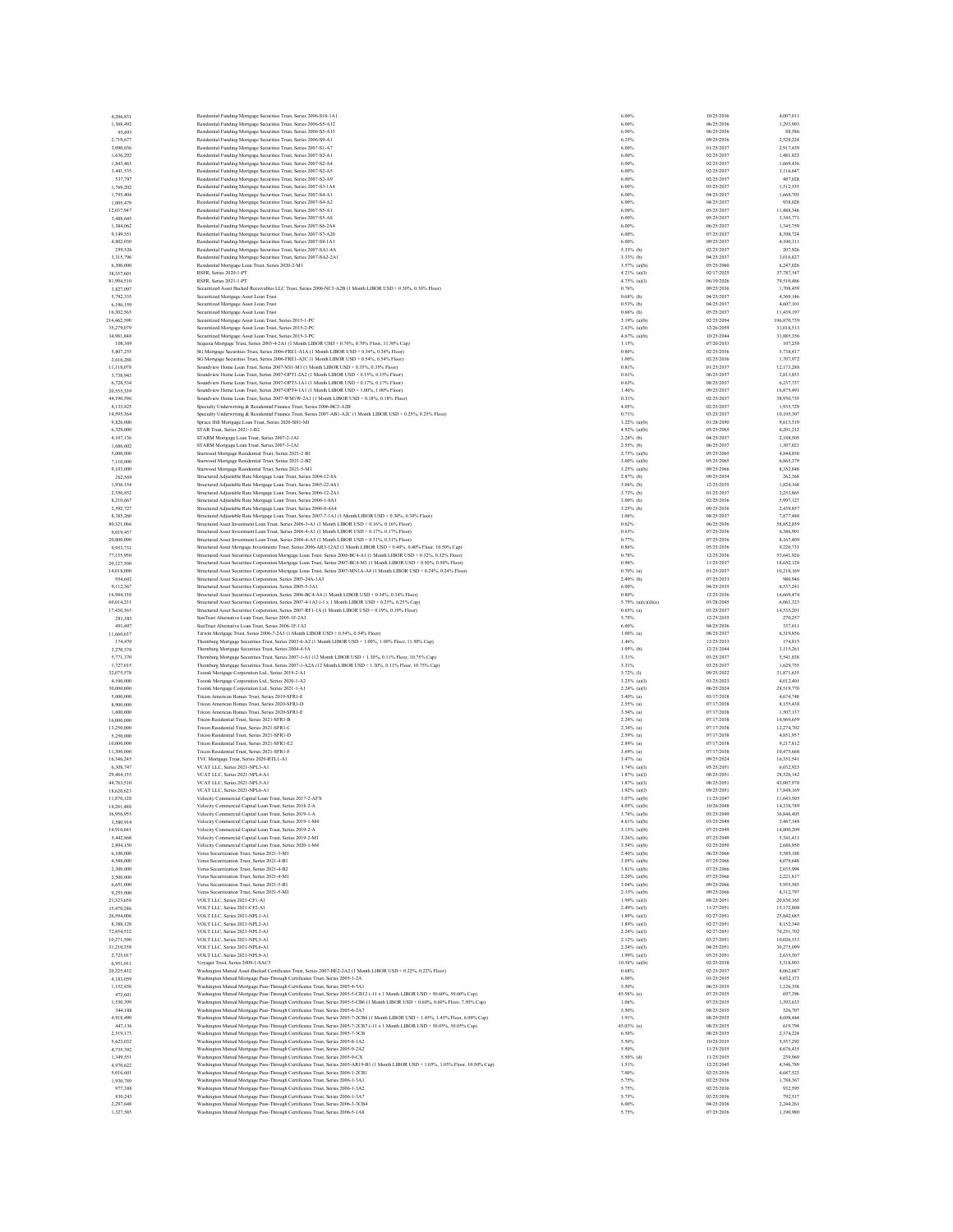| 4.206.831<br>2,719,677   |                          |                                                                                                                                                                                                                                                                    |                                   |                          |                          |
|--------------------------|--------------------------|--------------------------------------------------------------------------------------------------------------------------------------------------------------------------------------------------------------------------------------------------------------------|-----------------------------------|--------------------------|--------------------------|
|                          |                          | Residential Funding Mortgage Securities Trust, Series 2006-S10-1A1                                                                                                                                                                                                 | 6.00%                             | 10/25/2036               | 4,007,011                |
|                          | 1,368,492                | Residential Funding Mortgage Securities Trust, Series 2006-S5-A12                                                                                                                                                                                                  | 6.00%                             | 06/25/2036               | 1,293,903                |
|                          | 93,693                   | Residential Funding Mortgage Securities Trust, Series 2006-S5-A15                                                                                                                                                                                                  | 6.00%<br>6.25%                    | 06/25/2036<br>09/25/2036 | 88,586<br>2,528,224      |
|                          | 3,090,036                | Residential Funding Mortgage Securities Trust, Series 2006-S9-A1<br>Residential Funding Mortgage Securities Trust, Series 2007-S1-A7                                                                                                                               | 6.00%                             | 01/25/2037               | 2,917,439                |
|                          | 1.636.292                | Residential Funding Mortgage Securities Trust, Series 2007-S2-A1                                                                                                                                                                                                   | 6.00%                             | 02/25/2037               | 1.481.823                |
|                          | 1,843,463                | Residential Funding Mortgage Securities Trust, Series 2007-S2-A4                                                                                                                                                                                                   | 6.00%                             | 02/25/2037               | 1,669,436                |
|                          | 3,441,535                | Residential Funding Mortgage Securities Trust, Series 2007-S2-A5                                                                                                                                                                                                   | 6.00%                             | 02/25/2037               | 3,116,647                |
|                          | 537,797                  | Residential Funding Mortgage Securities Trust, Series 2007-S2-A9                                                                                                                                                                                                   | 6.00%                             | 02/25/2037               | 487,028                  |
|                          | 1,769,202                | Residential Funding Mortgage Securities Trust, Series 2007-S3-1A4                                                                                                                                                                                                  | 6.00%                             | 03/25/2037               | 1,512,535                |
|                          | 1,795,404                | Residential Funding Mortgage Securities Trust, Series 2007-S4-A1                                                                                                                                                                                                   | 6.00%                             | 04/25/2037<br>04/25/2037 | 1,668,703                |
| 12,037,947               | 1,005,479                | Residential Funding Mortgage Securities Trust, Series 2007-S4-A2<br>Residential Funding Mortgage Securities Trust, Series 2007-S5-A1                                                                                                                               | 6.00%<br>6.00%                    | 05/25/2037               | 938,028<br>11,488,346    |
|                          | 3,488,645                | Residential Funding Mortgage Securities Trust, Series 2007-S5-A8                                                                                                                                                                                                   | 6.00%                             | 05/25/2037               | 3,345,771                |
|                          | 1,384,062                | Residential Funding Mortgage Securities Trust, Series 2007-S6-2A4                                                                                                                                                                                                  | 6.00%                             | 06/25/2037               | 1,345,759                |
|                          | 9,149,551                | Residential Funding Mortgage Securities Trust, Series 2007-S7-A20                                                                                                                                                                                                  | 6.00%                             | 07/25/2037               | 8,398,724                |
|                          | 4,802,030                | Residential Funding Mortgage Securities Trust, Series 2007-S8-1A1                                                                                                                                                                                                  | 6.00%                             | 09/25/2037               | 4.100.111                |
|                          | 259,526                  | Residential Funding Mortgage Securities Trust, Series 2007-SA1-4A                                                                                                                                                                                                  | 5.33% (b)                         | 02/25/2037               | 207,926                  |
|                          | 3,315,796                | Residential Funding Mortgage Securities Trust, Series 2007-SA2-2A1                                                                                                                                                                                                 | 3.33% (b)                         | 04/25/2037               | 3,016,827                |
|                          | 6,300,000                | Residential Mortgage Loan Trust, Series 2020-2-M1<br>RSFR, Series 2020-1-PT                                                                                                                                                                                        | 3.57% (a)(b)<br>$4.21%$ (a)(I)    | 05/25/2060<br>02/17/2025 | 6,247,026<br>37,787,147  |
| 38,357,601               | 81,994,510               | RSFR, Series 2021-1-PT                                                                                                                                                                                                                                             | $4.75%$ (a)(I)                    | 06/19/2026               | 79,510,486               |
|                          | 3,827,097                | Securitized Asset Backed Receivables LLC Trust. Series 2006-NC3-A2B (1 Month LIBOR USD + 0.30% 0.30% Floor)                                                                                                                                                        | 0.76%                             | 09/25/2036               | 1,708,459                |
|                          | 5,792,335                | Securitized Mortgage Asset Loan Trus                                                                                                                                                                                                                               | $0.68%$ (b)                       | 04/25/2037               | 4,369,146                |
|                          | 6,196,159                | Securitized Mortgage Asset Loan Trust                                                                                                                                                                                                                              | $0.53%$ (b)                       | 04/25/2037               | 4,607,101                |
| 16,302,565               |                          | Securitized Mortgage Asset Loan Trust                                                                                                                                                                                                                              | $0.66%$ (b)                       | 05/25/2037               | 11,439,197               |
| 214,462,590              |                          | Securitized Mortgage Asset Loan Trust, Series 2015-1-PC                                                                                                                                                                                                            | $3.19%$ (a)(b)                    | 02/25/2054               | 196,870,739              |
| 35.279.079               |                          | Securitized Mortgage Asset Loan Trust, Series 2015-2-PC                                                                                                                                                                                                            | $2.63%$ (a)(b)                    | 12/26/2059<br>10/25/2044 | 31,018,513               |
| 34,981,848               | 108,369                  | Securitized Mortgage Asset Loan Trust, Series 2015-3-PC<br>Sequoia Mortgage Trust, Series 2003-4-2A1 (1 Month LIBOR USD + 0.70%, 0.70% Floor, 11.50% Cap)                                                                                                          | 4.67% (a)(b)<br>1.15%             | 07/20/2033               | 31,885,356<br>107,258    |
|                          | 5,807,255                | SG Mortgage Securities Trust, Series 2006-FREI-AIA (1 Month LIBOR USD + 0.34%, 0.34% Floor)                                                                                                                                                                        | 0.80%                             | 02/25/2036               | 5.738.417                |
|                          | 2,616,288                | SG Mortgage Securities Trust, Series 2006-FRE1-A2C (1 Month LIBOR USD + 0.54%, 0.54% Floor)                                                                                                                                                                        | 1.00%                             | 02/25/2036               | 1,707,972                |
|                          | 11,118,078               | Soundview Home Loan Trust, Series 2007-NS1-M1 (1 Month LIBOR USD + 0.35%, 0.35% Floor)                                                                                                                                                                             | 0.81%                             | 01/25/2037               | 12,173,288               |
|                          | 3.738.943                | Soundview Home Loan Trust. Series 2007-OPT1-2A2 (1 Month LIBOR USD + 0.15%, 0.15% Floor)                                                                                                                                                                           | 0.61%                             | 06/25/2037               | 2.813.853                |
|                          | 6,728,534                | Soundview Home Loan Trust, Series 2007-OPT3-1A1 (1 Month LIBOR USD + 0.17%, 0.17% Floor)                                                                                                                                                                           | 0.63%                             | 08/25/2037               | 6,237,737                |
| 20,555,339               |                          | Soundview Home Loan Trust, Series 2007-OPT4-1A1 (1 Month LIBOR USD + 1.00%, 1.00% Floor)                                                                                                                                                                           | 1.46%                             | 09/25/2037               | 16,875,491               |
| 44,190,596               | 4,133,825                | Soundview Home Loan Trust, Series 2007-WM1W-2A1 (1 Month LIBOR USD + 0.18%, 0.18% Floor)                                                                                                                                                                           | 0.31%<br>4.05%                    | 02/25/2037<br>02/25/2037 | 38,930,735<br>1,935,729  |
|                          | 14,595,364               | Specialty Underwriting & Residential Finance Trust, Series 2006-BC2-A2B<br>Specialty Underwriting & Residential Finance Trust, Series 2007-AB1-A2C (1 Month LIBOR USD + 0.25%, 0.25% Floor)                                                                        | 0.71%                             | 03/25/2037               | 10,105,307               |
|                          | 9,826,000                | Spruce Hill Mortgage Loan Trust, Series 2020-SH1-M1                                                                                                                                                                                                                | $3.22\%$ (a)(b)                   | 01/28/2050               | 9,613,519                |
|                          | 6,329,000                | STAR Trust. Series 2021-1-B2                                                                                                                                                                                                                                       | 4.52% (a)(b)                      | 05/25/2065               | 6,201,212                |
|                          | 4,107,136                | STARM Mortgage Loan Trust, Series 2007-2-1A1                                                                                                                                                                                                                       | $2.28%$ (b)                       | 04/25/2037               | 2.188.505                |
|                          | 1,686,602                | STARM Mortgage Loan Trust, Series 2007-3-1A1                                                                                                                                                                                                                       | $2.55%$ (b)                       | 06/25/2037               | 1,307,021                |
|                          | 5,000,000                | Starwood Mortgage Residential Trust, Series 2021-2-B1                                                                                                                                                                                                              | 2.75% (a)(b)                      | 05/25/2065               | 4,844,850                |
|                          | 7,110,000                | Starwood Mortgage Residential Trust, Series 2021-2-B2                                                                                                                                                                                                              | 3.00% (a)(b)                      | 05/25/2065               | 6,865,379                |
|                          | 9,103,000                | Starwood Mortgage Residential Trust, Series 2021-5-M1<br>Structured Adjustable Rate Mortgage Loan Trust, Series 2004-12-8A                                                                                                                                         | $3.25%$ (a)(b)<br>$2.87%$ (b)     | 09/25/2066<br>09/25/2034 | 8.352.848<br>262,368     |
|                          | 262,569<br>1,936,154     | Structured Adjustable Rate Mortgage Loan Trust, Series 2005-22-4A1                                                                                                                                                                                                 | $3.06%$ (b)                       | 12/25/2035               | 1.824.168                |
|                          | 2,550,852                | Structured Adjustable Rate Mortgage Loan Trust, Series 2006-12-2A1                                                                                                                                                                                                 | 3.73% (b)                         | 01/25/2037               | 2,253,865                |
|                          | 8,210,667                | Structured Adjustable Rate Mortgage Loan Trust, Series 2006-1-8A1                                                                                                                                                                                                  | $3.00\%$ (b)                      | 02/25/2036               | 5,997,127                |
|                          | 2,592,727                | Structured Adjustable Rate Mortgage Loan Trust, Series 2006-8-4A4                                                                                                                                                                                                  | $3.25%$ (b)                       | 09/25/2036               | 2,439,857                |
|                          | 8,385,260                | Structured Adjustable Rate Mortgage Loan Trust, Series 2007-7-1A1 (1 Month LIBOR USD + 0.30%, 0.30% Floor)                                                                                                                                                         | 1.06%                             | 08/25/2037               | 7,877,488                |
| 80,321,066               |                          | Structured Asset Investment Loan Trust, Series 2006-3-A1 (1 Month LIBOR USD + 0.16% 0.16% Floor)                                                                                                                                                                   | 0.62%                             | 06/25/2036               | 58,852,859               |
|                          | 9,019,457                | Structured Asset Investment Loan Trust, Series 2006-4-A1 (1 Month LIBOR USD + 0.17%, 0.17% Floor)<br>Structured Asset Investment Loan Trust, Series 2006-4-A5 (1 Month LIBOR USD + 0.31% 0.31% Floor)                                                              | 0.63%<br>0.77%                    | 07/25/2036<br>07/25/2036 | 6,386,901<br>8,167,409   |
|                          | 20,800,000<br>9.953.731  | Structured Asset Mortgage Investments Trust, Series 2006-AR3-12A2 (1 Month LIBOR USD + 0.40%, 0.40% Floor, 10.50% Cap)                                                                                                                                             | 0.86%                             | 05/25/2036               | 9.220.733                |
| 77,155,950               |                          | Structured Asset Securities Corporation Mortgage Loan Trust, Series 2006-BC4-A1 (1 Month LIBOR USD + 0.32%, 0.32% Floor)                                                                                                                                           | 0.78%                             | 12/25/2036               | 53,641,926               |
| 20,127,500               |                          | Structured Asset Securities Corporation Mortgage Loan Trust, Series 2007-BC4-M1 (1 Month LIBOR USD + 0.50%, 0.50% Floor)                                                                                                                                           | 0.96%                             | 11/25/2037               | 18,652,128               |
| 14,018,000               |                          | Structured Asset Securities Corporation Mortgage Loan Trust, Series 2007-MN1A-A4 (1 Month LIBOR USD + 0.24%, 0.24% Floor)                                                                                                                                          | $0.70\%$ (a)                      | 01/25/2037               | 10.218.169               |
|                          | 954,602                  | Structured Asset Securities Corporation, Series 2003-24A-1A3                                                                                                                                                                                                       | $2.49%$ (b)                       | 07/25/2033               | 980,946                  |
|                          | 9,112,367                | Structured Asset Securities Corporation, Series 2005-5-3A1                                                                                                                                                                                                         | 6,00%                             | 04/25/2035               | 6,537,241                |
|                          | 16,944,158               | Structured Asset Securities Corporation, Series 2006-BC4-A4 (1 Month LIBOR USD + 0.34%, 0.34% Floor)                                                                                                                                                               | 0.80%                             | 12/25/2036               | 16,669,474               |
| 60,014,231<br>17,430,365 |                          | Structured Asset Securities Corporation, Series 2007-4-1A3 (-1 x 1 Month LIBOR USD + 6.25%, 6.25% Cap)<br>Structured Asset Securities Corporation, Series 2007-RF1-1A (1 Month LIBOR USD + 0.19%, 0.19% Floor)                                                     | 5.79% (a)(c)(d)(e)<br>$0.65%$ (a) | 03/28/2045<br>03/25/2037 | 6,061,323<br>14,535,201  |
|                          | 281,383                  | SunTrust Alternative Loan Trust, Series 2005-1F-2A3                                                                                                                                                                                                                | 5.75%                             | 12/25/2035               | 270,257                  |
|                          | 491,407                  | SunTrust Alternative Loan Trust, Series 2006-1F-1A3                                                                                                                                                                                                                | 6.00%                             | 04/25/2036               | 337,011                  |
| 11,660,637               |                          | Terwin Mortgage Trust, Series 2006-7-2A3 (1 Month LIBOR USD + 0.54%, 0.54% Floor)                                                                                                                                                                                  | $1.00\%$ (a)                      | 08/25/2037               | 6,319,856                |
|                          | 174,470                  | Thornburg Mortgage Securities Trust, Series 2003-6-A2 (1 Month LIBOR USD + 1.00%, 1.00% Floor, 11.50% Cap)                                                                                                                                                         | 1.46%                             | 12/25/2033               | 174,815                  |
|                          | 3,270,374                | Thornburg Mortgage Securities Trust, Series 2004-4-5A                                                                                                                                                                                                              | $1.95%$ (b)                       | 12/25/2044               | 3,115,261                |
|                          | 5,771,370                | Thornburg Mortgage Securities Trust, Series 2007-1-A1 (12 Month LIBOR USD + 1.30%. 0.11% Floor. 10.75% Can)                                                                                                                                                        | 3.31%<br>3.31%                    | 03/25/2037<br>03/25/2037 | 5.541.838<br>1.629.755   |
| 32,075,578               | 1,727,015                | Thornburg Mortgage Securities Trust, Series 2007-1-A2A (12 Month LIBOR USD + 1.30%, 0.11% Floor, 10.75% Cap)<br>Toorak Mortgage Corporation Ltd., Series 2019-2-A1                                                                                                 |                                   |                          | 31,871,635               |
|                          |                          |                                                                                                                                                                                                                                                                    |                                   |                          |                          |
|                          |                          |                                                                                                                                                                                                                                                                    | 3.72% (l)                         | 09/25/2022<br>03/25/2023 | 4.012.401                |
|                          | 4,100,000<br>30,000,000  | Toorak Mortgage Corporation Ltd., Series 2020-1-A2                                                                                                                                                                                                                 | $3.23%$ (a)(I)                    | 06/25/2024               | 28,519,770               |
|                          | 5,000,000                | Toorak Mortgage Corporation Ltd., Series 2021-1-A1<br>Tricon American Homes Trust, Series 2019-SFR1-E                                                                                                                                                              | $2.24%$ (a)(I)<br>$3.40\%$ (a)    | 03/17/2038               | 4,674,748                |
|                          | 8,900,000                | Tricon American Homes Trust, Series 2020-SFR1-D                                                                                                                                                                                                                    | $2.55%$ (a)                       | 07/17/2038               | 8,155,438                |
|                          | 1,600,000                | Tricon American Homes Trust, Series 2020-SFR1-E                                                                                                                                                                                                                    | $3.54%$ (a)                       | 07/17/2038               | 1,507,137                |
|                          | 16,000,000               | Tricon Residential Trust. Series 2021-SFR1-B                                                                                                                                                                                                                       | $2.24%$ (a)                       | 07/17/2038               | 14,969,659               |
|                          | 13,250,000               | Tricon Residential Trust, Series 2021-SFR1-C                                                                                                                                                                                                                       | $2.34\%$ (a)                      | 07/17/2038               | 12,274,702               |
|                          | 5,250,000                | Tricon Residential Trust. Series 2021-SFR1-D<br>Tricon Residential Trust Series 2021-SER1-E2                                                                                                                                                                       | $2.59%$ (a)                       | 07/17/2038               | 4,851,957                |
| 10,000,000               |                          |                                                                                                                                                                                                                                                                    | $2.89%$ (a)                       | 07/17/2038<br>07/17/2038 | 9.217.812<br>10,475,668  |
| 11,300,000<br>16,346,245 |                          | Tricon Residential Trust, Series 2021-SFR1-F<br>TVC Mortgage Trust. Series 2020-RTL1-A1                                                                                                                                                                            | $3.69%$ (a)<br>$3.47%$ (a)        | 09/25/2024               |                          |
|                          | 6,308,747                | VCATLLC Series 2021-NPL3-A1                                                                                                                                                                                                                                        | $1.74%$ (a)(I)                    | 05/25/2051               | 16,351,541<br>6.032.925  |
| 29,484,155               |                          | VCAT LLC. Series 2021-NPL4-A1                                                                                                                                                                                                                                      | 1.87% (a)(I)                      | 08/25/2051               | 28,526,142               |
| 44,783,510               |                          | VCAT LLC, Series 2021-NPL5-A1                                                                                                                                                                                                                                      | $1.87%$ (a)(I)                    | 08/25/2051               | 43,007,978               |
| 18.620.623               |                          | VCATLLC, Series 2021-NPL6-A1                                                                                                                                                                                                                                       | $1.92\%$ (a)(I)                   | 09/25/2051               | 17,848,169               |
| 11,870,128               |                          | Velocity Commercial Capital Loan Trust, Series 2017-2-AFX                                                                                                                                                                                                          | 3.07% (a)(b)<br>4.05% (a)(b)      | 11/25/2047<br>10/26/2048 | 11,643,505<br>14.338.749 |
| 36,956,955               | 14.281.488               | Velocity Commercial Capital Loan Trust, Series 2018-2-A<br>Velocity Commercial Capital Loan Trust, Series 2019-1-A                                                                                                                                                 | $3.76%$ (a)(b)                    | 03/25/2049               | 36,846,405               |
|                          | 3,580,914                | Velocity Commercial Capital Loan Trust, Series 2019-1-M4                                                                                                                                                                                                           | $4.61%$ (a)(b)                    | 03/25/2049               | 3,467,148                |
|                          | 14.916.641               | Velocity Commercial Capital Loan Trust. Series 2019-2-A                                                                                                                                                                                                            | 3.13% (a)(b)                      | 07/25/2049               | 14,800,209               |
|                          | 5,442,868                | Velocity Commercial Capital Loan Trust, Series 2019-2-M1                                                                                                                                                                                                           | $3.26\%$ (a)(b)                   | 07/25/2049               | 5,341,411                |
|                          | 2,894,150                | Velocity Commercial Capital Loan Trust, Series 2020-1-M4                                                                                                                                                                                                           | $3.54%$ (a)(b)                    | 02/25/2050               | 2,686,950                |
|                          | 6,100,000                | Verus Securitization Trust. Series 2021-3-M1                                                                                                                                                                                                                       | 2.40% (a)(b)                      | 06/25/2066               | 5,589,188                |
|                          | 4,588,000                | Verus Securitization Trust, Series 2021-4-B1                                                                                                                                                                                                                       | $3.05\%$ (a)(b)                   | 07/25/2066               | 4,079,648                |
|                          | 2,300,000<br>2,500,000   | Verus Securitization Trust, Series 2021-4-B2<br>Verus Securitization Trust. Series 2021-4-M1                                                                                                                                                                       | $3.81%$ (a)(b)<br>2.20% (a)(b)    | 07/25/2066<br>07/25/2066 | 2,035,994<br>2.221.817   |
|                          | 6,651,000                | Verus Securitization Trust, Series 2021-5-B1                                                                                                                                                                                                                       | $3.04%$ (a)(b)                    | 09/25/2066               | 5,955,585                |
|                          | 9,255,000                | Verus Securitization Trust, Series 2021-5-M1                                                                                                                                                                                                                       | $2.33%$ (a)(b)                    | 09/25/2066               | 8,312,797                |
| 21,323,658               |                          | VOLT LLC, Series 2021-CF1-A1                                                                                                                                                                                                                                       | $1.99%$ (a)(I)                    | 08/25/2051               | 20,830,165               |
|                          | 15,470,286               | VOLT LLC. Series 2021-CF2-A1                                                                                                                                                                                                                                       | $2.49%$ (a)(I)                    | 11/27/2051               | 15,172,808               |
|                          | 26,594,006               | VOLT LLC, Series 2021-NPL1-A1                                                                                                                                                                                                                                      | $1.89%$ (a)(I)                    | 02/27/2051               | 25,842,685               |
|                          | 8,388,128                | VOLT LLC, Series 2021-NPL2-A1<br>VOLT LLC. Series 2021-NPL3-A1                                                                                                                                                                                                     | $1.89%$ (a)(I)<br>2.24% (a)(I)    | 02/27/2051<br>02/27/2051 | 8,152,340<br>70,251,702  |
|                          | 72,854,532<br>10.271.590 | VOLT LLC Series 2021-NPLS-A1                                                                                                                                                                                                                                       | 2.12% (a)(I)                      | 03/27/2051               | 10.026.533               |
| 31,210,358               |                          | VOLT LLC, Series 2021-NPL6-A1                                                                                                                                                                                                                                      | $2.24%$ (a)(I)                    | 04/25/2051               | 30,275,099               |
|                          | 2.725.017                | VOLT LLC, Series 2021-NPL9-A1                                                                                                                                                                                                                                      | $1.99%$ (a)(I)                    | 05/25/2051               | 2,635,507                |
|                          | 6.951.011                | Voyager Trust, Series 2009-1-SAC3                                                                                                                                                                                                                                  | 10.38% (a)(b)                     | 02/25/2038               | 5.318.903                |
| 20,225,432               |                          | Washington Mutual Asset-Backed Certificates Trust, Series 2007-HE2-2A2 (1 Month LIBOR USD + 0.22%, 0.22% Floor)                                                                                                                                                    | 0.68%                             | 02/25/2037               | 8,062,687                |
|                          | 4,183,059                | Washington Mutual Mortgage Pass-Through Certificates Trust, Series 2005-1-2A                                                                                                                                                                                       | 6.00%                             | 03/25/2035               | 4,032,173                |
|                          | 1,152,858                | Washington Mutual Mortgage Pass-Through Certificates Trust, Series 2005-4-5A1                                                                                                                                                                                      | 5.50%                             | 06/25/2035               | 1.126.358                |
|                          | 472,601<br>1,530,399     | Washington Mutual Mortgage Pass-Through Certificates Trust, Series 2005-5-CB12 (+11 x 1 Month LIBOR USD + 50.60%, 50.60% Cap)<br>Washington Mutual Mortgage Pass-Through Certificates Trust, Series 2005-5-CB6 (1 Month LIBOR USD + 0.60%, 0.60% Floor, 7.50% Cap) | 45.58% (e)<br>1.06%               | 07/25/2035<br>07/25/2035 | 697,396<br>1,393,633     |
|                          | 344,188                  | Washington Mutual Mortgage Pass-Through Certificates Trust, Series 2005-6-2A7                                                                                                                                                                                      | 5.50%                             | 08/25/2035               | 326,707                  |
|                          | 4,918,490                | Washington Mutual Mortgage Pass-Through Certificates Trust, Series 2005-7-2CB6 (1 Month LIBOR USD + 1.45%, 1.45% Floor, 6.00% Cap)                                                                                                                                 | 1.91%                             | 08/25/2035               | 4,698,444                |
|                          | 447.136                  | Washington Mutual Mortgage Pass-Through Certificates Trust, Series 2005-7-2CB7 (-11 x 1 Month LIBOR USD + 50.05%, 50.05% Cap)                                                                                                                                      | 45.03% (c)                        | 08/25/2035               | 619,794                  |
|                          | 2,519,173                | Washington Mutual Mortgage Pass-Through Certificates Trust, Series 2005-7-3CB                                                                                                                                                                                      | 6.50%                             | 08/25/2035               | 2,374,224                |
|                          | 5,623,032                | Washington Mutual Mortgage Pass-Through Certificates Trust, Series 2005-8-1A2                                                                                                                                                                                      | 5.50%                             | 10/25/2035               | 5,557,292                |
|                          | 4,735,392                | Washington Mutual Mortgage Pass-Through Certificates Trust, Series 2005-9-2A2                                                                                                                                                                                      | 5.50%                             | 11/25/2035               | 4,676,435                |
|                          | 1,349,551<br>4,970,622   | Washington Mutual Mortgage Pass-Through Certificates Trust, Series 2005-9-CX<br>Washington Mutual Mortgage Pass-Through Certificates Trust, Series 2005-AR19-B1 (1 Month LIBOR USD + 1.05%, 1.05% Floor, 10.50% Cap)                                               | $5.50\%$ (d)<br>1.51%             | 11/25/2035<br>12/25/2045 | 239,969<br>4,546,789     |
|                          | 5,016,601                | Washington Mutual Mortgage Pass-Through Certificates Trust, Series 2006-1-2CB1                                                                                                                                                                                     | 7.00%                             | 02/25/2036               | 4.687.523                |
|                          | 1,930,789                | Washington Mutual Mortgage Pass-Through Certificates Trust, Series 2006-1-3A1                                                                                                                                                                                      | 5.75%                             | 02/25/2036               | 1,788,367                |
|                          | 977,388                  | Washington Mutual Mortgage Pass-Through Certificates Trust, Series 2006-1-3A2                                                                                                                                                                                      | 5.75%                             | 02/25/2036               | 932,595                  |
|                          | 830,243                  | Washington Mutual Mortgage Pass-Through Certificates Trust, Series 2006-1-3A7                                                                                                                                                                                      | 5.75%                             | 02/25/2036               | 792,517                  |
|                          | 2,297,648<br>1.327,585   | Washington Mutual Mortgage Pass-Through Certificates Trust, Series 2006-3-3CB4<br>Washington Mutual Mortgage Pass-Through Certificates Trust, Series 2006-5-1A8                                                                                                    | 6.00%<br>5.75%                    | 04/25/2036<br>07/25/2036 | 2,244,261<br>1,190,980   |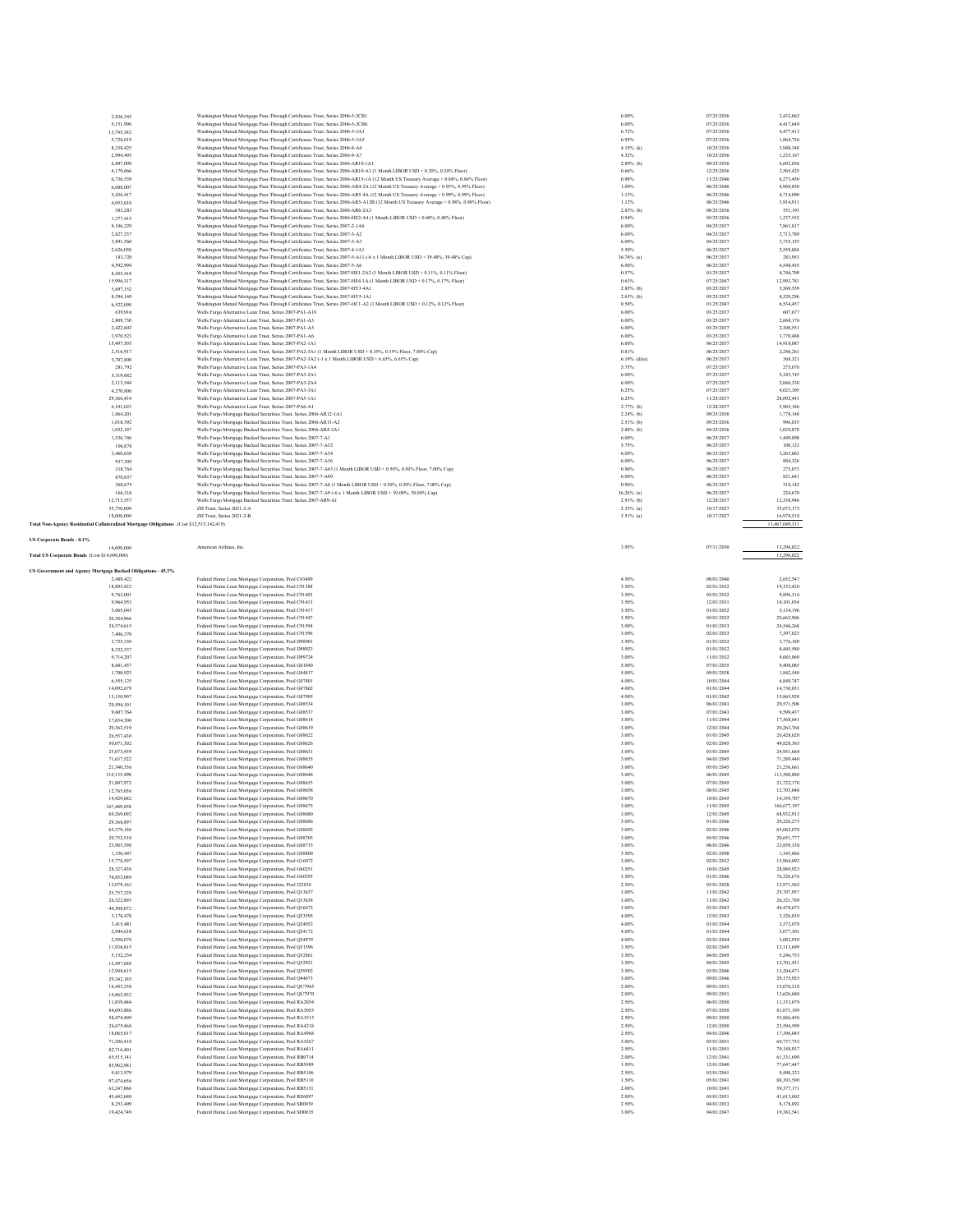|                                                              | 2,836,345<br>5,151,996                                                                   |                                                                                                                                                                  | 6.00%          |                          |                          |
|--------------------------------------------------------------|------------------------------------------------------------------------------------------|------------------------------------------------------------------------------------------------------------------------------------------------------------------|----------------|--------------------------|--------------------------|
|                                                              |                                                                                          | Washington Mutual Mortgage Pass-Through Certificates Trust, Series 2006-5-2CB1<br>Washington Mutual Mortgage Pass-Through Certificates Trust, Series 2006-5-2CB6 | 6.00%          | 07/25/2036<br>07/25/2036 | 2,432,062<br>4,417,649   |
|                                                              | 13,745,342                                                                               | Washington Mutual Mortgage Pass-Through Certificates Trust, Series 2006-5-3A3                                                                                    | 6.72%          | 07/25/2036               | 4.477.413                |
|                                                              | 5,728,019                                                                                | Washington Mutual Mortgage Pass-Through Certificates Trust, Series 2006-5-3A5                                                                                    | 6.95%          | 07/25/2036               | 1,864,756                |
|                                                              | 8,338,425                                                                                | Washington Mutual Mortgage Pass-Through Certificates Trust, Series 2006-8-A4                                                                                     | 4.19% (k)      | 10/25/2036               | 3,948,348                |
|                                                              | 2,994,495                                                                                | Washington Mutual Mortgage Pass-Through Certificates Trust, Series 2006-9-A7                                                                                     | 4.32%          | 10/25/2036               | 1,235,167                |
|                                                              | 6,897,098                                                                                | Washington Mutual Mortgage Pass-Through Certificates Trust, Series 2006-AR10-1A1                                                                                 | $2.89%$ (b)    | 09/25/2036               | 6,692,056                |
|                                                              | 4.179.666                                                                                | Washington Mutual Mortgage Pass-Through Certificates Trust, Series 2006-AR10-A1 (1 Month LIBOR USD + 0.20%, 0.20% Floor)                                         | 0.66%          | 12/25/2036               | 2.565.425                |
|                                                              | 6,736,539                                                                                | Washington Mutual Mortgage Pass-Through Certificates Trust, Series 2006-AR15-1A (12 Month US Treasury Average + 0.84%, 0.84% Floor)                              | 0.98%          | 11/25/2046               | 6,273,450                |
|                                                              | 6,088,007                                                                                | Washington Mutual Mortgage Pass-Through Certificates Trust, Series 2006-AR4-2A (12 Month US Treasury Average + 0.95%, 0.95% Floor)                               | 1.09%          | 06/25/2046               | 4,969,850                |
|                                                              | 5,436,417                                                                                | Washington Mutual Mortgage Pass-Through Certificates Trust, Series 2006-AR5-4A (12 Month US Treasury Average + 0.99%, 0.99% Floor)                               | 1.13%          | 06/25/2046               | 4.714.090                |
|                                                              | 4,053,010                                                                                | Washington Mutual Mortgage Pass-Through Certificates Trust, Series 2006-AR5-A12B (12 Month US Treasury Average + 0.98%, 0.98% Floor)                             | 1.12%          | 06/25/2046               | 3.914.911                |
|                                                              | 583,283                                                                                  | Washington Mutual Mortgage Pass-Through Certificates Trust, Series 2006-AR6-2A3                                                                                  | $2.83%$ (b)    | 08/25/2036               | 551,193                  |
|                                                              | 1,377,415                                                                                | Washington Mutual Mortgage Pass-Through Certificates Trust, Series 2006-HE2-A4 (1 Month LIBOR USD + 0.48%, 0.48% Floor)                                          | 0.94%          | 05/25/2036               | 1.237.552                |
|                                                              | 8,106,229                                                                                | Washington Mutual Mortgage Pass-Through Certificates Trust, Series 2007-2-1A6                                                                                    | 6.00%          | 04/25/2037               | 7,861,817                |
|                                                              | 2,827,237                                                                                | Washington Mutual Mortgage Pass-Through Certificates Trust, Series 2007-3-A2                                                                                     | 6.00%          | 04/25/2037               | 2,713,789                |
|                                                              | 3,891,560                                                                                | Washington Mutual Mortgage Pass-Through Certificates Trust, Series 2007-3-A3                                                                                     | 6.00%          | 04/25/2037               | 3,735,155                |
|                                                              | 2,626,058                                                                                | Washington Mutual Mortgage Pass-Through Certificates Trust, Series 2007-4-1A1                                                                                    | 5.50%          | 06/25/2037               | 2,559,884                |
|                                                              | 183,720                                                                                  | Washington Mutual Mortgage Pass-Through Certificates Trust, Series 2007-5-A11 (-6 x 1 Month LIBOR USD + 39.48%, 39.48% Cap)                                      | 36.74% (e)     | 06/25/2037               | 283,953                  |
|                                                              | 4,592,994                                                                                | Washington Mutual Mortgage Pass-Through Certificates Trust, Series 2007-5-A6                                                                                     | 6,00%          | 06/25/2037               | 4.548.455                |
|                                                              | 8,455,418                                                                                | Washington Mutual Mortgage Pass-Through Certificates Trust, Series 2007-HE1-2A2 (1 Month LIBOR USD + 0.11%, 0.11% Floor)                                         | 0.57%          | 01/25/2037               | 4,744,709                |
|                                                              | 15,996.317                                                                               | Washington Mutual Mortgage Pass-Through Certificates Trust, Series 2007-HE4-1A (1 Month LIBOR USD + 0.17%, 0.17% Floor)                                          | 0.63%          | 07/25/2047               | 12,993,781               |
|                                                              | 5,697,152                                                                                | Washington Mutual Mortgage Pass-Through Certificates Trust, Series 2007-HY3-4A1                                                                                  | $2.85%$ (b)    | 03/25/2037               | 5,569,559                |
|                                                              | 8,594,169                                                                                | Washington Mutual Mortgage Pass-Through Certificates Trust, Series 2007-HY5-1A1                                                                                  | $2.63%$ (b)    | 05/25/2037               | 8,320,296                |
|                                                              | 6,522,098                                                                                | Washington Mutual Mortgage Pass-Through Certificates Trust, Series 2007-OC1-A2 (1 Month LIBOR USD + 0.12%, 0.12% Floor)                                          | 0.58%          | 01/25/2047               | 6,534,457                |
|                                                              | 639,916                                                                                  | Wells Fargo Alternative Loan Trust, Series 2007-PA1-A10<br>Wells Fargo Alternative Loan Trust, Series 2007-PA1-A3                                                | 6.00%          | 03/25/2037               | 607,677                  |
|                                                              | 2,809,730                                                                                | Wells Fargo Alternative Loan Trust. Series 2007-PA1-A5                                                                                                           | 6.00%<br>6.00% | 03/25/2037<br>03/25/2037 | 2,668,176<br>2.300.551   |
|                                                              | 2,422,602<br>3,970,523                                                                   | Wells Fargo Alternative Loan Trust, Series 2007-PA1-A6                                                                                                           | 6.00%          | 03/25/2037               | 3,770,488                |
|                                                              | 15.497.305                                                                               | Wells Fargo Alternative Loan Trust, Series 2007-PA2-1A1                                                                                                          | 6.00%          | 06/25/2037               | 14.918.087               |
|                                                              | 2,516,917                                                                                | Wells Fargo Alternative Loan Trust, Series 2007-PA2-3A1 (1 Month LIBOR USD + 0.35%, 0.35% Floor, 7.00% Cap)                                                      | 0.81%          | 06/25/2037               | 2.240.261                |
|                                                              | 3,707,808                                                                                | Wells Fargo Alternative Loan Trust, Series 2007-PA2-3A2 (-1 x 1 Month LIBOR USD + 6.65%, 6.65% Cap)                                                              | $6.19%$ (d)(e) | 06/25/2037               | 368,321                  |
|                                                              | 281.792                                                                                  | Wells Fargo Alternative Loan Trust. Series 2007-PA3-1A4                                                                                                          | 5.75%          | 07/25/2037               | 275,076                  |
|                                                              | 5,319,682                                                                                | Wells Fargo Alternative Loan Trust, Series 2007-PA3-2A1                                                                                                          | 6.00%          | 07/25/2037               | 5,185,745                |
|                                                              | 2,113,544                                                                                | Wells Fargo Alternative Loan Trust, Series 2007-PA3-2A4                                                                                                          | 6.00%          | 07/25/2037               | 2,060,330                |
|                                                              | 4,270,800                                                                                | Wells Fargo Alternative Loan Trust, Series 2007-PA3-3A1                                                                                                          | 6.25%          | 07/25/2037               | 4.023.305                |
|                                                              | 29,366,434                                                                               | Wells Fargo Alternative Loan Trust, Series 2007-PA5-1A1                                                                                                          | 6.25%          | 11/25/2037               | 28,092,441               |
|                                                              | 6,101,023                                                                                | Wells Fargo Alternative Loan Trust, Series 2007-PA6-A1                                                                                                           | $2.77%$ (b)    | 12/28/2037               | 5,965,186                |
|                                                              | 1,864,201                                                                                | Wells Fargo Mortgage Backed Securities Trust, Series 2006-AR12-1A1                                                                                               | $2.24%$ (b)    | 09/25/2036               | 1,778,148                |
|                                                              | 1,018,392                                                                                | Wells Fargo Mortgage Backed Securities Trust, Series 2006-AR13-A2                                                                                                | $2.51%$ (b)    | 09/25/2036               | 996,835                  |
|                                                              | 1,052,187                                                                                | Wells Fargo Mortgage Backed Securities Trust, Series 2006-AR4-2A1                                                                                                | $2.88%$ (b)    | 04/25/2036               | 1,024,878                |
|                                                              | 1,536,746                                                                                | Wells Fargo Mortgage Backed Securities Trust, Series 2007-7-A1                                                                                                   | 6.00%          | 06/25/2037               | 1,449,898                |
|                                                              | 106,878                                                                                  | Wells Fargo Mortgage Backed Securities Trust, Series 2007-7-A32                                                                                                  | 5.75%          | 06/25/2037               | 100,123                  |
|                                                              | 3,460,638                                                                                | Wells Fargo Mortgage Backed Securities Trust, Series 2007-7-A34                                                                                                  | 6.00%          | 06/25/2037               | 3,265,063                |
|                                                              | 937,309                                                                                  | Wells Fargo Mortgage Backed Securities Trust, Series 2007-7-A36                                                                                                  | 6.00%          | 06/25/2037               | 884,326                  |
|                                                              | 318,764                                                                                  | Wells Fargo Mortgage Backed Securities Trust, Series 2007-7-A43 (1 Month LIBOR USD + 0.50%, 0.50% Floor, 7.00% Cap)                                              | 0.96%          | 06/25/2037               | 275,073                  |
|                                                              | 870,857                                                                                  | Wells Fargo Mortgage Backed Securities Trust, Series 2007-7-A49                                                                                                  | 6.00%          | 06/25/2037               | 821.641                  |
|                                                              | 368,675                                                                                  | Wells Fargo Mortgage Backed Securities Trust, Series 2007-7-A8 (1 Month LIBOR USD + 0.50%, 0.50% Floor, 7.00% Cap)                                               | 0.96%          | 06/25/2037               | 318,142                  |
|                                                              | 166,316                                                                                  | Wells Fargo Mortgage Backed Securities Trust, Series 2007-7-A9 (-6 x 1 Month LIBOR USD + 39.00%, 39.00% Cap)                                                     | $36.26\%$ (e)  | 06/25/2037               | 224,670                  |
|                                                              | 12.713.357                                                                               | Wells Fargo Mortgage Backed Securities Trust, Series 2007-AR9-A1                                                                                                 | $2.91%$ (b)    | 12/28/2037               | 12.338.946               |
|                                                              | 35,750,000                                                                               | ZH Trust, Series 2021-2-A                                                                                                                                        | $2.35%$ (a)    | 10/17/2027               | 35,673,173               |
|                                                              | 18,000,000                                                                               | ZH Trust, Series 2021-2-B                                                                                                                                        | $3.51%$ (a)    | 10/17/2027               | 16,978,518               |
|                                                              | Total Non-Agency Residential Collateralized Mortgage Obligations (Cost \$12,515,142,419) |                                                                                                                                                                  |                |                          | 11 467 049 331           |
|                                                              |                                                                                          |                                                                                                                                                                  |                |                          |                          |
| <b>US Corporate Bonds - 0.1%</b>                             |                                                                                          |                                                                                                                                                                  |                |                          |                          |
|                                                              | 14,690,000                                                                               | American Airlines, Inc.                                                                                                                                          | 3.95%          | 07/11/2030               | 13,296,822               |
| Total US Corporate Bonds (Cost \$14,690,000)                 |                                                                                          |                                                                                                                                                                  |                |                          | 13,296,822               |
|                                                              |                                                                                          |                                                                                                                                                                  |                |                          |                          |
| US Government and Agency Mortgage Backed Obligations - 45.3% |                                                                                          |                                                                                                                                                                  |                |                          |                          |
|                                                              | 2,489,422                                                                                | Federal Home Loan Mortgage Corporation, Pool C03490                                                                                                              | 4.50%          | 08/01/2040<br>02/01/2032 | 2.652.547<br>19,153,420  |
|                                                              | 18,895.422                                                                               | Federal Home Loan Mortgage Corporation, Pool C91388                                                                                                              | 3.50%<br>3.50% | 03/01/2032               | 9,896,316                |
|                                                              | 9,763,001<br>9,964,953                                                                   | Federal Home Loan Mortgage Corporation, Pool C91403<br>Federal Home Loan Mortgage Corporation, Pool C91413                                                       | 3.50%          | 12/01/2031               | 10,101,034               |
|                                                              | 5,065,043                                                                                | Federal Home Loan Mortgage Corporation, Pool C91417                                                                                                              | 3.50%          | 01/01/2032               | 5.134.196                |
|                                                              | 20,384,966                                                                               | Federal Home Loan Mortgage Corporation, Pool C91447                                                                                                              | 3.50%          | 05/01/2032               | 20,662,906               |
|                                                              | 24,574,615                                                                               | Federal Home Loan Mortgage Corporation, Pool C91594                                                                                                              | 3.00%          | 01/01/2033               | 24,546,268               |
|                                                              | 7,406,370                                                                                | Federal Home Loan Mortgage Corporation, Pool C91596                                                                                                              | 3.00%          | 02/01/2033               | 7,397,823                |
|                                                              | 3,725,330                                                                                | Federal Home Loan Mortgage Corporation, Pool D98901                                                                                                              | 3.50%          | 01/01/2032               | 3,776,189                |
|                                                              | 8.332.537                                                                                | Federal Home Loan Mortgage Corporation, Pool D98923                                                                                                              | 3.50%          | 01/01/2032               | 8,445,580                |
|                                                              | 9,714,207                                                                                | Federal Home Loan Mortgage Corporation, Pool D99724                                                                                                              | 3.00%          | 11/01/2032               | 9,685,069                |
|                                                              | 8,681,457                                                                                | Federal Home Loan Mortgage Corporation, Pool G01840                                                                                                              | 5.00%          | 07/01/2035               | 9,408,085                |
|                                                              | 1,700.923                                                                                | Federal Home Loan Mortgage Corporation, Pool G04817                                                                                                              | 5.00%          | 09/01/2038               | 1,842,540                |
|                                                              | 6,555,125                                                                                | Federal Home Loan Mortgage Corporation, Pool G07801                                                                                                              |                | 10/01/2044               | 6,849,747                |
|                                                              |                                                                                          |                                                                                                                                                                  |                |                          |                          |
|                                                              |                                                                                          |                                                                                                                                                                  | 4.00%          |                          |                          |
|                                                              | 14,092,679                                                                               | Federal Home Loan Mortgage Corporation, Pool G07862                                                                                                              | 4.00%          | 01/01/2044               | 14.730.031               |
|                                                              | 15,150,907                                                                               | Federal Home Loan Mortgage Corporation, Pool G07905                                                                                                              | 4.00%          | 01/01/2042               | 15,865,928               |
|                                                              | 29,594,101                                                                               | Federal Home Loan Mortgage Corporation, Pool G08534                                                                                                              | 3.00%          | 06/01/2043               | 29,571,508               |
|                                                              | 9,607,764                                                                                | Federal Home Loan Mortgage Corporation, Pool G08537                                                                                                              | 3.00%<br>3.00% | 07/01/2043<br>11/01/2044 | 9,599,437<br>17,568,641  |
|                                                              | 17,654,300                                                                               | Federal Home Loan Mortgage Corporation, Pool G08614                                                                                                              |                |                          |                          |
|                                                              | 20,362,519                                                                               | Federal Home Loan Mortgage Corporation, Pool G08619                                                                                                              | 3.00%          | 12/01/2044<br>01/01/2045 | 20,263,764<br>26,428,620 |
|                                                              | 26,557,430                                                                               | Federal Home Loan Mortgage Corporation, Pool G08622                                                                                                              | 3.00%          |                          |                          |
|                                                              | 50,071,302                                                                               | Federal Home Loan Mortgage Corporation, Pool G08626                                                                                                              | 3.00%<br>3.00% | 02/01/2045<br>03/01/2045 | 49,828,365<br>24,951,664 |
|                                                              | 25,073,459<br>71.637.522                                                                 | Federal Home Loan Mortgage Corporation, Pool G08631                                                                                                              | 3.00%          | 04/01/2045               | 71.289.440               |
|                                                              | 21,340,356                                                                               | Federal Home Loan Mortgage Corporation, Pool G08635<br>Federal Home Loan Mortgage Corporation, Pool G08640                                                       | 3.00%          | 05/01/2045               | 21,236,661               |
|                                                              | 114,135,498                                                                              | Federal Home Loan Mortgage Corporation, Pool G08648                                                                                                              | 3.00%          | 06/01/2045               | 113,580,880              |
|                                                              | 21,807,972                                                                               | Federal Home Loan Mortgage Corporation, Pool G08653                                                                                                              | 3.00%          | 07/01/2045               | 21.722.170               |
|                                                              | 12,765,036                                                                               | Federal Home Loan Mortgage Corporation, Pool G08658                                                                                                              | 3.00%          | 08/01/2045               | 12,703,048               |
|                                                              | 14,429,682                                                                               | Federal Home Loan Mortgage Corporation, Pool G08670                                                                                                              | 3.00%          | 10/01/2045               | 14,359,707               |
|                                                              | 167,489,858                                                                              | Federal Home Loan Mortgage Corporation, Pool G08675                                                                                                              | 3.00%          | 11/01/2045               | 166,677,197              |
|                                                              | 69,269,092                                                                               | Federal Home Loan Mortgage Corporation, Pool G08680                                                                                                              | 3.00%          | 12/01/2045               | 68,932,913               |
|                                                              | 29,368,897                                                                               | Federal Home Loan Mortgage Corporation, Pool G08686                                                                                                              | 3.00%          | 01/01/2046               | 29,226,273               |
|                                                              | 65,379,186                                                                               | Federal Home Loan Mortgage Corporation, Pool G08692                                                                                                              | 3.00%          | 02/01/2046               | 65,062,078               |
|                                                              | 20,752,510                                                                               | Federal Home Loan Mortgage Corporation, Pool G08705                                                                                                              | 3.00%          | 05/01/2046               | 20,651,777               |
|                                                              | 23,985,598                                                                               | Federal Home Loan Mortgage Corporation, Pool G08715                                                                                                              | 3.00%          | 08/01/2046               | 23,859,338               |
|                                                              | 1,330,447                                                                                | Federal Home Loan Mortgage Corporation, Pool G08800                                                                                                              | 3.50%          | 02/01/2048               | 1,345,066                |
|                                                              | 15,778,597                                                                               | Federal Home Loan Mortgage Corporation, Pool G16072                                                                                                              | 3.00%          | 02/01/2032               | 15,964,092               |
|                                                              | 28,327,430                                                                               | Federal Home Loan Mortgage Corporation, Pool G60251                                                                                                              | 3.50%          | 10/01/2045               | 28,889,923               |
|                                                              | 74,853,089                                                                               | Federal Home Loan Mortgage Corporation, Pool G60393                                                                                                              | 3.50%          | 01/01/2046               | 76,326,676               |
|                                                              | 13,079,163                                                                               | Federal Home Loan Mortgage Corporation, Pool J22834                                                                                                              | 2.50%          | 03/01/2028               | 12,971,562               |
|                                                              | 25.757.329                                                                               | Federal Home Loan Mortgage Corporation, Pool Q13637                                                                                                              | 3.00%          | 11/01/2042               | 25,707.957               |
|                                                              | 26,322,893                                                                               | Federal Home Loan Mortgage Corporation, Pool Q13638                                                                                                              | 3.00%          | 11/01/2042               | 26,321,789               |
|                                                              | 44,508,072                                                                               | Federal Home Loan Mortgage Corporation, Pool O16672                                                                                                              | 3.00%          | 03/01/2043               | 44,478,675               |
|                                                              | 3,178,478                                                                                | Federal Home Loan Mortgage Corporation, Pool Q23595                                                                                                              | 4.00%          | 12/01/2043               | 3,326,839                |
|                                                              | 3,415,481                                                                                | Federal Home Loan Mortgage Corporation, Pool Q24052                                                                                                              | 4.00%          | 01/01/2044               | 3,572,078                |
|                                                              | 2.944,618                                                                                | Federal Home Loan Mortgage Corporation, Pool Q24172                                                                                                              | 4.00%          | 01/01/2044               | 3,077,301                |
|                                                              | 2,950,074                                                                                | Federal Home Loan Mortgage Corporation, Pool Q24979                                                                                                              | 4.00%          | 02/01/2044               | 3.082.939                |
|                                                              | 11,936,815                                                                               | Federal Home Loan Mortgage Corporation, Pool Q31596                                                                                                              | 3.50%          | 02/01/2045               | 12,113,699               |
|                                                              | 5.152.254                                                                                | Federal Home Loan Mortgage Corporation, Pool Q32861                                                                                                              | 3.50%          | 04/01/2045               | 5.246.753                |
|                                                              | 12,497,688                                                                               | Federal Home Loan Mortgage Corporation, Pool Q32921                                                                                                              | 3.50%          | 04/01/2045               | 12,701,431               |
|                                                              | 12,948,615                                                                               | Federal Home Loan Mortgage Corporation, Pool Q39502                                                                                                              | 3.50%          | 03/01/2046               | 13,204,471               |
|                                                              | 29.342.185                                                                               | Federal Home Loan Mortgage Corporation, Pool Q44073                                                                                                              | 3.00%          | 09/01/2046               | 29.175.925               |
|                                                              | 16,443,358                                                                               | Federal Home Loan Mortgage Corporation, Pool QU7965                                                                                                              | 2.00%          | 09/01/2051               | 15,076,218               |
|                                                              | 14,862,452                                                                               | Federal Home Loan Mortgage Corporation, Pool QU7970                                                                                                              | 2.00%          | 09/01/2051               | 13,626,688               |
|                                                              | 11,839,484                                                                               | Federal Home Loan Mortgage Corporation, Pool RA2854                                                                                                              | 2.50%          | 06/01/2050               | 11,333,079               |
|                                                              | 84,693,886                                                                               | Federal Home Loan Mortgage Corporation, Pool RA3055                                                                                                              | 2.50%          | 07/01/2050               | 81,071,189               |
|                                                              | 58,474,409                                                                               | Federal Home Loan Mortgage Corporation, Pool RA3515                                                                                                              | 2.50%          | 09/01/2050               | 55,886,458<br>23,594,599 |
|                                                              | 24,675,468                                                                               | Federal Home Loan Mortgage Corporation, Pool RA4218                                                                                                              | 2.50%          | 12/01/2050               |                          |
|                                                              | 18,065,017<br>71,206,410                                                                 | Federal Home Loan Mortgage Corporation, Pool RA4968<br>Federal Home Loan Mortgage Corporation, Pool RA5267                                                       | 2.50%<br>3.00% | 04/01/2046               | 17,396,045               |
|                                                              | 82,716,401                                                                               |                                                                                                                                                                  | 2.50%          | 05/01/2051<br>11/01/2051 | 69,737,752<br>79,189,937 |
|                                                              |                                                                                          | Federal Home Loan Mortgage Corporation, Pool RA6411                                                                                                              | 2.00%          | 12/01/204                | 61,331,690               |
|                                                              | 65,515,141<br>85,962,981                                                                 | Federal Home Loan Mortgage Corporation, Pool RB0714                                                                                                              | 1.50%          | 12/01/2040               | 77,647,447               |
|                                                              |                                                                                          | Federal Home Loan Mortgage Corporation, Pool RB5089                                                                                                              | 2.50%          | 03/01/2041               | 9,490,323                |
|                                                              | 9,813,979<br>97,474,656                                                                  | Federal Home Loan Mortgage Corporation, Pool RB5106<br>Federal Home Loan Mortgage Corporation, Pool RB5110                                                       | 1.50%          |                          |                          |
|                                                              | 63,247,066                                                                               | Federal Home Loan Mortgage Corporation, Pool RB5131                                                                                                              | 2.00%          | 05/01/2041<br>10/01/2041 | 88,393,590<br>59.377.171 |
|                                                              | 45,442,680                                                                               |                                                                                                                                                                  | 2.00%          | 05/01/2051               | 41,613,002               |
|                                                              | 8,253,409                                                                                | Federal Home Loan Mortgage Corporation, Pool RE6097<br>Federal Home Loan Mortgage Corporation, Pool SB0039                                                       | 2.50%          | 04/01/2032               | 8,178,892                |
|                                                              | 19,424,749                                                                               | Federal Home Loan Mortgage Corporation, Pool SD0035                                                                                                              | 3.00%          | 04/01/2047               | 19,383,541               |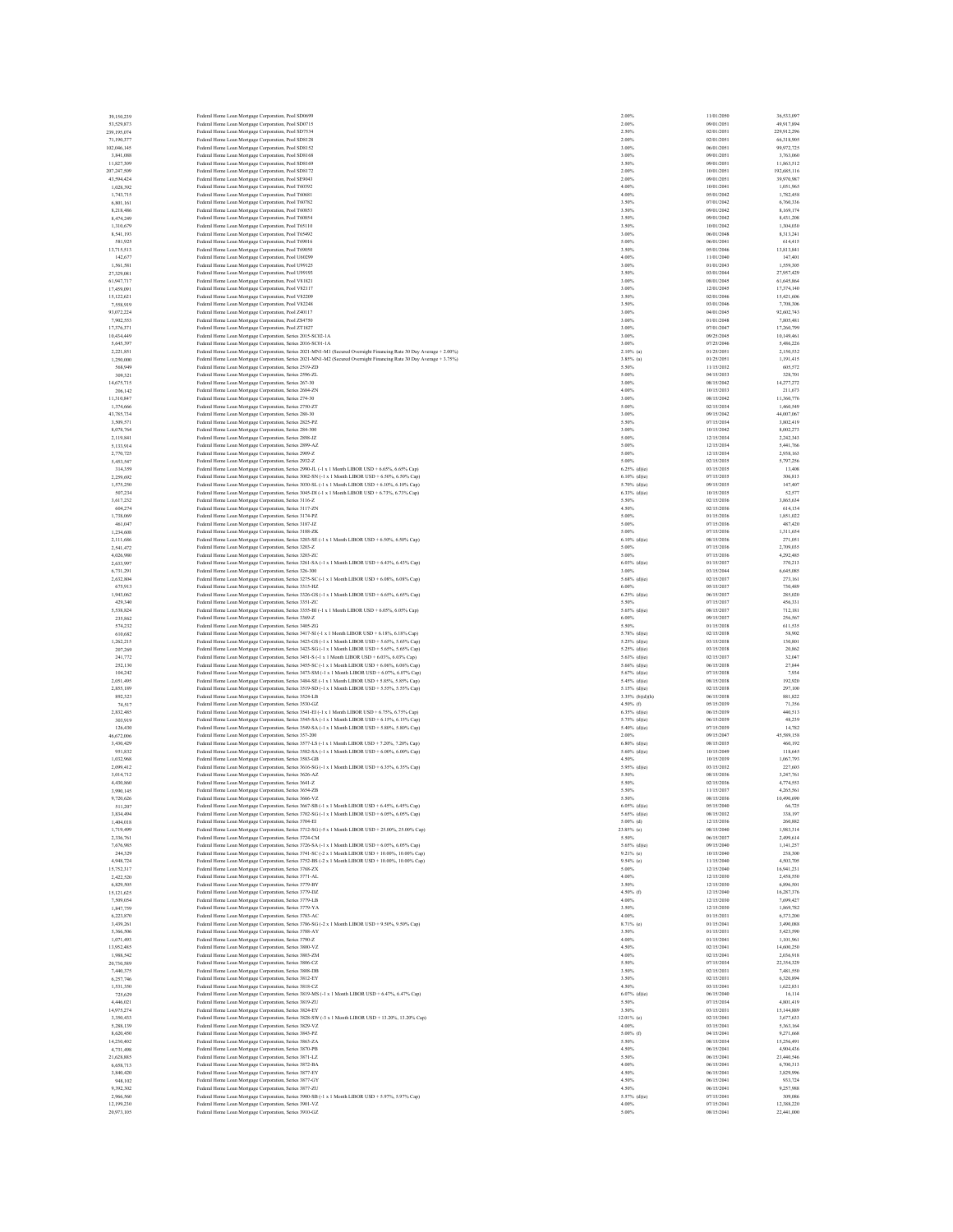| 39.150.239<br>53,529,873  | Federal Home Loan Mortgage Corporation, Pool SD0699<br>Federal Home Loan Mortgage Corporation, Pool SD0715                                                                                               | 2.00%<br>2.00%                  | 11/01/2050<br>09/01/2051 | 36,533,097<br>49,917,894  |
|---------------------------|----------------------------------------------------------------------------------------------------------------------------------------------------------------------------------------------------------|---------------------------------|--------------------------|---------------------------|
| 239,195,074               | Federal Home Loan Mortgage Corporation, Pool SD7534                                                                                                                                                      | 2.50%                           | 02/01/2051               | 229,912,296               |
| 71.190.377                | Federal Home Loan Mortgage Corporation, Pool SD8128                                                                                                                                                      | 2.00%                           | 02/01/2051               | 66,318,905                |
| 102,046,145               | Federal Home Loan Mortgage Corporation, Pool SD8152                                                                                                                                                      | 3.00%                           | 06/01/2051               | 99,972,725                |
| 3,841,088                 | Federal Home Loan Mortgage Corporation, Pool SD8168                                                                                                                                                      | 3.00%                           | 09/01/2051               | 3,763,060                 |
| 11,827,309                | Federal Home Loan Mortgage Corporation, Pool SD8169                                                                                                                                                      | 3.50%                           | 09/01/2051               | 11,863,512                |
| 207,247,509<br>43,594,424 | Federal Home Loan Mortgage Corporation, Pool SD8172<br>Federal Home Loan Mortgage Corporation, Pool SE9043                                                                                               | 2.00%<br>2.00%                  | 10/01/2051<br>09/01/2051 | 192,685,116<br>39,970,987 |
| 1.028,392                 | Federal Home Loan Mortgage Corporation, Pool T60392                                                                                                                                                      | 4.00%                           | 10/01/2041               | 1,051,965                 |
| 1,743,715                 | Federal Home Loan Mortgage Corporation, Pool T60681                                                                                                                                                      | 4.00%                           | 05/01/2042               | 1,782,458                 |
| 6,801,161                 | Federal Home Loan Mortgage Corporation, Pool T60782                                                                                                                                                      | 3.50%                           | 07/01/2042               | 6,760,336                 |
| 8,218,486                 | Federal Home Loan Mortgage Corporation, Pool T60853                                                                                                                                                      | 3.50%                           | 09/01/2042               | 8,169,174                 |
| 8,474,249                 | Federal Home Loan Mortgage Corporation, Pool T60854                                                                                                                                                      | 3.50%                           | 09/01/2042               | 8,431,208                 |
| 1,310,679<br>8,541,193    | Federal Home Loan Mortgage Corporation, Pool T65110                                                                                                                                                      | 3.50%<br>3.00%                  | 10/01/2042<br>06/01/2048 | 1,304,030                 |
| 581,925                   | Federal Home Loan Mortgage Corporation, Pool T65492<br>Federal Home Loan Mortgage Corporation, Pool T69016                                                                                               | 5.00%                           | 06/01/2041               | 8,313,241<br>614,415      |
| 13,715,513                | Federal Home Loan Mortgage Corporation, Pool T69050                                                                                                                                                      | 3.50%                           | 05/01/2046               | 13,813,841                |
| 142,677                   | Federal Home Loan Mortgage Corporation, Pool U60299                                                                                                                                                      | 4.00%                           | 11/01/2040               | 147,401                   |
| 1,561,581                 | Federal Home Loan Mortgage Corporation, Pool U99125                                                                                                                                                      | 3.00%                           | 01/01/2043               | 1,559,305                 |
| 27.329.081                | Federal Home Loan Mortgage Corporation, Pool U99193                                                                                                                                                      | 3.50%                           | 03/01/2044               | 27,957,429                |
| 61,947,717                | Federal Home Loan Mortgage Corporation, Pool V81821                                                                                                                                                      | 3.00%                           | 08/01/2045               | 61,645,864                |
| 17,459,091                | Federal Home Loan Mortgage Corporation, Pool V82117                                                                                                                                                      | 3.00%                           | 12/01/2045               | 17,374,140                |
| 15,122,621<br>7,558,919   | Federal Home Loan Mortgage Corporation, Pool V82209                                                                                                                                                      | 3.50%<br>3.50%                  | 02/01/2046<br>03/01/2046 | 15,421,606<br>7,708,306   |
| 93.072.224                | Federal Home Loan Mortgage Corporation, Pool V82248<br>Federal Home Loan Mortgage Corporation, Pool Z40117                                                                                               | 3.00%                           | 04/01/2045               | 92.602.743                |
| 7.902.553                 | Federal Home Loan Mortgage Corporation, Pool ZS4750                                                                                                                                                      | 3.00%                           | 01/01/2048               | 7,805,481                 |
| 17,376,371                | Federal Home Loan Mortgage Corporation, Pool ZT1827                                                                                                                                                      | 3.00%                           | 07/01/2047               | 17,260,799                |
| 10,434,449                | Federal Home Loan Mortgage Corporation, Series 2015-SC02-1A                                                                                                                                              | 3.00%                           | 09/25/2045               | 10,149,461                |
| 5,645,397                 | Federal Home Loan Mortgage Corporation, Series 2016-SC01-1A                                                                                                                                              | 3.00%                           | 07/25/2046               | 5,486,226                 |
| 2.221.851                 | Federal Home Loan Mortgage Corporation, Series 2021-MN1-M1 (Secured Overnight Financing Rate 30 Day Average + 2.00%)                                                                                     | $2.10\%$ (a)                    | 01/25/2051               | 2.150.532                 |
| 1,250,000<br>568,949      | Federal Home Loan Mortgage Corporation, Series 2021-MN1-M2 (Secured Overnight Financing Rate 30 Day Average + 3.75%)                                                                                     | $3.85%$ (a)<br>5.50%            | 01/25/2051<br>11/15/2032 | 1.191.415<br>605,572      |
| 309,321                   | Federal Home Loan Mortgage Corporation, Series 2519-ZD<br>Federal Home Loan Mortgage Corporation, Series 2596-ZL                                                                                         | 5.00%                           | 04/15/2033               | 328,701                   |
| 14,675,715                | Federal Home Loan Mortgage Corporation, Series 267-30                                                                                                                                                    | 3.00%                           | 08/15/2042               | 14,277,272                |
| 206,142                   | Federal Home Loan Mortgage Corporation, Series 2684-ZN                                                                                                                                                   | 4.00%                           | 10/15/2033               | 211,673                   |
| 11.310.847                | Federal Home Loan Mortgage Corporation, Series 274-30                                                                                                                                                    | 3.00%                           | 08/15/2042               | 11,360,776                |
| 1,374,666                 | Federal Home Loan Mortgage Corporation, Series 2750-ZT                                                                                                                                                   | 5.00%                           | 02/15/2034               | 1,460,549                 |
| 43,785,734                | Federal Home Loan Mortgage Corporation, Series 280-30                                                                                                                                                    | 3.00%                           | 09/15/2042               | 44,007,067                |
| 3,509,571<br>8,078,764    | Federal Home Loan Mortgage Corporation, Series 2825-PZ                                                                                                                                                   | 5.50%<br>3.00%                  | 07/15/2034<br>10/15/2042 | 3,802,419<br>8,002,273    |
| 2,119,841                 | Federal Home Loan Mortgage Corporation, Series 284-300<br>Federal Home Loan Mortgage Corporation, Series 2898-JZ                                                                                         | 5.00%                           | 12/15/2034               | 2,242,343                 |
| 5,133,914                 | Federal Home Loan Mortgage Corporation, Series 2899-AZ                                                                                                                                                   | 5.00%                           | 12/15/2034               | 5.441.766                 |
| 2,770,725                 | Federal Home Loan Mortgage Corporation, Series 2909-Z                                                                                                                                                    | 5.00%                           | 12/15/2034               | 2.938.163                 |
| 5,453,547                 | Federal Home Loan Mortgage Corporation, Series 2932-Z                                                                                                                                                    | 5.00%                           | 02/15/2035               | 5,797,256                 |
| 314,359                   | Federal Home Loan Mortgage Corporation, Series 2990-JL (-1 x 1 Month LIBOR USD + 6.65%, 6.65% Cap)                                                                                                       | $6.25%$ (d)(e)                  | 03/15/2035               | 13,408                    |
| 2,259,692                 | Federal Home Loan Mortgage Corporation, Series 3002-SN (-1 x 1 Month LIBOR USD + 6.50%, 6.50% Cap)                                                                                                       | $6.10\%$ (d)(e)                 | 07/15/2035               | 306,813                   |
| 1,575,250                 | Federal Home Loan Mortgage Corporation, Series 3030-SL (-1 x 1 Month LIBOR USD + 6.10%, 6.10% Cap)                                                                                                       | $5.70\%$ (d)(e)                 | 09/15/2035               | 147,407                   |
| 507.234<br>3,617,232      | Federal Home Loan Mortgage Corporation, Series 3045-DI (-1 x 1 Month LIBOR USD + 6.73%, 6.73% Cap)                                                                                                       | $6.33\%$ (d)(e)<br>5.50%        | 10/15/2035<br>02/15/2036 | 52,577<br>3,865,634       |
| 604,274                   | Federal Home Loan Mortgage Corporation, Series 3116-Z<br>Federal Home Loan Mortgage Corporation, Series 3117-ZN                                                                                          | 4.50%                           | 02/15/2036               | 614,134                   |
| 1,738,069                 | Federal Home Loan Mortgage Corporation, Series 3174-PZ                                                                                                                                                   | 5.00%                           | 01/15/2036               | 1,851,022                 |
| 461,047                   | Federal Home Loan Mortgage Corporation, Series 3187-JZ                                                                                                                                                   | 5.00%                           | 07/15/2036               | 487,420                   |
| 1.234,608                 | Federal Home Loan Mortgage Corporation, Series 3188-ZK                                                                                                                                                   | 5.00%                           | 07/15/2036               | 1.311.654                 |
| 2,111,686                 | Federal Home Loan Mortgage Corporation, Series 3203-SE (-1 x 1 Month LIBOR USD + 6.50%, 6.50% Cap)                                                                                                       | $6.10\%$ (d)(e)                 | 08/15/2036               | 271,051                   |
| 2,541,472                 | Federal Home Loan Mortgage Corporation, Series 3203-Z                                                                                                                                                    | 5.00%                           | 07/15/2036               | 2.709.035                 |
| 4.026,980                 | Federal Home Loan Mortgage Corporation, Series 3203-ZC                                                                                                                                                   | 5.00%                           | 07/15/2036               | 4.292.485                 |
| 2,633,997<br>6,731,291    | Federal Home Loan Mortgage Corporation, Series 3261-SA (-1 x 1 Month LIBOR USD + 6.43%, 6.43% Cap)<br>Federal Home Loan Mortgage Corporation, Series 326-300                                             | $6.03\%$ (d)(e)<br>3.00%        | 01/15/2037<br>03/15/2044 | 370,213<br>6,645,085      |
| 2.632,804                 | Federal Home Loan Mortgage Corporation, Series 3275-SC (-1 x 1 Month LIBOR USD + 6.08%, 6.08% Cap)                                                                                                       | $5.68\%$ (d)(e)                 | 02/15/2037               | 273.161                   |
| 675,913                   | Federal Home Loan Mortgage Corporation, Series 3315-HZ                                                                                                                                                   | 6.00%                           | 05/15/2037               | 730,489                   |
| 1,943,062                 | Federal Home Loan Mortgage Corporation, Series 3326-GS (-1 x 1 Month LIBOR USD + 6.65%, 6.65% Cap)                                                                                                       | $6.25\%$ (d)(e)                 | 06/15/2037               | 285.020                   |
| 429,340                   | Federal Home Loan Mortgage Corporation, Series 3351-ZC                                                                                                                                                   | 5.50%                           | 07/15/2037               | 456.331                   |
| 5,538,824                 | Federal Home Loan Mortgage Corporation, Series 3355-BI (-1 x 1 Month LIBOR USD + 6.05%, 6.05% Cap)                                                                                                       | $5.65\%$ (d)(e)                 | 08/15/2037               | 712,181                   |
| 235,862                   | Federal Home Loan Mortgage Corporation, Series 3369-Z                                                                                                                                                    | 6.00%                           | 09/15/2037               | 256,567                   |
| 574.232                   | Federal Home Loan Mortgage Corporation, Series 3405-ZG                                                                                                                                                   | 5.50%                           | 01/15/2038               | 611,535<br>58,902         |
| 610,682<br>1.262.215      | Federal Home Loan Mortgage Corporation, Series 3417-SI (-1 x 1 Month LIBOR USD + 6.18%, 6.18% Cap)<br>Federal Home Loan Mortgage Corporation, Series 3423-GS (-1 x 1 Month LIBOR USD + 5.65%, 5.65% Cap) | $5.78%$ (d)(e)<br>5.25% (d)(e)  | 02/15/2038<br>03/15/2038 | 130,801                   |
| 207,269                   | Federal Home Loan Mortgage Corporation, Series 3423-SG (-1 x 1 Month LIBOR USD + 5.65%, 5.65% Cap)                                                                                                       | $5.25\%$ (d)(e)                 | 03/15/2038               | 20,862                    |
| 241,772                   | Federal Home Loan Mortgage Corporation, Series 3451-S (-1 x 1 Month LIBOR USD + 6.03%, 6.03% Cap)                                                                                                        | 5.63% (d)(e)                    | 02/15/2037               | 32.047                    |
| 252,130                   | Federal Home Loan Mortgage Corporation, Series 3455-SC (-1 x 1 Month LIBOR USD + 6.06%, 6.06% Cap)                                                                                                       | $5.66\%$ (d)(e)                 | 06/15/2038               | 27,844                    |
| 104,242                   | Federal Home Loan Mortgage Corporation, Series 3473-SM (-1 x 1 Month LIBOR USD + 6.07%, 6.07% Cap)                                                                                                       | $5.67%$ (d)(e)                  | 07/15/2038               | 7,934                     |
| 2.051.495                 | Federal Home Loan Mortgage Corporation, Series 3484-SE (-1 x 1 Month LIBOR USD + 5.85%, 5.85% Cap)                                                                                                       | 5.45% (d)(e)                    | 08/15/2038               | 192,920                   |
| 2,855,189                 | Federal Home Loan Mortgage Corporation, Series 3519-SD (-1 x 1 Month LIBOR USD + 5.55%, 5.55% Cap)                                                                                                       | $5.15\%$ (d)(e)                 | 02/15/2038               | 297,100                   |
| 892,323<br>74.517         | Federal Home Loan Mortgage Corporation, Series 3524-LB<br>Federal Home Loan Mortgage Corporation, Series 3530-GZ                                                                                         | $3.35\%$ (b)(d)(h)<br>4.50% (f) | 06/15/2038<br>05/15/2039 | 881,822<br>71,356         |
| 2,832,485                 | Federal Home Loan Mortgage Corporation, Series 3541-EI (-1 x 1 Month LIBOR USD + 6.75%, 6.75% Cap)                                                                                                       | $6.35\%$ (d)(e)                 | 06/15/2039               | 440.513                   |
| 303,919                   | Federal Home Loan Mortgage Corporation, Series 3545-SA (-1 x 1 Month LIBOR USD + 6.15%, 6.15% Cap)                                                                                                       | $5.75\%$ (d)(e)                 | 06/15/2039               | 48,239                    |
| 126,430                   | Federal Home Loan Mortgage Corporation, Series 3549-SA (-1 x 1 Month LIBOR USD + 5.80%, 5.80% Cap)                                                                                                       | 5.40% (d)(e)                    | 07/15/2039               | 14,782                    |
| 46,672,006                | Federal Home Loan Mortgage Corporation, Series 357-200                                                                                                                                                   | 2.00%                           | 09/15/2047               | 45,589,158                |
| 3,430,429                 | Federal Home Loan Mortgage Corporation, Series 3577-LS (-1 x 1 Month LIBOR USD + 7.20%, 7.20% Cap)                                                                                                       | $6.80\%$ (d)(e)                 | 08/15/2035               | 460,192                   |
| 951.832                   | Federal Home Loan Mortgage Corporation, Series 3582-SA (-1 x 1 Month LIBOR USD + 6.00%, 6.00% Cap)                                                                                                       | 5.60% (d)(e)                    | 10/15/2049               | 118,645                   |
| 1,032,968<br>2,099,412    | Federal Home Loan Mortgage Corporation, Series 3583-GB<br>Federal Home Loan Mortgage Corporation, Series 3616-SG (-1 x 1 Month LIBOR USD + 6.35%, 6.35% Cap)                                             | 4.50%<br>$5.95\%$ (d)(e)        | 10/15/2039<br>03/15/2032 | 1,067,793<br>227,603      |
| 3,014,712                 | Federal Home Loan Mortgage Corporation, Series 3626-AZ                                                                                                                                                   | 5.50%                           | 08/15/2036               | 3.247.761                 |
| 4,430,860                 | Federal Home Loan Mortgage Corporation, Series 3641-Z                                                                                                                                                    | 5.50%                           | 02/15/2036               | 4,774,553                 |
| 3,990,145                 | Federal Home Loan Mortgage Corporation, Series 3654-ZB                                                                                                                                                   | 5.50%                           | 11/15/2037               | 4,265,561                 |
| 9.720.626                 | Federal Home Loan Mortgage Corporation, Series 3666-VZ                                                                                                                                                   | 5.50%                           | 08/15/2036               | 10,490,690                |
| 511.207                   | Federal Home Loan Mortgage Corporation, Series 3667-SB (-1 x 1 Month LIBOR USD + 6.45%, 6.45% Cap)                                                                                                       | $6.05%$ (d)(e)                  | 05/15/2040               | 66,725                    |
| 3,834,494                 | Federal Home Loan Mortgage Corporation, Series 3702-SG (-1 x 1 Month LIBOR USD + 6.05%, 6.05% Cap)                                                                                                       | 5.65% (d)(e)                    | 08/15/2032               | 338,197                   |
| 1,404,018<br>1,719,499    | Federal Home Loan Mortgage Corporation, Series 3704-EI<br>Federal Home Loan Mortgage Corporation, Series 3712-SG (-5 x 1 Month LIBOR USD + 25.00%, 25.00% Cap)                                           | $5.00\%$ (d)<br>23.85% (e)      | 12/15/2036<br>08/15/2040 | 260,882<br>1,983,314      |
| 2.336.761                 | Federal Home Loan Mortgage Corporation, Series 3724-CM                                                                                                                                                   | 5.50%                           | 06/15/2037               | 2,499.614                 |
| 7,676,985                 | Federal Home Loan Mortgage Corporation, Series 3726-SA (-1 x 1 Month LIBOR USD + 6.05%, 6.05% Cap)                                                                                                       | $5.65\%$ (d)(e)                 | 09/15/2040               | 1,141,257                 |
| 244,329                   | Federal Home Loan Mortgage Corporation, Series 3741-SC (-2 x 1 Month LIBOR USD + 10.00%, 10.00% Cap)                                                                                                     | 9.21% (e)                       | 10/15/2040               | 238,300                   |
| 4.948.724                 | Federal Home Loan Mortgage Corporation, Series 3752-BS (-2 x 1 Month LIBOR USD + 10.00%, 10.00% Cap)                                                                                                     | $9.54%$ (c)                     | 11/15/2040               | 4.503.705                 |
| 15,752,317                | Federal Home Loan Mortgage Corporation, Series 3768-ZX                                                                                                                                                   | 5.00%                           | 12/15/2040               | 16,941,231                |
| 2.422.520                 | Federal Home Loan Mortgage Corporation, Series 3771-AL                                                                                                                                                   | 4.00%                           | 12/15/2030               | 2,458,550                 |
| 6,829,505<br>15,121,625   | Federal Home Loan Mortgage Corporation, Series 3779-BY                                                                                                                                                   | 3.50%<br>4.50% (f)              | 12/15/2030<br>12/15/2040 | 6,896,501<br>16,287,376   |
| 7,509,054                 | Federal Home Loan Mortgage Corporation, Series 3779-DZ<br>Federal Home Loan Mortgage Corporation, Series 3779-LB                                                                                         | 4.00%                           | 12/15/2030               | 7,699,427                 |
| 1,847,759                 | Federal Home Loan Mortgage Corporation, Series 3779-YA                                                                                                                                                   | 3.50%                           | 12/15/2030               | 1,869,782                 |
| 6,223,870                 | Federal Home Loan Mortgage Corporation, Series 3783-AC                                                                                                                                                   | 4.00%                           | 01/15/2031               | 6,373,200                 |
| 3.439.261                 | Federal Home Loan Mortgage Corporation, Series 3786-SG (-2 x 1 Month LIBOR USD + 9.50%, 9.50% Cap)                                                                                                       | 8.71% (c)                       | 01/15/2041               | 3,490,088                 |
| 5,366,506                 | Federal Home Loan Mortgage Corporation, Series 3788-AY                                                                                                                                                   | 3.50%                           | 01/15/2031               | 5,423,590                 |
| 1,071,493                 | Federal Home Loan Mortgage Corporation, Series 3790-Z                                                                                                                                                    | 4.00%                           | 01/15/2041               | 1,101,961                 |
| 13.952.485                | Federal Home Loan Mortgage Corporation, Series 3800-VZ                                                                                                                                                   | 4.50%                           | 02/15/2041               | 14,600.250                |
| 1,988,542<br>20,730,589   | Federal Home Loan Mortgage Corporation, Series 3803-ZM<br>Federal Home Loan Mortgage Corporation, Series 3806-CZ                                                                                         | 4.00%<br>5.50%                  | 02/15/2041<br>07/15/2034 | 2,036,918<br>22,354,329   |
| 7,440,375                 | Federal Home Loan Mortgage Corporation, Series 3808-DB                                                                                                                                                   | 3.50%                           | 02/15/2031               | 7,481,550                 |
| 6,257,746                 | Federal Home Loan Mortgage Corporation, Series 3812-EY                                                                                                                                                   | 3.50%                           | 02/15/2031               | 6,320,894                 |
| 1.531.350                 | Federal Home Loan Mortgage Corporation, Series 3818-CZ                                                                                                                                                   | 4.50%                           | 03/15/2041               | 1,622,831                 |
| 725,629                   | Federal Home Loan Mortgage Corporation, Series 3819-MS (-1 x 1 Month LIBOR USD + 6.47%, 6.47% Cap)                                                                                                       | $6.07%$ (d)(e)                  | 06/15/2040               | 16,114                    |
| 4,446,021                 | Federal Home Loan Mortgage Corporation, Series 3819-ZU                                                                                                                                                   | 5.50%                           | 07/15/2034               | 4,801,419                 |
| 14,975,274                | Federal Home Loan Mortgage Corporation, Series 3824-EY                                                                                                                                                   | 3.50%                           | 03/15/2031               | 15,144,889                |
| 3,350,433<br>5,288,139    | Federal Home Loan Mortgage Corporation, Series 3828-SW (-3 x 1 Month LIBOR USD + 13.20%, 13.20% Cap)<br>Federal Home Loan Mortgage Corporation, Series 3829-VZ                                           | $12.01%$ (c)<br>4.00%           | 02/15/2041<br>03/15/2041 | 3,677,633<br>5,363,164    |
| 8,620,450                 | Federal Home Loan Mortgage Corporation, Series 3843-PZ                                                                                                                                                   | $5.00\%$ (f)                    | 04/15/2041               | 9.271.668                 |
| 14,230,402                | Federal Home Loan Mortgage Corporation, Series 3863-ZA                                                                                                                                                   | 5.50%                           | 08/15/2034               | 15,256,491                |
| 4,731,498                 | Federal Home Loan Mortgage Corporation, Series 3870-PB                                                                                                                                                   | 4.50%                           | 06/15/2041               | 4,904,436                 |
| 21,628,885                | Federal Home Loan Mortgage Corporation, Series 3871-LZ                                                                                                                                                   | 5.50%                           | 06/15/2041               | 23,440,546                |
| 6,658,713                 | Federal Home Loan Mortgage Corporation, Series 3872-BA                                                                                                                                                   | 4.00%                           | 06/15/2041               | 6,700,313                 |
| 3,840,420                 | Federal Home Loan Mortgage Corporation, Series 3877-EY                                                                                                                                                   | 4.50%                           | 06/15/2041               | 3,829,996                 |
| 948,102                   | Federal Home Loan Mortgage Corporation, Series 3877-GY                                                                                                                                                   | 4.50%                           | 06/15/2041               | 933,724<br>9,257,988      |
| 9,392,302                 |                                                                                                                                                                                                          |                                 |                          |                           |
|                           | Federal Home Loan Mortgage Corporation, Series 3877-ZU                                                                                                                                                   | 4.50%                           | 06/15/2041               |                           |
| 2.966,560<br>12,199,230   | Federal Home Loan Mortgage Corporation, Series 3900-SB (-1 x 1 Month LIBOR USD + 5.97%, 5.97% Cap)                                                                                                       | $5.57%$ (d)(e)<br>4.00%         | 07/15/2041<br>07/15/2041 | 309,086<br>12,388,220     |
| 20,973,105                | Federal Home Loan Mortgage Corporation, Series 3901-VZ<br>Federal Home Loan Mortgage Corporation, Series 3910-GZ                                                                                         | 5.00%                           | 08/15/2041               | 22,441,000                |

| 00%<br>ż       |                                                                   |
|----------------|-------------------------------------------------------------------|
| 2.00<br>i,     |                                                                   |
| 2.50%          |                                                                   |
| 2.00%          |                                                                   |
| ı,<br>3.00     |                                                                   |
| 3.00%<br>3.50% |                                                                   |
| 2.00%          |                                                                   |
| 2.00%          |                                                                   |
| 4.00%          |                                                                   |
| 4.00%          |                                                                   |
| 3.50%          |                                                                   |
| 3.50%          |                                                                   |
| 3.50%          |                                                                   |
| 3.50%          |                                                                   |
| 3.00%          |                                                                   |
| 5.00%          |                                                                   |
| 3.50<br>o,     |                                                                   |
| 4.00%          |                                                                   |
| 3.00%          |                                                                   |
| 3.50<br>ķ,     |                                                                   |
| 3.00%          |                                                                   |
| 3.00%          |                                                                   |
| 3.50<br>k,     |                                                                   |
| 3.50%          |                                                                   |
| 3.00%          |                                                                   |
| 3.00%          |                                                                   |
| 3.00%          |                                                                   |
| 3.00%          |                                                                   |
| 3.00%          |                                                                   |
| 2.10%          | Ï                                                                 |
| 3.85%          | (a)                                                               |
| 5.50%          |                                                                   |
| 5.00%          |                                                                   |
| 3.00%          |                                                                   |
| 4.00%          |                                                                   |
| 3.00%          |                                                                   |
| 5.00%          |                                                                   |
| 3.00%          |                                                                   |
| 5.50<br>o,     |                                                                   |
| 3.00%          |                                                                   |
| 5.00%          |                                                                   |
| k,<br>5.00     |                                                                   |
| 5.00%          |                                                                   |
| 5.00%          |                                                                   |
| 6.25%          | (d)(e)                                                            |
| 6.10%          | (d)(c)                                                            |
|                | (d)(c)                                                            |
| 5.70%<br>6.33% | (d)(c)                                                            |
| 5.50%          |                                                                   |
| 4.50%          |                                                                   |
| 5.00%          |                                                                   |
| 5.00%          |                                                                   |
| 5.00%          |                                                                   |
| 6.10%          | $(\mathrm{d})(\mathrm{c})$                                        |
| 5.0<br>0%      |                                                                   |
| 5.00%          |                                                                   |
| 6.03%          | (d)(c)                                                            |
| 3.00%          |                                                                   |
| 5.68%          | (d)(c)                                                            |
| 6.00%          |                                                                   |
| 6.25%          | (d)(c)                                                            |
| 5.50%          |                                                                   |
| 5.65%          | (d)(c)                                                            |
| 6.00<br>h,     |                                                                   |
| 5.50%          |                                                                   |
|                |                                                                   |
| 5.78%          | (d)(c)                                                            |
| 5.25%          | (d)(c)                                                            |
| 25%<br>5       | (d)(e)                                                            |
| 5.63%          | (d)(e)                                                            |
| 5.66%          | (d)(e)                                                            |
| 5.67%          | (d)(c)                                                            |
| 5.45%          | (d)(c)                                                            |
| 5.15<br>ı,     | (d)(c)                                                            |
| 3.35%          | (b)(d)<br>(h)                                                     |
| 4.50%          | $\ddot{\textbf{(f)}}$                                             |
| i.             |                                                                   |
| 6.35<br>5.75%  | $\begin{array}{c} \mathrm{(d)(c)} \\ \mathrm{(d)(c)} \end{array}$ |
| 5.40%          | (d)(c)                                                            |
| 2.00<br>ı,     |                                                                   |
| 6.80<br>96     |                                                                   |
| 5.60%          | $\begin{array}{c} \mathrm{(d)(c)} \\ \mathrm{(d)(c)} \end{array}$ |
| 4.50%          |                                                                   |
| 5.95%          | (d)(c)                                                            |
| 5.50%          |                                                                   |
| 5.50%          |                                                                   |
| 5.50%          |                                                                   |
| 5.50%          |                                                                   |
|                | ۹<br>N                                                            |
| 5.65%          | (d)(e)                                                            |
| 5.00%          | (d)                                                               |
| 23.85%         | (e)                                                               |
| 5.50%          |                                                                   |
| 5.65%          |                                                                   |
| 9.21%          | $(d)(c)$<br>$(c)$                                                 |
| 9.54%          | (c)                                                               |
| 5.00%          |                                                                   |
| 4.00%          |                                                                   |
| 3.50%          |                                                                   |
| 4.50%          | $(\mathbf{f})$                                                    |
| 4.00%          |                                                                   |
| 3.50%          |                                                                   |
| 4.00%          |                                                                   |
| 8.71%          | (c)                                                               |
| 3.50%          |                                                                   |
| 4.00%          |                                                                   |
| 4.50%          |                                                                   |
| 4.00%          |                                                                   |
| 5.50%          |                                                                   |
| 3.50%          |                                                                   |
| 3.50%          |                                                                   |
| 4.50%          |                                                                   |
| 6.07%<br>5.50% | (d)(c)                                                            |
| 3.50%          |                                                                   |
| 12.01%         |                                                                   |
| 4.00%          | $\left( \mathrm{c} \right)$                                       |
| 5.00%          | (f)                                                               |
| 5.50%          |                                                                   |
| 4.50%          |                                                                   |
| 5.50%          |                                                                   |
| 4.00%          |                                                                   |
| 4.50%          |                                                                   |
| 4.50<br>ķ,     |                                                                   |
| 4.50%          |                                                                   |
| 5.57%<br>4.00% | (d)(c)                                                            |

| $\mathbf{0}$                                                              |  |  |
|---------------------------------------------------------------------------|--|--|
| $\mathbf{1}$                                                              |  |  |
| $\overline{1}$                                                            |  |  |
| $\mathbf{1}$                                                              |  |  |
| $\mathbf{1}$                                                              |  |  |
| l                                                                         |  |  |
| $\mathbf{I}$                                                              |  |  |
| $\mathbf{I}$                                                              |  |  |
| $\mathbf{I}$                                                              |  |  |
|                                                                           |  |  |
|                                                                           |  |  |
|                                                                           |  |  |
|                                                                           |  |  |
|                                                                           |  |  |
|                                                                           |  |  |
|                                                                           |  |  |
|                                                                           |  |  |
|                                                                           |  |  |
|                                                                           |  |  |
|                                                                           |  |  |
|                                                                           |  |  |
|                                                                           |  |  |
|                                                                           |  |  |
|                                                                           |  |  |
|                                                                           |  |  |
|                                                                           |  |  |
|                                                                           |  |  |
|                                                                           |  |  |
|                                                                           |  |  |
|                                                                           |  |  |
|                                                                           |  |  |
|                                                                           |  |  |
|                                                                           |  |  |
|                                                                           |  |  |
|                                                                           |  |  |
|                                                                           |  |  |
|                                                                           |  |  |
|                                                                           |  |  |
|                                                                           |  |  |
|                                                                           |  |  |
|                                                                           |  |  |
|                                                                           |  |  |
|                                                                           |  |  |
|                                                                           |  |  |
|                                                                           |  |  |
|                                                                           |  |  |
|                                                                           |  |  |
|                                                                           |  |  |
|                                                                           |  |  |
|                                                                           |  |  |
|                                                                           |  |  |
|                                                                           |  |  |
|                                                                           |  |  |
|                                                                           |  |  |
|                                                                           |  |  |
|                                                                           |  |  |
|                                                                           |  |  |
|                                                                           |  |  |
|                                                                           |  |  |
|                                                                           |  |  |
|                                                                           |  |  |
|                                                                           |  |  |
|                                                                           |  |  |
|                                                                           |  |  |
|                                                                           |  |  |
|                                                                           |  |  |
|                                                                           |  |  |
|                                                                           |  |  |
|                                                                           |  |  |
|                                                                           |  |  |
|                                                                           |  |  |
|                                                                           |  |  |
|                                                                           |  |  |
|                                                                           |  |  |
|                                                                           |  |  |
|                                                                           |  |  |
|                                                                           |  |  |
|                                                                           |  |  |
|                                                                           |  |  |
| 1222228160345566587561123232424445555666666666777777788888999999992667602 |  |  |
|                                                                           |  |  |
|                                                                           |  |  |
|                                                                           |  |  |
| 6                                                                         |  |  |
| $\bf{0}$                                                                  |  |  |
| 7                                                                         |  |  |
| $\bf{0}$                                                                  |  |  |
|                                                                           |  |  |
|                                                                           |  |  |
|                                                                           |  |  |
|                                                                           |  |  |
|                                                                           |  |  |
|                                                                           |  |  |
| $-00000000000$                                                            |  |  |
| $\mathbf{I}$                                                              |  |  |
| $\mathbf{I}$                                                              |  |  |
|                                                                           |  |  |
|                                                                           |  |  |
|                                                                           |  |  |
|                                                                           |  |  |
| $\begin{array}{c} 1 \\ 1 \\ 1 \end{array}$                                |  |  |
| 4                                                                         |  |  |
|                                                                           |  |  |
|                                                                           |  |  |
| $\begin{array}{c} 1 \\ 1 \\ 1 \end{array}$                                |  |  |
|                                                                           |  |  |
| $\frac{0}{4}$<br>1                                                        |  |  |
| $\mathbf{1}$                                                              |  |  |
| $\overline{1}$                                                            |  |  |
| $\mathbf{1}$                                                              |  |  |
| 4                                                                         |  |  |
| $\frac{1}{1}$                                                             |  |  |
| 1                                                                         |  |  |
| $\overline{1}$                                                            |  |  |
| $\overline{1}$                                                            |  |  |
|                                                                           |  |  |
| $\frac{1}{1}$<br>$\mathbf{1}$                                             |  |  |
| $\overline{1}$<br>j                                                       |  |  |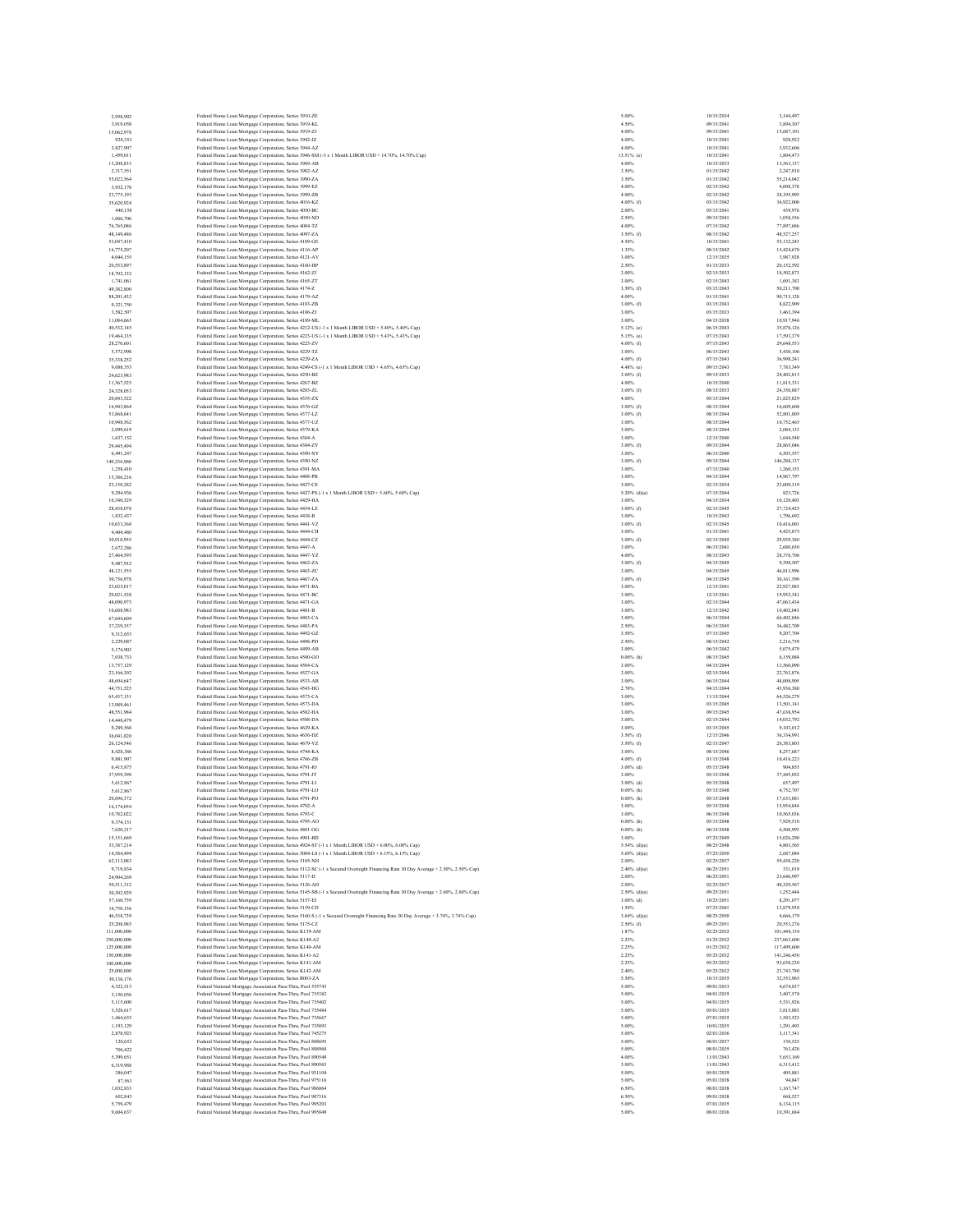| 2.958.992<br>3,919,058     |                                                                                                                                                                                                                                      | 10/15/2034               | 3,144,497                |
|----------------------------|--------------------------------------------------------------------------------------------------------------------------------------------------------------------------------------------------------------------------------------|--------------------------|--------------------------|
|                            | Federal Home Loan Mortgage Corporation, Series 3910-ZE<br>5.00%<br>Federal Home Loan Mortgage Corporation, Series 3919-KL<br>4.50%                                                                                                   | 09/15/2041               | 3,894,307                |
| 15,062,978                 | Federal Home Loan Mortgage Corporation, Series 3919-ZJ<br>4.00%                                                                                                                                                                      | 09/15/2041               | 15,687,101               |
| 924.353                    | Federal Home Loan Mortgage Corporation, Series 3942-JZ<br>4.00%                                                                                                                                                                      | 10/15/2041               | 928,922                  |
| 3,827,907                  | Federal Home Loan Mortgage Corporation, Series 3944-AZ<br>4.00%                                                                                                                                                                      | 10/15/2041               | 3,932,606                |
| 1,459,011                  | Federal Home Loan Mortgage Corporation, Series 3946-SM (-3 x 1 Month LIBOR USD + 14.70%, 14.70% Cap)<br>13.51% (e)                                                                                                                   | 10/15/2041               | 1,804,473<br>13,563,137  |
| 13,208,833<br>2,317,551    | Federal Home Loan Mortgage Corporation, Series 3969-AB<br>4.00%<br>3.50%                                                                                                                                                             | 10/15/2033<br>01/15/2042 | 2,247,910                |
| 55,022,564                 | Federal Home Loan Mortgage Corporation, Series 3982-AZ<br>3.50%<br>Federal Home Loan Mortgage Corporation, Series 3990-ZA                                                                                                            | 01/15/2042               | 55,214,042               |
| 3,932,178                  | Federal Home Loan Mortgage Corporation, Series 3999-EZ<br>4.00%                                                                                                                                                                      | 02/15/2042               | 4,008,378                |
| 23,775,193                 | Federal Home Loan Mortgage Corporation, Series 3999-ZB<br>4.00%                                                                                                                                                                      | 02/15/2042               | 24,195,995               |
| 35.620.924                 | 4.00% (f)<br>Federal Home Loan Mortgage Corporation, Series 4016-KZ                                                                                                                                                                  | 03/15/2042               | 36,922,000               |
| 440,158                    | Federal Home Loan Mortgage Corporation, Series 4050-BC<br>2.00%<br>Federal Home Loan Mortgage Corporation, Series 4050-ND<br>2.50%                                                                                                   | 05/15/2041<br>09/15/2041 | 439,976<br>1,058,556     |
| 1,066,706<br>76,765,086    | Federal Home Loan Mortgage Corporation, Series 4084-TZ<br>4.00%                                                                                                                                                                      | 07/15/2042               | 77,897,686               |
| 48,149,486                 | Federal Home Loan Mortgage Corporation, Series 4097-ZA<br>3.50% (f)                                                                                                                                                                  | 08/15/2042               | 48,527,257               |
| 53,047,410                 | 4.50%<br>Federal Home Loan Mortgage Corporation, Series 4109-GE                                                                                                                                                                      | 10/15/2041               | 55.132.243               |
| 16,775,207                 | 1.35%<br>Federal Home Loan Mortgage Corporation, Series 4116-AP                                                                                                                                                                      | 08/15/2042               | 15,424,670               |
| 4,044,155                  | Federal Home Loan Mortgage Corporation, Series 4121-AV<br>3.00%                                                                                                                                                                      | 12/15/2035               | 3,987,928                |
| 20,553,897                 | 2.50%<br>Federal Home Loan Mortgage Corporation, Series 4160-HP                                                                                                                                                                      | 01/15/2033               | 20,152,592               |
| 18,702.152<br>1,741,061    | Federal Home Loan Mortgage Corporation, Series 4162-ZJ<br>3.00%<br>3.00%                                                                                                                                                             | 02/15/2033<br>02/15/2043 | 18,502,873<br>1,691,383  |
| 49,382,800                 | Federal Home Loan Mortgage Corporation, Series 4165-ZT<br>3.50% (f)<br>Federal Home Loan Mortgage Corporation, Series 4174-Z                                                                                                         | 03/15/2043               | 50,211,700               |
| 88,201,432                 | Federal Home Loan Mortgage Corporation, Series 4179-AZ<br>4.00%                                                                                                                                                                      | 01/15/2041               | 90,715,128               |
| 9,321,750                  | 3.00% (f)<br>Federal Home Loan Mortgage Corporation, Series 4183-ZB                                                                                                                                                                  | 03/15/2043               | 8,822,909                |
| 3,582,507                  | Federal Home Loan Mortgage Corporation, Series 4186-ZJ<br>3.00%                                                                                                                                                                      | 03/15/2033               | 3,463,394                |
| 11,084,665                 | Federal Home Loan Mortgage Corporation, Series 4189-ML<br>3.00%                                                                                                                                                                      | 04/15/2038               | 10,917,946               |
| 40,532,145                 | Federal Home Loan Mortgage Corporation, Series 4212-US (-1 x 1 Month LIBOR USD + 5.40%, 5.40% Cap)<br>$5.12%$ (e)<br>Federal Home Loan Mortgage Corporation, Series 4223-US (-1 x 1 Month LIBOR USD + 5.43%, 5.43% Cap)<br>5.15% (e) | 06/15/2043<br>07/15/2043 | 35,878,126<br>17,593,379 |
| 19,464,135<br>28,270,601   | Federal Home Loan Mortgage Corporation, Series 4223-ZV<br>$4.00\%$ (f)                                                                                                                                                               | 07/15/2043               | 29,648,553               |
| 5,572,998                  | 3.00%<br>Federal Home Loan Mortgage Corporation, Series 4229-TZ                                                                                                                                                                      | 06/15/2043               | 5,430,106                |
| 35,338,252                 | Federal Home Loan Mortgage Corporation, Series 4229-ZA<br>$4.00%$ (f)                                                                                                                                                                | 07/15/2043               | 36,998.241               |
| 9,088,353                  | Federal Home Loan Mortgage Corporation, Series 4249-CS (-1 x 1 Month LIBOR USD + 4.65%, 4.65% Cap)<br>$4.48%$ (c)                                                                                                                    | 09/15/2043               | 7,783,349                |
| 24,623,983                 | $3.00\%$ (f)<br>Federal Home Loan Mortgage Corporation, Series 4250-BZ                                                                                                                                                               | 09/15/2033               | 24,402,813               |
| 11,367,525                 | Federal Home Loan Mortgage Corporation, Series 4267-BZ<br>4.00%                                                                                                                                                                      | 10/15/2040               | 11.815.331               |
| 24,328,053<br>20.843.522   | Federal Home Loan Mortgage Corporation, Series 4283-ZL<br>$3.00\%$ (f)<br>4.00%<br>Federal Home Loan Mortgage Corporation, Series 4355-ZX                                                                                            | 08/15/2033<br>05/15/2044 | 24,350,887<br>21,825,829 |
| 16,943,864                 | Federal Home Loan Mortgage Corporation, Series 4376-GZ<br>$3.00\%$ (f)                                                                                                                                                               | 08/15/2044               | 16,609,608               |
| 53,868,641                 | Federal Home Loan Mortgage Corporation, Series 4377-LZ<br>$3.00\%$ (f)                                                                                                                                                               | 08/15/2044               | 52,801,805               |
| 10,948,562                 | 3.00%<br>Federal Home Loan Mortgage Corporation, Series 4377-UZ                                                                                                                                                                      | 08/15/2044               | 10,752,465               |
| 2,099,619                  | Federal Home Loan Mortgage Corporation, Series 4379-KA<br>3.00%                                                                                                                                                                      | 08/15/2044               | 2,084,133                |
| 1,637,152                  | 3.00%<br>Federal Home Loan Mortgage Corporation, Series 4384-A                                                                                                                                                                       | 12/15/2040               | 1,644,540                |
| 29,445,494                 | $3.00\%$ (f)<br>Federal Home Loan Mortgage Corporation, Series 4384-ZY                                                                                                                                                               | 09/15/2044               | 28,865,046               |
| 6,491,247<br>149,234,960   | Federal Home Loan Mortgage Corporation, Series 4390-NY<br>3.00%<br>3.00% (f)<br>Federal Home Loan Mortgage Corporation, Series 4390-NZ                                                                                               | 06/15/2040<br>09/15/2044 | 6,503,557<br>146,288,137 |
| 1,258,410                  | 3.00%<br>Federal Home Loan Mortgage Corporation, Series 4391-MA                                                                                                                                                                      | 07/15/2040               | 1.260.153                |
| 15,386,216                 | Federal Home Loan Mortgage Corporation, Series 4408-PB<br>3.00%                                                                                                                                                                      | 04/15/2044               | 14,967,797               |
| 23.150.282                 | 3.00%<br>Federal Home Loan Mortgage Corporation, Series 4427-CE                                                                                                                                                                      | 02/15/2034               | 23,009,319               |
| 9,294,936                  | Federal Home Loan Mortgage Corporation, Series 4427-PS (-1 x 1 Month LIBOR USD + 5.60%, 5.60% Cap)<br>$5.20\%$ (d)(e)                                                                                                                | 07/15/2044               | 823,726                  |
| 10,340,329                 | Federal Home Loan Mortgage Corporation, Series 4429-HA<br>3.00%                                                                                                                                                                      | 04/15/2034               | 10,120,403               |
| 28,438,078                 | $3.00\%$ (f)<br>Federal Home Loan Mortgage Corporation, Series 4434-LZ                                                                                                                                                               | 02/15/2045               | 27.724.425               |
| 1,832,437                  | Federal Home Loan Mortgage Corporation, Series 4438-B<br>3.00%<br>3.00% (f)<br>Federal Home Loan Mortgage Corporation, Series 4441-VZ                                                                                                | 10/15/2043<br>02/15/2045 | 1.796.692<br>10,416,001  |
| 10,633,368<br>4,404,480    | Federal Home Loan Mortgage Corporation, Series 4444-CH<br>3.00%                                                                                                                                                                      | 01/15/2041               | 4,425,875                |
| 30,910,955                 | Federal Home Loan Mortgage Corporation, Series 4444-CZ<br>$3.00\%$ (f)                                                                                                                                                               | 02/15/2045               | 29,939,380               |
| 2,672,286                  | Federal Home Loan Mortgage Corporation, Series 4447-A<br>3.00%                                                                                                                                                                       | 06/15/2041               | 2,680,650                |
| 27,464,595                 | Federal Home Loan Mortgage Corporation, Series 4447-YZ<br>4.00%                                                                                                                                                                      | 08/15/2043               | 28,376,706               |
| 9,487,912                  | 3.00% (f)<br>Federal Home Loan Mortgage Corporation, Series 4462-ZA                                                                                                                                                                  | 04/15/2045               | 9,398,507                |
| 48,121,555                 | Federal Home Loan Mortgage Corporation, Series 4463-ZC<br>3.00%                                                                                                                                                                      | 04/15/2045               | 46,813,996               |
| 30,756,978                 | Federal Home Loan Mortgage Corporation, Series 4467-ZA<br>$3.00\%$ (f)                                                                                                                                                               | 04/15/2045               | 30,161,590               |
| 23,025,017<br>20.021.528   | Federal Home Loan Mortgage Corporation, Series 4471-BA<br>3.00%<br>Federal Home Loan Mortgage Corporation, Series 4471-BC<br>3.00%                                                                                                   | 12/15/2041<br>12/15/2041 | 22,927,083<br>19,952,341 |
| 48,090,975                 | Federal Home Loan Mortgage Corporation, Series 4471-GA<br>3.00%                                                                                                                                                                      | 02/15/2044               | 47,063,434               |
| 10,688,983                 | Federal Home Loan Mortgage Corporation, Series 4481-B<br>3.00%                                                                                                                                                                       | 12/15/2042               | 10,402,043               |
|                            | Federal Home Loan Mortgage Corporation, Series 4483-CA<br>3.00%                                                                                                                                                                      |                          |                          |
| 67,644,604                 |                                                                                                                                                                                                                                      | 06/15/2044               | 66,402,846               |
| 37,239,357                 | Federal Home Loan Mortgage Corporation, Series 4483-PA<br>2.50%                                                                                                                                                                      | 06/15/2045               | 36,482,709               |
| 9,312,653                  | 3.50%<br>Federal Home Loan Mortgage Corporation, Series 4492-GZ                                                                                                                                                                      | 07/15/2045               | 9.207.704                |
| 2.229,087                  | Federal Home Loan Mortgage Corporation, Series 4498-PD<br>2.50%                                                                                                                                                                      | 08/15/2042               | 2.216,759                |
| 5,174,903                  | Federal Home Loan Mortgage Corporation, Series 4499-AB<br>3.00%                                                                                                                                                                      | 06/15/2042               | 5,075,479                |
| 7,038,733                  | $0.00\%$ (h)<br>Federal Home Loan Mortgage Corporation, Series 4500-GO                                                                                                                                                               | 08/15/2045               | 6.159.084                |
| 13,757,129                 | Federal Home Loan Mortgage Corporation, Series 4504-CA<br>3.00%                                                                                                                                                                      | 04/15/2044               | 13,560,090               |
| 23,166,302<br>48,694,647   | Federal Home Loan Mortgage Corporation, Series 4527-GA<br>3.00%<br>Federal Home Loan Mortgage Corporation, Series 4533-AB<br>3.00%                                                                                                   | 02/15/2044<br>06/15/2044 | 22,763,876<br>48,008,905 |
| 44.751.525                 | Federal Home Loan Mortgage Corporation, Series 4543-HG<br>2.70%                                                                                                                                                                      | 04/15/2044               | 43,936,380               |
| 65,437,151                 | Federal Home Loan Mortgage Corporation, Series 4573-CA<br>3.00%                                                                                                                                                                      | 11/15/2044               | 64,526,279               |
| 13,989,461                 | Federal Home Loan Mortgage Corporation, Series 4573-DA<br>3.00%                                                                                                                                                                      | 03/15/2045               | 13.501.141               |
| 48,551,984                 | Federal Home Loan Mortgage Corporation, Series 4582-HA<br>3.00%                                                                                                                                                                      | 09/15/2045               | 47,638,954               |
| 14,448,479                 | Federal Home Loan Mortgage Corporation, Series 4588-DA<br>3.00%                                                                                                                                                                      | 02/15/2044               | 14,032,792               |
| 9,289,568                  | Federal Home Loan Mortgage Corporation, Series 4629-KA<br>3.00%<br>$3.50\%$ (f)                                                                                                                                                      | 03/15/2045<br>12/15/2046 | 9.103.012<br>36,334,991  |
| 36,041,820<br>26,124,546   | Federal Home Loan Mortgage Corporation, Series 4636-DZ<br>Federal Home Loan Mortgage Corporation, Series 4679-VZ<br>3.50% (f)                                                                                                        | 02/15/2047               | 26,383,803               |
| 8,428,386                  | Federal Home Loan Mortgage Corporation, Series 4744-KA<br>3.00%                                                                                                                                                                      | 08/15/2046               | 8,257,687                |
| 9,881,907                  | $4.00\%$ (f)<br>Federal Home Loan Mortgage Corporation, Series 4766-ZB                                                                                                                                                               | 01/15/2048               | 10,416,223               |
| 6,415,875                  | $3.00\%$ (d)<br>Federal Home Loan Mortgage Corporation, Series 4791-IO                                                                                                                                                               | 05/15/2048               | 904,855                  |
| 37,959,398                 | Federal Home Loan Mortgage Corporation, Series 4791-JT<br>3.00%                                                                                                                                                                      | 05/15/2048               | 37,445,052               |
| 5,612,867<br>5.612.867     | $3.00\%$ (d)<br>Federal Home Loan Mortgage Corporation, Series 4791-LI<br>$0.00\%$ (h)<br>Federal Home Loan Mortgage Corporation, Series 4791-LO                                                                                     | 05/15/2048<br>05/15/2048 | 657,497<br>4,752,707     |
| 20,696,372                 | Federal Home Loan Mortgage Corporation, Series 4791-PO<br>$0.00\%$ (h)                                                                                                                                                               | 05/15/2048               | 17,633,081               |
| 16,174,054                 | Federal Home Loan Mortgage Corporation, Series 4792-A<br>3.00%                                                                                                                                                                       | 05/15/2048               | 15,954,844               |
| 10.782.022                 | Federal Home Loan Mortgage Corporation, Series 4793-C<br>3.00%                                                                                                                                                                       | 06/15/2048               | 10,565,036               |
| 9,374,131                  | Federal Home Loan Mortgage Corporation, Series 4795-AO<br>$0.00\%$ (h)                                                                                                                                                               | 05/15/2048<br>06/15/2048 | 7,929,510<br>6,500,993   |
| 7,620,217<br>15,151,669    | $0.00\%$ (h)<br>Federal Home Loan Mortgage Corporation, Series 4801-OG<br>3.00%<br>Federal Home Loan Mortgage Corporation, Series 4901-BD                                                                                            | 07/25/2049               | 15.026.290               |
| 33,387,214                 | Federal Home Loan Mortgage Corporation, Series 4924-ST (-1 x 1 Month LIBOR USD + 6.00%, 6.00% Cap)<br>$5.54%$ (d)(e)                                                                                                                 | 08/25/2048               | 4,803,565                |
| 14,584,494                 | Federal Home Loan Mortgage Corporation, Series 5004-LS (-1 x 1 Month LIBOR USD + 6.15%, 6.15% Cap)<br>$5.69%$ (d)(e)                                                                                                                 | 07/25/2050               | 2,687,084                |
| 62.113.083                 | 2.00%<br>Federal Home Loan Mortgage Corporation, Series 5105-NH                                                                                                                                                                      | 02/25/2037               | 59,430.220               |
| 9,719,834                  | $2.40\%$ (d)(e)<br>Federal Home Loan Mortgage Corporation, Series 5112-SC (-1 x Secured Overnight Financing Rate 30 Day Average + 2.50%, 2.50% Cap)                                                                                  | 06/25/2051               | 331,019                  |
| 24,904,269                 | Federal Home Loan Mortgage Corporation, Series 5117-D<br>2.00%                                                                                                                                                                       | 06/25/2051               | 23,646,997               |
| 50,511,312                 | Federal Home Loan Mortgage Corporation, Series 5126-AH<br>2.00%                                                                                                                                                                      | 02/25/2037               | 48,329,567               |
| 30,302,929                 | Federal Home Loan Mortgage Corporation, Series 5145-SB (-1 x Secured Overnight Financing Rate 30 Day Average + 2.60%, 2.60% Cap)<br>2.50% (d)(e)                                                                                     | 09/25/2051               | 1,252,444                |
| 57,160,759<br>14,750,156   | 3.00% (d)<br>Federal Home Loan Mortgage Corporation, Series 5157-EI<br>1.50%                                                                                                                                                         | 10/25/2051<br>07/25/2041 | 8.291.077<br>13,879,938  |
| 46,538,739                 | Federal Home Loan Mortgage Corporation, Series 5159-CD<br>$3.64\%$ (d)(e)<br>Federal Home Loan Mortgage Corporation, Series 5160-S (-1 x Secured Overnight Financing Rate 30 Day Average + 3.74%, 3.74% Cap)                         | 08/25/2050               | 4,666,179                |
| 25.208.985                 | $2.50\%$ (f)<br>Federal Home Loan Mortgage Corporation, Series 5175-CZ                                                                                                                                                               | 09/25/2051               | 20,553,276               |
| 111,000,000                | Federal Home Loan Mortgage Corporation, Series K139-AM<br>1.87%                                                                                                                                                                      | 02/25/2032               | 101,444,154              |
| 250,000,000                | 2.25%<br>Federal Home Loan Mortgage Corporation, Series K140-A2                                                                                                                                                                      | 01/25/2032               | 237,063,600              |
| 125,000,000                | Federal Home Loan Mortgage Corporation, Series K140-AM<br>2.25%                                                                                                                                                                      | 01/25/2032               | 117,499,600              |
| 150,000,000<br>100,000,000 | 2.25%<br>Federal Home Loan Mortgage Corporation, Series K141-A2<br>2.25%<br>Federal Home Loan Mortgage Corporation, Series K141-AM                                                                                                   | 05/25/2032               | 141,246,450              |
| 25,000,000                 | Federal Home Loan Mortgage Corporation, Series K142-AM<br>2.40%                                                                                                                                                                      | 05/25/2032<br>05/25/2032 | 93,630,230<br>23,743,780 |
| 30,136,176                 | Federal Home Loan Mortgage Corporation, Series R003-ZA<br>5.50%                                                                                                                                                                      | 10/15/2035               | 32,553,965               |
| 4.322.513                  | Federal National Mortgage Association Pass-Thru, Pool 555743<br>5.00%                                                                                                                                                                | 09/01/2033               | 4,674,837                |
| 3,150,056                  | Federal National Mortgage Association Pass-Thru, Pool 735382<br>5.00%                                                                                                                                                                | 04/01/2035               | 3.407.578                |
| 5,115,600                  | Federal National Mortgage Association Pass-Thru, Pool 735402<br>5.00%                                                                                                                                                                | 04/01/2035               | 5,531,926                |
| 3.528.617                  | Federal National Mortgage Association Pass-Thru, Pool 735484<br>5.00%                                                                                                                                                                | 05/01/2035               | 3,815,883                |
| 1,464,633                  | Federal National Mortgage Association Pass-Thru, Pool 735667<br>5.00%                                                                                                                                                                | 07/01/2035               | 1,583,523                |
| 1,193,129<br>2.878.923     | Federal National Mortgage Association Pass-Thru, Pool 735893<br>5.00%<br>Federal National Mortgage Association Pass-Thru, Pool 745275<br>5.00%                                                                                       | 10/01/2035<br>02/01/2036 | 1,291,493<br>3.117.341   |
| 120,652                    | Federal National Mortgage Association Pass-Thru, Pool 888695<br>5.00%                                                                                                                                                                | 08/01/2037               | 130,525                  |
| 706,422                    | 5.00%<br>Federal National Mortgage Association Pass-Thru, Pool 888968                                                                                                                                                                | 08/01/2035               | 763,420                  |
| 5.399,651                  | Federal National Mortgage Association Pass-Thru, Pool 890549<br>4.00%                                                                                                                                                                | 11/01/2043               | 5,653,169                |
| 6,319,988                  | Federal National Mortgage Association Pass-Thru, Pool 890565<br>3.00%                                                                                                                                                                | 11/01/2043               | 6,315,412                |
| 386,047<br>87.563          | Federal National Mortgage Association Pass-Thru, Pool 931104<br>5.00%<br>5.00%                                                                                                                                                       | 05/01/2039<br>05/01/2038 | 405,881<br>94,847        |
| 1,032,833                  | Federal National Mortgage Association Pass-Thru, Pool 975116<br>Federal National Mortgage Association Pass-Thru, Pool 986864<br>6.50%                                                                                                | 08/01/2038               | 1,167,747                |
| 602.843                    | Federal National Mortgage Association Pass-Thru, Pool 987316<br>6.50%                                                                                                                                                                | 09/01/2038               | 668,527                  |
| 5.759,479<br>9,604,637     | Federal National Mortgage Association Pass-Thru, Pool 995203<br>5.00%<br>Federal National Mortgage Association Pass-Thru, Pool 995849<br>5.00%                                                                                       | 07/01/2035<br>08/01/2036 | 6,134,115<br>10,391,684  |

| ï<br>¢<br>d                      |  |
|----------------------------------|--|
| 41<br>$_{20}$                    |  |
| 2041                             |  |
| 41<br>41<br>$_{20}$              |  |
| 2041                             |  |
| 3                                |  |
| 2042                             |  |
| 2042                             |  |
| 42<br>$_{20}$<br>2042            |  |
| 2042                             |  |
| 41<br>$_{20}$                    |  |
| 2041                             |  |
| 2042                             |  |
| 42<br>$_{20}$<br>2041            |  |
| 204<br>$\overline{2}$            |  |
| 2035                             |  |
| 20<br>33                         |  |
| 2033<br>2043                     |  |
| 43<br>20                         |  |
| 20<br>41                         |  |
| 2043                             |  |
| 2033                             |  |
| 2038<br>2043                     |  |
| 20<br>43                         |  |
| 2043                             |  |
| 2043                             |  |
| $_{20}$<br>43<br>$_{20}$<br>43   |  |
| 2033                             |  |
| $_{20}$<br>40                    |  |
| 2033                             |  |
| 2044<br>44                       |  |
| $_{20}$<br>2044                  |  |
| 2044                             |  |
| 44<br>$_{20}$                    |  |
| $_{20}$<br>40<br>2044            |  |
| 20<br>40                         |  |
| $_{20}$<br>44                    |  |
| 2040                             |  |
| 2044                             |  |
| 2034<br>2044                     |  |
| 2034                             |  |
|                                  |  |
| 20<br>43                         |  |
| 2045                             |  |
| 41<br>45<br>$_{20}$              |  |
| 2041                             |  |
| 43                               |  |
| 2045                             |  |
| 2045<br>2045                     |  |
| 2041                             |  |
| 2041                             |  |
| 44<br>$_{20}$                    |  |
| 2042                             |  |
| 2044<br>$_{20}$<br>45            |  |
| 45                               |  |
| 2042                             |  |
| 42<br>$_{20}$                    |  |
| $_{20}$<br>45<br>2044            |  |
| 2044                             |  |
| á<br>$_{20}$                     |  |
| 20<br>44                         |  |
| 2044                             |  |
| 20<br>45                         |  |
| 2044                             |  |
|                                  |  |
| $_{20}$<br>46<br>204             |  |
|                                  |  |
| $_{20}$<br>48                    |  |
| 2048                             |  |
| $_{20}$<br>48<br>$\overline{20}$ |  |
| IS.<br>2048                      |  |
| 48<br>$_{20}$                    |  |
| 2048                             |  |
|                                  |  |
| 20<br>48<br>2048                 |  |
| 2049                             |  |
| 48<br>$\overline{20}$            |  |
| 2050                             |  |
| 2037<br>2051                     |  |
| 2051                             |  |
| 2037                             |  |
| 2051                             |  |
| 2051<br>2041                     |  |
| 2050                             |  |
| 2051                             |  |
| 2032                             |  |
| 2032<br>2032                     |  |
| ż,<br>$\frac{1}{20}$             |  |
| 2032                             |  |
| 2032                             |  |
| 35<br>$\frac{1}{20}$<br>2033     |  |
| 2035                             |  |
| 2035                             |  |
| 2035                             |  |
| 2035<br>$_{20}$<br>35            |  |
| 2036                             |  |
| 2037                             |  |
|                                  |  |
| 2035                             |  |
| 2043                             |  |
| 2043<br>2039                     |  |
| 2038                             |  |
| $_{20}$<br>38                    |  |
| 2038                             |  |
| 2035<br>2036                     |  |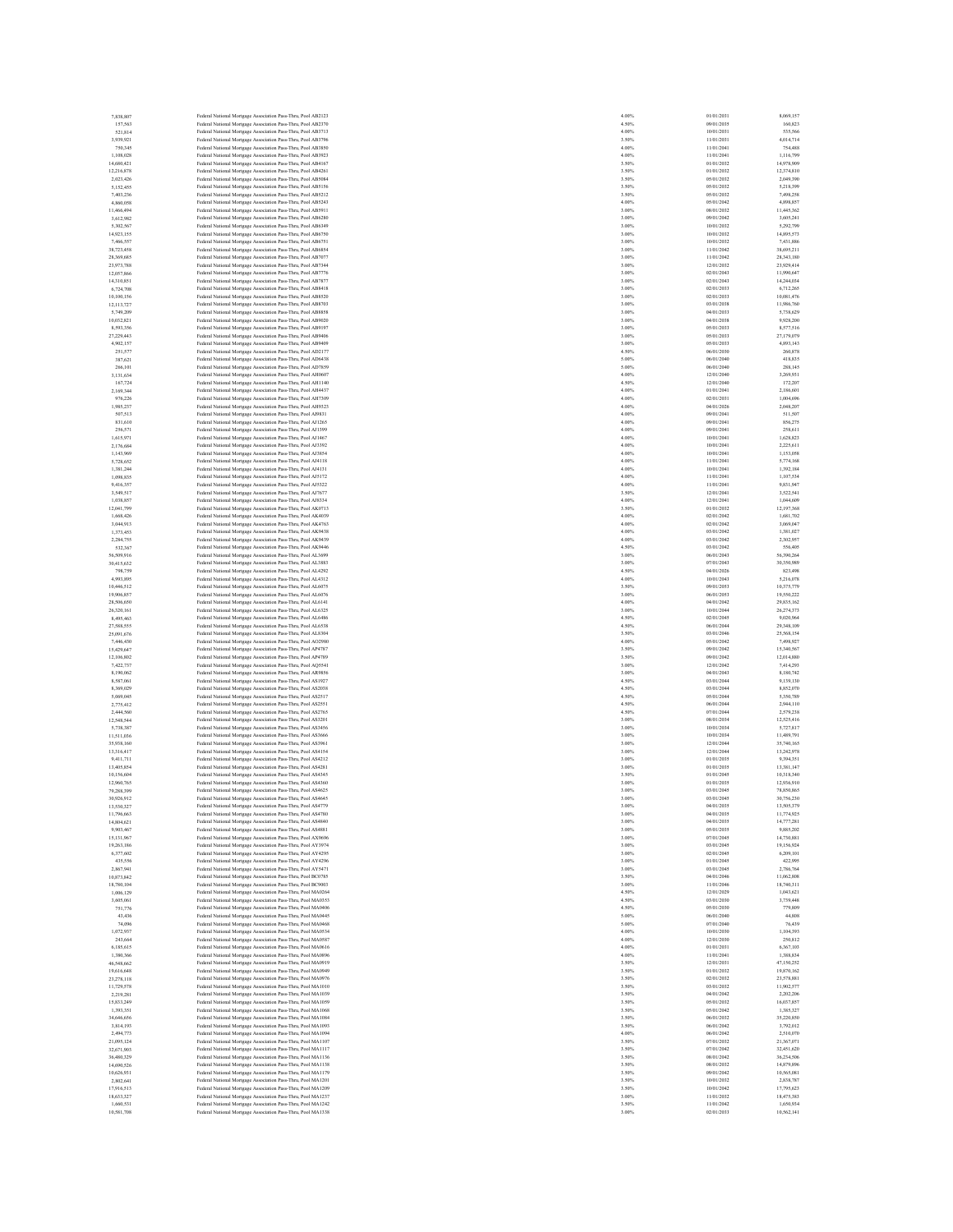| 7,838,807<br>157,563     | Federal National Mortgage Association Pass-Thru, Pool AB2123<br>Federal National Mortgage Association Pass-Thru, Pool AB2370 | 4.00%<br>4.50% | 01/01/2031<br>09/01/2035 | 8,069,157<br>160,823     |
|--------------------------|------------------------------------------------------------------------------------------------------------------------------|----------------|--------------------------|--------------------------|
| 521.814                  | Federal National Mortgage Association Pass-Thru, Pool AB3713                                                                 | 4.00%          | 10/01/2031               | 535,566                  |
| 3,939,921                | Federal National Mortgage Association Pass-Thru, Pool AB3796                                                                 | 3.50%          | 11/01/2031               | 4,014,714                |
| 750,345                  | Federal National Mortgage Association Pass-Thru, Pool AB3850                                                                 | 4.00%          | 11/01/2041               | 754,488                  |
| 1,108,028                | Federal National Mortgage Association Pass-Thru, Pool AB3923                                                                 | 4.00%          | 11/01/2041               | 1,116,799                |
| 14,680,421<br>12,216,878 | Federal National Mortgage Association Pass-Thru, Pool AB4167<br>Federal National Mortgage Association Pass-Thru, Pool AB4261 | 3.50%<br>3.50% | 01/01/2032<br>01/01/2032 | 14,978,909<br>12,374,810 |
| 2.023,426                | Federal National Mortgage Association Pass-Thru, Pool AB5084                                                                 | 3.50%          | 05/01/2032               | 2.049.390                |
| 5,152,455                | Federal National Mortgage Association Pass-Thru, Pool AB5156                                                                 | 3.50%          | 05/01/2032               | 5,218,399                |
| 7,403,236                | Federal National Mortgage Association Pass-Thru, Pool AB5212                                                                 | 3.50%          | 05/01/2032               | 7,498,258                |
| 4,860,058                | Federal National Mortgage Association Pass-Thru, Pool AB5243                                                                 | 4.00%          | 05/01/2042               | 4,898,857                |
| 11,466,494               | Federal National Mortgage Association Pass-Thru, Pool AB5911                                                                 | 3.00%          | 08/01/2032               | 11,445,362               |
| 3.612.982<br>5,302,567   | Federal National Mortgage Association Pass-Thru, Pool AB6280                                                                 | 3.00%<br>3.00% | 09/01/2042<br>10/01/2032 | 3,605,241<br>5,292,799   |
| 14,923,155               | Federal National Mortgage Association Pass-Thru, Pool AB6349<br>Federal National Mortgage Association Pass-Thru, Pool AB6750 | 3.00%          | 10/01/2032               | 14,895,573               |
| 7,466,557                | Federal National Mortgage Association Pass-Thru, Pool AB6751                                                                 | 3.00%          | 10/01/2032               | 7.431,886                |
| 38,723,458               | Federal National Mortgage Association Pass-Thru, Pool AB6854                                                                 | 3.00%          | 11/01/2042               | 38,695,211               |
| 28,369,685               | Federal National Mortgage Association Pass-Thru, Pool AB7077                                                                 | 3.00%          | 11/01/2042               | 28,343,180               |
| 23,973,788               | Federal National Mortgage Association Pass-Thru, Pool AB7344                                                                 | 3.00%          | 12/01/2032               | 23,929.414               |
| 12,057,866               | Federal National Mortgage Association Pass-Thru, Pool AB7776                                                                 | 3.00%          | 02/01/2043               | 11,990,647               |
| 14,310,851               | Federal National Mortgage Association Pass-Thru, Pool AB7877                                                                 | 3.00%          | 02/01/2043               | 14,244,034               |
| 6,724,708<br>10,100,156  | Federal National Mortgage Association Pass-Thru, Pool AB8418<br>Federal National Mortgage Association Pass-Thru, Pool AB8520 | 3.00%<br>3.00% | 02/01/2033<br>02/01/2033 | 6,712,265<br>10,081,476  |
| 12,113,727               | Federal National Mortgage Association Pass-Thru, Pool AB8703                                                                 | 3.00%          | 03/01/2038               | 11,986,760               |
| 5,749,209                | Federal National Mortgage Association Pass-Thru, Pool AB8858                                                                 | 3.00%          | 04/01/2033               | 5,738,629                |
| 10,032,821               | Federal National Mortgage Association Pass-Thru, Pool AB9020                                                                 | 3.00%          | 04/01/2038               | 9,928,200                |
| 8,593,356                | Federal National Mortgage Association Pass-Thru, Pool AB9197                                                                 | 3.00%          | 05/01/2033               | 8,577,516                |
| 27,229,443               | Federal National Mortgage Association Pass-Thru, Pool AB9406                                                                 | 3.00%          | 05/01/2033               | 27,179,079               |
| 4,902,157                | Federal National Mortgage Association Pass-Thru, Pool AB9409                                                                 | 3.00%          | 05/01/2033               | 4,893,143                |
| 251,577                  | Federal National Mortgage Association Pass-Thru, Pool AD2177                                                                 | 4.50%<br>5.00% | 06/01/2030<br>06/01/2040 | 260,878<br>418,835       |
| 387,621<br>266,101       | Federal National Mortgage Association Pass-Thru, Pool AD6438<br>Federal National Mortgage Association Pass-Thru, Pool AD7859 | 5.00%          | 06/01/2040               | 288,145                  |
| 3.131.634                | Federal National Mortgage Association Pass-Thru, Pool AH0607                                                                 | 4.00%          | 12/01/2040               | 3.269.931                |
| 167,724                  | Federal National Mortgage Association Pass-Thru, Pool AH1140                                                                 | 4.50%          | 12/01/2040               | 172,207                  |
| 2,169,344                | Federal National Mortgage Association Pass-Thru, Pool AH4437                                                                 | 4.00%          | 01/01/2041               | 2,186,601                |
| 976,226                  | Federal National Mortgage Association Pass-Thru, Pool AH7309                                                                 | 4.00%          | 02/01/2031               | 1.004.696                |
| 1,985,237                | Federal National Mortgage Association Pass-Thru, Pool AH9323                                                                 | 4.00%          | 04/01/2026               | 2,048,207                |
| 507.513                  | Federal National Mortgage Association Pass-Thru, Pool A19831                                                                 | 4.00%          | 09/01/2041               | 511,507                  |
| 831,610<br>256,571       | Federal National Mortgage Association Pass-Thru, Pool AJ1265<br>Federal National Mortgage Association Pass-Thru, Pool AJ1399 | 4.00%<br>4.00% | 09/01/2041<br>09/01/2041 | 856,275<br>258,611       |
| 1.615.971                | Federal National Mortgage Association Pass-Thru, Pool AJ1467                                                                 | 4.00%          | 10/01/2041               | 1.628.823                |
| 2,176,684                | Federal National Mortgage Association Pass-Thru, Pool AJ3392                                                                 | 4.00%          | 10/01/2041               | 2,225,611                |
| 1,143,969                | Federal National Mortgage Association Pass-Thru, Pool AJ3854                                                                 | 4.00%          | 10/01/2041               | 1,153,058                |
| 5.728,652                | Federal National Mortgage Association Pass-Thru, Pool AJ4118                                                                 | 4.00%          | 11/01/2041               | 5,774,168                |
| 1,381,244                | Federal National Mortgage Association Pass-Thru, Pool AJ4131                                                                 | 4.00%          | 10/01/2041               | 1,392,184                |
| 1,098,835                | Federal National Mortgage Association Pass-Thru, Pool AJ5172                                                                 | 4.00%          | 11/01/2041               | 1,107,534                |
| 9,416,357                | Federal National Mortgage Association Pass-Thru, Pool AJ5322                                                                 | 4.00%          | 11/01/2041               | 9,831,947                |
| 3,549,517<br>1,038,857   | Federal National Mortgage Association Pass-Thru, Pool AJ7677<br>Federal National Mortgage Association Pass-Thru, Pool AJ8334 | 3.50%<br>4.00% | 12/01/2041<br>12/01/2041 | 3,522,541<br>1,044,609   |
| 12,041,799               | Federal National Mortgage Association Pass-Thru, Pool AK0713                                                                 | 3.50%          | 01/01/2032               | 12,197,368               |
| 1,668,426                | Federal National Mortgage Association Pass-Thru, Pool AK4039                                                                 | 4.00%          | 02/01/2042               | 1,681,702                |
| 3,044,913                | Federal National Mortgage Association Pass-Thru, Pool AK4763                                                                 | 4.00%          | 02/01/2042               | 3,069,047                |
| 1,373,453                | Federal National Mortgage Association Pass-Thru, Pool AK9438                                                                 | 4.00%          | 03/01/2042               | 1,381,027                |
| 2,284,755                | Federal National Mortgage Association Pass-Thru, Pool AK9439                                                                 | 4.00%          | 03/01/2042               | 2,302,957                |
| 532,367                  | Federal National Mortgage Association Pass-Thru, Pool AK9446                                                                 | 4.50%          | 03/01/2042               | 556,405                  |
| 56,509,916<br>30,415,632 | Federal National Mortgage Association Pass-Thru, Pool AL3699<br>Federal National Mortgage Association Pass-Thru, Pool AL3883 | 3.00%<br>3.00% | 06/01/2043<br>07/01/2043 | 56,390,264<br>30,350,989 |
| 798,759                  | Federal National Mortgage Association Pass-Thru, Pool AL4292                                                                 | 4.50%          | 04/01/2026               | 823,498                  |
| 4,993,895                | Federal National Mortgage Association Pass-Thru, Pool AL4312                                                                 | 4.00%          | 10/01/2043               | 5,216,078                |
| 10,446,512               | Federal National Mortgage Association Pass-Thru, Pool AL6075                                                                 | 3.50%          | 09/01/2053               | 10,375,779               |
| 19,906,857               | Federal National Mortgage Association Pass-Thru, Pool AL6076                                                                 | 3.00%          | 06/01/2053               | 19,550,222               |
| 28,506,650               | Federal National Mortgage Association Pass-Thru, Pool AL6141                                                                 | 4.00%          | 04/01/2042               | 29,835,162               |
| 26.320.161               | Federal National Mortgage Association Pass-Thru, Pool AL6325                                                                 | 3.00%          | 10/01/2044               | 26,274,373               |
| 8,495,463                | Federal National Mortgage Association Pass-Thru, Pool AL6486                                                                 | 4.50%          | 02/01/2045               | 9,020,964                |
| 27,588,555<br>25,091,676 | Federal National Mortgage Association Pass-Thru, Pool AL6538<br>Federal National Mortgage Association Pass-Thru, Pool AL8304 | 4.50%<br>3.50% | 06/01/2044<br>03/01/2046 | 29,348,109<br>25,568,154 |
| 7,446,430                | Federal National Mortgage Association Pass-Thru, Pool AO2980                                                                 | 4.00%          | 05/01/2042               | 7,498,927                |
| 15,429,647               | Federal National Mortgage Association Pass-Thru, Pool AP4787                                                                 | 3.50%          | 09/01/2042               | 15,340,567               |
| 12,106,802               | Federal National Mortgage Association Pass-Thru, Pool AP4789                                                                 | 3.50%          | 09/01/2042               | 12,014,880               |
| 7,422,737                | Federal National Mortgage Association Pass-Thru, Pool AQ5541                                                                 | 3.00%          | 12/01/2042               | 7,414,293                |
| 8,190,062                | Federal National Mortgage Association Pass-Thru, Pool AR9856                                                                 | 3.00%          | 04/01/2043               | 8,180,742                |
| 8,587,061                | Federal National Mortgage Association Pass-Thru, Pool AS1927                                                                 | 4.50%          | 03/01/2044               | 9.139.130                |
| 8,369,029<br>5,069,045   | Federal National Mortgage Association Pass-Thru, Pool AS2038<br>Federal National Mortgage Association Pass-Thru, Pool AS2517 | 4.50%<br>4.50% | 03/01/2044<br>05/01/2044 | 8,852,070<br>5,350,789   |
| 2,775,412                | Federal National Mortgage Association Pass-Thru, Pool AS2551                                                                 | 4.50%          | 06/01/2044               | 2,944,110                |
| 2,444,560                | Federal National Mortgage Association Pass-Thru, Pool AS2765                                                                 | 4.50%          | 07/01/2044               | 2,579,238                |
| 12,548,544               | Federal National Mortgage Association Pass-Thru, Pool AS3201                                                                 | 3.00%          | 08/01/2034               | 12,525,416               |
| 5,738,387                | Federal National Mortgage Association Pass-Thru, Pool AS3456                                                                 | 3.00%          | 10/01/2034               | 5,727,817                |
| 11,511,036               | Federal National Mortgage Association Pass-Thru, Pool AS3666                                                                 | 3.00%          | 10/01/2034               | 11,489,791               |
| 35,938,160               | Federal National Mortgage Association Pass-Thru, Pool AS3961                                                                 | 3.00%          | 12/01/2044               | 35,740,165               |
| 13,316,417               | Federal National Mortgage Association Pass-Thru, Pool AS4154                                                                 | 3.00%          | 12/01/2044               | 13,242,978               |
| 9,411,711<br>13,405,854  | Federal National Mortgage Association Pass-Thru, Pool AS4212<br>Federal National Mortgage Association Pass-Thru, Pool AS4281 | 3.00%<br>3.00% | 01/01/2035<br>01/01/2035 | 9,394,351<br>13,381,147  |
| 10,156,604               | Federal National Mortgage Association Pass-Thru, Pool AS4345                                                                 | 3.50%          | 01/01/2045               | 10,318,340               |
| 12,960,765               | Federal National Mortgage Association Pass-Thru, Pool AS4360                                                                 | 3.00%          | 01/01/2035               | 12,936,910               |
| 79,288,399               | Federal National Mortgage Association Pass-Thru, Pool AS4625                                                                 | 3.00%          | 03/01/2045               | 78,850,865               |
| 30,926,912               | Federal National Mortgage Association Pass-Thru, Pool AS4645                                                                 | 3.00%          | 03/01/2045               | 30,756,230               |
| 13.530.327               | Federal National Mortgage Association Pass-Thru, Pool AS4779                                                                 | 3.00%          | 04/01/2035               | 13,505,379               |
| 11,796,663<br>14,804,621 | Federal National Mortgage Association Pass-Thru, Pool AS4780<br>Federal National Mortgage Association Pass-Thru, Pool AS4840 | 3.00%<br>3.00% | 04/01/2035<br>04/01/2035 | 11,774,925<br>14,777,281 |
| 9,903,467                |                                                                                                                              | 3.00%          | 05/01/2035               | 9,885,202                |
| 15,131,967               | Federal National Mortgage Association Pass-Thru, Pool AS4881<br>Federal National Mortgage Association Pass-Thru, Pool AX9696 | 3.00%          | 07/01/2045               | 14,730,881               |
| 19,263,186               | Federal National Mortgage Association Pass-Thru, Pool AY3974                                                                 | 3.00%          | 03/01/2045               | 19,156,924               |
| 6,377,602                | Federal National Mortgage Association Pass-Thru, Pool AY4295                                                                 | 3.00%          | 02/01/2045               | 6,209,101                |
| 435,556                  | Federal National Mortgage Association Pass-Thru, Pool AY4296                                                                 | 3.00%          | 01/01/2045               | 422,995                  |
| 2,867,941                | Federal National Mortgage Association Pass-Thru, Pool AY5471                                                                 | 3.00%          | 03/01/2045               | 2,786,764                |
| 10,873,842               | Federal National Mortgage Association Pass-Thru, Pool BC0785                                                                 | 3.50%          | 04/01/2046               | 11.062.808               |
| 18,780,104<br>1,006,129  | Federal National Mortgage Association Pass-Thru, Pool BC9003<br>Federal National Mortgage Association Pass-Thru, Pool MA0264 | 3.00%<br>4.50% | 11/01/2046<br>12/01/2029 | 18,740,311<br>1,043,621  |
| 3,605,061                | Federal National Mortgage Association Pass-Thru, Pool MA0353                                                                 | 4.50%          | 03/01/2030               | 3,739,448                |
| 751,776                  | Federal National Mortgage Association Pass-Thru, Pool MA0406                                                                 | 4.50%          | 05/01/2030               | 779,809                  |
| 43,436                   | Federal National Mortgage Association Pass-Thru, Pool MA0445                                                                 | 5.00%          | 06/01/2040               | 44,808                   |
| 74,096                   | Federal National Mortgage Association Pass-Thru, Pool MA0468                                                                 | 5.00%          | 07/01/2040               | 76,439                   |
| 1,072,937                | Federal National Mortgage Association Pass-Thru, Pool MA0534                                                                 | 4.00%          | 10/01/2030               | 1,104,393                |
| 243,664                  | Federal National Mortgage Association Pass-Thru, Pool MA0587                                                                 | 4.00%          | 12/01/2030               | 250,812                  |
| 6,185,615                | Federal National Mortgage Association Pass-Thru, Pool MA0616                                                                 | 4.00%          | 01/01/2031               | 6,367,103                |
| 1,380,366<br>46,548,662  | Federal National Mortgage Association Pass-Thru, Pool MA0896<br>Federal National Mortgage Association Pass-Thru, Pool MA0919 | 4.00%<br>3.50% | 11/01/2041<br>12/01/2031 | 1,388,834<br>47.150.252  |
| 19,616,648               | Federal National Mortgage Association Pass-Thru, Pool MA0949                                                                 | 3.50%          | 01/01/2032               | 19,870,162               |
| 23,278,118               | Federal National Mortgage Association Pass-Thru, Pool MA0976                                                                 | 3.50%          | 02/01/2032               | 23,578,881               |
| 11,729,578               | Federal National Mortgage Association Pass-Thru, Pool MA1010                                                                 | 3.50%          | 03/01/2032               | 11,902,577               |
| 2,219,281                | Federal National Mortgage Association Pass-Thru, Pool MA1039                                                                 | 3.50%          | 04/01/2042               | 2,202,206                |
| 15.833.249               | Federal National Mortgage Association Pass-Thru, Pool MA1059                                                                 | 3.50%          | 05/01/2032               | 16,037,857               |
| 1,393,351                | Federal National Mortgage Association Pass-Thru, Pool MA1068                                                                 | 3.50%          | 05/01/2042               | 1,385,327                |
| 34,646,656<br>3.814.193  | Federal National Mortgage Association Pass-Thru, Pool MA1084<br>Federal National Mortgage Association Pass-Thru, Pool MA1093 | 3.50%<br>3.50% | 06/01/2032<br>06/01/2042 | 35,220,850<br>3,792,012  |
| 2,494,773                | Federal National Mortgage Association Pass-Thru, Pool MA1094                                                                 | 4.00%          | 06/01/2042               | 2,510,070                |
| 21,095,124               | Federal National Mortgage Association Pass-Thru, Pool MA1107                                                                 | 3.50%          | 07/01/2032               | 21,367,071               |
| 32.671.903               | Federal National Mortgage Association Pass-Thru, Pool MA1117                                                                 | 3.50%          | 07/01/2042               | 32.451.620               |
| 36,480,329               | Federal National Mortgage Association Pass-Thru, Pool MA1136                                                                 | 3.50%          | 08/01/2042               | 36,234,506               |
| 14,690,526               | Federal National Mortgage Association Pass-Thru, Pool MA1138                                                                 | 3.50%          | 08/01/2032               | 14,879,896               |
| 10.626.931               | Federal National Mortgage Association Pass-Thru, Pool MA1179                                                                 | 3.50%          | 09/01/2042               | 10,565,081               |
| 2,802,641<br>17,916,513  | Federal National Mortgage Association Pass-Thru, Pool MA1201<br>Federal National Mortgage Association Pass-Thru, Pool MA1209 | 3.50%<br>3.50% | 10/01/2032<br>10/01/2042 | 2,838,787<br>17,795,623  |
| 18,633,327               | Federal National Mortgage Association Pass-Thru, Pool MA1237                                                                 | 3.00%          | 11/01/2032               | 18,475,383               |
| 1,660,531                | Federal National Mortgage Association Pass-Thru, Pool MA1242                                                                 | 3.50%          | 11/01/2042               | 1,650,934                |
|                          | Federal National Mortgage Association Pass-Thru, Pool MA1338                                                                 | 3.00%          | 02/01/2033               | 10,562,141               |
| 10,581,708               |                                                                                                                              |                |                          |                          |

| $_{01}$<br>ĺ<br>í                           |
|---------------------------------------------|
| 01<br>Ιú<br>ï                               |
| $\mathbf{1}$<br>$_{01}$<br>Ï                |
| ı<br>l<br>$_{01}$<br>Ì<br>ī                 |
| $\mathbf{I}$<br>ı.<br>ij<br>ť<br>nι<br>ı    |
| ĺ<br>ı<br>ı.                                |
| ı.<br>Ċ                                     |
| ı<br>ī.<br>Ċ<br>'n                          |
| ı.<br>Ċ<br>ť                                |
| ı                                           |
| o.<br>Ċ                                     |
| 10<br>VO <sub>L</sub><br>10<br>$_{01}$      |
| 10<br>01/                                   |
| 11/01                                       |
| 11/01                                       |
| 201/<br>ı<br>ĺ<br>201                       |
| $_{01}$<br>$\overline{0}$                   |
| Ċ<br>01                                     |
| 01                                          |
| $_{01}$<br>$_{01}$                          |
| (01)                                        |
| 01                                          |
| $_{01}$                                     |
| (01)<br>01<br>ľ<br>ς                        |
| $^{(01)}$<br>ī                              |
| (01)<br>ľ<br>6                              |
| 201<br>ī<br>i                               |
| $_{01}$<br>ı<br>01/01/2<br>4I               |
| $_{01}$<br>ï<br>ï                           |
| $_{01}$                                     |
| (01)<br>41<br>Ċ                             |
| (01<br>41<br>'n۱<br>$_{01/}$<br>41<br>o     |
| 01/2<br>Ì.<br>41                            |
| 41<br>10/01/                                |
| 11<br>$_{01/}$<br>41                        |
| 01/2<br>Ħ.<br>41<br>$^{41}$<br>10<br>(01/2) |
| Ħ.<br>$_{01}$<br>4I                         |
| Ħ,<br>$_{01}$<br>41                         |
| l<br>(01)<br>4I                             |
| $\overline{12}$<br>4I<br>$_{01}$            |
| $\overline{0}$<br>(01)<br>(01)              |
| 01<br>Ċ                                     |
| (01)                                        |
| (01)                                        |
| $_{01}$<br>ľ<br>$^{(01)}$                   |
| 01<br>ľ                                     |
| $_{01}$<br>Ċ                                |
| ī<br>01/<br>$_{01}$<br>Ċ                    |
| 01<br>Ċ                                     |
| $_{01}$                                     |
| 01<br>10                                    |
| 201<br>ľ                                    |
|                                             |
| $_{01}$<br>01<br>ï                          |
| 01<br>ï                                     |
| $_{01}$                                     |
| ľ<br>01                                     |
| ī<br>2/01<br>ť                              |
| ı.<br>ŕ<br>ı.<br>ï                          |
| $_{01}$                                     |
| ı,                                          |
| $_{01}$<br>ı                                |
| ı,<br>ï                                     |
| ī.<br>ŋΙ                                    |
| l<br>Ū1                                     |
| ī<br>ť<br>ı.<br>į<br>o                      |
| 01<br>ť<br>ı.                               |
| 01<br>ŕ<br>ı.                               |
| Ċ<br>ō<br>ï                                 |
| Ċ<br>ï                                      |
|                                             |
| 01                                          |
| $\overline{0}$<br>0<br>l                    |
| ou<br>$\overline{0}$                        |
| n<br>7/01/                                  |
| $_{01/}$<br>$\overline{0}$                  |
| 201/2<br>$\overline{0}$<br>01/01/           |
| 03/01/20                                    |
| 4/01/2<br>Ċ                                 |
| 11/01/                                      |
| 12/01/20<br>ï                               |
| 03/01/20<br>05/01/20                        |
| 01/20<br>$\overline{0}$                     |
| 7/01/20<br>άñ<br>n                          |
| 10/01/2030<br>30                            |
| 12/01/2<br>01/01/2<br>à<br>j                |
| 1/01/20<br>$\overline{1}$<br>4<br>Ì         |
| 2/01/2<br>ŝ1<br>ī                           |
| $_{01}$<br>(01)<br>'n<br>02/01/20<br>ż,     |
| $_{01}$<br>2<br>Ċ                           |
| (01)<br>,<br>Ċ                              |
| 01/20<br>Ċ<br>,                             |
| $_{01}$<br>n<br>01/<br>,<br>o               |
| 01/2<br>ï                                   |
| 06/01/<br>'n                                |
| 7/01/<br>$\overline{0}$<br>'n<br>n          |
| 7/01/2<br>08/01/<br>'n                      |
| 8/01/20<br>$\overline{0}$                   |
| 9/01/<br>٠,<br>$\overline{0}$               |
| 10/01/                                      |
| 10/01<br>11/01/                             |
| 1/01/2<br>l<br>02/01/20                     |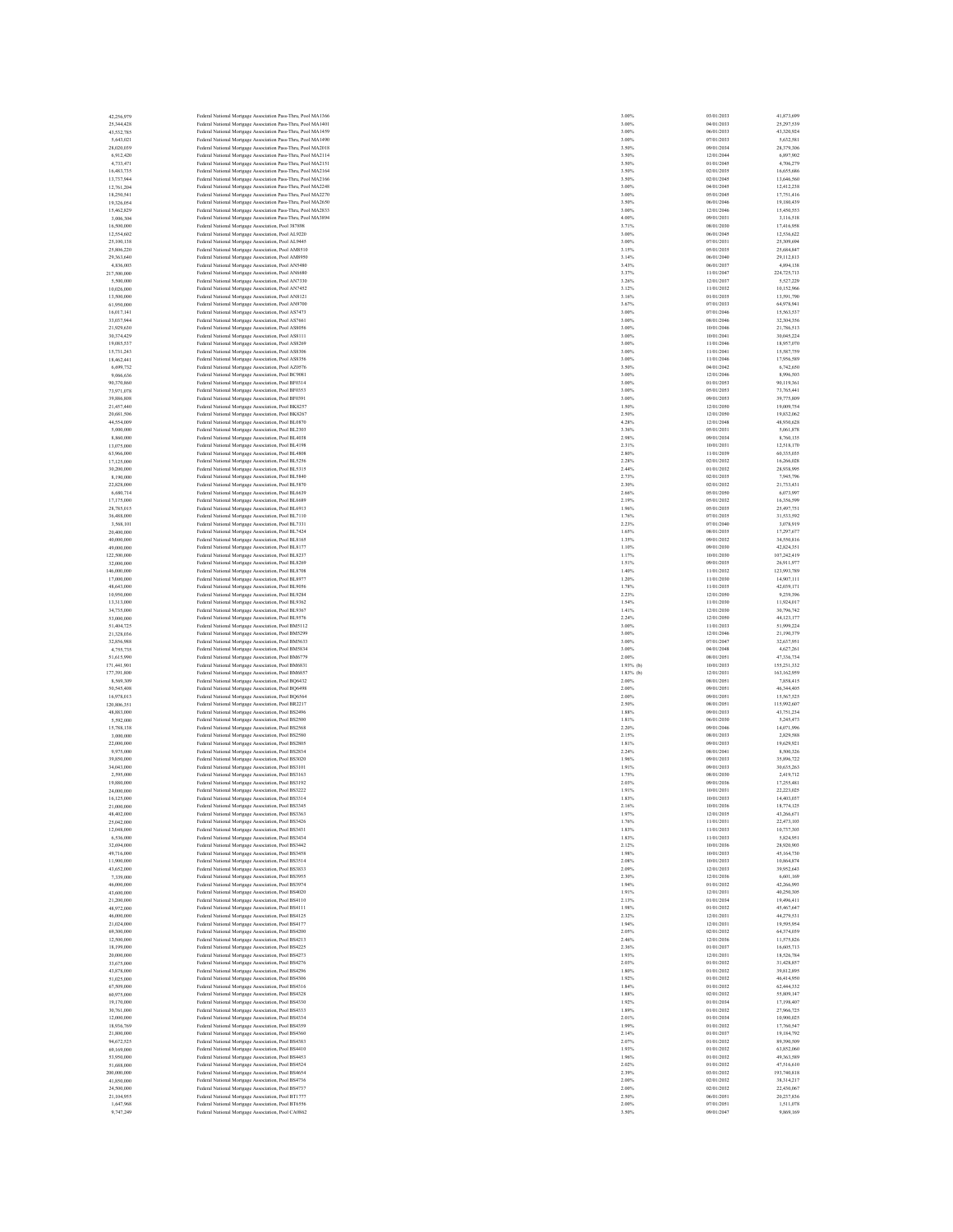| 42,256,979<br>25,344,428  | Federal National Mortgage Association Pass-Thru, Pool MA1366<br>Federal National Mortgage Association Pass-Thru, Pool MA1401 | 3.00%<br>3.00% | 03/01/2033<br>04/01/2033 | 41,873,699<br>25,297,539  |
|---------------------------|------------------------------------------------------------------------------------------------------------------------------|----------------|--------------------------|---------------------------|
| 43,532,785                | Federal National Mortgage Association Pass-Thru, Pool MA1459                                                                 | 3.00%          | 06/01/2033               | 43,320,924                |
| 5,643,021                 | Federal National Mortgage Association Pass-Thru, Pool MA1490                                                                 | 3.00%          | 07/01/2033               | 5,632,581                 |
| 28,020,039                | Federal National Mortgage Association Pass-Thru, Pool MA2018                                                                 | 3.50%          | 09/01/2034               | 28,379,306                |
| 6.912.420                 | Federal National Mortgage Association Pass-Thru, Pool MA2114                                                                 | 3.50%          | 12/01/2044               | 6,897,902                 |
| 4,733,471                 | Federal National Mortgage Association Pass-Thru, Pool MA2151                                                                 | 3.50%          | 01/01/2045               | 4,706,279                 |
| 16,483,735<br>13,737,944  | Federal National Mortgage Association Pass-Thru, Pool MA2164<br>Federal National Mortgage Association Pass-Thru, Pool MA2166 | 3.50%<br>3.50% | 02/01/2035<br>02/01/2045 | 16,655,686<br>13,646,560  |
| 12,761,204                | Federal National Mortgage Association Pass-Thru, Pool MA2248                                                                 | 3.00%          | 04/01/2045               | 12,412,238                |
| 18,250,541                | Federal National Mortgage Association Pass-Thru, Pool MA2270                                                                 | 3.00%          | 05/01/2045               | 17,751,416                |
| 19,326,054                | Federal National Mortgage Association Pass-Thru, Pool MA2650                                                                 | 3.50%          | 06/01/2046               | 19,180,439                |
| 15,462,829                | Federal National Mortgage Association Pass-Thru, Pool MA2833                                                                 | 3.00%          | 12/01/2046               | 15,450,553                |
| 3,006,304                 | Federal National Mortgage Association Pass-Thru, Pool MA3894                                                                 | 4.00%          | 09/01/2031               | 3,116,518                 |
| 16,500,000<br>12,554,602  | Federal National Mortgage Association, Pool 387898<br>Federal National Mortgage Association, Pool AL9220                     | 3.71%<br>3.00% | 08/01/2030<br>06/01/2045 | 17,416,958<br>12,536,622  |
| 25,100,138                | Federal National Mortgage Association, Pool AL9445                                                                           | 3.00%          | 07/01/2031               | 25,309,694                |
| 25,806,220                | Federal National Mortgage Association, Pool AM8510                                                                           | 3.15%          | 05/01/2035               | 25,684,847                |
| 29,363,640                | Federal National Mortgage Association, Pool AM8950                                                                           | 3.14%          | 06/01/2040               | 29,112,813                |
| 4,836,003                 | Federal National Mortgage Association, Pool AN5480                                                                           | 3.43%          | 06/01/2037               | 4,894,138                 |
| 217,500,000               | Federal National Mortgage Association, Pool AN6680                                                                           | 3.37%          | 11/01/2047               | 224,725,713               |
| 5,500,000<br>10,026,000   | Federal National Mortgage Association, Pool AN7330<br>Federal National Mortgage Association, Pool AN7452                     | 3.26%<br>3.12% | 12/01/2037<br>11/01/2032 | 5,527,229<br>10.152.966   |
| 13,500,000                | Federal National Mortgage Association, Pool AN8121                                                                           | 3.16%          | 01/01/2035               | 13,591,790                |
| 61,950,000                | Federal National Mortgage Association, Pool AN9700                                                                           | 3.67%          | 07/01/2033               | 64,978,941                |
| 16,017,141                | Federal National Mortgage Association, Pool AS7473                                                                           | 3.00%          | 07/01/2046               | 15,563,537                |
| 33,037,944                | Federal National Mortgage Association, Pool AS7661                                                                           | 3.00%          | 08/01/2046               | 32,304,356                |
| 21,929,630                | Federal National Mortgage Association, Pool AS8056                                                                           | 3.00%          | 10/01/2046               | 21,786,513                |
| 30,374,429<br>19,085,537  | Federal National Mortgage Association, Pool AS8111<br>Federal National Mortgage Association, Pool AS8269                     | 3.00%<br>3.00% | 10/01/2041<br>11/01/2046 | 30,045,224<br>18,957,070  |
| 15,731,243                | Federal National Mortgage Association, Pool AS8306                                                                           | 3.00%          | 11/01/2041               | 15,587,759                |
| 18,462,441                | Federal National Mortgage Association, Pool AS8356                                                                           | 3.00%          | 11/01/2046               | 17,956,589                |
| 6,699,732                 | Federal National Mortgage Association, Pool AZ0576                                                                           | 3.50%          | 04/01/2042               | 6,742,650                 |
| 9,066,636                 | Federal National Mortgage Association, Pool BC9081                                                                           | 3.00%          | 12/01/2046               | 8,996,503                 |
| 90,370,860                | Federal National Mortgage Association, Pool BF0314                                                                           | 3.00%          | 01/01/2053               | 90,119,361                |
| 73,971,078<br>39,886,808  | Federal National Mortgage Association, Pool BF0353<br>Federal National Mortgage Association, Pool BF0391                     | 3.00%<br>3.00% | 05/01/2053<br>09/01/2053 | 73,765,441<br>39,775,809  |
| 21,457,440                | Federal National Mortgage Association, Pool BK8257                                                                           | 1.50%          | 12/01/2050               | 19,009,754                |
| 20,681,506                | Federal National Mortgage Association, Pool BK8267                                                                           | 2.50%          | 12/01/2050               | 19,832,062                |
| 44,554,009                | Federal National Mortgage Association, Pool BL0870                                                                           | 4.28%          | 12/01/2048               | 48,930,628                |
| 5,000,000                 | Federal National Mortgage Association, Pool BL2303                                                                           | 3.36%          | 05/01/2031               | 5,061,878                 |
| 8,860,000                 | Federal National Mortgage Association, Pool BL4038                                                                           | 2.98%          | 09/01/2034               | 8,760,135                 |
| 13,075,000                | Federal National Mortgage Association, Pool BL4198                                                                           | 2.31%          | 10/01/2031               | 12,518,170                |
| 63,966,000<br>17,125,000  | Federal National Mortgage Association, Pool BL4808<br>Federal National Mortgage Association, Pool BL5256                     | 2.80%<br>2.28% | 11/01/2039<br>02/01/2032 | 60,335,035<br>16,266,028  |
| 30,200,000                | Federal National Mortgage Association, Pool BL5315                                                                           | 2.44%          | 01/01/2032               | 28,938,995                |
| 8,190,000                 | Federal National Mortgage Association, Pool BL5840                                                                           | 2.73%          | 02/01/2035               | 7,945,796                 |
| 22,828,000                | Federal National Mortgage Association, Pool BL5870                                                                           | 2.30%          | 02/01/2032               | 21,733,431                |
| 6,680,714                 | Federal National Mortgage Association, Pool BL6639                                                                           | 2.66%          | 05/01/2050               | 6,073,997                 |
| 17,175,000                | Federal National Mortgage Association, Pool BL6689                                                                           | 2.19%          | 05/01/2032               | 16,356,599                |
| 28,785,015                | Federal National Mortgage Association, Pool BL6913                                                                           | 1.96%          | 05/01/2035               | 25,497,751                |
| 36,488,000<br>3,568,101   | Federal National Mortgage Association, Pool BL7110<br>Federal National Mortgage Association, Pool BL7331                     | 1.76%<br>2.23% | 07/01/2035<br>07/01/2040 | 31,533,592<br>3,078,919   |
| 20,400,000                | Federal National Mortgage Association, Pool BL7424                                                                           | 1.65%          | 08/01/2035               | 17,297,677                |
| 40,000,000                | Federal National Mortgage Association, Pool BL8165                                                                           | 1.35%          | 09/01/2032               | 34,550,816                |
| 49,000,000                | Federal National Mortgage Association, Pool BL8177                                                                           | 1.10%          | 09/01/2030               | 42.824.351                |
| 122,500,000               | Federal National Mortgage Association, Pool BL8237                                                                           | 1.17%          | 10/01/2030               | 107,242,419               |
| 32,000,000                | Federal National Mortgage Association, Pool BL8269                                                                           | 1.51%          | 09/01/2035               | 26,911,977                |
| 146,000,000               | Federal National Mortgage Association, Pool BL8708                                                                           | 1.40%          | 11/01/2032               | 123,993,789               |
| 17,000,000<br>48,643,000  | Federal National Mortgage Association, Pool BL8977<br>Federal National Mortgage Association, Pool BL9056                     | 1.20%<br>1.78% | 11/01/2030<br>11/01/2035 | 14,907,111<br>42,039,171  |
| 10,950,000                | Federal National Mortgage Association, Pool BL9284                                                                           | 2.23%          | 12/01/2050               | 9.239.396                 |
| 13,313,000                | Federal National Mortgage Association, Pool BL9362                                                                           | 1.54%          | 11/01/2030               | 11,924,017                |
| 34,735,000                | Federal National Mortgage Association, Pool BL9367                                                                           | 1.41%          | 12/01/2030               | 30,796,742                |
|                           |                                                                                                                              |                |                          |                           |
| 53,000,000                | Federal National Mortgage Association, Pool BL9576                                                                           | 2.24%          | 12/01/2050               | 44,123,177                |
| 51,404,725                | Federal National Mortgage Association, Pool BM5112                                                                           | 3.00%          | 11/01/2033               | 51,999,224                |
| 21.328.036                | Federal National Mortgage Association, Pool BM5299                                                                           | 3.00%          | 12/01/2046               | 21.190.379                |
| 32,856,988                | Federal National Mortgage Association, Pool BM5633                                                                           | 3.00%          | 07/01/2047               | 32,637,951                |
| 4,755,735<br>51,615,990   | Federal National Mortgage Association, Pool BM5834                                                                           | 3.00%<br>2.00% | 04/01/2048<br>08/01/2051 | 4,627,261<br>47.336.734   |
| 171,441,901               | Federal National Mortgage Association, Pool BM6779<br>Federal National Mortgage Association, Pool BM6831                     | $1.93%$ (b)    | 10/01/2033               | 155,231,332               |
| 177,391,800               | Federal National Mortgage Association, Pool BM6857                                                                           | $1.83%$ (b)    | 12/01/2031               | 163, 162, 959             |
| 8,569,309                 | Federal National Mortgage Association, Pool BQ6432                                                                           | 2.00%          | 08/01/2051               | 7,858,415                 |
| 50,545,408                | Federal National Mortgage Association, Pool BQ6498                                                                           | 2.00%          | 09/01/2051               | 46,344,405                |
| 16,978,013                | Federal National Mortgage Association, Pool BQ6564                                                                           | 2.00%          | 09/01/2051               | 15,567,525                |
| 120,806,351<br>48,883,000 | Federal National Mortgage Association, Pool BR2217                                                                           | 2.50%<br>1.88% | 08/01/2051<br>09/01/2033 | 115,992,607<br>43,751,234 |
| 5,592,000                 | Federal National Mortgage Association, Pool BS2496<br>Federal National Mortgage Association, Pool BS2500                     | 1.81%          | 06/01/2030               | 5,245,473                 |
| 15,788,138                | Federal National Mortgage Association, Pool BS2568                                                                           | 2.20%          | 09/01/2046               | 14,071,996                |
| 3,000,000                 | Federal National Mortgage Association, Pool BS2580                                                                           | 2.15%          | 08/01/2033               | 2,829,588                 |
| 22,000,000                | Federal National Mortgage Association, Pool BS2805                                                                           | 1.81%          | 09/01/2033               | 19.629.921                |
| 9,975,000                 | Federal National Mortgage Association, Pool BS2834                                                                           | 2.24%          | 08/01/2041               | 8,500,326                 |
| 39,850,000<br>34,043,000  | Federal National Mortgage Association, Pool BS3020<br>Federal National Mortgage Association, Pool BS3101                     | 1.96%<br>1.91% | 09/01/2033<br>09/01/2033 | 35,896,722<br>30,635,263  |
| 2,595,000                 | Federal National Mortgage Association, Pool BS3163                                                                           | 1.75%          | 08/01/2030               | 2,419,712                 |
| 19,880,000                | Federal National Mortgage Association, Pool BS3192                                                                           | 2.03%          | 09/01/2036               | 17,255,481                |
| 24,000,000                | Federal National Mortgage Association, Pool BS3222                                                                           | 1.91%          | 10/01/2031               | 22.223.025                |
| 16,125,000                | Federal National Mortgage Association, Pool BS3314                                                                           | 1.83%          | 10/01/2033               | 14,403,037                |
| 21,000,000<br>48,402,000  | Federal National Mortgage Association, Pool BS3345<br>Federal National Mortgage Association, Pool BS3363                     | 2.16%<br>1.97% | 10/01/2036<br>12/01/2035 | 18,774,125<br>43,266,671  |
| 25,042,000                | Federal National Mortgage Association, Pool BS3426                                                                           | 1.76%          | 11/01/2031               | 22,473,103                |
| 12,048,000                | Federal National Mortgage Association, Pool BS3431                                                                           | 1.83%          | 11/01/2033               | 10,737,303                |
| 6,536,000                 | Federal National Mortgage Association, Pool BS3434                                                                           | 1.83%          | 11/01/2033               | 5,824,951                 |
| 32,694,000                | Federal National Mortgage Association, Pool BS3442                                                                           | 2.12%          | 10/01/2036               | 28,920,903                |
| 49,716,000<br>11,900,000  | Federal National Mortgage Association, Pool BS3458                                                                           | 1.98%<br>2.08% | 10/01/2033<br>10/01/2033 | 45,164,730<br>10,864,874  |
|                           | Federal National Mortgage Association, Pool BS3514                                                                           | 2.09%          |                          |                           |
| 43,652,000<br>7,339,000   | Federal National Mortgage Association, Pool BS3833<br>Federal National Mortgage Association, Pool BS3955                     | 2.30%          | 12/01/2033<br>12/01/2036 | 39,952,643<br>6,601,169   |
| 46,000,000                | Federal National Mortgage Association, Pool BS3974                                                                           | 1.94%          | 01/01/2032               | 42,266,993                |
| 43,600,000                | Federal National Mortgage Association, Pool BS4020                                                                           | 1.91%          | 12/01/2031               | 40,250,305                |
| 21,200,000                | Federal National Mortgage Association, Pool BS4110                                                                           | 2.13%          | 01/01/2034               | 19,496,411                |
| 48,972,000<br>46,000,000  | Federal National Mortgage Association, Pool BS4111<br>Federal National Mortgage Association, Pool BS4125                     | 1.98%<br>2.32% | 01/01/2032               | 45,467,647                |
|                           |                                                                                                                              |                | 12/01/2031               | 44,279,531                |
| 21,024,000<br>69,300,000  | Federal National Mortgage Association, Pool BS4177<br>Federal National Mortgage Association, Pool BS4200                     | 1.94%<br>2.05% | 12/01/2031<br>02/01/2032 | 19,595,954<br>64,374,039  |
| 12,500,000                | Federal National Mortgage Association, Pool BS4213                                                                           | 2.46%          | 12/01/2036               | 11.575.826                |
| 18,199,000                | Federal National Mortgage Association, Pool BS4225                                                                           | 2.36%          | 01/01/2037               | 16,605,713                |
| 20,000,000                | Federal National Mortgage Association, Pool BS4273                                                                           | 1.93%          | 12/01/2031               | 18,526,784                |
| 33,675,000                | Federal National Mortgage Association, Pool BS4276                                                                           | 2.03%          | 01/01/2032               | 31,428,857                |
| 43,878,000<br>51,025,000  | Federal National Mortgage Association, Pool BS4296<br>Federal National Mortgage Association, Pool BS4306                     | 1.80%<br>1.92% | 01/01/2032<br>01/01/2032 | 39,812,895<br>46,414,950  |
| 67,509,000                | Federal National Mortgage Association, Pool BS4316                                                                           | 1.84%          | 01/01/2032               | 62.444.332                |
| 60,975,000                | Federal National Mortgage Association, Pool BS4328                                                                           | 1.88%          | 02/01/2032               | 55,809,147                |
| 19,170,000                | Federal National Mortgage Association, Pool BS4330                                                                           | 1.92%          | 01/01/2034               | 17,198,407                |
| 30,761,000                | Federal National Mortgage Association, Pool BS4333                                                                           | 1.89%          | 01/01/2032               | 27,966,725                |
| 12,000,000                | Federal National Mortgage Association, Pool BS4334                                                                           | 2.01%          | 01/01/2034               | 10,900,025                |
| 18,936,769                | Federal National Mortgage Association, Pool BS4359                                                                           | 1.99%          | 01/01/2032               | 17,760,547                |
| 21,800,000                | Federal National Mortgage Association, Pool BS4360                                                                           | 2.14%<br>2.07% | 01/01/2037<br>01/01/2032 | 19,184,792<br>89,390,509  |
| 94,672,525<br>69,169,000  | Federal National Mortgage Association, Pool BS4383<br>Federal National Mortgage Association, Pool BS4410                     | 1.93%          | 01/01/2032               | 63,852,060                |
| 53,950,000                | Federal National Mortgage Association, Pool BS4453                                                                           | 1.96%          | 01/01/2032               | 49,363,589                |
| 51,688,000                | Federal National Mortgage Association, Pool BS4524                                                                           | 2.02%          | 01/01/2032               | 47,516,610                |
| 200,000,000               | Federal National Mortgage Association, Pool BS4654                                                                           | 2.39%          | 03/01/2032               | 193,740,818               |
| 41,850,000                | Federal National Mortgage Association, Pool BS4736                                                                           | 2.00%          | 02/01/2032               | 38,314,217                |
| 24,500,000<br>21,104,955  | Federal National Mortgage Association, Pool BS4737                                                                           | 2.00%<br>2.50% | 02/01/2032<br>06/01/2051 | 22,430,067<br>20,237,836  |
| 1,647,968                 | Federal National Mortgage Association, Pool BT1777<br>Federal National Mortgage Association, Pool BT6556                     | 2.00%          | 07/01/2051               | 1,511,078                 |
| 9,747,249                 | Federal National Mortgage Association, Pool CA0862                                                                           | 3.50%          | 09/01/2047               | 9,869,169                 |

| 13/01/2033<br>1/01/20<br>l6<br>(01)<br>21                                                                                |  |
|--------------------------------------------------------------------------------------------------------------------------|--|
|                                                                                                                          |  |
|                                                                                                                          |  |
| l<br>$_{01}$<br>(01)                                                                                                     |  |
| ĺ<br>01                                                                                                                  |  |
| 1/01                                                                                                                     |  |
| ı<br>201/                                                                                                                |  |
| l<br>01/20                                                                                                               |  |
| )<br> <br>4/01/2045<br>01/                                                                                               |  |
| 6/01/2046                                                                                                                |  |
| 2/01/2046<br>ו<br>ו                                                                                                      |  |
| 0.01/<br>20<br>31                                                                                                        |  |
| 8/01/2030                                                                                                                |  |
| 6/01/20<br>49<br>7/01/20                                                                                                 |  |
| 5/01/20<br>35                                                                                                            |  |
| 6/01/2040                                                                                                                |  |
| k<br>(01/20)                                                                                                             |  |
| 1/01/20                                                                                                                  |  |
| $\overline{a}$<br>2/01/203                                                                                               |  |
| 1/01/20<br>Ġ,<br>$\frac{1}{25}$                                                                                          |  |
| 1/01/2<br>17/01/2<br>7/01/20                                                                                             |  |
| ֘֒<br>7/01/20                                                                                                            |  |
| 8/01/20<br>46                                                                                                            |  |
| 0/01/2046                                                                                                                |  |
| 0/01/20<br>1/01/20<br>41                                                                                                 |  |
|                                                                                                                          |  |
| 1/01/2041<br>1/01/2046                                                                                                   |  |
| l<br>4/01/204                                                                                                            |  |
| 2/01/2046                                                                                                                |  |
| 1/01/2053<br> 5/01/2053<br>5/01/2053                                                                                     |  |
| 9/01/2053                                                                                                                |  |
| 2/01/2050<br>ĺ                                                                                                           |  |
| 2/01/2050<br>ĺ                                                                                                           |  |
| 2/01/20<br>18                                                                                                            |  |
| 6/01/2031<br>9/01/2034                                                                                                   |  |
| 1/01/2031<br>0/01/2031<br>1/01/2039                                                                                      |  |
|                                                                                                                          |  |
| l<br>101/203                                                                                                             |  |
| 1/01/2032                                                                                                                |  |
| $\frac{1}{2}$ , 01/203<br>12/01/203<br>15/01/205                                                                         |  |
| s.                                                                                                                       |  |
| 5/01/20                                                                                                                  |  |
| 5/01/2035                                                                                                                |  |
| 7/01/20                                                                                                                  |  |
| l<br>7/01/2040<br>8/01/2035                                                                                              |  |
| l<br>9/01/20                                                                                                             |  |
| 9/01/2030                                                                                                                |  |
| 0/01/2030<br>19/01/2035                                                                                                  |  |
|                                                                                                                          |  |
| 1/01/2032<br>1/01/20                                                                                                     |  |
| 30<br>1/01/20                                                                                                            |  |
| 2/01/2050                                                                                                                |  |
| 1/01/2030                                                                                                                |  |
| 2/01/20<br>$\ddot{\phantom{a}}$                                                                                          |  |
| 2/01/20<br>50                                                                                                            |  |
| 1/01/2033<br>2/01/20                                                                                                     |  |
| í<br>7/01/20<br>47                                                                                                       |  |
| ı<br>4/01/2048                                                                                                           |  |
| K<br>01/20<br>ä                                                                                                          |  |
| 0/01/2033                                                                                                                |  |
| 2/01/2031<br>ĺ                                                                                                           |  |
| 8/01/2051<br> 9/01/2051<br>8/01/1<br>9/01/2051<br>9/051                                                                  |  |
| 9/01/205                                                                                                                 |  |
| 8/01/2051                                                                                                                |  |
| l<br>0.01/20                                                                                                             |  |
| 6/01/2030<br>9/01/20<br>$^{46}$                                                                                          |  |
| .<br>IS/01/203                                                                                                           |  |
| 9/01/2033                                                                                                                |  |
| 8/01/20<br>á1                                                                                                            |  |
| j<br>9/01/203<br>9/01/2033                                                                                               |  |
|                                                                                                                          |  |
|                                                                                                                          |  |
| 8/01/20<br>30<br>l<br>$_{20}$                                                                                            |  |
| 9.01/<br>0/01/2031                                                                                                       |  |
| 0/01/2033                                                                                                                |  |
| 0.01                                                                                                                     |  |
| l<br>70<br>î<br>ı<br>0<br>à                                                                                              |  |
| 1/01/20<br>1/01/<br>$_{20}$                                                                                              |  |
| 1/01/20                                                                                                                  |  |
| 0.01<br>$_{20}$                                                                                                          |  |
| 0<br>01/20                                                                                                               |  |
| 0/01/20                                                                                                                  |  |
| 2/01/20<br>2/01/2036                                                                                                     |  |
| 1/01/20                                                                                                                  |  |
| 2/01/2031                                                                                                                |  |
| 1/01/203<br>ò                                                                                                            |  |
| 1/01/20<br>2/01/2031                                                                                                     |  |
| 2/01/2031                                                                                                                |  |
|                                                                                                                          |  |
|                                                                                                                          |  |
|                                                                                                                          |  |
|                                                                                                                          |  |
| ò                                                                                                                        |  |
| 2/01/20<br>2/01/2036<br>1/01/203<br>2/01/2031<br>1/01/2032<br>1/01/20<br>1/01/20                                         |  |
|                                                                                                                          |  |
|                                                                                                                          |  |
|                                                                                                                          |  |
|                                                                                                                          |  |
|                                                                                                                          |  |
| 37                                                                                                                       |  |
|                                                                                                                          |  |
| <br> 1/01/2032<br> 2/01/2032<br>1/01/20<br>1/01/2032<br>1/01/20<br>1/01/203<br>1/01/20<br>1/01/20<br>1/01/203<br>1/01/20 |  |
| 1/01/20                                                                                                                  |  |
| 3/01/2032                                                                                                                |  |
| 2/01/20<br>t                                                                                                             |  |
| 2/01/20                                                                                                                  |  |
| 6/01/2051<br>l<br>7/01/2051                                                                                              |  |
| 01/20                                                                                                                    |  |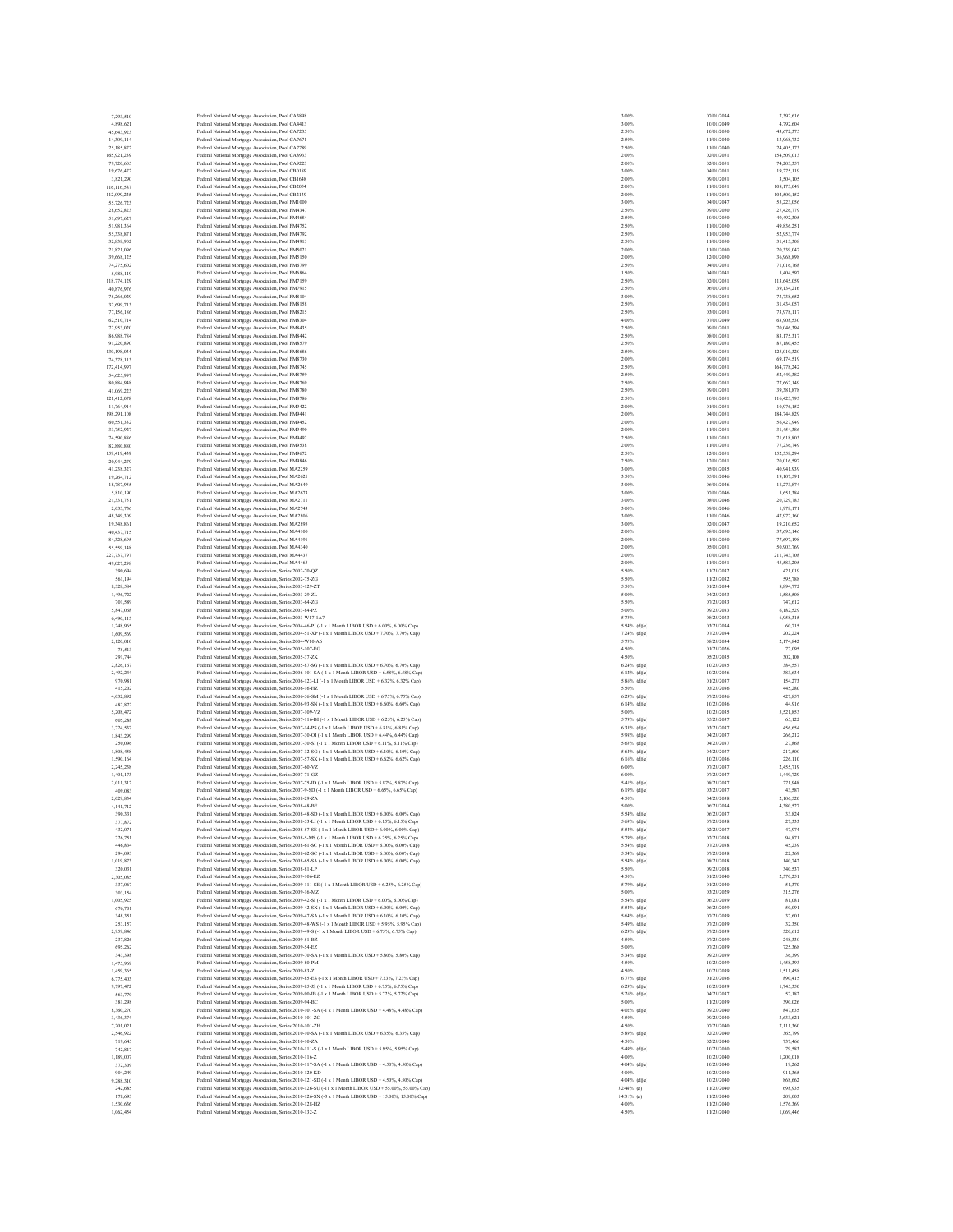| 7.293.510                 | Federal National Mortgage Association, Pool CA3898                                                                                                                                                             | 3.00%                              | 07/01/2034               | 7.392.616                 |
|---------------------------|----------------------------------------------------------------------------------------------------------------------------------------------------------------------------------------------------------------|------------------------------------|--------------------------|---------------------------|
| 4,898,621                 | Federal National Mortgage Association, Pool CA4413                                                                                                                                                             | 3.00%                              | 10/01/2049               | 4,792,604                 |
| 45,643,923<br>14,309,114  | Federal National Mortgage Association, Pool CA7235<br>Federal National Mortgage Association, Pool CA7671                                                                                                       | 2.50%<br>2.50%                     | 10/01/2050<br>11/01/2040 | 43,672,375<br>13,968,732  |
| 25,185,872                | Federal National Mortgage Association, Pool CA7789                                                                                                                                                             | 2.50%                              | 11/01/2040               | 24,405,173                |
| 165,921,239               | Federal National Mortgage Association, Pool CA8933                                                                                                                                                             | 2.00%                              | 02/01/2051               | 154,509,013               |
| 79,720,605                | Federal National Mortgage Association, Pool CA9223                                                                                                                                                             | 2.00%                              | 02/01/2051               | 74.203.357                |
| 19,676,472                | Federal National Mortgage Association, Pool CB0189                                                                                                                                                             | 3.00%                              | 04/01/2051               | 19,275,119                |
| 3,821,290                 | Federal National Mortgage Association, Pool CB1648                                                                                                                                                             | 2.00%                              | 09/01/2051               | 3,504,105                 |
| 116,116,587               | Federal National Mortgage Association, Pool CB2054                                                                                                                                                             | 2.00%                              | 11/01/2051               | 108,173,049               |
| 112,099,245               | Federal National Mortgage Association, Pool CB2139<br>Federal National Mortgage Association, Pool FM1000                                                                                                       | 2.00%                              | 11/01/2051               | 104,500,152               |
| 55,726,723<br>28,652,823  | Federal National Mortgage Association, Pool FM4347                                                                                                                                                             | 3.00%<br>2.50%                     | 04/01/2047<br>09/01/2050 | 55,223,056<br>27,426,779  |
| 51,697,627                | Federal National Mortgage Association, Pool FM4684                                                                                                                                                             | 2.50%                              | 10/01/2050               | 49,492,305                |
| 51,981,364                | Federal National Mortgage Association, Pool FM4752                                                                                                                                                             | 2.50%                              | 11/01/2050               | 49,836.251                |
| 55,338,871                | Federal National Mortgage Association, Pool FM4792                                                                                                                                                             | 2.50%                              | 11/01/2050               | 52,953,774                |
| 32,838,902                | Federal National Mortgage Association, Pool FM4913                                                                                                                                                             | 2.50%                              | 11/01/2050               | 31,413,308                |
| 21.821.096                | Federal National Mortgage Association, Pool FM5021                                                                                                                                                             | 2.00%                              | 11/01/2050               | 20,339,047                |
| 39,668,125                | Federal National Mortgage Association, Pool FM5150                                                                                                                                                             | 2.00%                              | 12/01/2050               | 36,968,898                |
| 74,275,602                | Federal National Mortgage Association, Pool FM6799                                                                                                                                                             | 2.50%                              | 04/01/2051               | 71,016,768                |
| 5,988,119                 | Federal National Mortgage Association, Pool FM6864                                                                                                                                                             | 1.50%                              | 04/01/2041               | 5,404,597                 |
| 118,774,129               | Federal National Mortgage Association, Pool FM7159                                                                                                                                                             | 2.50%                              | 02/01/2051               | 113,645,059               |
| 40.876.976                | Federal National Mortgage Association, Pool FM7915                                                                                                                                                             | 2.50%                              | 06/01/2051               | 39,134,216                |
| 75,266,029                | Federal National Mortgage Association, Pool FM8104                                                                                                                                                             | 3.00%                              | 07/01/2051               | 73,738,652                |
| 32,699,713<br>77.156.186  | Federal National Mortgage Association, Pool FM8158                                                                                                                                                             | 2.50%<br>2.50%                     | 07/01/2051<br>03/01/2051 | 31,434,057<br>73,978,117  |
| 62.510.714                | Federal National Mortgage Association, Pool FM8215<br>Federal National Mortgage Association, Pool FM8304                                                                                                       | 4.00%                              | 07/01/2049               | 63,908,530                |
| 72,953,020                | Federal National Mortgage Association, Pool FM8435                                                                                                                                                             | 2.50%                              | 09/01/2051               | 70,046,394                |
| 86,988,784                | Federal National Mortgage Association, Pool FM8442                                                                                                                                                             | 2.50%                              | 08/01/2051               | 83,175,317                |
| 91,220,890                | Federal National Mortgage Association, Pool FM8579                                                                                                                                                             | 2.50%                              | 09/01/2051               | 87,180,455                |
| 130,198,034               | Federal National Mortgage Association, Pool FM8686                                                                                                                                                             | 2.50%                              | 09/01/2051               | 125,010,320               |
| 74,378,113                | Federal National Mortgage Association, Pool FM8730                                                                                                                                                             | 2.00%                              | 09/01/2051               | 69,174,519                |
| 172,414,997               | Federal National Mortgage Association, Pool FM8745                                                                                                                                                             | 2.50%                              | 09/01/2051               | 164,778,242               |
| 54,625,997                | Federal National Mortgage Association, Pool FM8759                                                                                                                                                             | 2.50%                              | 09/01/2051               | 52,449,382                |
| 80,884,948                | Federal National Mortgage Association, Pool FM8769                                                                                                                                                             | 2.50%                              | 09/01/2051               | 77,662,149                |
| 41,069,223                | Federal National Mortgage Association, Pool FM8780<br>Federal National Mortgage Association, Pool FM8786                                                                                                       | 2.50%<br>2.50%                     | 09/01/2051<br>10/01/2051 | 39,381,878<br>116,423,793 |
| 121,412,078               |                                                                                                                                                                                                                | 2.00%                              | 01/01/2051               | 10,976,152                |
| 11,764,914<br>198,291,108 | Federal National Mortgage Association, Pool FM9422<br>Federal National Mortgage Association, Pool FM9441                                                                                                       | 2.00%                              | 04/01/2051               | 184,744,829               |
| 60.551.332                | Federal National Mortgage Association, Pool FM9452                                                                                                                                                             | 2.00%                              | 11/01/2051               | 56,427,949                |
| 33,752,927                | Federal National Mortgage Association, Pool FM9490                                                                                                                                                             | 2.00%                              | 11/01/2051               | 31,454,386                |
| 74,590,886                | Federal National Mortgage Association, Pool FM9492                                                                                                                                                             | 2.50%                              | 11/01/2051               | 71,618,803                |
| 82,880,880                | Federal National Mortgage Association, Pool FM9538                                                                                                                                                             | 2.00%                              | 11/01/2051               | 77.236.749                |
| 159,419,439               | Federal National Mortgage Association, Pool FM9672                                                                                                                                                             | 2.50%                              | 12/01/2051               | 152,358,294               |
| 20,944,279                | Federal National Mortgage Association, Pool FM9846                                                                                                                                                             | 2.50%                              | 12/01/2051               | 20,016,597                |
| 41,238,327                | Federal National Mortgage Association, Pool MA2259                                                                                                                                                             | 3.00%                              | 05/01/2035               | 40.941.939                |
| 19,264,712                | Federal National Mortgage Association, Pool MA2621                                                                                                                                                             | 3.50%                              | 05/01/2046               | 19,107,591                |
| 18,787,955                | Federal National Mortgage Association, Pool MA2649                                                                                                                                                             | 3.00%                              | 06/01/2046               | 18,273,874                |
| 5,810,190<br>21,331,751   | Federal National Mortgage Association, Pool MA2673                                                                                                                                                             | 3.00%<br>3.00%                     | 07/01/2046<br>08/01/2046 | 5,651,384<br>20,729,783   |
| 2.033.736                 | Federal National Mortgage Association, Pool MA2711<br>Federal National Mortgage Association, Pool MA2743                                                                                                       | 3.00%                              | 09/01/2046               | 1.978.171                 |
| 48,349,309                | Federal National Mortgage Association, Pool MA2806                                                                                                                                                             | 3.00%                              | 11/01/2046               | 47,977,160                |
| 19,348,861                | Federal National Mortgage Association, Pool MA2895                                                                                                                                                             | 3.00%                              | 02/01/2047               | 19,210,652                |
| 40.437.715                | Federal National Mortgage Association, Pool MA4100                                                                                                                                                             | 2.00%                              | 08/01/2050               | 37,695,146                |
| 84,328,695                | Federal National Mortgage Association, Pool MA4191                                                                                                                                                             | 2.00%                              | 11/01/2050               | 77,697,198                |
| 55,559,148                | Federal National Mortgage Association, Pool MA4340                                                                                                                                                             | 2.00%                              | 05/01/2051               | 50,903,769                |
| 227,737,797               | Federal National Mortgage Association, Pool MA4437                                                                                                                                                             | 2.00%                              | 10/01/2051               | 211, 743, 708             |
| 49,027,298                | Federal National Mortgage Association, Pool MA4465                                                                                                                                                             | 2.00%                              | 11/01/2051               | 45,583,205                |
| 390,694                   | Federal National Mortgage Association, Series 2002-70-QZ                                                                                                                                                       | 5.50%                              | 11/25/2032               | 421,019                   |
| 561,194                   | Federal National Mortgage Association, Series 2002-75-ZG                                                                                                                                                       | 5.50%                              | 11/25/2032               | 595,788                   |
| 8,328,584                 | Federal National Mortgage Association, Series 2003-129-ZT                                                                                                                                                      | 5.50%<br>5.00%                     | 01/25/2034<br>04/25/2033 | 8,894,772<br>1,585,508    |
| 1,496,722<br>701,589      | Federal National Mortgage Association, Series 2003-29-ZL                                                                                                                                                       | 5.50%                              | 07/25/2033               | 747,612                   |
| 5,847,068                 | Federal National Mortgage Association, Series 2003-64-ZG<br>Federal National Mortgage Association, Series 2003-84-PZ                                                                                           | 5.00%                              | 09/25/2033               | 6,182,529                 |
| 6,490.113                 | Federal National Mortgage Association, Series 2003-W17-1A7                                                                                                                                                     | 5.75%                              | 08/25/2033               | 6,958,315                 |
| 1,248,965                 | Federal National Mortgage Association, Series 2004-46-PJ (-1 x 1 Month LIBOR USD + 6.00%, 6.00% Cap)                                                                                                           | 5.54% (d)(e)                       | 03/25/2034               | 60,715                    |
| 1,609,569                 | Federal National Mortgage Association, Series 2004-51-XP (-1 x 1 Month LIBOR USD + 7.70%, 7.70% Cap)                                                                                                           | 7.24% (d)(e)                       | 07/25/2034               | 202,224                   |
| 2.120,010                 | Federal National Mortgage Association, Series 2004-W10-A6                                                                                                                                                      | 5.75%                              | 08/25/2034               | 2.174.842                 |
| 75,513                    | Federal National Mortgage Association, Series 2005-107-EG                                                                                                                                                      | 4.50%                              | 01/25/2026               | 77,095                    |
| 291,744                   | Federal National Mortgage Association, Series 2005-37-ZK                                                                                                                                                       | 4.50%                              | 05/25/2035               | 302.108                   |
| 2.826,167                 | Federal National Mortgage Association, Series 2005-87-SG (-1 x 1 Month LIBOR USD + 6.70% 6.70% Cap)                                                                                                            | 6.24% (d)(e)                       | 10/25/2035               | 384,557                   |
| 2,492,244                 | Federal National Mortgage Association, Series 2006-101-SA (-1 x 1 Month LIBOR USD + 6.58%, 6.58% Cap)<br>Federal National Mortgage Association, Series 2006-123-LI (-1 x 1 Month LIBOR USD + 6.32%, 6.32% Cap) | $6.12\%$ (d)(e)<br>$5.86\%$ (d)(e) | 10/25/2036               | 383,634<br>154,273        |
| 970.981<br>415,202        | Federal National Mortgage Association, Series 2006-16-HZ                                                                                                                                                       | 5.50%                              | 01/25/2037<br>03/25/2036 | 445,280                   |
| 4,032,892                 | Federal National Mortgage Association, Series 2006-56-SM (-1 x 1 Month LIBOR USD + 6.75%, 6.75% Cap)                                                                                                           | $6.29%$ (d)(e)                     | 07/25/2036               | 427,857                   |
| 482.872                   | Federal National Mortgage Association, Series 2006-93-SN (-1 x 1 Month LIBOR USD + 6.60% 6.60% Cap)                                                                                                            | $6.14%$ (d)(e)                     | 10/25/2036               | 44,916                    |
| 5,208,472                 | Federal National Mortgage Association, Series 2007-109-VZ                                                                                                                                                      | 5.00%                              | 10/25/2035               | 5,521,853                 |
| 605,288                   | Federal National Mortgage Association, Series 2007-116-BI (-1 x 1 Month LIBOR USD + 6.25%, 6.25% Cap)                                                                                                          | $5.79%$ (d)(e)                     | 05/25/2037               | 65,122                    |
| 3.724.537                 | Federal National Mortgage Association, Series 2007-14-PS (-1 x 1 Month LIBOR USD + 6.81%, 6.81% Cap)                                                                                                           | $6.35\%$ (d)(e)                    | 03/25/2037               | 456,654                   |
| 1,843,299                 | Federal National Mortgage Association, Series 2007-30-OI (-1 x 1 Month LIBOR USD + 6.44%, 6.44% Cap)                                                                                                           | $5.98%$ (d)(e)                     | 04/25/2037               | 266,212                   |
| 250,096                   | Federal National Mortgage Association, Series 2007-30-SI (-1 x 1 Month LIBOR USD + 6.11% 6.11% Cap)                                                                                                            | $5.65\%$ (d)(e)                    | 04/25/2037               | 27,868                    |
| 1,808,458                 | Federal National Mortgage Association, Series 2007-32-SG (-1 x 1 Month LIBOR USD + 6.10%, 6.10% Cap)                                                                                                           | $5.64%$ (d)(e)                     | 04/25/2037               | 217.500                   |
| 1,590,164<br>2,245,238    | Federal National Mortgage Association, Series 2007-57-SX (-1 x 1 Month LIBOR USD + 6.62%, 6.62% Cap)<br>Federal National Mortgage Association, Series 2007-60-VZ                                               | $6.16\%$ (d)(e)<br>6.00%           | 10/25/2036<br>07/25/2037 | 226,110<br>2,455,719      |
| 1,401,173                 | Federal National Mortgage Association, Series 2007-71-GZ                                                                                                                                                       | 6.00%                              | 07/25/2047               | 1,449,729                 |
| 2,011,312                 | Federal National Mortgage Association, Series 2007-75-ID (-1 x 1 Month LIBOR USD + 5.87%, 5.87% Cap)                                                                                                           | $5.41%$ (d)(e)                     | 08/25/2037               | 271,948                   |
| 409,083                   | Federal National Mortgage Association, Series 2007-9-SD (-1 x 1 Month LIBOR USD + 6.65%, 6.65% Cap)                                                                                                            |                                    |                          |                           |
| 2,029,834                 |                                                                                                                                                                                                                | $6.19%$ (d)(e)                     | 03/25/2037               | 43,587                    |
| 4,141,712                 | Federal National Mortgage Association, Series 2008-29-ZA                                                                                                                                                       | 4.50%                              | 04/25/2038               | 2,106,520                 |
|                           |                                                                                                                                                                                                                |                                    |                          |                           |
| 390,331                   | Federal National Mortgage Association, Series 2008-48-SD (-1 x 1 Month LIBOR USD + 6.00% 6.00% Cap)                                                                                                            | $5.54\%$ (d)(e)                    | 06/25/2037               | 33,824                    |
| 377,872                   | Federal National Mortgage Association, Series 2008-53-LI (-1 x 1 Month LIBOR USD + 6.15%, 6.15% Cap)                                                                                                           | $5.69%$ (d)(e)                     | 07/25/2038               | 27,333                    |
| 432.071                   | Federal National Mortgage Association, Series 2008-57-SE (-1 x 1 Month LIBOR USD + 6.00%, 6.00% Cap)                                                                                                           | 5.54% (d)(e)                       | 02/25/2037               | 47.974                    |
| 726,751                   | Federal National Mortgage Association, Series 2008-5-MS (-1 x 1 Month LIBOR USD + 6.25%, 6.25% Cap)                                                                                                            | 5.79% (d)(e)                       | 02/25/2038               | 94.871                    |
| 446,834                   | Federal National Mortgage Association, Series 2008-61-SC (-1 x 1 Month LIBOR USD + 6.00%, 6.00% Cap)<br>Federal National Mortgage Association, Series 2008-62-SC (-1 x 1 Month LIBOR USD + 6.00% 6.00% Cap)    | 5.54% (d)(e)                       | 07/25/2038               | 45.239<br>22.369          |
| 294,093<br>1,019,873      | Federal National Mortgage Association, Series 2008-65-SA (-1 x 1 Month LIBOR USD + 6.00% 6.00% Cap)                                                                                                            | 5.54% (d)(e)<br>5.54% (d)(e)       | 07/25/2038<br>08/25/2038 | 140,742                   |
| 320,031                   |                                                                                                                                                                                                                | 5.50%                              | 09/25/2038               | 340,537                   |
| 2.305,085                 | Federal National Mortgage Association, Series 2008-81-LP<br>Federal National Mortgage Association, Series 2009-106-EZ                                                                                          | 4.50%                              | 01/25/2040               | 2.370.251                 |
| 337,067                   | Federal National Mortgage Association, Series 2009-111-SE (-1 x 1 Month LIBOR USD + 6.25%, 6.25% Cap)                                                                                                          | $5.79%$ (d)(e)                     | 01/25/2040               | 51,370                    |
| 303,154                   | Federal National Mortgage Association, Series 2009-16-MZ                                                                                                                                                       | 5.00%                              | 03/25/2029               | 315,276                   |
| 1,005,925                 | Federal National Mortgage Association, Series 2009-42-SI (-1 x 1 Month LIBOR USD + 6.00%, 6.00% Cap)                                                                                                           | 5.54% (d)(e)                       | 06/25/2039               | 81.081                    |
| 676,701                   | Federal National Mortgage Association, Series 2009-42-SX (-1 x 1 Month LIBOR USD + 6.00%, 6.00% Cap)                                                                                                           | $5.54%$ (d)(e)                     | 06/25/2039               | 50.091                    |
| 348,351                   | Federal National Mortgage Association, Series 2009-47-SA (-1 x 1 Month LIBOR USD + 6.10%, 6.10% Cap)                                                                                                           | $5.64%$ (d)(e)                     | 07/25/2039               | 37,601                    |
| 253,157                   | Federal National Mortgage Association, Series 2009-48-WS (-1 x 1 Month LIBOR USD + 5.95%, 5.95% Cap)                                                                                                           | 5.49% (d)(e)                       | 07/25/2039               | 32,350                    |
| 2,959,846                 | Federal National Mortgage Association, Series 2009-49-S (-1 x 1 Month LIBOR USD + 6.75%, 6.75% Cap)                                                                                                            | $6.29%$ (d)(e)                     | 07/25/2039               | 320.612                   |
| 237,826                   | Federal National Mortgage Association, Series 2009-51-BZ                                                                                                                                                       | 4.50%<br>5.00%                     | 07/25/2039<br>07/25/2039 | 248,330<br>725,368        |
| 695,262<br>343,398        | Federal National Mortgage Association, Series 2009-54-EZ                                                                                                                                                       | $5.34\%$ (d)(e)                    | 09/25/2039               | 36,399                    |
| 1,475,969                 | Federal National Mortgage Association, Series 2009-70-SA (-1 x 1 Month LIBOR USD + 5.80%, 5.80% Cap)<br>Federal National Mortgage Association, Series 2009-80-PM                                               | 4.50%                              | 10/25/2039               | 1,458,393                 |
| 1,459,365                 | Federal National Mortgage Association, Series 2009-83-Z                                                                                                                                                        | 4.50%                              | 10/25/2039               | 1.511.458                 |
| 6,775,403                 | Federal National Mortgage Association, Series 2009-85-ES (-1 x 1 Month LIBOR USD + 7.23%, 7.23% Cap)                                                                                                           | $6.77%$ (d)(e)                     | 01/25/2036               | 890,415                   |
| 9,797,472                 | Federal National Mortgage Association, Series 2009-85-JS (-1 x 1 Month LIBOR USD + 6.75% 6.75% Cap)                                                                                                            | $6.29%$ (d)(e)                     | 10/25/2039               | 1,745,350                 |
| 563,770                   | Federal National Mortgage Association, Series 2009-90-IB (-1 x 1 Month LIBOR USD + 5.72%, 5.72% Cap)                                                                                                           | $5.26\%$ (d)(e)                    | 04/25/2037               | 57,182                    |
| 381,298                   | Federal National Mortgage Association, Series 2009-94-BC                                                                                                                                                       | 5.00%                              | 11/25/2039               | 390,026                   |
| 8,360,270                 | Federal National Mortgage Association, Series 2010-101-SA (-1 x 1 Month LIBOR USD + 4.48%, 4.48% Cap)                                                                                                          | 4.02% (d)(e)                       | 09/25/2040               | 847,635                   |
| 3,436,374                 | Federal National Mortgage Association, Series 2010-101-ZC                                                                                                                                                      | 4.50%                              | 09/25/2040               | 3,633,621                 |
| 7,201,021<br>2.546.922    | Federal National Mortgage Association, Series 2010-101-ZH                                                                                                                                                      | 4.50%                              | 07/25/2040<br>02/25/2040 | 7,111,360<br>365,799      |
|                           | Federal National Mortgage Association, Series 2010-10-SA (-1 x 1 Month LIBOR USD + 6.35%, 6.35% Cap)                                                                                                           | $5.89%$ (d)(e)<br>4.50%            | 02/25/2040               | 737,466                   |
| 719,645<br>742.817        | Federal National Mortgage Association, Series 2010-10-ZA<br>Federal National Mortgage Association, Series 2010-111-S (-1 x 1 Month LIBOR USD + 5.95%, 5.95% Cap)                                               |                                    |                          | 79,583                    |
| 1,189,007                 | Federal National Mortgage Association, Series 2010-116-Z                                                                                                                                                       | 5.49% (d)(e)<br>4.00%              | 10/25/2050<br>10/25/2040 | 1,200,018                 |
| 372,309                   | Federal National Mortgage Association, Series 2010-117-SA (-1 x 1 Month LIBOR USD + 4.50%, 4.50% Cap)                                                                                                          | $4.04%$ (d)(e)                     | 10/25/2040               | 19,262                    |
| 904.249                   | Federal National Mortgage Association, Series 2010-120-KD                                                                                                                                                      | 4.00%                              | 10/25/2040               | 911,365                   |
| 9,288,310                 | Federal National Mortgage Association, Series 2010-121-SD (-1 x 1 Month LIBOR USD + 4.50%, 4.50% Cap)                                                                                                          | $4.04%$ (d)(e)                     | 10/25/2040               | 868,662                   |
| 242,685                   | Federal National Mortgage Association, Series 2010-126-SU (-11 x 1 Month LIBOR USD + 55.00%, 55.00% Cap)                                                                                                       | 52.46% (e)                         | 11/25/2040               | 698,935                   |
| 178,693                   | Federal National Mortgage Association, Series 2010-126-SX (-3 x 1 Month LIBOR USD + 15.00%, 15.00% Cap)                                                                                                        | 14.31% (c)                         | 11/25/2040               | 209,003                   |
| 1.530,636<br>1,062,454    | Federal National Mortgage Association, Series 2010-128-HZ<br>Federal National Mortgage Association, Series 2010-132-Z                                                                                          | 4.00%<br>4.50%                     | 11/25/2040<br>11/25/2040 | 1,576,369<br>1,069,446    |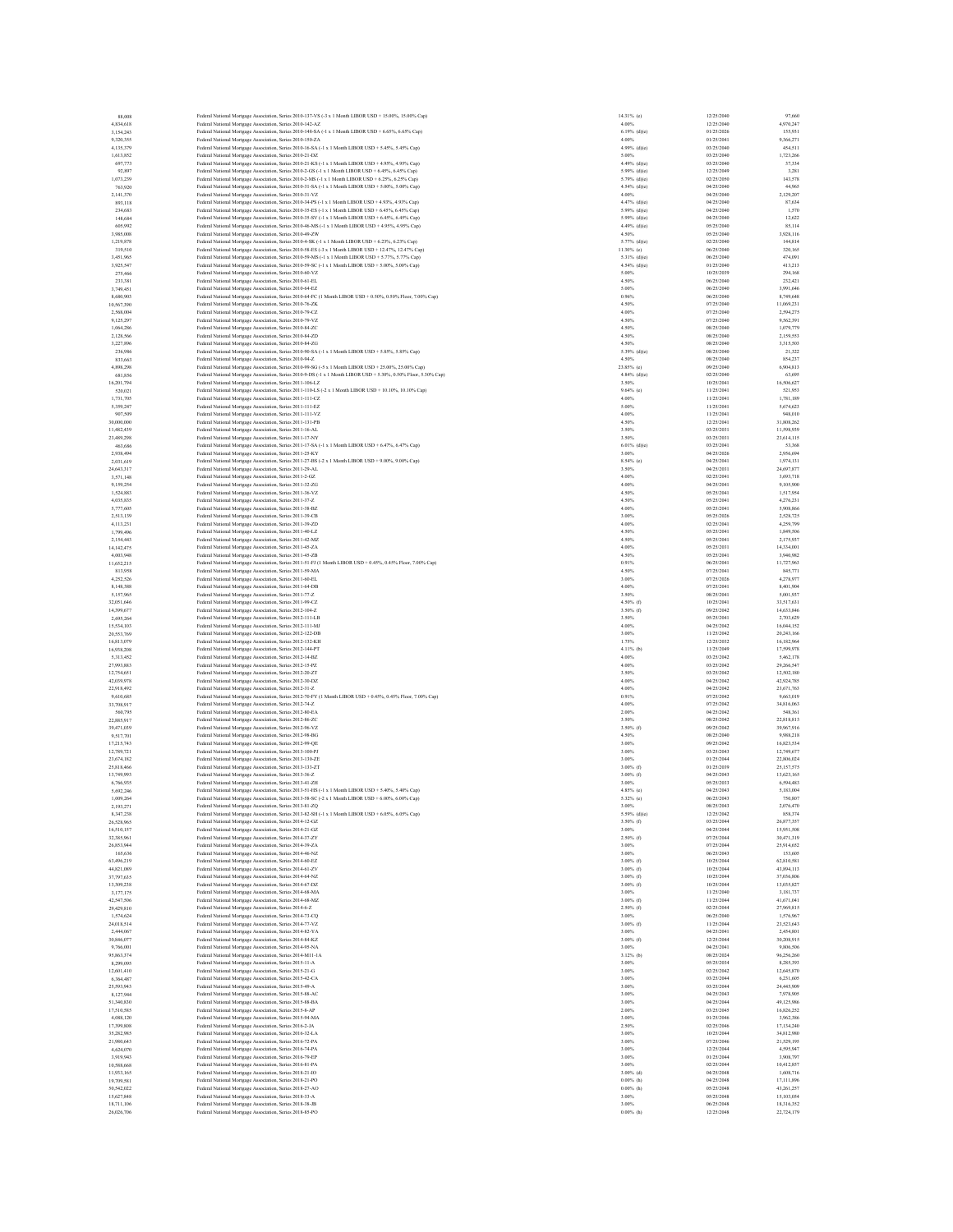| 88,008<br>4,834,618<br>3.154.243<br>9,320,355 | Federal National Mortgage Association, Series 2010-137-VS (-3 x 1 Month LIBOR USD + 15.00%, 15.00% Cap)<br>Federal National Mortgage Association, Series 2010-142-AZ |                                | 12/25/2040               | 97,660                   |
|-----------------------------------------------|----------------------------------------------------------------------------------------------------------------------------------------------------------------------|--------------------------------|--------------------------|--------------------------|
|                                               |                                                                                                                                                                      | 14.31% (e)<br>4.00%            | 12/25/2040               | 4,970,247                |
|                                               | Federal National Mortgage Association, Series 2010-148-SA (-1 x 1 Month LIBOR USD + 6.65%, 6.65% Cap)                                                                | $6.19%$ (d)(e)                 | 01/25/2026               | 155,931                  |
|                                               | Federal National Mortgage Association, Series 2010-150-ZA                                                                                                            | 4.00%                          | 01/25/2041               | 9,366,271                |
| 4.135.379                                     | Federal National Mortgage Association, Series 2010-16-SA (-1 x 1 Month LIBOR USD + 5.45%, 5.45% Cap)                                                                 | $4.99%$ (d)(e)                 | 03/25/2040               | 454,511                  |
| 1.613.852                                     | Eederal National Mortgage Association, Series 2010-21-DZ                                                                                                             | 5.00%                          | 03/25/2040               | 1.723.266                |
| 697,773                                       | Federal National Mortgage Association, Series 2010-21-KS (-1 x 1 Month LIBOR USD + 4.95%, 4.95% Cap)                                                                 | $4.49%$ (d)(e)                 | 03/25/2040               | 37,334                   |
| 92,897                                        | Federal National Mortgage Association, Series 2010-2-GS (-1 x 1 Month LIBOR USD + 6.45%, 6.45% Cap)                                                                  | 5.99% (d)(e)                   | 12/25/2049               | 3,281                    |
| 1.073.239<br>763,920                          | Federal National Mortgage Association, Series 2010-2-MS (-1 x 1 Month LIBOR USD + 6.25%, 6.25% Cap)                                                                  | 5.79% (d)(e)<br>$4.54%$ (d)(e) | 02/25/2050<br>04/25/2040 | 143,578<br>44,965        |
| 2,141,370                                     | Federal National Mortgage Association, Series 2010-31-SA (-1 x 1 Month LIBOR USD + 5.00%, 5.00% Cap)<br>Federal National Mortgage Association, Series 2010-31-VZ     | 4.00%                          | 04/25/2040               | 2.129.207                |
| 893,118                                       | Federal National Mortgage Association, Series 2010-34-PS (-1 x 1 Month LIBOR USD + 4.93%, 4.93% Cap)                                                                 | 4.47% (d)(e)                   | 04/25/2040               | 87.634                   |
| 234,683                                       | Federal National Mortgage Association, Series 2010-35-ES (-1 x 1 Month LIBOR USD + 6.45%, 6.45% Cap)                                                                 | $5.99%$ (d)(e)                 | 04/25/2040               | 1,570                    |
| 148,684                                       | Federal National Mortgage Association, Series 2010-35-SV (-1 x 1 Month LIBOR USD + 6.45%, 6.45% Cap)                                                                 | $5.99%$ (d)(e)                 | 04/25/2040               | 12,622                   |
| 605,992                                       | Federal National Mortgage Association, Series 2010-46-MS (-1 x 1 Month LIBOR USD + 4.95%, 4.95% Cap)                                                                 | $4.49%$ (d)(e)                 | 05/25/2040               | 85,114                   |
| 3,985,008                                     | Federal National Mortgage Association, Series 2010-49-ZW                                                                                                             | 4.50%                          | 05/25/2040               | 3,928,116                |
| 1,219,878                                     | Federal National Mortgage Association, Series 2010-4-SK (-1 x 1 Month LIBOR USD + 6.23%, 6.23% Cap)                                                                  | 5.77% (d)(e)                   | 02/25/2040               | 144,814                  |
| 319,510                                       | Federal National Mortgage Association, Series 2010-58-ES (-3 x 1 Month LIBOR USD + 12.47%, 12.47% Cap)                                                               | 11.30% (e)                     | 06/25/2040               | 320,165                  |
| 3,451,965                                     | Federal National Mortgage Association, Series 2010-59-MS (-1 x 1 Month LIBOR USD + 5.77%, 5.77% Cap)                                                                 | $5.31\%$ (d)(e)                | 06/25/2040               | 474,091                  |
| 3.925.547                                     | Federal National Mortgage Association, Series 2010-59-SC (-1 x 1 Month LIBOR USD + 5.00%, 5.00% Cap)                                                                 | 4.54% (d)(e)                   | 01/25/2040               | 413.213                  |
| 275,466                                       | Federal National Mortgage Association, Series 2010-60-VZ<br>Federal National Mortgage Association, Series 2010-61-EL                                                 | 5.00%<br>4.50%                 | 10/25/2039               | 294,168                  |
| 233,381<br>3,749,451                          | Federal National Mortgage Association, Series 2010-64-EZ                                                                                                             | 5.00%                          | 06/25/2040<br>06/25/2040 | 232,421<br>3.991.646     |
| 8,680,903                                     | Federal National Mortgage Association, Series 2010-64-FC (1 Month LIBOR USD + 0.50%, 0.50% Floor, 7.00% Cap)                                                         | 0.96%                          | 06/25/2040               | 8,749,648                |
| 10,567,390                                    | Federal National Mortgage Association, Series 2010-76-ZK                                                                                                             | 4.50%                          | 07/25/2040               | 11,069,231               |
| 2.568,004                                     | Federal National Mortgage Association, Series 2010-79-CZ                                                                                                             | 4.00%                          | 07/25/2040               | 2.594.275                |
| 9,125,297                                     | Federal National Mortgage Association, Series 2010-79-VZ                                                                                                             | 4.50%                          | 07/25/2040               | 9,562,391                |
| 1.064.286                                     | Federal National Mortgage Association, Series 2010-84-ZC                                                                                                             | 4.50%                          | 08/25/2040               | 1,079,779                |
| 2,128,566                                     | Federal National Mortgage Association, Series 2010-84-ZD                                                                                                             | 4.50%                          | 08/25/2040               | 2.159.553                |
| 3,227,896                                     | Federal National Mortgage Association, Series 2010-84-ZG                                                                                                             | 4.50%                          | 08/25/2040               | 3,315,503                |
| 236,986                                       | Federal National Mortgage Association, Series 2010-90-SA (-1 x 1 Month LIBOR USD + 5.85%, 5.85% Cap)                                                                 | $5.39%$ (d)(e)                 | 08/25/2040               | 21,322                   |
| 833,663                                       | Federal National Mortgage Association, Series 2010-94-Z                                                                                                              | 4.50%                          | 08/25/2040               | 854,237                  |
| 4,898,298                                     | Federal National Mortgage Association, Series 2010-99-SG (-5 x 1 Month LIBOR USD + 25.00%, 25.00% Cap)                                                               | 23.85% (e)                     | 09/25/2040               | 6,904,813                |
| 681,856                                       | Federal National Mortgage Association, Series 2010-9-DS (-1 x 1 Month LIBOR USD + 5.30%, 0.50% Floor, 5.30% Cap)                                                     | 4.84% (d)(e)                   | 02/25/2040               | 63,695                   |
| 16,201,794<br>520,021                         | Federal National Mortgage Association, Series 2011-106-LZ<br>Federal National Mortgage Association, Series 2011-110-LS (-2 x 1 Month LIBOR USD + 10.10%, 10.10% Cap) | 3.50%<br>$9.64%$ (c)           | 10/25/2041<br>11/25/2041 | 16,506,627<br>521,953    |
| 1,731,705                                     | Federal National Mortgage Association, Series 2011-111-CZ                                                                                                            | 4.00%                          | 11/25/2041               | 1.781.189                |
| 5,359,247                                     | Federal National Mortgage Association, Series 2011-111-EZ                                                                                                            | 5.00%                          | 11/25/2041               | 5,674,623                |
| 907,509                                       | Federal National Mortgage Association, Series 2011-111-VZ                                                                                                            | 4.00%                          | 11/25/2041               | 948,010                  |
| 30,000,000                                    | Federal National Mortgage Association, Series 2011-131-PB                                                                                                            | 4.50%                          | 12/25/2041               | 31,808,262               |
| 11,482,439                                    | Federal National Mortgage Association, Series 2011-16-AL                                                                                                             | 3.50%                          | 03/25/2031               | 11,598,939               |
| 23,489,298                                    | Federal National Mortgage Association, Series 2011-17-NY                                                                                                             | 3.50%                          | 03/25/2031               | 23,614,115               |
| 463,686                                       | Federal National Mortgage Association, Series 2011-17-SA (-1 x 1 Month LIBOR USD + 6.47%, 6.47% Cap)                                                                 | $6.01\%$ (d)(e)                | 03/25/2041               | 53,368                   |
| 2,938,494                                     | Federal National Mortgage Association, Series 2011-25-KY                                                                                                             | 3.00%                          | 04/25/2026               | 2,956,694                |
| 2.031.619                                     | Federal National Mortgage Association, Series 2011-27-BS (-2 x 1 Month LIBOR USD + 9.00%, 9.00% Cap)                                                                 | 8.54% (e)                      | 04/25/2041               | 1.974.131                |
| 24,643,317                                    | Federal National Mortgage Association, Series 2011-29-AL                                                                                                             | 3.50%                          | 04/25/2031               | 24,697,877               |
| 3,571,148                                     | Federal National Mortgage Association, Series 2011-2-GZ                                                                                                              | 4.00%                          | 02/25/2041               | 3,693,718                |
| 9,159,254                                     | Federal National Mortgage Association, Series 2011-32-ZG                                                                                                             | 4.00%                          | 04/25/2041               | 9,105,900                |
| 1,524,883<br>4,035,835                        | Federal National Mortgage Association, Series 2011-36-VZ<br>Federal National Mortgage Association, Series 2011-37-Z                                                  | 4.50%<br>4.50%                 | 05/25/2041<br>05/25/2041 | 1,517,954<br>4,276,231   |
| 5,777,605                                     |                                                                                                                                                                      | 4.00%                          | 05/25/2041               | 5,908,866                |
| 2,513,139                                     | Federal National Mortgage Association, Series 2011-38-BZ<br>Federal National Mortgage Association, Series 2011-39-CB                                                 | 3.00%                          | 05/25/2026               | 2,528,725                |
| 4.113.231                                     | Federal National Mortgage Association, Series 2011-39-ZD                                                                                                             | 4.00%                          | 02/25/2041               | 4,259,799                |
| 1,799,496                                     | Federal National Mortgage Association, Series 2011-40-LZ                                                                                                             | 4.50%                          | 05/25/2041               | 1,849,506                |
| 2,154,443                                     | Federal National Mortgage Association, Series 2011-42-MZ                                                                                                             | 4.50%                          | 05/25/2041               | 2,175,937                |
| 14.142.475                                    | Federal National Mortgage Association, Series 2011-45-ZA                                                                                                             | 4.00%                          | 05/25/2031               | 14,334,001               |
| 4,003,948                                     | Federal National Mortgage Association, Series 2011-45-ZB                                                                                                             | 4.50%                          | 05/25/2041               | 3,940,982                |
| 11,652,215                                    | Federal National Mortgage Association, Series 2011-51-FJ (1 Month LIBOR USD + 0.45%, 0.45% Floor, 7.00% Cap)                                                         | 0.91%                          | 06/25/2041               | 11,727,963               |
| 813,958                                       | Federal National Mortgage Association, Series 2011-59-MA                                                                                                             | 4.50%                          | 07/25/2041               | 845,771                  |
| 4,252,526                                     | Federal National Mortgage Association, Series 2011-60-EL                                                                                                             | 3.00%                          | 07/25/2026               | 4,278,977                |
| 8,148,388                                     | Federal National Mortgage Association, Series 2011-64-DB                                                                                                             | 4.00%                          | 07/25/2041               | 8,401,904                |
| 5.157.965                                     | Federal National Mortgage Association, Series 2011-77-Z                                                                                                              | 3.50%                          | 08/25/2041               | 5.001.937                |
| 32,051,646<br>14,399,677                      | Federal National Mortgage Association, Series 2011-99-CZ<br>Federal National Mortgage Association, Series 2012-104-Z                                                 | 4.50% (f)<br>3.50% (f)         | 10/25/2041<br>09/25/2042 | 33,517,631<br>14,633,846 |
| 2,695,264                                     | Federal National Mortgage Association, Series 2012-111-LB                                                                                                            | 3.50%                          | 05/25/2041               | 2,703,629                |
| 15,534,103                                    | Federal National Mortgage Association, Series 2012-111-MJ                                                                                                            | 4.00%                          | 04/25/2042               | 16,044,152               |
| 20,553,769                                    | Federal National Mortgage Association, Series 2012-122-DB                                                                                                            | 3.00%                          | 11/25/2042               | 20,243,166               |
| 16,813,079                                    | Federal National Mortgage Association, Series 2012-132-KH                                                                                                            | 1.75%                          | 12/25/2032               | 16,182,964               |
| 16,938,208                                    | Federal National Mortgage Association, Series 2012-144-PT                                                                                                            | 4.11% (b)                      | 11/25/2049               | 17,599,978               |
| 5.313.452                                     | Federal National Mortgage Association, Series 2012-14-BZ                                                                                                             | 4.00%                          | 03/25/2042               | 5.462.178                |
| 27,993,883                                    | Federal National Mortgage Association, Series 2012-15-PZ                                                                                                             | 4.00%                          | 03/25/2042               | 29,266,547               |
| 12,754,651                                    | Federal National Mortgage Association, Series 2012-20-ZT                                                                                                             | 3.50%                          | 03/25/2042               | 12,502,180               |
| 42.039.978                                    | Federal National Mortgage Association, Series 2012-30-DZ                                                                                                             | 4.00%                          | 04/25/2042               | 42.924.785               |
| 22,918,492                                    | Federal National Mortgage Association, Series 2012-31-Z                                                                                                              | 4.00%                          | 04/25/2042               | 23,671,763               |
|                                               |                                                                                                                                                                      |                                |                          | 9,663,019                |
| 9,610,685                                     | Federal National Mortgage Association, Series 2012-70-FY (1 Month LIBOR USD + 0.45%, 0.45% Floor, 7.00% Cap)                                                         | 0.91%                          | 07/25/2042               |                          |
| 33,708,917                                    | Federal National Mortgage Association, Series 2012-74-Z                                                                                                              | 4.00%                          | 07/25/2042               | 34,816,063               |
| 560,795                                       | Federal National Mortgage Association, Series 2012-80-EA                                                                                                             | 2.00%                          | 04/25/2042               | 548,361                  |
| 22,885,917                                    | Federal National Mortgage Association, Series 2012-86-ZC                                                                                                             | 3.50%                          | 08/25/2042               | 22,818,813               |
| 39,471,039                                    | Federal National Mortgage Association, Series 2012-96-VZ                                                                                                             | 3.50% (f)                      | 09/25/2042               | 39,967,916               |
| 9.517.701<br>17.215.743                       | Federal National Mortgage Association, Series 2012-98-BG<br>Federal National Mortgage Association, Series 2012-99-OE                                                 | 4.50%<br>3.00%                 | 08/25/2040<br>09/25/2042 | 9,988,218<br>16,823,534  |
| 12,789,721                                    |                                                                                                                                                                      | 3.00%                          | 03/25/2043               | 12,749,677               |
| 23,674,182                                    | Federal National Mortgage Association, Series 2013-100-PJ<br>Federal National Mortgage Association, Series 2013-130-ZE                                               | 3.00%                          | 01/25/2044               | 22,806,024               |
| 25,818,466                                    | Federal National Mortgage Association, Series 2013-133-ZT                                                                                                            | $3.00\%$ (f)                   | 01/25/2039               | 25.157.575               |
| 13,749,993                                    | Federal National Mortgage Association, Series 2013-36-Z                                                                                                              | $3.00\%$ (f)                   | 04/25/2043               | 13,623,165               |
| 6,766,935                                     | Federal National Mortgage Association, Series 2013-41-ZH                                                                                                             | 3.00%                          | 05/25/2033               | 6,594,483                |
| 5.692.246                                     | Federal National Mortgage Association, Series 2013-51-HS (-1 x 1 Month LIBOR USD + 5.40% 5.40% Cap)                                                                  | 4.85% (c)                      | 04/25/2043               | 5,183,004                |
| 1,009,264                                     | Federal National Mortgage Association, Series 2013-58-SC (-2 x 1 Month LIBOR USD + 6.00%, 6.00% Cap)                                                                 | 5.32% (e)                      | 06/25/2043               | 750,807                  |
| 2.193.271<br>8.347.238                        | Federal National Mortgage Association, Series 2013-81-ZQ                                                                                                             | 3.00%                          | 08/25/2043<br>12/25/2042 | 2,076,470<br>858,374     |
| 26,528,965                                    | Federal National Mortgage Association, Series 2013-82-SH (-1 x 1 Month LIBOR USD + 6.05%, 6.05% Cap)<br>Federal National Mortgage Association, Series 2014-12-GZ     | 5.59% (d)(e)<br>$3.50\%$ (f)   | 03/25/2044               | 26,877,357               |
| 16,510,157                                    | Federal National Mortgage Association, Series 2014-21-GZ                                                                                                             | 3.00%                          | 04/25/2044               | 15,951,508               |
| 32.385.961                                    | Federal National Mortgage Association, Series 2014-37-ZY                                                                                                             | $2.50\%$ (f)                   | 07/25/2044               | 30,471,319               |
| 26,853,944                                    | Federal National Mortgage Association, Series 2014-39-ZA                                                                                                             | 3.00%                          | 07/25/2044               | 25,914,652               |
| 165,636                                       | Federal National Mortgage Association, Series 2014-46-NZ                                                                                                             | 3.00%                          | 06/25/2043               | 153,605                  |
| 63,496,219                                    | Federal National Mortgage Association, Series 2014-60-EZ                                                                                                             | $3.00\%$ (f)                   | 10/25/2044               | 62,810,581               |
| 44,821,089                                    | Federal National Mortgage Association, Series 2014-61-ZV                                                                                                             | $3.00\%$ (f)                   | 10/25/2044               | 43,894,113               |
| 37,797,635                                    | Federal National Mortgage Association, Series 2014-64-NZ                                                                                                             | $3.00\%$ (f)                   | 10/25/2044               | 37,036,806               |
| 13,309,238                                    | Federal National Mortgage Association, Series 2014-67-DZ                                                                                                             | 3.00% (f)                      | 10/25/2044               | 13,035,827               |
| 3,177,175<br>42.547.506                       | Federal National Mortgage Association, Series 2014-68-MA                                                                                                             | 3.00%                          | 11/25/2040<br>11/25/2044 | 3,181,737<br>41,671,041  |
| 29,429,810                                    | Federal National Mortgage Association, Series 2014-68-MZ                                                                                                             | $3.00\%$ (f)<br>$2.50\%$ (f)   |                          | 27,969,815               |
| 1.574,624                                     | Federal National Mortgage Association, Series 2014-6-Z<br>Federal National Mortgage Association, Series 2014-73-CQ                                                   | 3.00%                          | 02/25/2044<br>06/25/2040 | 1,576,967                |
| 24,018,514                                    | Federal National Mortgage Association, Series 2014-77-VZ                                                                                                             | $3.00\%$ (f)                   | 11/25/2044               | 23,523,643               |
| 2,444,067                                     | Federal National Mortgage Association, Series 2014-82-YA                                                                                                             | 3.00%                          | 04/25/2041               | 2,454,801                |
| 30,846,077                                    | Federal National Mortgage Association, Series 2014-84-KZ                                                                                                             | $3.00\%$ (f)                   | 12/25/2044               | 30,208,915               |
| 9,766,001                                     | Federal National Mortgage Association, Series 2014-95-NA                                                                                                             | 3.00%                          | 04/25/2041               | 9,806,506                |
| 95,863,374                                    | Federal National Mortgage Association, Series 2014-M11-1A                                                                                                            | $3.12%$ (b)                    | 08/25/2024               | 96,256,260               |
| 8,299,095                                     | Federal National Mortgage Association, Series 2015-11-A                                                                                                              | 3.00%                          | 05/25/2034               | 8,285,393                |
| 12,601,410                                    | Federal National Mortgage Association, Series 2015-21-G                                                                                                              | 3.00%                          | 02/25/2042               | 12,645,870               |
| 6,364,487                                     | Federal National Mortgage Association, Series 2015-42-CA                                                                                                             | 3.00%                          | 03/25/2044               | 6,231,605                |
| 25.593.943                                    | Federal National Mortgage Association, Series 2015-49-A                                                                                                              | 3.00%                          | 03/25/2044               | 24,445,909               |
| 8,127,944                                     | Federal National Mortgage Association, Series 2015-88-AC                                                                                                             | 3.00%                          | 04/25/2043               | 7,978,905                |
| 51,340,830                                    | Federal National Mortgage Association, Series 2015-88-BA                                                                                                             | 3.00%                          | 04/25/2044               | 49,125,986               |
| 17,510,585                                    | Federal National Mortgage Association, Series 2015-8-AP                                                                                                              | 2.00%                          | 03/25/2045               | 16,826,252               |
| 4,088,120<br>17,399,808                       | Federal National Mortgage Association, Series 2015-94-MA                                                                                                             | 3.00%<br>2.50%                 | 01/25/2046<br>02/25/2046 | 3,962,386<br>17.134.240  |
| 35,282,985                                    | Federal National Mortgage Association, Series 2016-2-JA                                                                                                              | 3.00%                          | 10/25/2044               | 34,812,980               |
| 21,980,643                                    | Federal National Mortgage Association, Series 2016-32-LA<br>Federal National Mortgage Association, Series 2016-72-PA                                                 | 3.00%                          | 07/25/2046               | 21,529,195               |
| 4,624,070                                     | Federal National Mortgage Association, Series 2016-74-PA                                                                                                             | 3.00%                          | 12/25/2044               | 4,595,947                |
| 3,919,943                                     | Federal National Mortgage Association, Series 2016-79-EP                                                                                                             | 3.00%                          | 01/25/2044               | 3,908,797                |
| 10,588,668                                    | Federal National Mortgage Association, Series 2016-81-PA                                                                                                             | 3.00%                          | 02/25/2044               | 10,412,857               |
| 11,933,165                                    | Federal National Mortgage Association, Series 2018-21-IO                                                                                                             | 3.00% (d)                      | 04/25/2048               | 1,608,716                |
| 19,709,581                                    | Federal National Mortgage Association, Series 2018-21-PO                                                                                                             | $0.00\%$ (h)                   | 04/25/2048               | 17,111,896               |
| 50,542,022                                    | Federal National Mortgage Association, Series 2018-27-AO                                                                                                             | $0.00\%$ (h)                   | 05/25/2048               | 43,261,257               |
| 15,627,848                                    | Federal National Mortgage Association, Series 2018-33-A                                                                                                              | 3.00%                          | 05/25/2048               | 15,103,054               |
| 18,711,106<br>26.026.706                      | Federal National Mortgage Association, Series 2018-38-JB<br>Federal National Mortgage Association, Series 2018-85-PO                                                 | 3.00%<br>$0.00%$ (h)           | 06/25/2048<br>12/25/2048 | 18,316,352<br>22,724,179 |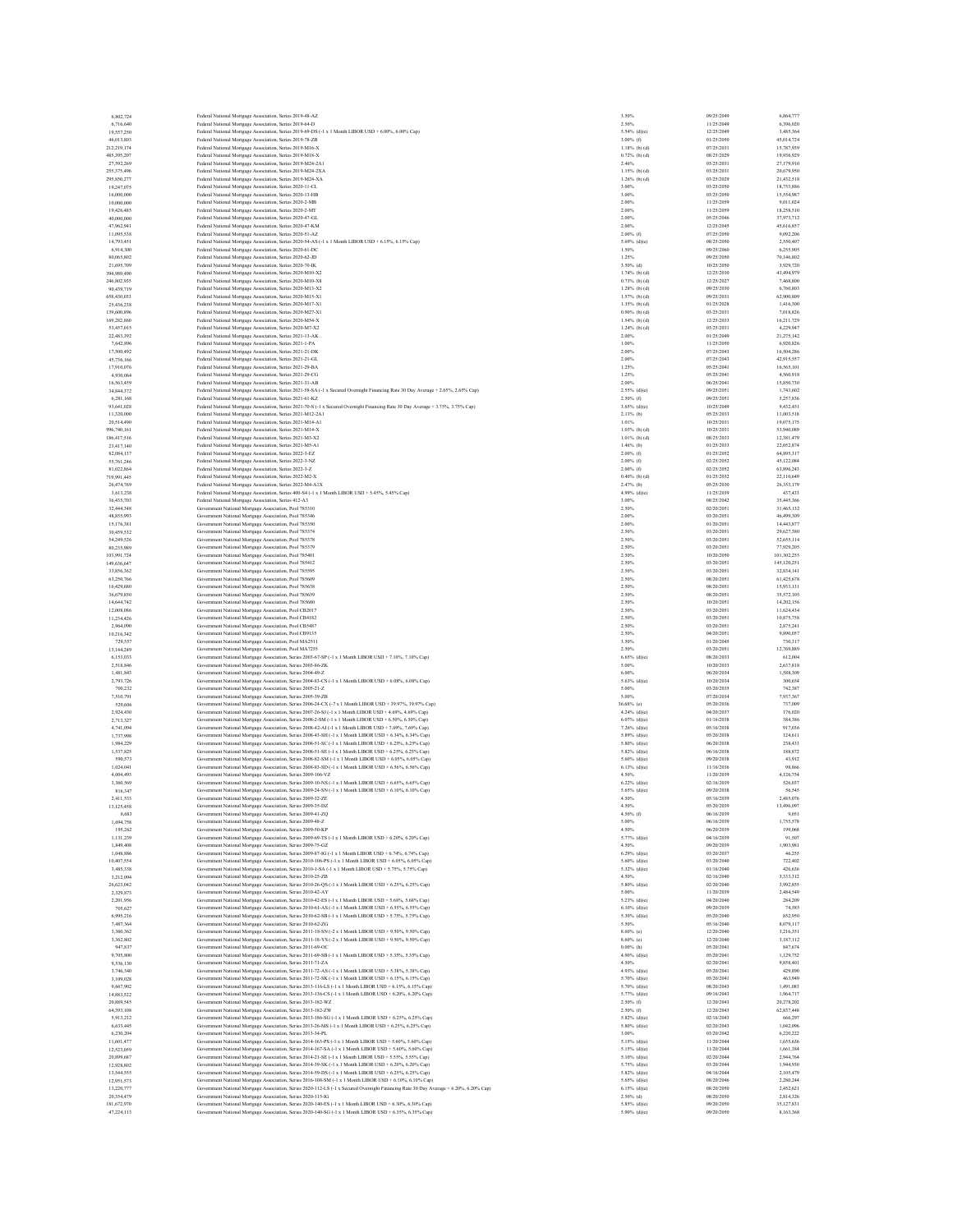| 6,802,724                  | Federal National Mortgage Association, Series 2019-48-AZ                                                                                                                                                            | 3.50%                              | 09/25/2049               | 6,864,777                 |
|----------------------------|---------------------------------------------------------------------------------------------------------------------------------------------------------------------------------------------------------------------|------------------------------------|--------------------------|---------------------------|
| 6,716,640<br>19,557,250    | Federal National Mortgage Association, Series 2019-64-D<br>Federal National Mortgage Association, Series 2019-69-DS (-1 x 1 Month LIBOR USD + 6.00% 6.00% Cap)                                                      | 2.50%<br>5.54% (d)(e)              | 11/25/2049<br>12/25/2049 | 6,396,020<br>3,485,364    |
| 46,013,803                 | Federal National Mortgage Association, Series 2019-78-ZB                                                                                                                                                            | $3.00\%$ (f)                       | 01/25/2050               | 45,014,724                |
| 212.219.174                | Federal National Mortgage Association, Series 2019-M16-X                                                                                                                                                            | $1.18%$ (b) (d)                    | 07/25/2031               | 15,787,939                |
| 485,395,207                | Federal National Mortgage Association, Series 2019-M18-X                                                                                                                                                            | $0.72%$ (b) (d)                    | 08/25/2029               | 19,936,929                |
| 27,592,269                 | Federal National Mortgage Association, Series 2019-M24-2A1                                                                                                                                                          | 2.46%                              | 03/25/2031               | 27,179,910                |
| 255,375,496<br>295,850,277 | Federal National Mortgage Association, Series 2019-M24-2XA<br>Federal National Mortgage Association, Series 2019-M24-XA                                                                                             | 1.15% (b) (d)<br>$1.26%$ (b) (d)   | 03/25/2031<br>03/25/2029 | 20,679,950<br>21,432,518  |
| 19,247,075                 | Federal National Mortgage Association, Series 2020-11-CL                                                                                                                                                            | 3.00%                              | 03/25/2050               | 18,753,886                |
| 16,000,000                 | Federal National Mortgage Association, Series 2020-13-HB                                                                                                                                                            | 3.00%                              | 03/25/2050               | 15,554,987                |
| 10,000,000                 | Federal National Mortgage Association, Series 2020-2-MB                                                                                                                                                             | 2.00%                              | 11/25/2059               | 9,011,024                 |
| 19,426,485                 | Federal National Mortgage Association, Series 2020-2-MT                                                                                                                                                             | 2.00%                              | 11/25/2059               | 18,258,510                |
| 40,000,000                 | Federal National Mortgage Association, Series 2020-47-GL                                                                                                                                                            | 2.00%                              | 05/25/2046               | 37.973.712                |
| 47,962,941<br>11,095,538   | Federal National Mortgage Association, Series 2020-47-KM<br>Federal National Mortgage Association, Series 2020-51-AZ                                                                                                | 2.00%<br>$2.00\%$ (f)              | 12/25/2045<br>07/25/2050 | 45,616,857<br>9,092,206   |
| 14,793,451                 | Federal National Mortgage Association, Series 2020-54-AS (-1 x 1 Month LIBOR USD + 6.15%, 6.15% Cap)                                                                                                                | $5.69%$ (d)(e)                     | 08/25/2050               | 2.550,407                 |
| 6,914,300                  | Federal National Mortgage Association, Series 2020-61-DC                                                                                                                                                            | 1.50%                              | 09/25/2060               | 6,255,905                 |
| 80,065,802                 | Federal National Mortgage Association, Series 2020-62-JD                                                                                                                                                            | 1.25%                              | 09/25/2050               | 70,146,802                |
| 21,695,709                 | Federal National Mortgage Association, Series 2020-70-IK                                                                                                                                                            | $3.50\%$ (d)                       | 10/25/2050               | 3.929.720                 |
| 394,989,490                | Federal National Mortgage Association, Series 2020-M10-X2                                                                                                                                                           | $1.74%$ (b) (d)<br>$0.73%$ (b) (d) | 12/25/2030<br>12/25/2027 | 43,494,979<br>7,468,800   |
| 246,802,935<br>90,439,719  | Federal National Mortgage Association, Series 2020-M10-X8<br>Federal National Mortgage Association, Series 2020-M13-X2                                                                                              | $1.28%$ (b) (d)                    | 09/25/2030               | 6,760,803                 |
| 658,430,033                | Federal National Mortgage Association, Series 2020-M15-X1                                                                                                                                                           | $1.57%$ (b) (d)                    | 09/25/2031               | 62,900,809                |
| 25.436.238                 | Federal National Mortgage Association, Series 2020-M17-X1                                                                                                                                                           | $1.35%$ (b) (d)                    | 01/25/2028               | 1,416,300                 |
| 139,600,896                | Federal National Mortgage Association, Series 2020-M27-X1                                                                                                                                                           | $0.90\%$ (b) (d)                   | 03/25/2031               | 7,018,826                 |
| 169,282,860                | Federal National Mortgage Association, Series 2020-M54-X                                                                                                                                                            | $1.54%$ (b) (d)                    | 12/25/2033               | 16,211,729                |
| 53,457,015<br>22,483,392   | Federal National Mortgage Association, Series 2020-M7-X2<br>Federal National Mortgage Association, Series 2021-13-AK                                                                                                | $1.24%$ (b) (d)<br>2.00%           | 03/25/2031<br>01/25/2049 | 4.229.947<br>21,275,142   |
| 7.642.896                  | Federal National Mortgage Association, Series 2021-1-PA                                                                                                                                                             | 1.00%                              | 11/25/2050               | 6,920,826                 |
| 17,500,492                 | Federal National Mortgage Association, Series 2021-21-DK                                                                                                                                                            | 2.00%                              | 07/25/2043               | 16,504,286                |
| 45,736,166                 | Federal National Mortgage Association, Series 2021-21-GL                                                                                                                                                            | 2.00%                              | 07/25/2043               | 42,915,557                |
| 17,910,076                 | Federal National Mortgage Association, Series 2021-29-BA                                                                                                                                                            | 1.25%                              | 05/25/2041               | 16,565,101                |
| 4,930,064                  | Federal National Mortgage Association, Series 2021-29-CG                                                                                                                                                            | 1.25%                              | 05/25/2041               | 4,560,918                 |
| 16,563,459<br>34,844,372   | Federal National Mortgage Association, Series 2021-31-AB<br>Federal National Mortgage Association, Series 2021-58-SA (-1 x Secured Overnight Financing Rate 30 Day Average + 2.65%, 2.65% Cap)                      | 2.00%<br>$2.55%$ (d)(e)            | 06/25/2041<br>09/25/2051 | 15,850,730<br>1.743.602   |
| 6,281,168                  | Federal National Mortgage Association, Series 2021-61-KZ                                                                                                                                                            | 2.50% (f)                          | 09/25/2051               | 5,257,836                 |
| 93,641,028                 | Federal National Mortgage Association, Series 2021-70-S (-1 x Secured Overnight Financing Rate 30 Day Average + 3.75%, 3.75% Cap)                                                                                   | $3.65\%$ (d)(e)                    | 10/25/2049               | 9,432,451                 |
| 11,320,000                 | Federal National Mortgage Association, Series 2021-M12-2A1                                                                                                                                                          | $2.13%$ (b)                        | 05/25/2033               | 11,003,518                |
| 20,514,490                 | Federal National Mortgage Association, Series 2021-M14-A1                                                                                                                                                           | 1.01%                              | 10/25/2031               | 19,075,175                |
| 996,740,161                | Federal National Mortgage Association, Series 2021-M14-X                                                                                                                                                            | $1.03%$ (b) (d)                    | 10/25/2031               | 53,940,089                |
| 186,417,516<br>23,417,140  | Federal National Mortgage Association, Series 2021-M3-X2<br>Federal National Mortgage Association, Series 2021-M5-A1                                                                                                | $1.01%$ (b) (d)<br>$1.46%$ (b)     | 08/25/2033<br>01/25/2033 | 12,381,479<br>22,052,874  |
| 82,084,137                 | Federal National Mortgage Association, Series 2022-3-EZ                                                                                                                                                             | $2.00\%$ (f)                       | 01/25/2052               | 64,895,317                |
| 55,761,246                 | Federal National Mortgage Association, Series 2022-3-NZ                                                                                                                                                             | $2.00\%$ (f)                       | 02/25/2052               | 45.122.084                |
| 81,022,864                 | Federal National Mortgage Association, Series 2022-3-Z                                                                                                                                                              | $2.00%$ (f)                        | 02/25/2052               | 63,896,243                |
| 719.991.445                | Federal National Mortgage Association, Series 2022-M2-X                                                                                                                                                             | $0.40\%$ (b) (d)                   | 01/25/2032               | 22.110.649                |
| 26,474,769                 | Federal National Mortgage Association, Series 2022-M4-A1X                                                                                                                                                           | $2.47%$ (b)                        | 05/25/2030               | 26,353,179                |
| 3,613,238<br>36,435,703    | Federal National Mortgage Association, Series 400-S4 (-1 x 1 Month LIBOR USD + 5.45%, 5.45% Cap)<br>Federal National Mortgage Association, Series 412-A3                                                            | 4.99% (d)(e)<br>3.00%              | 11/25/2039<br>08/25/2042 | 437,433<br>35,445,366     |
| 32,444,348                 | Government National Mortgage Association, Pool 785310                                                                                                                                                               | 2.50%                              | 02/20/2051               | 31,465,132                |
| 48,855,993                 | Government National Mortgage Association, Pool 785346                                                                                                                                                               | 2.00%                              | 03/20/2051               | 46,499,309                |
| 15,176,381                 | Government National Mortgage Association, Pool 785350                                                                                                                                                               | 2.00%                              | 01/20/2051               | 14,443,877                |
| 30,459,532                 | Government National Mortgage Association, Pool 785374                                                                                                                                                               | 2.50%                              | 03/20/2051               | 29,627,380                |
| 54.249.526                 | Government National Mortgage Association, Pool 785378                                                                                                                                                               | 2.50%                              | 03/20/2051               | 52,655,114                |
| 80,235,989                 | Government National Mortgage Association, Pool 785379                                                                                                                                                               | 2.50%<br>2.50%                     | 03/20/2051<br>10/20/2050 | 77,929,205<br>101,302,255 |
| 103,991,724<br>149,636,647 | Government National Mortgage Association, Pool 785401<br>Government National Mortgage Association, Pool 785412                                                                                                      | 2.50%                              | 03/20/2051               | 145,120,251               |
| 33,856,362                 | Government National Mortgage Association, Pool 785595                                                                                                                                                               | 2.50%                              | 03/20/2051               | 32,834,141                |
| 63,250,766                 | Government National Mortgage Association, Pool 785609                                                                                                                                                               | 2.50%                              | 08/20/2051               | 61,425,678                |
| 16,429,680                 | Government National Mortgage Association, Pool 785638                                                                                                                                                               | 2.50%                              | 08/20/2051               | 15.933.131                |
| 36,679,850                 | Government National Mortgage Association, Pool 785639                                                                                                                                                               | 2.50%                              | 08/20/2051               | 35,572,105                |
| 14,644,742<br>12,008,086   | Government National Mortgage Association, Pool 785680<br>Government National Mortgage Association, Pool CB2017                                                                                                      | 2.50%<br>2.50%                     | 10/20/2051<br>03/20/2051 | 14,202,156<br>11,624,434  |
| 11,234,426                 | Government National Mortgage Association, Pool CB4182                                                                                                                                                               | 2.50%                              | 03/20/2051               | 10,875,758                |
| 2,964,090                  | Government National Mortgage Association, Pool CB5487                                                                                                                                                               | 2.50%                              | 03/20/2051               | 2,875,241                 |
| 10,216,342                 | Government National Mortgage Association, Pool CB9135                                                                                                                                                               | 2.50%                              | 04/20/2051               | 9,890,057                 |
| 729,557                    | Government National Mortgage Association, Pool MA2511                                                                                                                                                               | 3.50%                              | 01/20/2045               | 730,317                   |
| 13,144,249                 | Government National Mortgage Association, Pool MA7255                                                                                                                                                               | 2.50%                              | 03/20/2051               | 12,769,889                |
| 6,153,033                  | Government National Mortgage Association, Series 2003-67-SP (-1 x 1 Month LIBOR USD + 7.10%, 7.10% Cap)                                                                                                             | $6.65\%$ (d)(e)<br>5.00%           | 08/20/2033<br>10/20/2033 | 612,004<br>2,637,818      |
| 2,518,846<br>1,481,843     | Government National Mortgage Association, Series 2003-86-ZK<br>Government National Mortgage Association, Series 2004-49-Z                                                                                           | 6.00%                              | 06/20/2034               | 1,588,309                 |
| 2,793,726                  | Government National Mortgage Association, Series 2004-83-CS (-1 x 1 Month LIBOR USD + 6.08%, 6.08% Cap)                                                                                                             | $5.63\%$ (d)(e)                    | 10/20/2034               | 300,654                   |
| 700,232                    | Government National Mortgage Association, Series 2005-21-Z                                                                                                                                                          | 5.00%                              | 03/20/2035               | 742,387                   |
| 7.510.791                  | Government National Mortgage Association, Series 2005-39-ZB                                                                                                                                                         | 5.00%                              | 07/20/2034               | 7.937.367                 |
| 529,606                    | Government National Mortgage Association, Series 2006-24-CX (-7 x 1 Month LIBOR USD + 39.97%, 39.97% Cap)                                                                                                           | $36.68%$ (e)                       | 05/20/2036               | 737,009                   |
| 2,924,430<br>2,713,327     | Government National Mortgage Association, Series 2007-26-SJ (-1 x 1 Month LIBOR USD + 4.69%, 4.69% Cap)<br>Government National Mortgage Association, Series 2008-2-SM (-1 x 1 Month LIBOR USD + 6.50%, 6.50% Cap)   | $4.24%$ (d)(e)<br>$6.07%$ (d)(e)   | 04/20/2037<br>01/16/2038 | 176,020<br>384,386        |
| 4,741,094                  | Government National Mortgage Association, Series 2008-42-AI (-1 x 1 Month LIBOR USD + 7.69%, 7.69% Cap)                                                                                                             | $7.26\%$ (d)(e)                    | 05/16/2038               | 917,036                   |
| 1,737,998                  | Government National Mortgage Association, Series 2008-43-SH (-1 x 1 Month LIBOR USD + 6.34%, 6.34% Cap)                                                                                                             | $5.89%$ (d)(e)                     | 05/20/2038               | 124,611                   |
| 1,984,229                  | Government National Mortgage Association, Series 2008-51-SC (-1 x 1 Month LIBOR USD + 6.25%, 6.25% Cap)                                                                                                             | $5.80\%$ (d)(e)                    | 06/20/2038               | 238,433                   |
| 1,537,825                  | Government National Mortgage Association, Series 2008-51-SE (-1 x 1 Month LIBOR USD + 6.25%, 6.25% Cap)                                                                                                             | $5.82\%$ (d)(e)                    | 06/16/2038               | 188,872                   |
| 590,573                    | Government National Mortgage Association, Series 2008-82-SM (-1 x 1 Month LIBOR USD + 6.05%, 6.05% Cap)                                                                                                             | 5.60% (d)(e)                       | 09/20/2038               | 43,912                    |
| 1,024,041<br>4,004,493     | Government National Mortgage Association, Series 2008-83-SD (-1 x 1 Month LIBOR USD + 6.56%, 6.56% Cap)<br>Government National Mortgage Association, Series 2009-106-VZ                                             | $6.13\%$ (d)(e)<br>4.50%           | 11/16/2036<br>11/20/2039 | 98,866<br>4.126.754       |
| 3,360,569                  | Government National Mortgage Association, Series 2009-10-NS (-1 x 1 Month LIBOR USD + 6.65%, 6.65% Cap)                                                                                                             | 6.22% (d)(e)                       | 02/16/2039               | 526,037                   |
| 816,347                    | Government National Mortgage Association, Series 2009-24-SN (-1 x 1 Month LIBOR USD + 6.10%, 6.10% Cap)                                                                                                             | $5.65\%$ (d)(e)                    | 09/20/2038               | 56,545                    |
| 2.411.533                  | Government National Mortgage Association, Series 2009-32-ZE                                                                                                                                                         | 4.50%                              | 05/16/2039               | 2.485.076                 |
| 1125.45                    | nt National Mort<br>e Association Ser                                                                                                                                                                               | L SOB                              | 05/20/2035               | 3 496 097                 |
| 8,683<br>1,694,758         | Government National Mortgage Association, Series 2009-41-ZQ<br>Government National Mortgage Association, Series 2009-48-Z                                                                                           | 4.50% (f)<br>5.00%                 | 06/16/2039<br>06/16/2039 | 9,051<br>1,755,578        |
| 195,262                    | Government National Mortgage Association, Series 2009-50-KP                                                                                                                                                         | 4.50%                              | 06/20/2039               | 199,068                   |
| 1,131,239                  | Government National Mortgage Association, Series 2009-69-TS (-1 x 1 Month LIBOR USD + 6.20%, 6.20% Cap)                                                                                                             | $5.77%$ (d)(e)                     | 04/16/2039               | 91,507                    |
| 1,849,408                  | Government National Mortgage Association, Series 2009-75-GZ                                                                                                                                                         | 4.50%                              | 09/20/2039               | 1,903,981                 |
| 1,048,886                  | Government National Mortgage Association, Series 2009-87-IG (-1 x 1 Month LIBOR USD + 6.74%, 6.74% Cap)<br>Government National Mortgage Association, Series 2010-106-PS (-1 x 1 Month LIBOR USD + 6.05%, 6.05% Cap) | $6.29%$ (d)(e)<br>$5.60\%$ (d)(e)  | 03/20/2037<br>03/20/2040 | 46.255<br>722,402         |
| 10,407,554<br>3,485,338    | Government National Mortgage Association, Series 2010-1-SA (-1 x 1 Month LIBOR USD + 5.75%, 5.75% Cap)                                                                                                              | 5.32% (d)(e)                       | 01/16/2040               | 426,636                   |
| 3,212,094                  | Government National Mortgage Association, Series 2010-25-ZB                                                                                                                                                         | 4.50%                              | 02/16/2040               | 3,333,312                 |
| 26,623,042                 | Government National Mortgage Association, Series 2010-26-QS (-1 x 1 Month LIBOR USD + 6.25%, 6.25% Cap)                                                                                                             | $5.80\%$ (d)(e)                    | 02/20/2040               | 3.992.855                 |
| 2.329.873                  | Government National Mortgage Association, Series 2010-42-AY                                                                                                                                                         | 5.00%                              | 11/20/2039               | 2,484,549                 |
| 2,201,956                  | Government National Mortgage Association, Series 2010-42-ES (-1 x 1 Month LIBOR USD + 5.68%, 5.68% Cap)                                                                                                             | $5.23\%$ (d)(e)                    | 04/20/2040               | 284,209                   |
| 705,627<br>6,995,216       | Government National Mortgage Association, Series 2010-61-AS (-1 x 1 Month LIBOR USD + 6.55%, 6.55% Cap)<br>Government National Mortgage Association, Series 2010-62-SB (-1 x 1 Month LIBOR USD + 5.75%, 5.75% Cap)  | $6.10\%$ (d)(e)<br>5.30% (d)(e)    | 09/20/2039<br>05/20/2040 | 74,585<br>852.950         |
| 7,487,364                  | Government National Mortgage Association, Series 2010-62-ZG                                                                                                                                                         | 5.50%                              | 05/16/2040               | 8,079,117                 |
| 3,360,362                  | Government National Mortgage Association, Series 2011-18-SN (-2 x 1 Month LIBOR USD + 9.50%, 9.50% Cap)                                                                                                             | 8.60% (c)                          | 12/20/2040               | 3,216,351                 |
| 3,362,802                  | Government National Mortgage Association, Series 2011-18-YS (-2 x 1 Month LIBOR USD + 9.50%, 9.50% Cap)                                                                                                             | $8.60%$ (e)                        | 12/20/2040               | 3,187,112                 |
| 947,837                    | Government National Mortgage Association, Series 2011-69-OC                                                                                                                                                         | $0.00%$ (h)                        | 05/20/2041               | 847,674                   |
| 9,705,800                  | Government National Mortgage Association, Series 2011-69-SB (-1 x 1 Month LIBOR USD + 5.35%, 5.35% Cap)                                                                                                             | $4.90\%$ (d)(e)                    | 05/20/2041               | 1.129.752                 |
| 9,536,130<br>3,746,340     | Government National Mortgage Association, Series 2011-71-ZA<br>Government National Mortgage Association, Series 2011-72-AS (-1 x 1 Month LIBOR USD + 5.38%, 5.38% Cap)                                              | 4.50%<br>$4.93\%$ (d)(e)           | 02/20/2041<br>05/20/2041 | 9,858,401<br>429,890      |
| 3.109.028                  | Government National Mortgage Association, Series 2011-72-SK (-1 x 1 Month LIBOR USD + 6.15%, 6.15% Cap)                                                                                                             | 5.70% (d)(e)                       | 05/20/2041               | 463,949                   |
| 9,667,902                  | Government National Mortgage Association, Series 2013-116-LS (-1 x 1 Month LIBOR USD + 6.15%, 6.15% Cap)                                                                                                            | 5.70% (d)(e)                       | 08/20/2043               | 1,491,083                 |
| 14,883,522                 | Government National Mortgage Association, Series 2013-136-CS (-1 x 1 Month LIBOR USD + 6.20% 6.20% Cap)                                                                                                             | $5.77%$ (d)(e)                     | 09/16/2043               | 1,964,717                 |
| 20,889,545                 | Government National Mortgage Association, Series 2013-182-WZ                                                                                                                                                        | $2.50\%$ (f)                       | 12/20/2043               | 20.278.202                |
| 64,393,108                 | Government National Mortgage Association, Series 2013-182-ZW                                                                                                                                                        | $2.50\%$ (f)                       | 12/20/2043               | 62,837,448                |
| 5,913,212<br>6,633,445     | Government National Mortgage Association, Series 2013-186-SG (-1 x 1 Month LIBOR USD + 6.25%, 6.25% Cap)<br>Government National Mortgage Association, Series 2013-26-MS (-1 x 1 Month LIBOR USD + 6.25%, 6.25% Cap) | $5.82\%$ (d)(e)<br>$5.80\%$ (d)(e) | 02/16/2043<br>02/20/2043 | 666,297<br>1,042,096      |
| 6,230,204                  | Government National Mortgage Association, Series 2013-34-PL                                                                                                                                                         | 3.00%                              | 03/20/2042               | 6,220,222                 |
| 11,601,477                 | Government National Mortgage Association, Series 2014-163-PS (-1 x 1 Month LIBOR USD + 5.60%, 5.60% Cap)                                                                                                            | $5.15\%$ (d)(e)                    | 11/20/2044               | 1,655,636                 |
| 12,523,059                 | Government National Mortgage Association, Series 2014-167-SA (-1 x 1 Month LIBOR USD + 5.60%, 5.60% Cap)                                                                                                            | $5.15%$ (d)(e)                     | 11/20/2044               | 1,661,384                 |
| 20,899,687                 | Government National Mortgage Association, Series 2014-21-SE (-1 x 1 Month LIBOR USD + 5.55%, 5.55% Cap)                                                                                                             | $5.10\%$ (d)(e)                    | 02/20/2044               | 2,944,764                 |
| 12.928.802                 | Government National Mortgage Association, Series 2014-39-SK (-1 x 1 Month LIBOR USD + 6.20%, 6.20% Cap)                                                                                                             | 5.75% (d)(e)                       | 03/20/2044               | 1,944,930                 |
| 13,544,555<br>12,951,573   | Government National Mortgage Association, Series 2014-59-DS (-1 x 1 Month LIBOR USD + 6.25%, 6.25% Cap)<br>Government National Mortgage Association, Series 2016-108-SM (-1 x 1 Month LIBOR USD + 6.10%, 6.10% Cap) | $5.82\%$ (d)(e)<br>$5.65\%$ (d)(e) | 04/16/2044<br>08/20/2046 | 2,105,479<br>2,280,244    |
| 13,220,777                 | Government National Mortgage Association, Series 2020-112-LS (-1 x Secured Overnight Financing Rate 30 Day Average + 6.20%, 6.20% Cap)                                                                              | $6.15%$ (d)(e)                     | 08/20/2050               | 2,452,621                 |
| 20,354,479                 | Government National Mortgage Association, Series 2020-115-IG                                                                                                                                                        | $2.50\%$ (d)                       | 08/20/2050               | 2,814,326                 |
| 181,672,970                | Government National Mortgage Association, Series 2020-140-ES (-1 x 1 Month LIBOR USD + 6.30%, 6.30% Cap)                                                                                                            | $5.85\%$ (d)(e)                    | 09/20/2050               | 35,127,831                |
| 47,224,113                 | Government National Mortgage Association, Series 2020-140-SG (-1 x 1 Month LIBOR USD + 6.35%, 6.35% Cap)                                                                                                            | $5.90\%$ (d)(e)                    | 09/20/2050               | 8,163,368                 |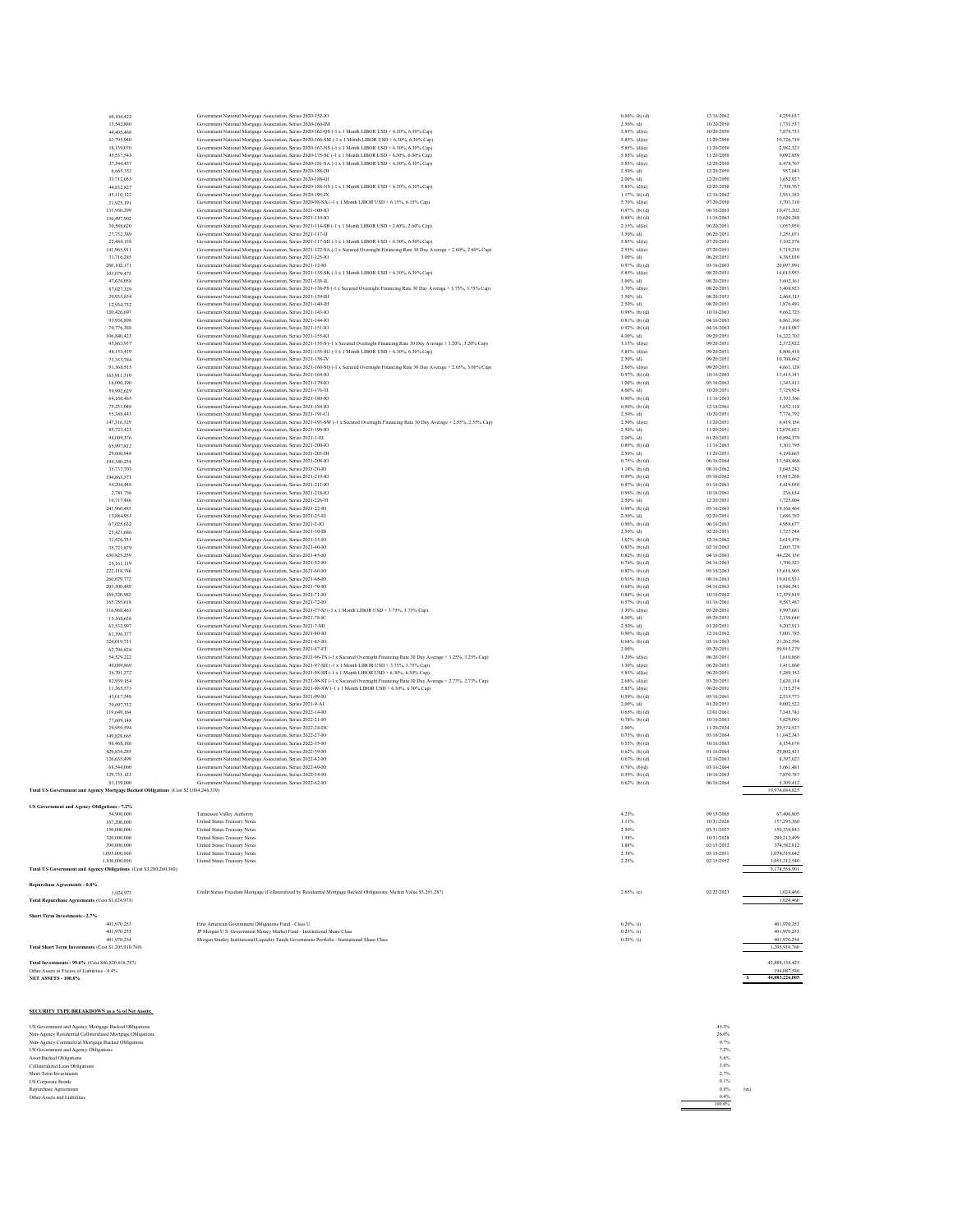| 69,104,422                                                                         | Government National Mortgage Association, Series 2020-152-IO                                                                                                             | $0.60%$ (b) (d)                    | 12/16/2062               | 4,259,037                |
|------------------------------------------------------------------------------------|--------------------------------------------------------------------------------------------------------------------------------------------------------------------------|------------------------------------|--------------------------|--------------------------|
| 13,542,880                                                                         | Government National Mortgage Association, Series 2020-160-IM<br>Government National Mortgage Association, Series 2020-162-QS (-1 x 1 Month LIBOR USD + 6.30%, 6.30% Cap) | $2.50\%$ (d)                       | 10/20/2050<br>10/20/2050 | 1.731.537                |
| 44,405,468<br>63,795,940                                                           | Government National Mortgage Association, Series 2020-166-SM (-1 x 1 Month LIBOR USD + 6.30%, 6.30% Cap)                                                                 | $5.85\%$ (d)(e)<br>$5.85\%$ (d)(e) | 11/20/2050               | 7,878,733<br>10,726,719  |
| 18,139,070                                                                         | Government National Mortgage Association, Series 2020-167-NS (-1 x 1 Month LIBOR USD + 6.30%, 6.30% Cap)                                                                 | $5.85\%$ (d)(e)                    | 11/20/2050               | 2.982.323                |
| 45,537,543                                                                         | Government National Mortgage Association, Series 2020-175-SC (-1 x 1 Month LIBOR USD + 6.30% 6.30% Cap)                                                                  | $5.85\%$ (d)(e)                    | 11/20/2050               | 9,092,859                |
| 37, 344, 457                                                                       | Government National Mortgage Association, Series 2020-181-SA (-1 x 1 Month LIBOR USD + 6.30%, 6.30% Cap)                                                                 | $5.85\%$ (d)(e)                    | 12/20/2050               | 6,478,767                |
| 6,665,352                                                                          | Government National Mortgage Association, Series 2020-188-DI                                                                                                             | $2.50%$ (d)                        | 12/20/2050               | 957,043                  |
| 33,712,053                                                                         | Government National Mortgage Association, Series 2020-188-GI                                                                                                             | $2.00%$ (d)                        | 12/20/2050               | 3,652,927                |
| 44,832,827                                                                         | Government National Mortgage Association, Series 2020-188-NS (-1 x 1 Month LIBOR USD + 6.30%, 6.30% Cap)                                                                 | 5.85% (d)(e)                       | 12/20/2050               | 7.708.767                |
| 45,110,122                                                                         | Government National Mortgage Association, Series 2020-195-IX                                                                                                             | $1.17%$ (b) (d)                    | 12/16/2062               | 3,931,383                |
| 21,925,191                                                                         | Government National Mortgage Association, Series 2020-98-SA (-1 x 1 Month LIBOR USD + 6.15%, 6.15% Cap)                                                                  | $5.70\%$ (d)(e)                    | 07/20/2050               | 3,701,310                |
| 131.930.299                                                                        | Government National Mortgage Association, Series 2021-100-IO                                                                                                             | $0.97%$ (b) (d)                    | 06/16/2063               | 10.471.202               |
| 136,497,902                                                                        | Government National Mortgage Association, Series 2021-110-IO                                                                                                             | $0.88%$ (b) (d)                    | 11/16/2063               | 10,620,288               |
| 30,588,620                                                                         | Government National Mortgage Association, Series 2021-114-SB (-1 x 1 Month LIBOR USD + 2.60%, 2.60% Cap)                                                                 | $2.15%$ (d)(e)                     | 06/20/2051               | 1,057,950                |
| 27.732.389                                                                         | Government National Mortgage Association, Series 2021-117-IJ                                                                                                             | 3.50% (d)                          | 06/20/2051               | 3.251.071                |
| 22,484,158                                                                         | Government National Mortgage Association, Series 2021-117-SH (-1 x 1 Month LIBOR USD + 6.30%, 6.30% Cap)                                                                 | $5.85\%$ (d)(e)                    | 07/20/2051               | 3,102,576                |
| 141,965,911                                                                        | Government National Mortgage Association, Series 2021-122-SA (-1 x Secured Overnight Financing Rate 30 Day Average + 2.60%, 2.60% Cap)                                   | $2.55\%$ (d)(e)                    | 07/20/2051               | 5,719,239                |
| 31,716,285                                                                         | Government National Mortgage Association, Series 2021-125-IO                                                                                                             | $3.00%$ (d)                        | 06/20/2051               | 4,385,030                |
| 260,102,171                                                                        | Government National Mortgage Association, Series 2021-12-IO                                                                                                              | $0.97%$ (b) (d)                    | 03/16/2063               | 20,097,991               |
| 103,079,475                                                                        | Government National Morteage Association, Series 2021-135-SK (-1 x 1 Month LIBOR USD + 6.30% 6.30% Cap)                                                                  | $5.85\%$ (d)(e)                    | 08/20/2051               | 16,015,953               |
| 47,676,058                                                                         | Government National Mortgage Association, Series 2021-138-IL                                                                                                             | $3.00%$ (d)                        | 08/20/2051               | 5,602,161                |
| 87,027,329                                                                         | Government National Mortgage Association, Series 2021-138-PS (-1 x Secured Overnight Financing Rate 30 Day Average + 3.75%, 3.75% Cap)                                   | $3.70\%$ (d)(e)                    | 08/20/2051               | 5,408,923                |
| 20.935.854                                                                         | Government National Mortgage Association, Series 2021-139-BI                                                                                                             | 3.50% (d)                          | 08/20/2051               | 2.468.115                |
| 12,934,732                                                                         | Government National Mortgage Association, Series 2021-140-IH                                                                                                             | $2.50\%$ (d)                       | 08/20/2051               | 1,876,491                |
| 120,426,697                                                                        | Government National Mortgage Association, Series 2021-143-IO                                                                                                             | $0.98%$ (b) (d)                    | 10/16/2063               | 9,662,725                |
| 93, 936, 898                                                                       | Government National Mortgage Association, Series 2021-144-IO                                                                                                             | $0.81%$ (b) (d)                    | 04/16/2063               | 6,861,160                |
| 70,776,388                                                                         | Government National Mortgage Association, Series 2021-151-IO                                                                                                             | $0.92%$ (b) (d)                    | 04/16/2063               | 5,618,987                |
| 106,840,423                                                                        | Government National Mortgage Association, Series 2021-155-KI                                                                                                             | $4.00%$ (d)                        | 09/20/2051               | 16,222,703               |
| 45,863,937                                                                         | Government National Mortgage Association, Series 2021-155-S (-1 x Secured Overnight Financing Rate 30 Day Average + 3.20%, 3.20% Cap)                                    | $3.15%$ (d)(e)                     | 09/20/2051               | 2.372.922                |
| 48,153,419                                                                         | Government National Mortgage Association, Series 2021-155-SG (-1 x 1 Month LIBOR USD + 6.30%, 6.30% Cap)                                                                 | $5.85\%$ (d)(e)                    | 09/20/2051               | 8,806,418                |
| 73,353,784                                                                         | Government National Mortgage Association, Series 2021-158-IV                                                                                                             | $2.50%$ (d)                        | 09/20/2051               | 10,708,662               |
| 91,368,515                                                                         | Government National Mortgage Association, Series 2021-160-SQ (-1 x Secured Overnight Financing Rate 30 Day Average + 2.65%, 3.00% Cap)                                   | $2.60\%$ (d)(e)                    | 09/20/2051               | 4,661,128                |
| 165,911,319                                                                        | Government National Mortgage Association, Series 2021-164-IO                                                                                                             | $0.97%$ (b) (d)                    | 10/16/2063               | 13,415,141               |
| 16,000,190                                                                         | Government National Mortgage Association, Series 2021-170-IO                                                                                                             | $1.00%$ (b) (d)                    | 05/16/2063               | 1.343.413                |
| 59,992,629                                                                         | Government National Mortgage Association, Series 2021-176-TI                                                                                                             | $4.00%$ (d)                        | 10/20/2051               | 7,729,924                |
| 64,160,465                                                                         | Government National Mortgage Association, Series 2021-180-IO                                                                                                             | $0.90%$ (b) (d)                    | 11/16/2063               | 5,193,366                |
| 75.231.048                                                                         | Government National Mortgage Association, Series 2021-184-IO                                                                                                             | $0.90%$ (b) (d)                    | 12/16/2061               | 5.852.118                |
| 55,388,443                                                                         | Government National Mortgage Association, Series 2021-191-CI                                                                                                             | $2.50%$ (d)                        | 10/20/2051               | 7,776,792                |
| 147,316,529                                                                        | Government National Mortgage Association, Series 2021-193-SW (-1 x Secured Overnight Financing Rate 30 Day Average + 2.55%, 2.55% Cap)                                   | $2.50\%$ (d)(e)                    | 11/20/2051               | 6,419,156                |
| 85.723.423                                                                         | Government National Mortgage Association, Series 2021-196-IO                                                                                                             | $2.50%$ (d)                        | 11/20/2051               | 12.070.021               |
| 98,009,376                                                                         | Government National Mortgage Association, Series 2021-1-EI                                                                                                               | $2.00%$ (d)                        | 01/20/2051               | 10,894,379               |
| 65,997,812                                                                         | Government National Mortgage Association, Series 2021-200-IO                                                                                                             | $0.89%$ (b) (d)                    | 11/16/2063               | 5,303,795                |
| 29,600,948                                                                         | Government National Mortgage Association, Series 2021-205-DI                                                                                                             | $2.50%$ (d)                        | 11/20/2051               | 4.196.665                |
| 194,340,234                                                                        | Government National Mortgage Association, Series 2021-208-IO                                                                                                             | $0.75%$ (b) (d)                    | 06/16/2064               | 13,548,468               |
| 35,737,703                                                                         | Government National Mortgage Association, Series 2021-20-IO                                                                                                              | $1.14%$ (b) (d)                    | 08/16/2062               | 3,045,242                |
| 194,863,571                                                                        | Government National Mortgage Association, Series 2021-210-IO                                                                                                             | $0.99%$ (b) (d)                    | 05/16/2062               | 15,915,268               |
| 54,204,448                                                                         | Government National Mortgage Association, Series 2021-211-IO                                                                                                             | $0.97%$ (b) (d)                    | 01/16/2063               | 4,419,050                |
| 2.781.736                                                                          | Government National Mortgage Association, Series 2021-218-IO                                                                                                             | $0.96%$ (b) (d)                    | 10/16/2061               | 236,034                  |
| 10,717,486                                                                         | Government National Mortgage Association, Series 2021-226-TI                                                                                                             | $2.50\%$ (d)                       | 12/20/2051               | 1,725,004                |
| 241,960,485                                                                        | Government National Mortgage Association, Series 2021-22-IO                                                                                                              | $0.98%$ (b) (d)                    | 05/16/2063               | 19,166,464               |
| 13,884,953                                                                         | Government National Mortgage Association, Series 2021-25-EI                                                                                                              | $2.50\%$ (d)                       | 02/20/2051               | 1.680.783                |
| 67,025,632                                                                         | Government National Mortgage Association, Series 2021-2-IO<br>Government National Mortgage Association, Series 2021-30-IB                                                | $0.90%$ (b) (d)                    | 06/16/2063               | 4,958,677                |
| 25,421,686                                                                         |                                                                                                                                                                          | $2.50%$ (d)                        | 02/20/2051               | 3,727,244                |
| 31,426,735                                                                         | Government National Mortgage Association, Series 2021-35-IO                                                                                                              | $1.02%$ (b) (d)                    | 12/16/2062               | 2.619.478                |
| 35,721,879                                                                         | Government National Mortgage Association, Series 2021-40-IO<br>Government National Mortgage Association, Series 2021-45-IO                                               | $0.83%$ (b) (d)<br>$0.82%$ (b) (d) | 02/16/2063               | 2,605,729<br>44,226,150  |
| 630.825.259                                                                        |                                                                                                                                                                          |                                    | 04/16/2063               |                          |
| 25,161,119<br>222,118,786                                                          | Government National Mortgage Association, Series 2021-52-IO                                                                                                              | $0.76%$ (b) (d)<br>$0.82%$ (b) (d) | 04/16/2063<br>05/16/2063 | 1,700,323<br>15,616,905  |
|                                                                                    | Government National Mortgage Association, Series 2021-60-IO                                                                                                              |                                    |                          |                          |
| 260,679,772<br>203,500,489                                                         | Government National Mortgage Association, Series 2021-65-IO                                                                                                              | $0.91%$ (b) (d)                    | 08/16/2063<br>04/16/2063 | 19,810,933<br>14,846,541 |
| 169,320,982                                                                        | Government National Mortgage Association, Series 2021-70-IO<br>Government National Mortgage Association, Series 2021-71-IO                                               | $0.68%$ (b) (d)<br>$0.88%$ (b) (d) | 10/16/2062               | 12,379,819               |
| 165,755,618                                                                        | Government National Mortgage Association, Series 2021-72-IO                                                                                                              | $0.57%$ (b) (d)                    | 01/16/2061               | 9.587.487                |
| 116,968,463                                                                        | Government National Mortgage Association, Series 2021-77-SJ (-1 x 1 Month LIBOR USD + 3.75%, 3.75% Cap)                                                                  | $3.30\%$ (d)(e)                    | 05/20/2051               | 9,997,681                |
| 15,368,636                                                                         | Government National Mortgage Association, Series 2021-78-IC                                                                                                              | $4.00%$ (d)                        | 05/20/2051               | 2,139,640                |
| 63,532,997                                                                         | Government National Mortgage Association, Series 2021-7-MI                                                                                                               | $2.50%$ (d)                        | 01/20/2051               | 9.207.913                |
| 61,396,377                                                                         | Government National Mortgage Association, Series 2021-80-IO                                                                                                              | $0.90%$ (b) (d)                    | 12/16/2062               | 5,001,785                |
| 324,019,731                                                                        | Government National Mortgage Association, Series 2021-85-10                                                                                                              | $0.68%$ (b) (d)                    | 03/16/2063               | 21,262,596               |
| 62,706,824                                                                         | Government National Mortgage Association, Series 2021-87-ET                                                                                                              | 2.00%                              | 05/20/2051               | 59,915,279               |
| 54,529,222                                                                         | Government National Mortgage Association, Series 2021-96-TS (-1 x Secured Overnight Financing Rate 30 Day Average + 3.25%, 3.25% Cap)                                    | $3.20\%$ (d)(e)                    | 06/20/2051               | 3,610,860                |
| 40,089,869                                                                         | Government National Mortgage Association, Series 2021-97-SH (-1 x 1 Month LIBOR USD + 3.75%, 3.75% Cap)                                                                  | $3.30\%$ (d)(e)                    | 06/20/2051               | 3,411,860                |
| 36,701,272                                                                         | Government National Mortgage Association, Series 2021-98-SB (-1 x 1 Month LIBOR USD + 6.30%, 6.30% Cap)                                                                  | $5.85\%$ (d)(e)                    | 06/20/2051               | 5,289,152                |
| 82,939,154                                                                         | Government National Mortgage Association, Series 2021-98-ST (-1 x Secured Overnight Financing Rate 30 Day Average + 2.73%, 2.73% Cap)                                    | $2.68%$ (d)(e)                     | 03/20/2051               | 2,620,114                |
| 11.365.573                                                                         | Government National Mortgage Association, Series 2021-98-SW (-1 x 1 Month LIBOR USD + 6.30%, 6.30% Cap)                                                                  | 5.85% (d)(e)                       | 06/20/2051               | 1,715,574                |
| 43,017,548                                                                         | Government National Mortgage Association, Series 2021-99-IO                                                                                                              | $0.59%$ (b) (d)                    | 05/16/2061               | 2,535,773                |
| 70,697,732                                                                         | Government National Mortgage Association, Series 2021-9-AI                                                                                                               | $2.00%$ (d)                        | 01/20/2051               | 9,002,522                |
| 119,649,164                                                                        | Government National Mortgage Association, Series 2022-14-IO                                                                                                              | $0.65%$ (b) (d)                    | 12/01/2061               | 7.345.741                |
| 77,609,148                                                                         | Government National Mortgage Association, Series 2022-21-IO                                                                                                              | $0.78%$ (b) (d)                    | 10/16/2063               | 5,829,091                |
| 29,959,594                                                                         | Government National Mortgage Association, Series 2022-24-DC                                                                                                              | 2.00%                              | 11/20/2034               | 29,574,527               |
| 149,828,665                                                                        | Government National Mortgage Association, Series 2022-27-IO                                                                                                              | $0.75%$ (b) (d)                    | 03/16/2064               | 11.042.343               |
| 96,468,186                                                                         | Government National Mortgage Association, Series 2022-35-IO                                                                                                              | $0.55%$ (b) (d)                    | 10/16/2063               | 6,154,670                |
| 429.834.285                                                                        | Government National Mortgage Association, Series 2022-39-IO                                                                                                              | $0.62%$ (b) (d)                    | 01/16/2064               | 29,802,431               |
| 126,635,499                                                                        | Government National Mortgage Association, Series 2022-42-IO                                                                                                              | $0.67%$ (b) (d)                    | 12/16/2063               | 8,397,023                |
| 68,544,000                                                                         | Government National Mortgage Association, Series 2022-49-IO                                                                                                              | $0.76%$ (b)(d)                     | 03/16/2064               | 5,061,481                |
| 129,731,123                                                                        | Government National Mortgage Association, Series 2022-54-IO                                                                                                              | $0.59%$ (b) (d)                    | 10/16/2063               | 7.870.787                |
| 81,139,000                                                                         | Government National Mortgage Association, Series 2022-62-IO                                                                                                              | $0.62%$ (b) (d)                    | 06/16/2064               | 5,309,412                |
| Total US Government and Agency Mortgage Backed Obligations (Cost \$21,004,246,339) |                                                                                                                                                                          |                                    |                          | 19,974,684,825           |
|                                                                                    |                                                                                                                                                                          |                                    |                          |                          |
| US Government and Agency O.                                                        |                                                                                                                                                                          |                                    |                          |                          |
| 54,900,000                                                                         | Tennessee Valley Authority                                                                                                                                               | 4.25%                              | 09/15/2065               | 67,496,805               |
| 167,200,000                                                                        | United States Treasury Notes                                                                                                                                             | 1.13%                              | 10/31/2026               | 157,295,360              |
| 150,000,000                                                                        | United States Treasury Notes                                                                                                                                             | 2.50%                              | 03/31/2027               | 150,339,843              |
| 320,000,000                                                                        | United States Treasury Notes                                                                                                                                             | 1.38%                              | 10/31/2028               | 299,212,499              |
| 390,000,000                                                                        | United States Treasury Notes                                                                                                                                             | 1.88%                              | 02/15/2032               | 374.582.812              |
| 1,095,000,000                                                                      | United States Treasury Notes                                                                                                                                             | 2.38%                              | 05/15/2051               | 1,074,319,042            |
| 1,100,000,000                                                                      | United States Treasury Notes                                                                                                                                             | 2.25%                              | 02/15/2052               | 1,055,312,540            |
| Total US Government and Agency Obligations (Cost \$3,280,260,360)                  |                                                                                                                                                                          |                                    |                          | 3,178,558,901            |
|                                                                                    |                                                                                                                                                                          |                                    |                          |                          |
| Repurchase Agreements - 0.0%                                                       |                                                                                                                                                                          |                                    |                          |                          |
| 1.024.973                                                                          | Credit Suisse Freedom Mortgage (Collateralized by Residential Mortgage Backed Obligations, Market Value \$5,201,287)                                                     | $2.65%$ (c)                        | 02/22/2023               | 1,024,460                |
| Total Repurchase Agreements (Cost \$1,024,973)                                     |                                                                                                                                                                          |                                    |                          | 1,024,460                |
| <b>Short Term Investments - 2.7%</b>                                               |                                                                                                                                                                          |                                    |                          |                          |
| 401,970,253                                                                        | First American Government Obligations Fund - Class U                                                                                                                     | $0.20\%$ (i)                       |                          | 401,970,253              |
| 401.970.253                                                                        | JP Morgan U.S. Government Money Market Fund - Institutional Share Class                                                                                                  | $0.25%$ (i)                        |                          | 401.970.253              |
| 401,970,254                                                                        | Morgan Stanley Institutional Liquidity Funds Government Portfolio - Institutional Share Class                                                                            | $0.23\%$ (i)                       |                          | 401,970,254              |
| Total Short Term Investments (Cost \$1,205,910,760)                                |                                                                                                                                                                          |                                    |                          | 1,205,910,760            |
|                                                                                    |                                                                                                                                                                          |                                    |                          |                          |
| Total Investments - 99.6% (Cost \$46,820,616,787)                                  |                                                                                                                                                                          |                                    |                          | 43.889.138.425           |
| Other Assets in Excess of Liabilities - 0.4%                                       |                                                                                                                                                                          |                                    |                          | 194,087,580              |

**NET ASSETS - 100.0% \$ 44,083,226,005** 

**SECURITY TYPE BREAKDOWN as a % of Net Assets:**

US Government and A gamesy Motrages Blacked Obligations<br>Non-Agency Residential Collateralized Moregas Obligations<br>Non-Agency Comment and Agency Obligations<br>Asses (Schildren and Agency Obligations<br>Short Term Investments<br>Col

 $\begin{array}{r} 4.53\% \\ 2.6.0\% \\ 9.7\% \\ 7.2\% \\ 3.0\% \\ 2.7\% \\ 0.0\% \\ 0.0\% \\ 0.0\% \\ 0.0\% \\ \hline \end{array}$